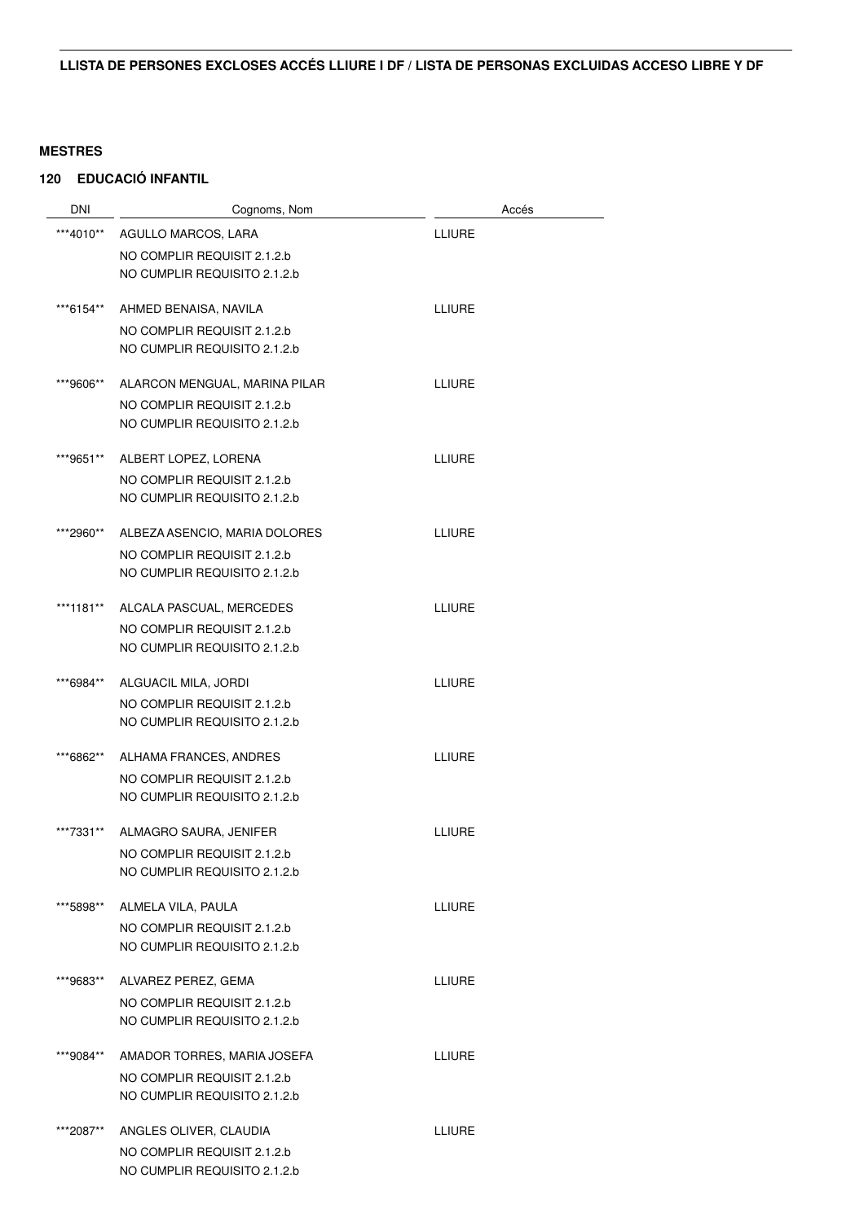| <b>DNI</b> | Cognoms, Nom                                                | Accés         |
|------------|-------------------------------------------------------------|---------------|
| ***4010**  | AGULLO MARCOS, LARA                                         | <b>LLIURE</b> |
|            | NO COMPLIR REQUISIT 2.1.2.b                                 |               |
|            | NO CUMPLIR REQUISITO 2.1.2.b                                |               |
| ***6154**  | AHMED BENAISA, NAVILA                                       | <b>LLIURE</b> |
|            | NO COMPLIR REQUISIT 2.1.2.b                                 |               |
|            | NO CUMPLIR REQUISITO 2.1.2.b                                |               |
| ***9606**  | ALARCON MENGUAL, MARINA PILAR                               | LLIURE        |
|            | NO COMPLIR REQUISIT 2.1.2.b<br>NO CUMPLIR REQUISITO 2.1.2.b |               |
|            |                                                             |               |
| ***9651**  | ALBERT LOPEZ, LORENA                                        | LLIURE        |
|            | NO COMPLIR REQUISIT 2.1.2.b                                 |               |
|            | NO CUMPLIR REQUISITO 2.1.2.b                                |               |
| ***2960**  | ALBEZA ASENCIO, MARIA DOLORES                               | <b>LLIURE</b> |
|            | NO COMPLIR REQUISIT 2.1.2.b                                 |               |
|            | NO CUMPLIR REQUISITO 2.1.2.b                                |               |
| ***1181**  | ALCALA PASCUAL, MERCEDES                                    | <b>LLIURE</b> |
|            | NO COMPLIR REQUISIT 2.1.2.b                                 |               |
|            | NO CUMPLIR REQUISITO 2.1.2.b                                |               |
| ***6984**  | ALGUACIL MILA, JORDI                                        | LLIURE        |
|            | NO COMPLIR REQUISIT 2.1.2.b                                 |               |
|            | NO CUMPLIR REQUISITO 2.1.2.b                                |               |
| ***6862**  | ALHAMA FRANCES, ANDRES                                      | <b>LLIURE</b> |
|            | NO COMPLIR REQUISIT 2.1.2.b                                 |               |
|            | NO CUMPLIR REQUISITO 2.1.2.b                                |               |
| ***7331**  | ALMAGRO SAURA, JENIFER                                      | <b>LLIURE</b> |
|            | NO COMPLIR REQUISIT 2.1.2.b                                 |               |
|            | NO CUMPLIR REQUISITO 2.1.2.b                                |               |
| ***5898**  | ALMELA VILA, PAULA                                          | LLIURE        |
|            | NO COMPLIR REQUISIT 2.1.2.b                                 |               |
|            | NO CUMPLIR REQUISITO 2.1.2.b                                |               |
| ***9683**  | ALVAREZ PEREZ, GEMA                                         | <b>LLIURE</b> |
|            | NO COMPLIR REQUISIT 2.1.2.b                                 |               |
|            | NO CUMPLIR REQUISITO 2.1.2.b                                |               |
| ***9084**  | AMADOR TORRES, MARIA JOSEFA                                 | LLIURE        |
|            | NO COMPLIR REQUISIT 2.1.2.b                                 |               |
|            | NO CUMPLIR REQUISITO 2.1.2.b                                |               |
| ***2087**  | ANGLES OLIVER, CLAUDIA                                      | <b>LLIURE</b> |
|            | NO COMPLIR REQUISIT 2.1.2.b                                 |               |
|            | NO CUMPLIR REQUISITO 2.1.2.b                                |               |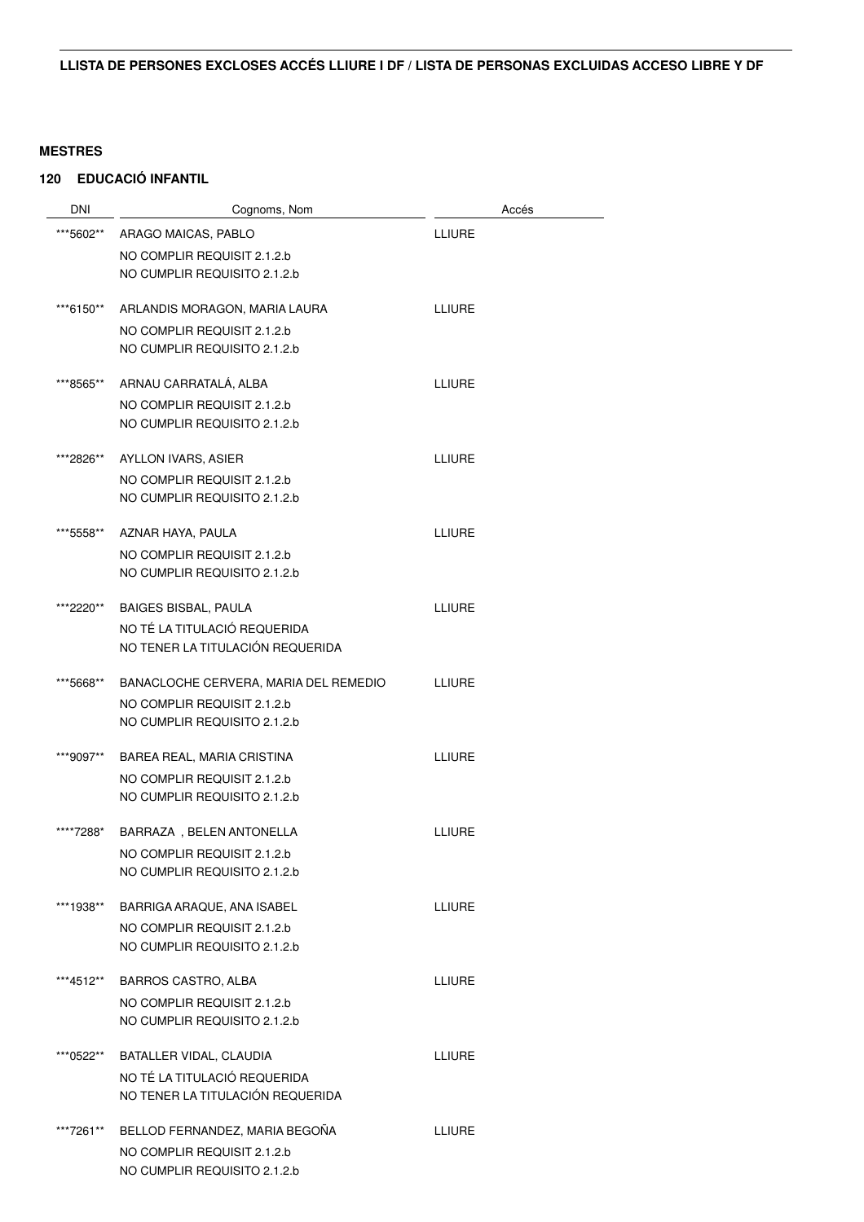| <b>DNI</b> | Cognoms, Nom                          | Accés         |
|------------|---------------------------------------|---------------|
| ***5602**  | ARAGO MAICAS, PABLO                   | <b>LLIURE</b> |
|            | NO COMPLIR REQUISIT 2.1.2.b           |               |
|            | NO CUMPLIR REQUISITO 2.1.2.b          |               |
| ***6150**  | ARLANDIS MORAGON, MARIA LAURA         | <b>LLIURE</b> |
|            | NO COMPLIR REQUISIT 2.1.2.b           |               |
|            | NO CUMPLIR REQUISITO 2.1.2.b          |               |
| ***8565**  | ARNAU CARRATALÁ, ALBA                 | LLIURE        |
|            | NO COMPLIR REQUISIT 2.1.2.b           |               |
|            | NO CUMPLIR REQUISITO 2.1.2.b          |               |
| ***2826**  | AYLLON IVARS, ASIER                   | <b>LLIURE</b> |
|            | NO COMPLIR REQUISIT 2.1.2.b           |               |
|            | NO CUMPLIR REQUISITO 2.1.2.b          |               |
| ***5558**  | AZNAR HAYA, PAULA                     | <b>LLIURE</b> |
|            | NO COMPLIR REQUISIT 2.1.2.b           |               |
|            | NO CUMPLIR REQUISITO 2.1.2.b          |               |
| ***2220**  | <b>BAIGES BISBAL, PAULA</b>           | <b>LLIURE</b> |
|            | NO TÉ LA TITULACIÓ REQUERIDA          |               |
|            | NO TENER LA TITULACIÓN REQUERIDA      |               |
| ***5668**  | BANACLOCHE CERVERA, MARIA DEL REMEDIO | <b>LLIURE</b> |
|            | NO COMPLIR REQUISIT 2.1.2.b           |               |
|            | NO CUMPLIR REQUISITO 2.1.2.b          |               |
| ***9097**  | BAREA REAL, MARIA CRISTINA            | <b>LLIURE</b> |
|            | NO COMPLIR REQUISIT 2.1.2.b           |               |
|            | NO CUMPLIR REQUISITO 2.1.2.b          |               |
| ****7288*  | BARRAZA, BELEN ANTONELLA              | <b>LLIURE</b> |
|            | NO COMPLIR REQUISIT 2.1.2.b           |               |
|            | NO CUMPLIR REQUISITO 2.1.2.b          |               |
| ***1938**  | BARRIGA ARAQUE, ANA ISABEL            | <b>LLIURE</b> |
|            | NO COMPLIR REQUISIT 2.1.2.b           |               |
|            | NO CUMPLIR REQUISITO 2.1.2.b          |               |
| ***4512**  | <b>BARROS CASTRO, ALBA</b>            | <b>LLIURE</b> |
|            | NO COMPLIR REQUISIT 2.1.2.b           |               |
|            | NO CUMPLIR REQUISITO 2.1.2.b          |               |
| ***0522**  | BATALLER VIDAL, CLAUDIA               | <b>LLIURE</b> |
|            | NO TÉ LA TITULACIÓ REQUERIDA          |               |
|            | NO TENER LA TITULACIÓN REQUERIDA      |               |
| ***7261**  | BELLOD FERNANDEZ, MARIA BEGOÑA        | <b>LLIURE</b> |
|            | NO COMPLIR REQUISIT 2.1.2.b           |               |
|            | NO CUMPLIR REQUISITO 2.1.2.b          |               |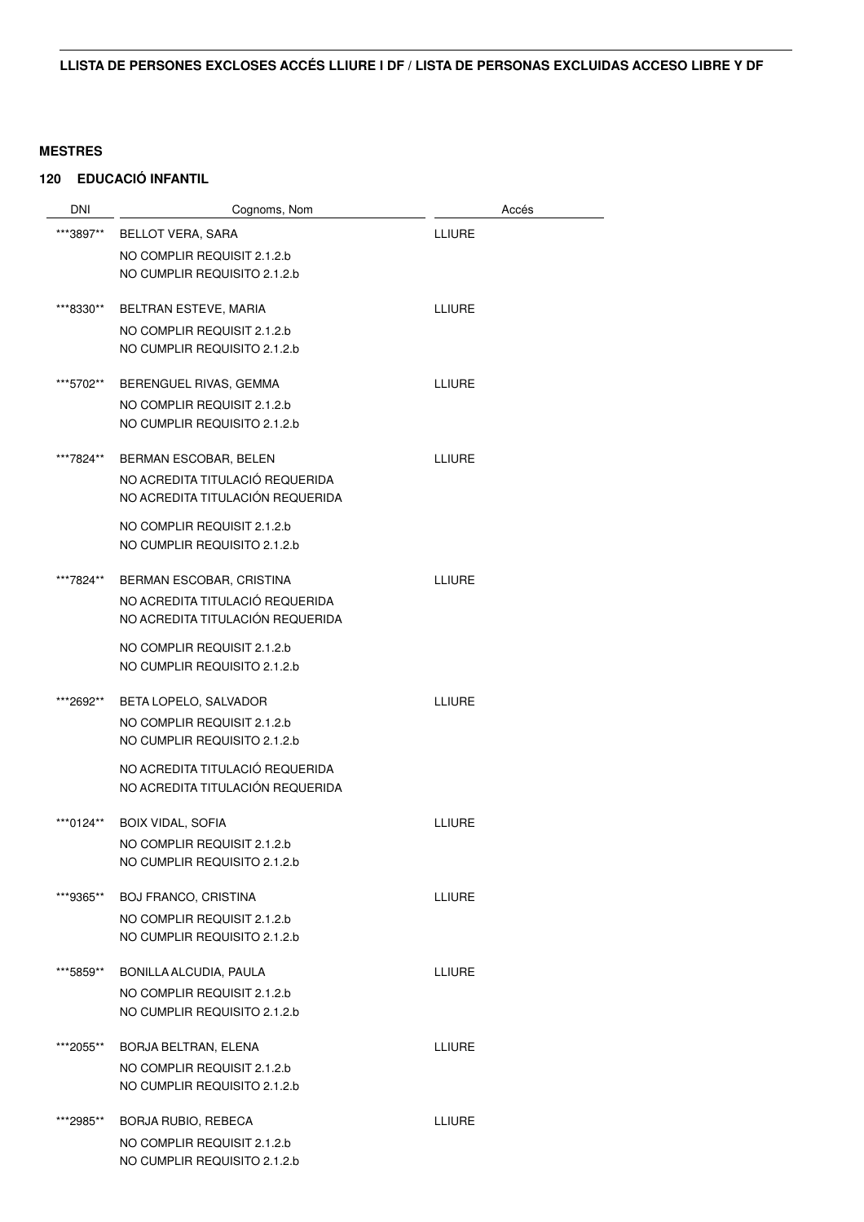| <b>DNI</b> | Cognoms, Nom                                                | Accés         |
|------------|-------------------------------------------------------------|---------------|
| ***3897**  | <b>BELLOT VERA, SARA</b>                                    | LLIURE        |
|            | NO COMPLIR REQUISIT 2.1.2.b                                 |               |
|            | NO CUMPLIR REQUISITO 2.1.2.b                                |               |
|            |                                                             |               |
| ***8330**  | BELTRAN ESTEVE, MARIA                                       | <b>LLIURE</b> |
|            | NO COMPLIR REQUISIT 2.1.2.b                                 |               |
|            | NO CUMPLIR REQUISITO 2.1.2.b                                |               |
| ***5702**  | BERENGUEL RIVAS, GEMMA                                      | <b>LLIURE</b> |
|            | NO COMPLIR REQUISIT 2.1.2.b                                 |               |
|            | NO CUMPLIR REQUISITO 2.1.2.b                                |               |
| ***7824**  | BERMAN ESCOBAR, BELEN                                       | <b>LLIURE</b> |
|            | NO ACREDITA TITULACIÓ REQUERIDA                             |               |
|            | NO ACREDITA TITULACIÓN REQUERIDA                            |               |
|            | NO COMPLIR REQUISIT 2.1.2.b                                 |               |
|            | NO CUMPLIR REQUISITO 2.1.2.b                                |               |
|            |                                                             |               |
| ***7824**  | BERMAN ESCOBAR, CRISTINA                                    | <b>LLIURE</b> |
|            | NO ACREDITA TITULACIÓ REQUERIDA                             |               |
|            | NO ACREDITA TITULACIÓN REQUERIDA                            |               |
|            | NO COMPLIR REQUISIT 2.1.2.b                                 |               |
|            | NO CUMPLIR REQUISITO 2.1.2.b                                |               |
| ***2692**  | BETA LOPELO, SALVADOR                                       | <b>LLIURE</b> |
|            | NO COMPLIR REQUISIT 2.1.2.b                                 |               |
|            | NO CUMPLIR REQUISITO 2.1.2.b                                |               |
|            | NO ACREDITA TITULACIÓ REQUERIDA                             |               |
|            | NO ACREDITA TITULACIÓN REQUERIDA                            |               |
| ***0124**  | <b>BOIX VIDAL, SOFIA</b>                                    | LLIURE        |
|            | NO COMPLIR REQUISIT 2.1.2.b                                 |               |
|            | NO CUMPLIR REQUISITO 2.1.2.b                                |               |
|            |                                                             |               |
| ***9365**  | <b>BOJ FRANCO, CRISTINA</b>                                 | <b>LLIURE</b> |
|            | NO COMPLIR REQUISIT 2.1.2.b                                 |               |
|            | NO CUMPLIR REQUISITO 2.1.2.b                                |               |
| ***5859**  | BONILLA ALCUDIA, PAULA                                      | <b>LLIURE</b> |
|            | NO COMPLIR REQUISIT 2.1.2.b                                 |               |
|            | NO CUMPLIR REQUISITO 2.1.2.b                                |               |
| ***2055**  | BORJA BELTRAN, ELENA                                        | <b>LLIURE</b> |
|            | NO COMPLIR REQUISIT 2.1.2.b                                 |               |
|            | NO CUMPLIR REQUISITO 2.1.2.b                                |               |
|            |                                                             |               |
| ***2985**  | <b>BORJA RUBIO, REBECA</b>                                  | <b>LLIURE</b> |
|            | NO COMPLIR REQUISIT 2.1.2.b<br>NO CUMPLIR REQUISITO 2.1.2.b |               |
|            |                                                             |               |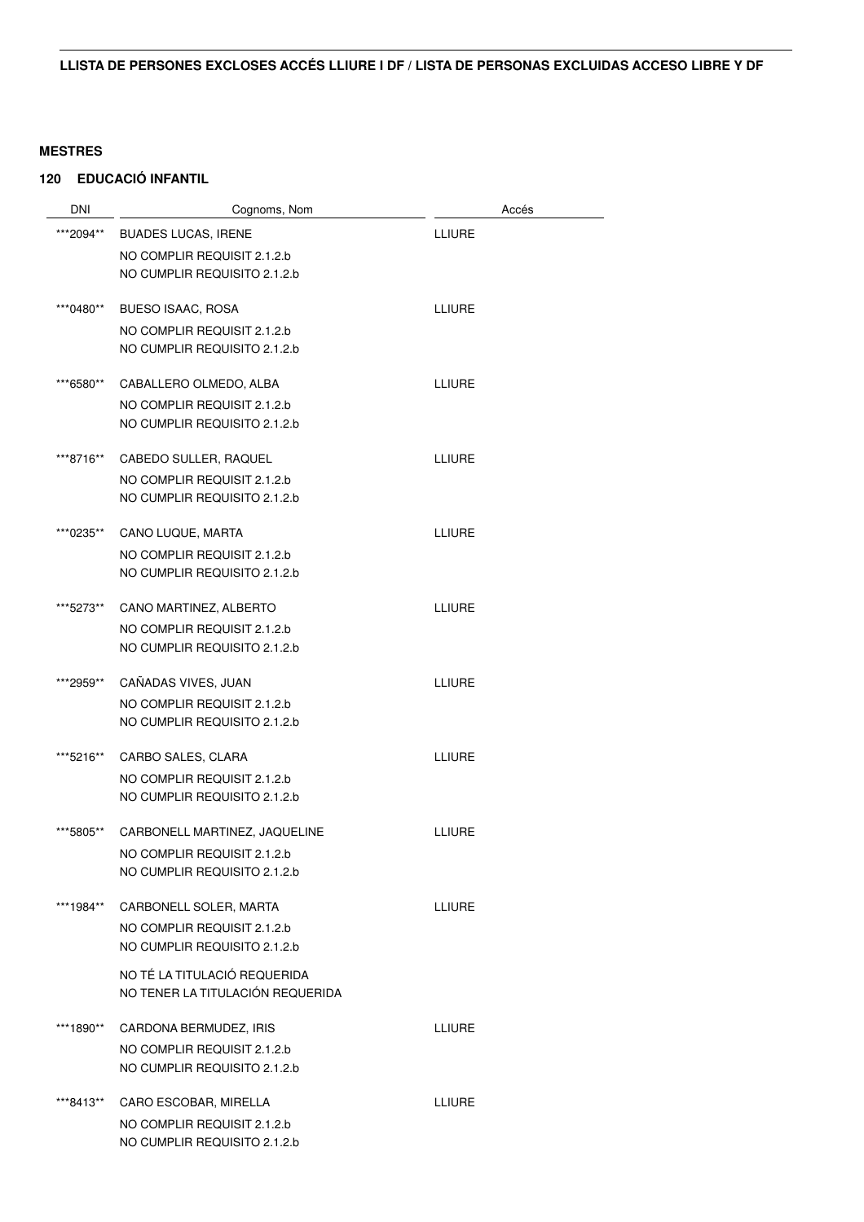| <b>DNI</b> | Cognoms, Nom                     | Accés         |
|------------|----------------------------------|---------------|
| ***2094**  | <b>BUADES LUCAS, IRENE</b>       | <b>LLIURE</b> |
|            | NO COMPLIR REQUISIT 2.1.2.b      |               |
|            | NO CUMPLIR REQUISITO 2.1.2.b     |               |
| ***0480**  | <b>BUESO ISAAC, ROSA</b>         | <b>LLIURE</b> |
|            | NO COMPLIR REQUISIT 2.1.2.b      |               |
|            | NO CUMPLIR REQUISITO 2.1.2.b     |               |
| ***6580**  | CABALLERO OLMEDO, ALBA           | <b>LLIURE</b> |
|            | NO COMPLIR REQUISIT 2.1.2.b      |               |
|            | NO CUMPLIR REQUISITO 2.1.2.b     |               |
| ***8716**  | CABEDO SULLER, RAQUEL            | <b>LLIURE</b> |
|            | NO COMPLIR REQUISIT 2.1.2.b      |               |
|            | NO CUMPLIR REQUISITO 2.1.2.b     |               |
| ***0235**  | CANO LUQUE, MARTA                | <b>LLIURE</b> |
|            | NO COMPLIR REQUISIT 2.1.2.b      |               |
|            | NO CUMPLIR REQUISITO 2.1.2.b     |               |
| ***5273**  | CANO MARTINEZ, ALBERTO           | <b>LLIURE</b> |
|            | NO COMPLIR REQUISIT 2.1.2.b      |               |
|            | NO CUMPLIR REQUISITO 2.1.2.b     |               |
| ***2959**  | CAÑADAS VIVES, JUAN              | <b>LLIURE</b> |
|            | NO COMPLIR REQUISIT 2.1.2.b      |               |
|            | NO CUMPLIR REQUISITO 2.1.2.b     |               |
| ***5216**  | CARBO SALES, CLARA               | <b>LLIURE</b> |
|            | NO COMPLIR REQUISIT 2.1.2.b      |               |
|            | NO CUMPLIR REQUISITO 2.1.2.b     |               |
| ***5805**  | CARBONELL MARTINEZ, JAQUELINE    | <b>LLIURE</b> |
|            | NO COMPLIR REQUISIT 2.1.2.b      |               |
|            | NO CUMPLIR REQUISITO 2.1.2.b     |               |
| ***1984**  | CARBONELL SOLER, MARTA           | <b>LLIURE</b> |
|            | NO COMPLIR REQUISIT 2.1.2.b      |               |
|            | NO CUMPLIR REQUISITO 2.1.2.b     |               |
|            | NO TÉ LA TITULACIÓ REQUERIDA     |               |
|            | NO TENER LA TITULACIÓN REQUERIDA |               |
| ***1890**  | CARDONA BERMUDEZ, IRIS           | <b>LLIURE</b> |
|            | NO COMPLIR REQUISIT 2.1.2.b      |               |
|            | NO CUMPLIR REQUISITO 2.1.2.b     |               |
| ***8413**  | CARO ESCOBAR, MIRELLA            | <b>LLIURE</b> |
|            | NO COMPLIR REQUISIT 2.1.2.b      |               |
|            | NO CUMPLIR REQUISITO 2.1.2.b     |               |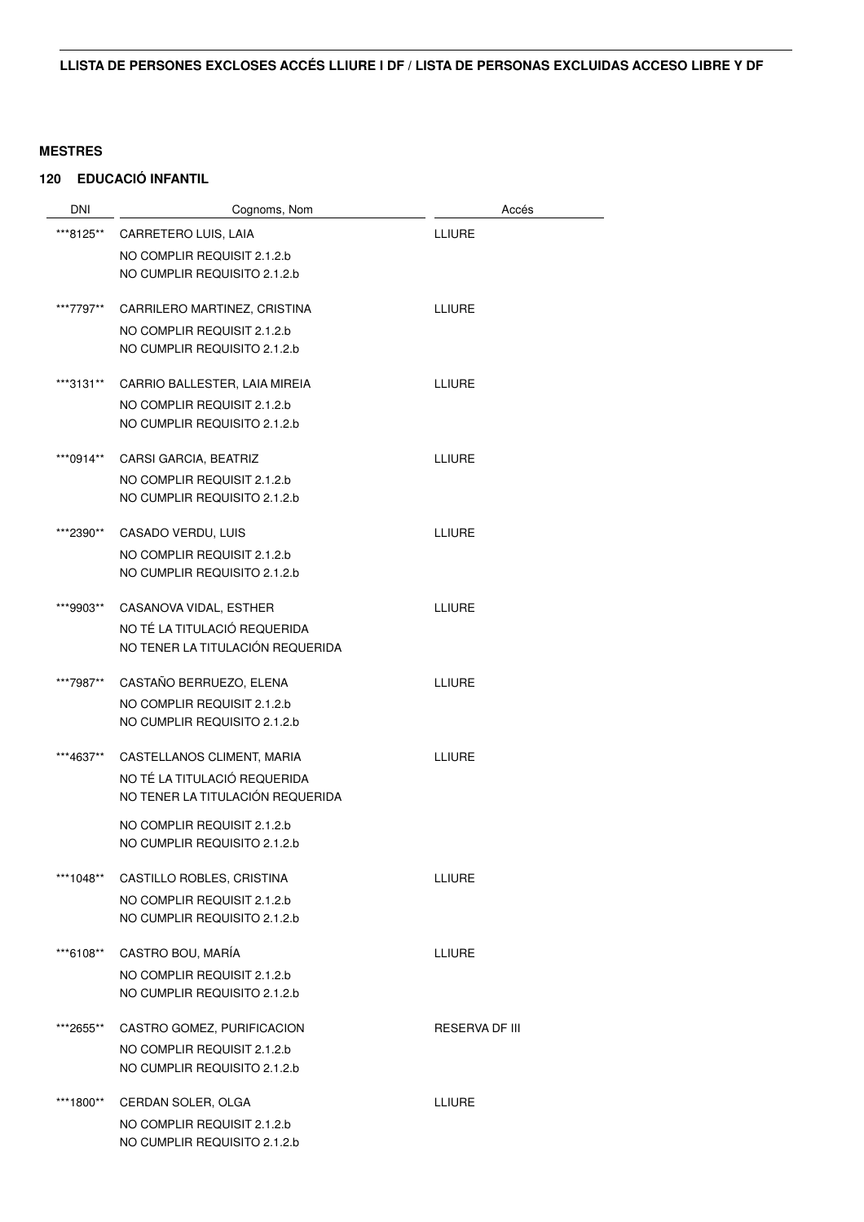| DNI       | Cognoms, Nom                                                | Accés          |
|-----------|-------------------------------------------------------------|----------------|
| ***8125** | CARRETERO LUIS, LAIA                                        | <b>LLIURE</b>  |
|           | NO COMPLIR REQUISIT 2.1.2.b                                 |                |
|           | NO CUMPLIR REQUISITO 2.1.2.b                                |                |
| ***7797** | CARRILERO MARTINEZ, CRISTINA                                | <b>LLIURE</b>  |
|           | NO COMPLIR REQUISIT 2.1.2.b                                 |                |
|           | NO CUMPLIR REQUISITO 2.1.2.b                                |                |
| ***3131** | CARRIO BALLESTER, LAIA MIREIA                               | <b>LLIURE</b>  |
|           | NO COMPLIR REQUISIT 2.1.2.b<br>NO CUMPLIR REQUISITO 2.1.2.b |                |
|           |                                                             |                |
| ***0914** | CARSI GARCIA, BEATRIZ                                       | <b>LLIURE</b>  |
|           | NO COMPLIR REQUISIT 2.1.2.b                                 |                |
|           | NO CUMPLIR REQUISITO 2.1.2.b                                |                |
| ***2390** | CASADO VERDU, LUIS                                          | <b>LLIURE</b>  |
|           | NO COMPLIR REQUISIT 2.1.2.b                                 |                |
|           | NO CUMPLIR REQUISITO 2.1.2.b                                |                |
| ***9903** | CASANOVA VIDAL, ESTHER                                      | <b>LLIURE</b>  |
|           | NO TÉ LA TITULACIÓ REQUERIDA                                |                |
|           | NO TENER LA TITULACIÓN REQUERIDA                            |                |
| ***7987** | CASTAÑO BERRUEZO, ELENA                                     | <b>LLIURE</b>  |
|           | NO COMPLIR REQUISIT 2.1.2.b                                 |                |
|           | NO CUMPLIR REQUISITO 2.1.2.b                                |                |
| ***4637** | CASTELLANOS CLIMENT, MARIA                                  | <b>LLIURE</b>  |
|           | NO TÉ LA TITULACIÓ REQUERIDA                                |                |
|           | NO TENER LA TITULACIÓN REQUERIDA                            |                |
|           | NO COMPLIR REQUISIT 2.1.2.b                                 |                |
|           | NO CUMPLIR REQUISITO 2.1.2.b                                |                |
| ***1048** | CASTILLO ROBLES, CRISTINA                                   | LLIURE         |
|           | NO COMPLIR REQUISIT 2.1.2.b                                 |                |
|           | NO CUMPLIR REQUISITO 2.1.2.b                                |                |
| ***6108** | CASTRO BOU, MARÍA                                           | <b>LLIURE</b>  |
|           | NO COMPLIR REQUISIT 2.1.2.b                                 |                |
|           | NO CUMPLIR REQUISITO 2.1.2.b                                |                |
| ***2655** | CASTRO GOMEZ, PURIFICACION                                  | RESERVA DF III |
|           | NO COMPLIR REQUISIT 2.1.2.b                                 |                |
|           | NO CUMPLIR REQUISITO 2.1.2.b                                |                |
| ***1800** | CERDAN SOLER, OLGA                                          | <b>LLIURE</b>  |
|           | NO COMPLIR REQUISIT 2.1.2.b                                 |                |
|           | NO CUMPLIR REQUISITO 2.1.2.b                                |                |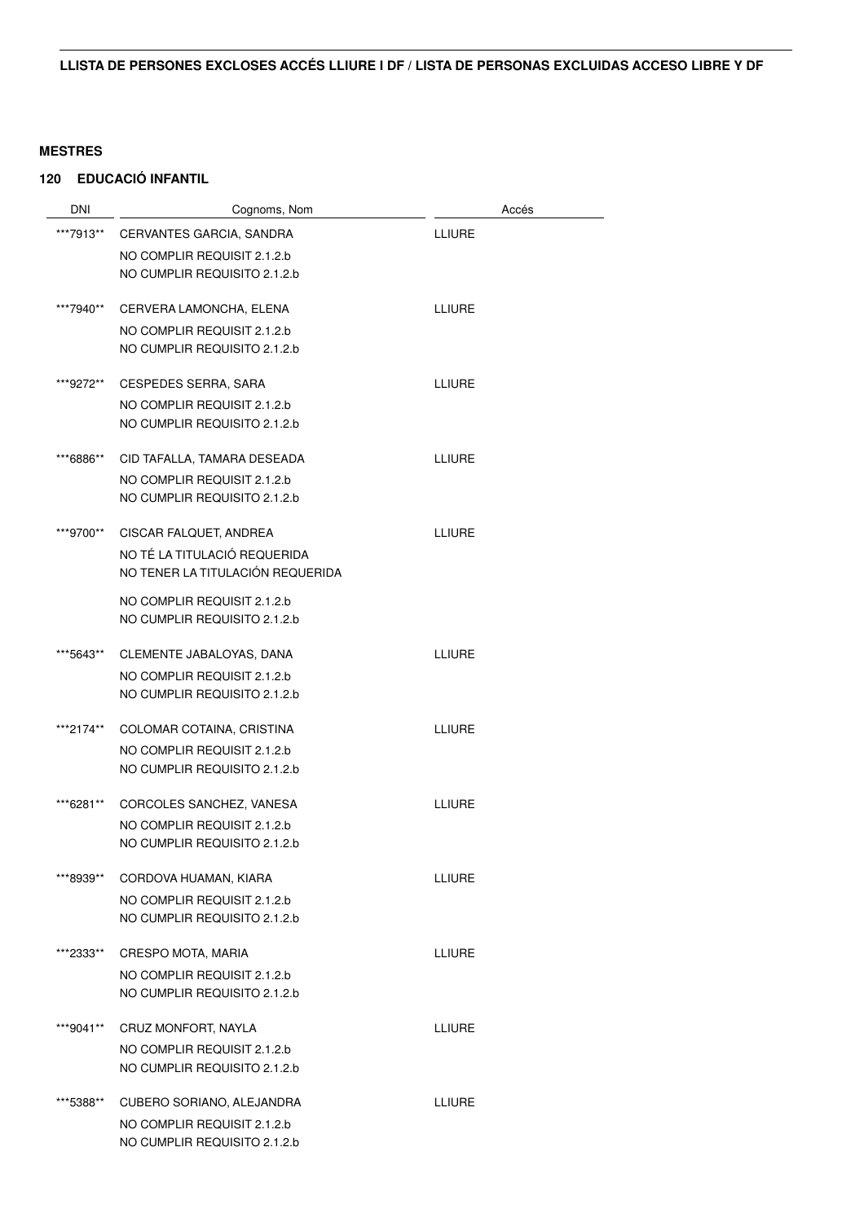| DNI       | Cognoms, Nom                                                | Accés         |
|-----------|-------------------------------------------------------------|---------------|
| ***7913** | CERVANTES GARCIA, SANDRA                                    | <b>LLIURE</b> |
|           | NO COMPLIR REQUISIT 2.1.2.b                                 |               |
|           | NO CUMPLIR REQUISITO 2.1.2.b                                |               |
| ***7940** | CERVERA LAMONCHA, ELENA                                     | <b>LLIURE</b> |
|           | NO COMPLIR REQUISIT 2.1.2.b<br>NO CUMPLIR REQUISITO 2.1.2.b |               |
| ***9272** | <b>CESPEDES SERRA, SARA</b>                                 | <b>LLIURE</b> |
|           | NO COMPLIR REQUISIT 2.1.2.b<br>NO CUMPLIR REQUISITO 2.1.2.b |               |
| ***6886** | CID TAFALLA, TAMARA DESEADA                                 | <b>LLIURE</b> |
|           | NO COMPLIR REQUISIT 2.1.2.b                                 |               |
|           | NO CUMPLIR REQUISITO 2.1.2.b                                |               |
| ***9700** | CISCAR FALQUET, ANDREA                                      | <b>LLIURE</b> |
|           | NO TÉ LA TITULACIÓ REQUERIDA                                |               |
|           | NO TENER LA TITULACIÓN REQUERIDA                            |               |
|           | NO COMPLIR REQUISIT 2.1.2.b<br>NO CUMPLIR REQUISITO 2.1.2.b |               |
|           |                                                             |               |
| ***5643** | CLEMENTE JABALOYAS, DANA                                    | <b>LLIURE</b> |
|           | NO COMPLIR REQUISIT 2.1.2.b<br>NO CUMPLIR REQUISITO 2.1.2.b |               |
|           |                                                             |               |
| ***2174** | COLOMAR COTAINA, CRISTINA                                   | <b>LLIURE</b> |
|           | NO COMPLIR REQUISIT 2.1.2.b<br>NO CUMPLIR REQUISITO 2.1.2.b |               |
|           |                                                             |               |
| ***6281** | CORCOLES SANCHEZ, VANESA                                    | <b>LLIURE</b> |
|           | NO COMPLIR REQUISIT 2.1.2.b                                 |               |
|           | NO CUMPLIR REQUISITO 2.1.2.b                                |               |
| ***8939** | CORDOVA HUAMAN, KIARA                                       | <b>LLIURE</b> |
|           | NO COMPLIR REQUISIT 2.1.2.b                                 |               |
|           | NO CUMPLIR REQUISITO 2.1.2.b                                |               |
| ***2333** | CRESPO MOTA, MARIA                                          | <b>LLIURE</b> |
|           | NO COMPLIR REQUISIT 2.1.2.b                                 |               |
|           | NO CUMPLIR REQUISITO 2.1.2.b                                |               |
| ***9041** | CRUZ MONFORT, NAYLA                                         | <b>LLIURE</b> |
|           | NO COMPLIR REQUISIT 2.1.2.b                                 |               |
|           | NO CUMPLIR REQUISITO 2.1.2.b                                |               |
| ***5388** | CUBERO SORIANO, ALEJANDRA                                   | <b>LLIURE</b> |
|           | NO COMPLIR REQUISIT 2.1.2.b                                 |               |
|           | NO CUMPLIR REQUISITO 2.1.2.b                                |               |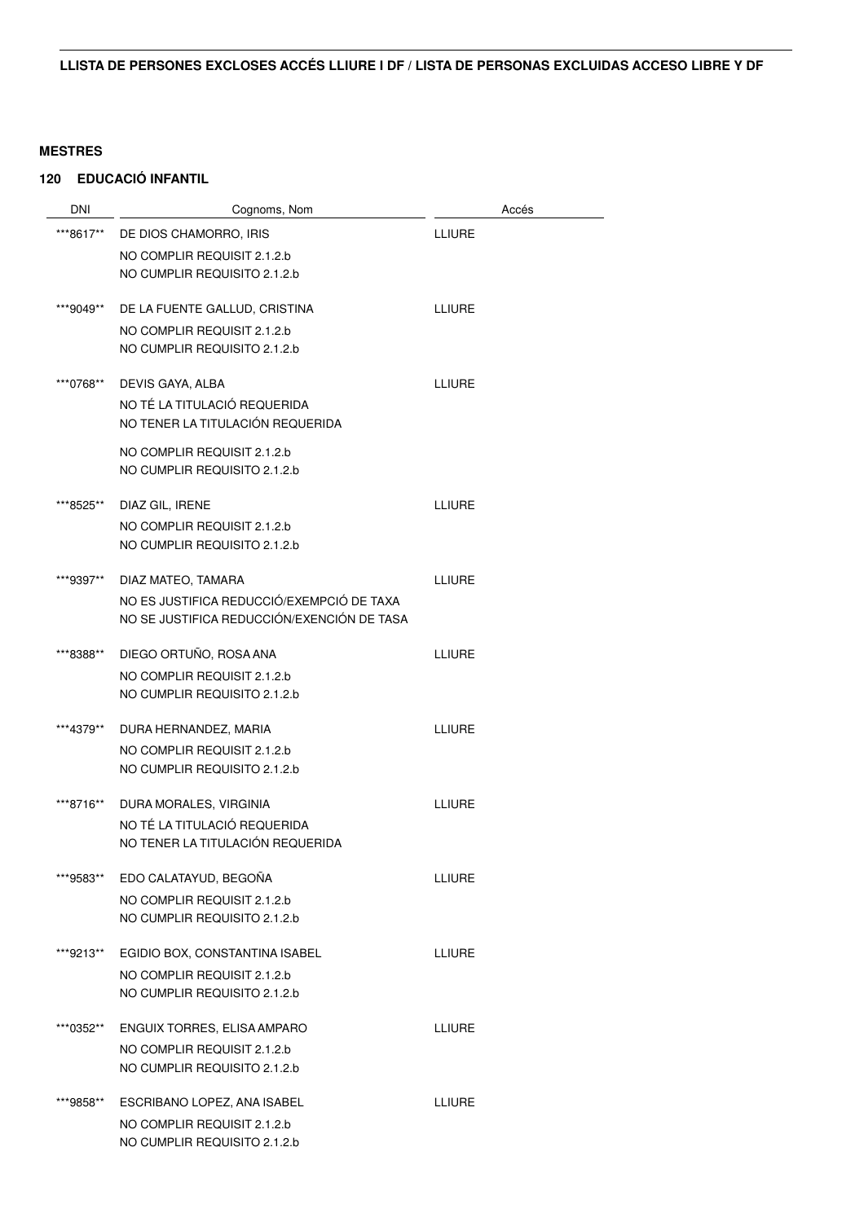| DNI       | Cognoms, Nom                                                | Accés         |
|-----------|-------------------------------------------------------------|---------------|
| ***8617** | DE DIOS CHAMORRO, IRIS                                      | <b>LLIURE</b> |
|           | NO COMPLIR REQUISIT 2.1.2.b                                 |               |
|           | NO CUMPLIR REQUISITO 2.1.2.b                                |               |
|           |                                                             |               |
| ***9049** | DE LA FUENTE GALLUD, CRISTINA                               | <b>LLIURE</b> |
|           | NO COMPLIR REQUISIT 2.1.2.b<br>NO CUMPLIR REQUISITO 2.1.2.b |               |
|           |                                                             |               |
| ***0768** | DEVIS GAYA, ALBA                                            | <b>LLIURE</b> |
|           | NO TÉ LA TITULACIÓ REQUERIDA                                |               |
|           | NO TENER LA TITULACIÓN REQUERIDA                            |               |
|           | NO COMPLIR REQUISIT 2.1.2.b                                 |               |
|           | NO CUMPLIR REQUISITO 2.1.2.b                                |               |
| ***8525** | DIAZ GIL, IRENE                                             | <b>LLIURE</b> |
|           | NO COMPLIR REQUISIT 2.1.2.b                                 |               |
|           | NO CUMPLIR REQUISITO 2.1.2.b                                |               |
| ***9397** | DIAZ MATEO, TAMARA                                          | <b>LLIURE</b> |
|           | NO ES JUSTIFICA REDUCCIÓ/EXEMPCIÓ DE TAXA                   |               |
|           | NO SE JUSTIFICA REDUCCIÓN/EXENCIÓN DE TASA                  |               |
|           |                                                             |               |
| ***8388** | DIEGO ORTUÑO, ROSA ANA                                      | <b>LLIURE</b> |
|           | NO COMPLIR REQUISIT 2.1.2.b<br>NO CUMPLIR REQUISITO 2.1.2.b |               |
|           |                                                             |               |
| ***4379** | DURA HERNANDEZ, MARIA                                       | <b>LLIURE</b> |
|           | NO COMPLIR REQUISIT 2.1.2.b                                 |               |
|           | NO CUMPLIR REQUISITO 2.1.2.b                                |               |
| ***8716** | DURA MORALES, VIRGINIA                                      | <b>LLIURE</b> |
|           | NO TÉ LA TITULACIÓ REQUERIDA                                |               |
|           | NO TENER LA TITULACIÓN REQUERIDA                            |               |
| ***9583** | EDO CALATAYUD, BEGOÑA                                       | <b>LLIURE</b> |
|           | NO COMPLIR REQUISIT 2.1.2.b                                 |               |
|           | NO CUMPLIR REQUISITO 2.1.2.b                                |               |
| ***9213** | EGIDIO BOX, CONSTANTINA ISABEL                              | <b>LLIURE</b> |
|           | NO COMPLIR REQUISIT 2.1.2.b                                 |               |
|           | NO CUMPLIR REQUISITO 2.1.2.b                                |               |
|           |                                                             |               |
| ***0352** | ENGUIX TORRES, ELISA AMPARO                                 | <b>LLIURE</b> |
|           | NO COMPLIR REQUISIT 2.1.2.b                                 |               |
|           | NO CUMPLIR REQUISITO 2.1.2.b                                |               |
| ***9858** | ESCRIBANO LOPEZ, ANA ISABEL                                 | <b>LLIURE</b> |
|           | NO COMPLIR REQUISIT 2.1.2.b                                 |               |
|           | NO CUMPLIR REQUISITO 2.1.2.b                                |               |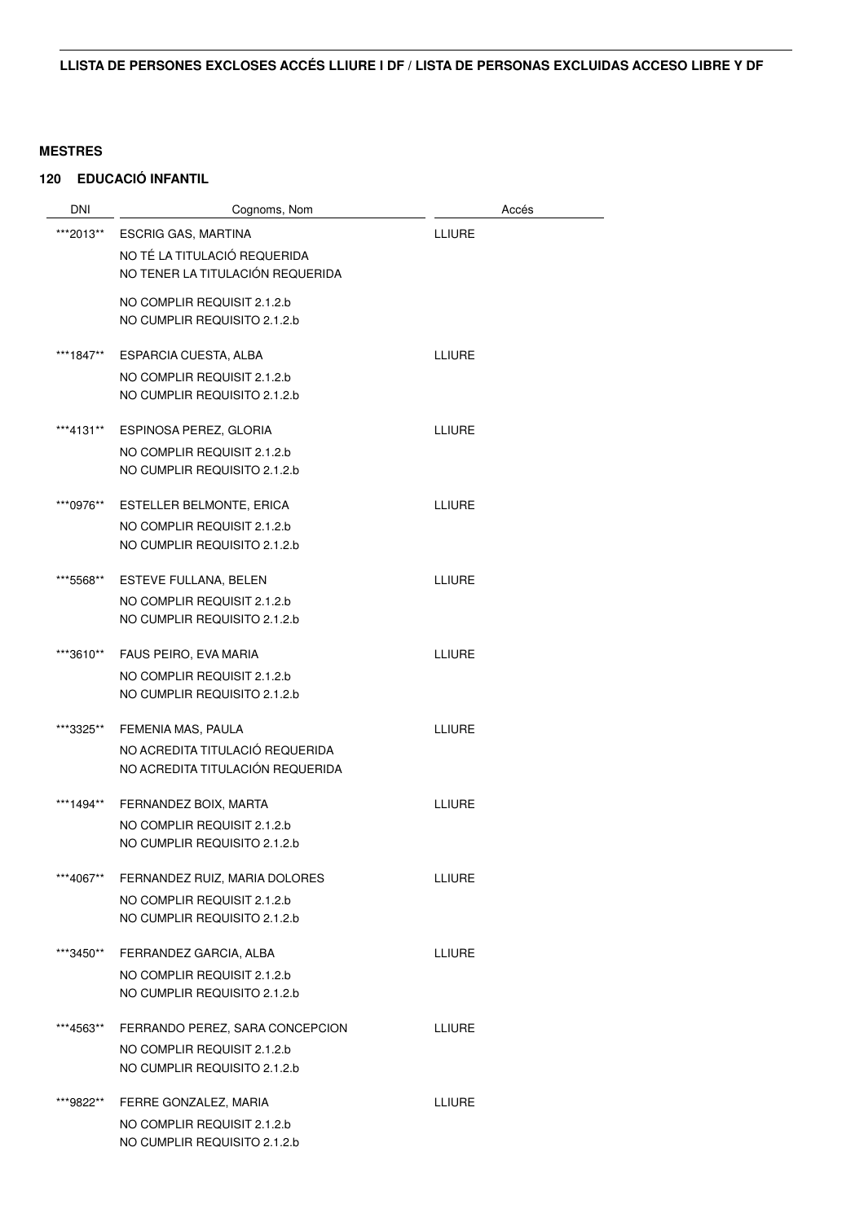| DNI       | Cognoms, Nom                                                | Accés         |
|-----------|-------------------------------------------------------------|---------------|
| ***2013** | <b>ESCRIG GAS, MARTINA</b>                                  | <b>LLIURE</b> |
|           | NO TÉ LA TITULACIÓ REQUERIDA                                |               |
|           | NO TENER LA TITULACIÓN REQUERIDA                            |               |
|           | NO COMPLIR REQUISIT 2.1.2.b                                 |               |
|           | NO CUMPLIR REQUISITO 2.1.2.b                                |               |
|           |                                                             |               |
| ***1847** | <b>ESPARCIA CUESTA, ALBA</b>                                | <b>LLIURE</b> |
|           | NO COMPLIR REQUISIT 2.1.2.b                                 |               |
|           | NO CUMPLIR REQUISITO 2.1.2.b                                |               |
| ***4131** | ESPINOSA PEREZ, GLORIA                                      | <b>LLIURE</b> |
|           | NO COMPLIR REQUISIT 2.1.2.b                                 |               |
|           | NO CUMPLIR REQUISITO 2.1.2.b                                |               |
|           |                                                             |               |
| ***0976** | ESTELLER BELMONTE, ERICA                                    | <b>LLIURE</b> |
|           | NO COMPLIR REQUISIT 2.1.2.b<br>NO CUMPLIR REQUISITO 2.1.2.b |               |
|           |                                                             |               |
| ***5568** | ESTEVE FULLANA, BELEN                                       | <b>LLIURE</b> |
|           | NO COMPLIR REQUISIT 2.1.2.b                                 |               |
|           | NO CUMPLIR REQUISITO 2.1.2.b                                |               |
| ***3610** | FAUS PEIRO, EVA MARIA                                       | <b>LLIURE</b> |
|           | NO COMPLIR REQUISIT 2.1.2.b                                 |               |
|           | NO CUMPLIR REQUISITO 2.1.2.b                                |               |
|           |                                                             |               |
| ***3325** | FEMENIA MAS, PAULA                                          | <b>LLIURE</b> |
|           | NO ACREDITA TITULACIÓ REQUERIDA                             |               |
|           | NO ACREDITA TITULACIÓN REQUERIDA                            |               |
| ***1494** | FERNANDEZ BOIX, MARTA                                       | LLIURE        |
|           | NO COMPLIR REQUISIT 2.1.2.b                                 |               |
|           | NO CUMPLIR REQUISITO 2.1.2.b                                |               |
| ***4067** | FERNANDEZ RUIZ, MARIA DOLORES                               | <b>LLIURE</b> |
|           | NO COMPLIR REQUISIT 2.1.2.b                                 |               |
|           | NO CUMPLIR REQUISITO 2.1.2.b                                |               |
|           |                                                             |               |
| ***3450** | FERRANDEZ GARCIA, ALBA                                      | <b>LLIURE</b> |
|           | NO COMPLIR REQUISIT 2.1.2.b                                 |               |
|           | NO CUMPLIR REQUISITO 2.1.2.b                                |               |
| ***4563** | FERRANDO PEREZ, SARA CONCEPCION                             | <b>ITIURE</b> |
|           | NO COMPLIR REQUISIT 2.1.2.b                                 |               |
|           | NO CUMPLIR REQUISITO 2.1.2.b                                |               |
| ***9822** | FERRE GONZALEZ, MARIA                                       | <b>LLIURE</b> |
|           | NO COMPLIR REQUISIT 2.1.2.b                                 |               |
|           | NO CUMPLIR REQUISITO 2.1.2.b                                |               |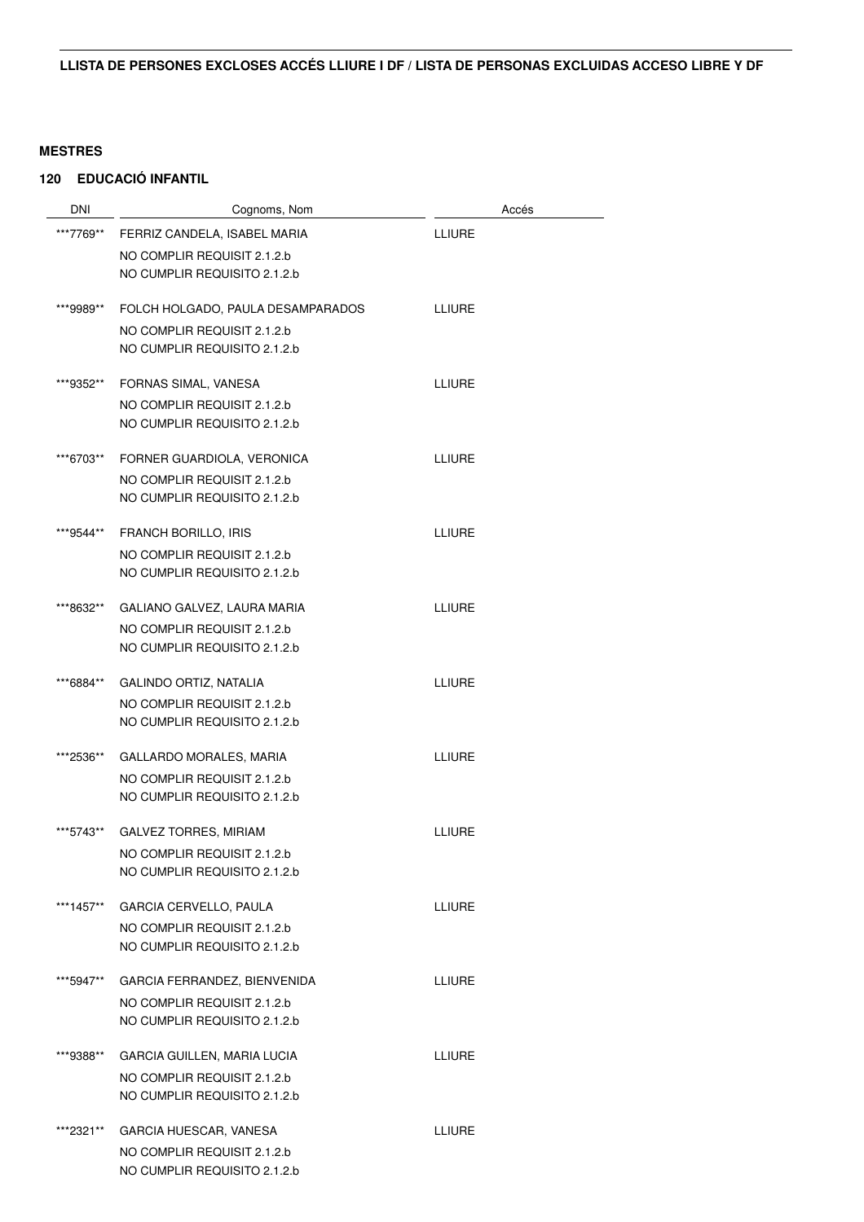| <b>DNI</b> | Cognoms, Nom                                                |               | Accés |
|------------|-------------------------------------------------------------|---------------|-------|
| ***7769**  | FERRIZ CANDELA, ISABEL MARIA                                | <b>LLIURE</b> |       |
|            | NO COMPLIR REQUISIT 2.1.2.b                                 |               |       |
|            | NO CUMPLIR REQUISITO 2.1.2.b                                |               |       |
| ***9989**  | FOLCH HOLGADO, PAULA DESAMPARADOS                           | <b>LLIURE</b> |       |
|            | NO COMPLIR REQUISIT 2.1.2.b<br>NO CUMPLIR REQUISITO 2.1.2.b |               |       |
| ***9352**  | FORNAS SIMAL, VANESA                                        | LLIURE        |       |
|            | NO COMPLIR REQUISIT 2.1.2.b                                 |               |       |
|            | NO CUMPLIR REQUISITO 2.1.2.b                                |               |       |
| ***6703**  | FORNER GUARDIOLA, VERONICA                                  | <b>LLIURE</b> |       |
|            | NO COMPLIR REQUISIT 2.1.2.b                                 |               |       |
|            | NO CUMPLIR REQUISITO 2.1.2.b                                |               |       |
| ***9544**  | <b>FRANCH BORILLO, IRIS</b>                                 | <b>LLIURE</b> |       |
|            | NO COMPLIR REQUISIT 2.1.2.b                                 |               |       |
|            | NO CUMPLIR REQUISITO 2.1.2.b                                |               |       |
| ***8632**  | GALIANO GALVEZ, LAURA MARIA                                 | <b>LLIURE</b> |       |
|            | NO COMPLIR REQUISIT 2.1.2.b                                 |               |       |
|            | NO CUMPLIR REQUISITO 2.1.2.b                                |               |       |
| ***6884**  | GALINDO ORTIZ, NATALIA                                      | LLIURE        |       |
|            | NO COMPLIR REQUISIT 2.1.2.b                                 |               |       |
|            | NO CUMPLIR REQUISITO 2.1.2.b                                |               |       |
| ***2536**  | GALLARDO MORALES, MARIA                                     | <b>LLIURE</b> |       |
|            | NO COMPLIR REQUISIT 2.1.2.b                                 |               |       |
|            | NO CUMPLIR REQUISITO 2.1.2.b                                |               |       |
| ***5743**  | <b>GALVEZ TORRES, MIRIAM</b>                                | <b>LLIURE</b> |       |
|            | NO COMPLIR REQUISIT 2.1.2.b                                 |               |       |
|            | NO CUMPLIR REQUISITO 2.1.2.b                                |               |       |
| ***1457**  | <b>GARCIA CERVELLO, PAULA</b>                               | LLIURE        |       |
|            | NO COMPLIR REQUISIT 2.1.2.b                                 |               |       |
|            | NO CUMPLIR REQUISITO 2.1.2.b                                |               |       |
| ***5947**  | GARCIA FERRANDEZ, BIENVENIDA                                | <b>LLIURE</b> |       |
|            | NO COMPLIR REQUISIT 2.1.2.b                                 |               |       |
|            | NO CUMPLIR REQUISITO 2.1.2.b                                |               |       |
| ***9388**  | <b>GARCIA GUILLEN, MARIA LUCIA</b>                          | LLIURE        |       |
|            | NO COMPLIR REQUISIT 2.1.2.b                                 |               |       |
|            | NO CUMPLIR REQUISITO 2.1.2.b                                |               |       |
| ***2321**  | GARCIA HUESCAR, VANESA                                      | LLIURE        |       |
|            | NO COMPLIR REQUISIT 2.1.2.b                                 |               |       |
|            | NO CUMPLIR REQUISITO 2.1.2.b                                |               |       |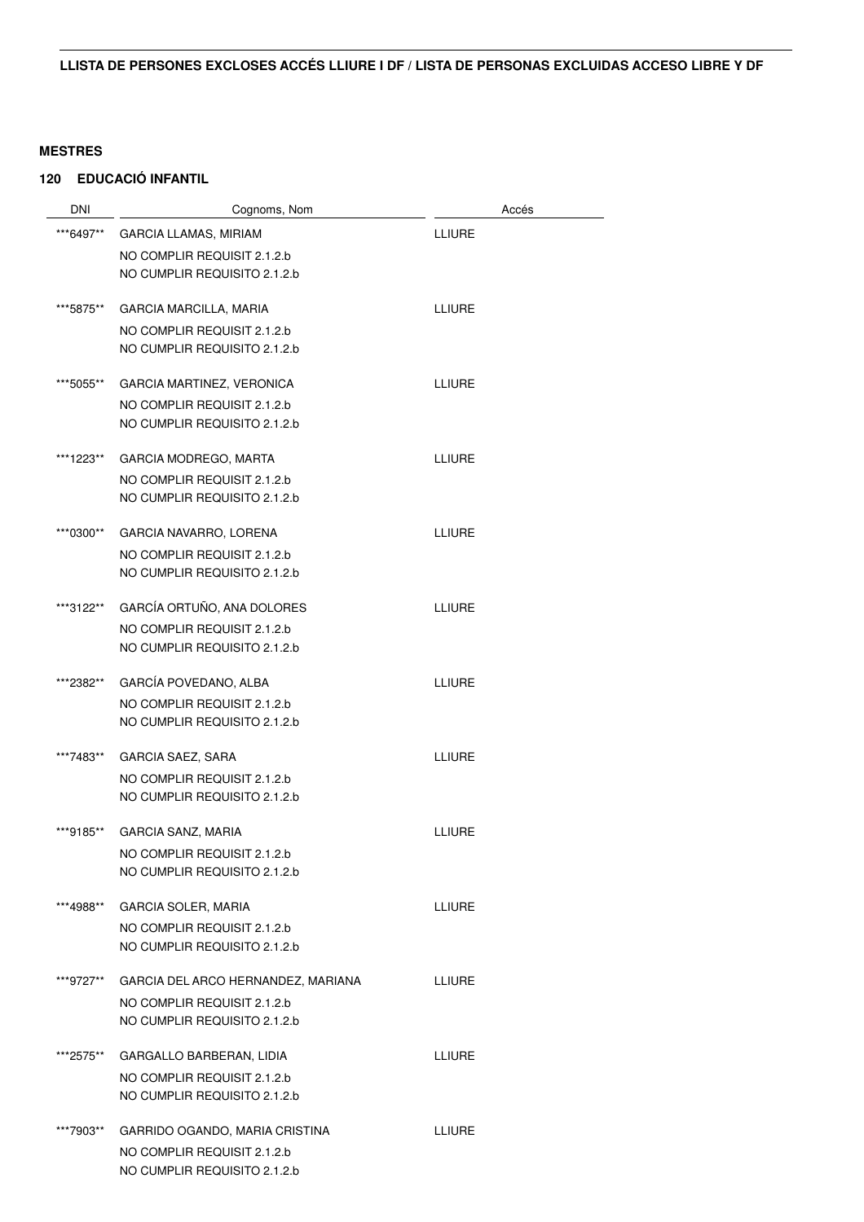| <b>DNI</b> | Cognoms, Nom                                                | Accés         |
|------------|-------------------------------------------------------------|---------------|
| ***6497**  | <b>GARCIA LLAMAS, MIRIAM</b>                                | <b>LLIURE</b> |
|            | NO COMPLIR REQUISIT 2.1.2.b                                 |               |
|            | NO CUMPLIR REQUISITO 2.1.2.b                                |               |
|            |                                                             |               |
| ***5875**  | <b>GARCIA MARCILLA, MARIA</b>                               | <b>LLIURE</b> |
|            | NO COMPLIR REQUISIT 2.1.2.b<br>NO CUMPLIR REQUISITO 2.1.2.b |               |
|            |                                                             |               |
| ***5055**  | <b>GARCIA MARTINEZ, VERONICA</b>                            | LLIURE        |
|            | NO COMPLIR REQUISIT 2.1.2.b                                 |               |
|            | NO CUMPLIR REQUISITO 2.1.2.b                                |               |
| ***1223**  | GARCIA MODREGO, MARTA                                       | <b>LLIURE</b> |
|            | NO COMPLIR REQUISIT 2.1.2.b                                 |               |
|            | NO CUMPLIR REQUISITO 2.1.2.b                                |               |
|            |                                                             |               |
| ***0300**  | GARCIA NAVARRO, LORENA                                      | LLIURE        |
|            | NO COMPLIR REQUISIT 2.1.2.b                                 |               |
|            | NO CUMPLIR REQUISITO 2.1.2.b                                |               |
| ***3122**  | GARCÍA ORTUÑO, ANA DOLORES                                  | <b>LLIURE</b> |
|            | NO COMPLIR REQUISIT 2.1.2.b                                 |               |
|            | NO CUMPLIR REQUISITO 2.1.2.b                                |               |
| ***2382**  | GARCÍA POVEDANO, ALBA                                       | LLIURE        |
|            | NO COMPLIR REQUISIT 2.1.2.b                                 |               |
|            | NO CUMPLIR REQUISITO 2.1.2.b                                |               |
|            |                                                             |               |
| ***7483**  | <b>GARCIA SAEZ, SARA</b>                                    | <b>LLIURE</b> |
|            | NO COMPLIR REQUISIT 2.1.2.b                                 |               |
|            | NO CUMPLIR REQUISITO 2.1.2.b                                |               |
| ***9185**  | <b>GARCIA SANZ, MARIA</b>                                   | LLIURE        |
|            | NO COMPLIR REQUISIT 2.1.2.b                                 |               |
|            | NO CUMPLIR REQUISITO 2.1.2.b                                |               |
| ***4988**  | <b>GARCIA SOLER, MARIA</b>                                  | <b>LLIURE</b> |
|            | NO COMPLIR REQUISIT 2.1.2.b                                 |               |
|            | NO CUMPLIR REQUISITO 2.1.2.b                                |               |
|            |                                                             |               |
| ***9727**  | GARCIA DEL ARCO HERNANDEZ, MARIANA                          | <b>LLIURE</b> |
|            | NO COMPLIR REQUISIT 2.1.2.b<br>NO CUMPLIR REQUISITO 2.1.2.b |               |
|            |                                                             |               |
| ***2575**  | GARGALLO BARBERAN, LIDIA                                    | LLIURE        |
|            | NO COMPLIR REQUISIT 2.1.2.b                                 |               |
|            | NO CUMPLIR REQUISITO 2.1.2.b                                |               |
| ***7903**  | GARRIDO OGANDO, MARIA CRISTINA                              | LLIURE        |
|            | NO COMPLIR REQUISIT 2.1.2.b                                 |               |
|            | NO CUMPLIR REQUISITO 2.1.2.b                                |               |
|            |                                                             |               |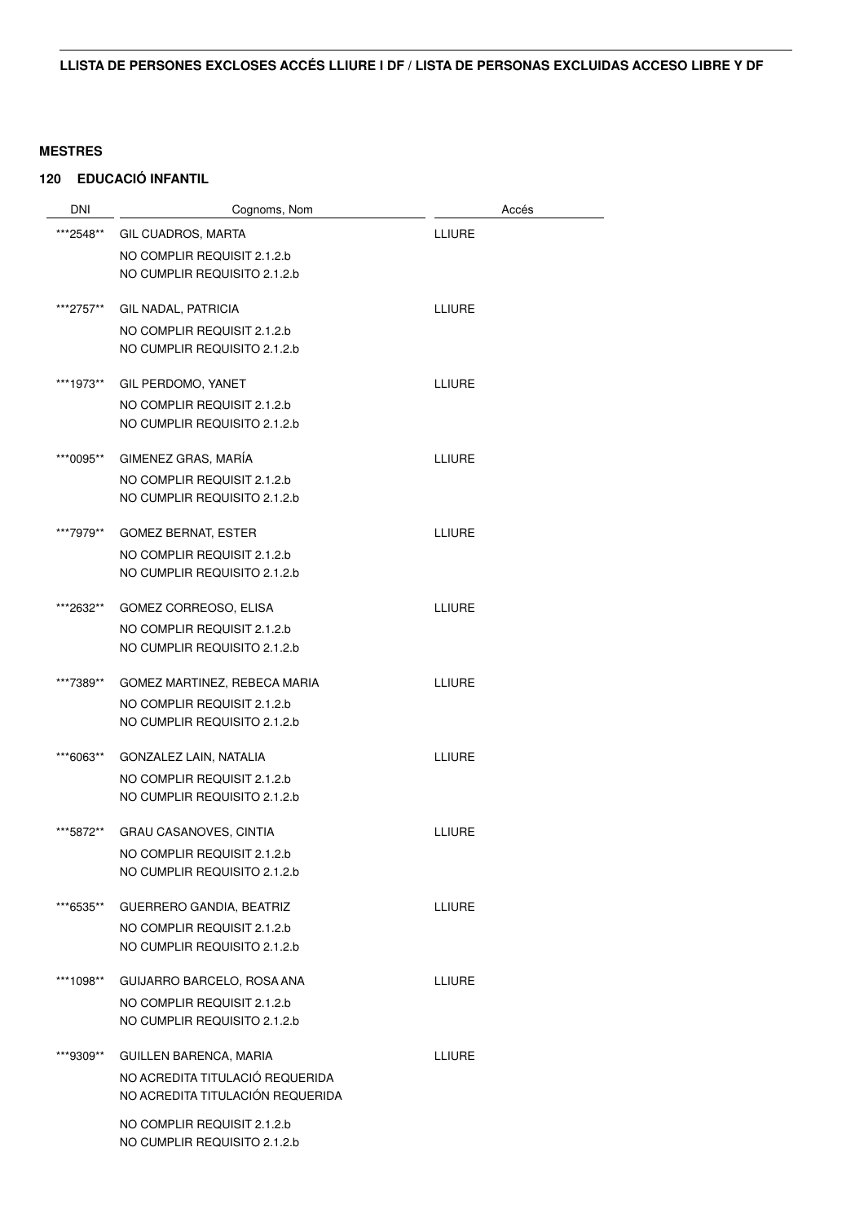| <b>DNI</b> | Cognoms, Nom                                                | Accés         |
|------------|-------------------------------------------------------------|---------------|
| ***2548**  | GIL CUADROS, MARTA                                          | <b>LLIURE</b> |
|            | NO COMPLIR REQUISIT 2.1.2.b                                 |               |
|            | NO CUMPLIR REQUISITO 2.1.2.b                                |               |
|            |                                                             |               |
| ***2757**  | GIL NADAL, PATRICIA                                         | <b>LLIURE</b> |
|            | NO COMPLIR REQUISIT 2.1.2.b<br>NO CUMPLIR REQUISITO 2.1.2.b |               |
|            |                                                             |               |
| ***1973**  | GIL PERDOMO, YANET                                          | <b>LLIURE</b> |
|            | NO COMPLIR REQUISIT 2.1.2.b                                 |               |
|            | NO CUMPLIR REQUISITO 2.1.2.b                                |               |
| ***0095**  | GIMENEZ GRAS, MARÍA                                         | <b>LLIURE</b> |
|            | NO COMPLIR REQUISIT 2.1.2.b                                 |               |
|            | NO CUMPLIR REQUISITO 2.1.2.b                                |               |
|            |                                                             |               |
| ***7979**  | <b>GOMEZ BERNAT, ESTER</b>                                  | <b>LLIURE</b> |
|            | NO COMPLIR REQUISIT 2.1.2.b<br>NO CUMPLIR REQUISITO 2.1.2.b |               |
|            |                                                             |               |
| ***2632**  | GOMEZ CORREOSO, ELISA                                       | <b>LLIURE</b> |
|            | NO COMPLIR REQUISIT 2.1.2.b                                 |               |
|            | NO CUMPLIR REQUISITO 2.1.2.b                                |               |
| ***7389**  | GOMEZ MARTINEZ, REBECA MARIA                                | <b>LLIURE</b> |
|            | NO COMPLIR REQUISIT 2.1.2.b                                 |               |
|            | NO CUMPLIR REQUISITO 2.1.2.b                                |               |
|            |                                                             |               |
| ***6063**  | GONZALEZ LAIN, NATALIA<br>NO COMPLIR REQUISIT 2.1.2.b       | <b>LLIURE</b> |
|            | NO CUMPLIR REQUISITO 2.1.2.b                                |               |
|            |                                                             |               |
| ***5872**  | <b>GRAU CASANOVES, CINTIA</b>                               | <b>LLIURE</b> |
|            | NO COMPLIR REQUISIT 2.1.2.b                                 |               |
|            | NO CUMPLIR REQUISITO 2.1.2.b                                |               |
| ***6535**  | GUERRERO GANDIA, BEATRIZ                                    | <b>LLIURE</b> |
|            | NO COMPLIR REQUISIT 2.1.2.b                                 |               |
|            | NO CUMPLIR REQUISITO 2.1.2.b                                |               |
| ***1098**  | GUIJARRO BARCELO, ROSA ANA                                  | <b>LLIURE</b> |
|            | NO COMPLIR REQUISIT 2.1.2.b                                 |               |
|            | NO CUMPLIR REQUISITO 2.1.2.b                                |               |
| ***9309**  | GUILLEN BARENCA, MARIA                                      | <b>LLIURE</b> |
|            | NO ACREDITA TITULACIÓ REQUERIDA                             |               |
|            | NO ACREDITA TITULACIÓN REQUERIDA                            |               |
|            | NO COMPLIR REQUISIT 2.1.2.b                                 |               |
|            | NO CUMPLIR REQUISITO 2.1.2.b                                |               |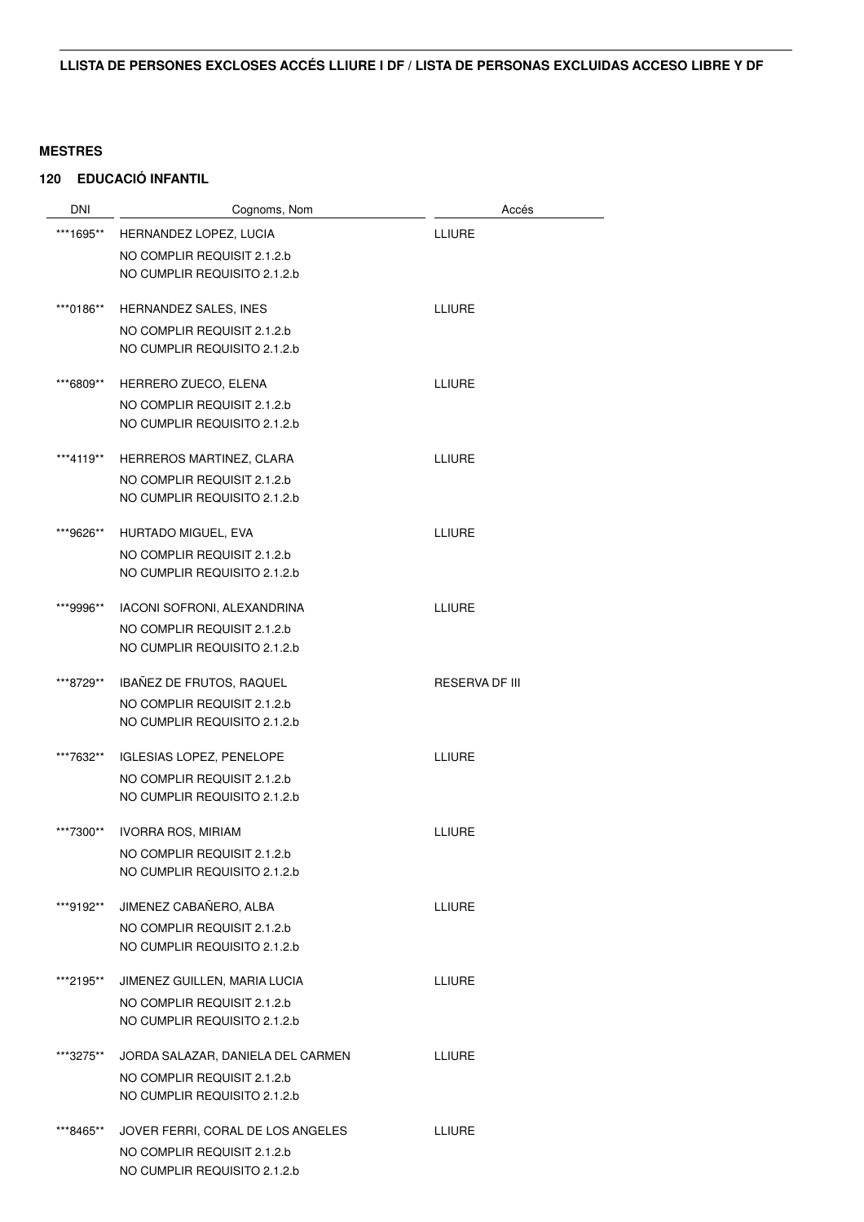| <b>DNI</b> | Cognoms, Nom                      | Accés                 |
|------------|-----------------------------------|-----------------------|
| ***1695**  | HERNANDEZ LOPEZ, LUCIA            | <b>LLIURE</b>         |
|            | NO COMPLIR REQUISIT 2.1.2.b       |                       |
|            | NO CUMPLIR REQUISITO 2.1.2.b      |                       |
|            |                                   |                       |
| ***0186**  | HERNANDEZ SALES, INES             | LLIURE                |
|            | NO COMPLIR REQUISIT 2.1.2.b       |                       |
|            | NO CUMPLIR REQUISITO 2.1.2.b      |                       |
| ***6809**  | HERRERO ZUECO, ELENA              | LLIURE                |
|            | NO COMPLIR REQUISIT 2.1.2.b       |                       |
|            | NO CUMPLIR REQUISITO 2.1.2.b      |                       |
|            |                                   |                       |
| ***4119**  | HERREROS MARTINEZ, CLARA          | LLIURE                |
|            | NO COMPLIR REQUISIT 2.1.2.b       |                       |
|            | NO CUMPLIR REQUISITO 2.1.2.b      |                       |
| ***9626**  | HURTADO MIGUEL. EVA               | <b>LLIURE</b>         |
|            | NO COMPLIR REQUISIT 2.1.2.b       |                       |
|            | NO CUMPLIR REQUISITO 2.1.2.b      |                       |
| ***9996**  | IACONI SOFRONI, ALEXANDRINA       | <b>LLIURE</b>         |
|            | NO COMPLIR REQUISIT 2.1.2.b       |                       |
|            | NO CUMPLIR REQUISITO 2.1.2.b      |                       |
| ***8729**  | IBAÑEZ DE FRUTOS, RAQUEL          | <b>RESERVA DF III</b> |
|            | NO COMPLIR REQUISIT 2.1.2.b       |                       |
|            | NO CUMPLIR REQUISITO 2.1.2.b      |                       |
|            |                                   |                       |
| ***7632**  | <b>IGLESIAS LOPEZ, PENELOPE</b>   | <b>LLIURE</b>         |
|            | NO COMPLIR REQUISIT 2.1.2.b       |                       |
|            | NO CUMPLIR REQUISITO 2.1.2.b      |                       |
| ***7300**  | <b>IVORRA ROS, MIRIAM</b>         | LLIURE                |
|            | NO COMPLIR REQUISIT 2.1.2.b       |                       |
|            | NO CUMPLIR REQUISITO 2.1.2.b      |                       |
| ***9192**  | JIMENEZ CABAÑERO, ALBA            | <b>LLIURE</b>         |
|            | NO COMPLIR REQUISIT 2.1.2.b       |                       |
|            | NO CUMPLIR REQUISITO 2.1.2.b      |                       |
| ***2195**  | JIMENEZ GUILLEN, MARIA LUCIA      | LLIURE                |
|            | NO COMPLIR REQUISIT 2.1.2.b       |                       |
|            | NO CUMPLIR REQUISITO 2.1.2.b      |                       |
|            |                                   |                       |
| ***3275**  | JORDA SALAZAR, DANIELA DEL CARMEN | LLIURE                |
|            | NO COMPLIR REQUISIT 2.1.2.b       |                       |
|            | NO CUMPLIR REQUISITO 2.1.2.b      |                       |
| ***8465**  | JOVER FERRI, CORAL DE LOS ANGELES | <b>LLIURE</b>         |
|            | NO COMPLIR REQUISIT 2.1.2.b       |                       |
|            | NO CUMPLIR REQUISITO 2.1.2.b      |                       |
|            |                                   |                       |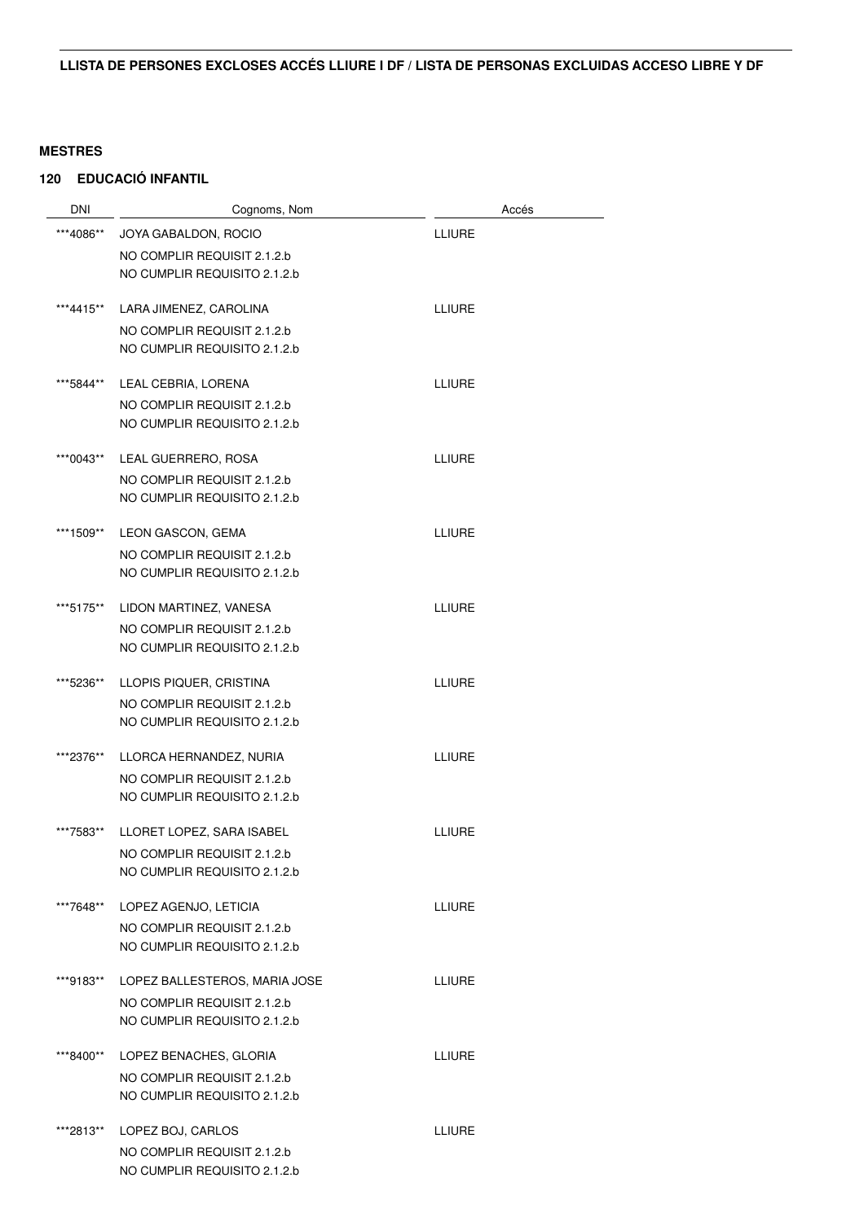| <b>DNI</b> | Cognoms, Nom                                                | Accés         |
|------------|-------------------------------------------------------------|---------------|
| ***4086**  | JOYA GABALDON, ROCIO                                        | LLIURE        |
|            | NO COMPLIR REQUISIT 2.1.2.b                                 |               |
|            | NO CUMPLIR REQUISITO 2.1.2.b                                |               |
| ***4415**  | LARA JIMENEZ, CAROLINA                                      | <b>LLIURE</b> |
|            | NO COMPLIR REQUISIT 2.1.2.b<br>NO CUMPLIR REQUISITO 2.1.2.b |               |
| ***5844**  | LEAL CEBRIA, LORENA                                         | LLIURE        |
|            | NO COMPLIR REQUISIT 2.1.2.b                                 |               |
|            | NO CUMPLIR REQUISITO 2.1.2.b                                |               |
| ***0043**  | LEAL GUERRERO, ROSA                                         | LLIURE        |
|            | NO COMPLIR REQUISIT 2.1.2.b<br>NO CUMPLIR REQUISITO 2.1.2.b |               |
| ***1509**  | LEON GASCON, GEMA                                           | <b>LLIURE</b> |
|            | NO COMPLIR REQUISIT 2.1.2.b                                 |               |
|            | NO CUMPLIR REQUISITO 2.1.2.b                                |               |
| ***5175**  | LIDON MARTINEZ, VANESA                                      | LLIURE        |
|            | NO COMPLIR REQUISIT 2.1.2.b                                 |               |
|            | NO CUMPLIR REQUISITO 2.1.2.b                                |               |
| ***5236**  | LLOPIS PIQUER, CRISTINA                                     | LLIURE        |
|            | NO COMPLIR REQUISIT 2.1.2.b                                 |               |
|            | NO CUMPLIR REQUISITO 2.1.2.b                                |               |
| ***2376**  | LLORCA HERNANDEZ, NURIA                                     | <b>LLIURE</b> |
|            | NO COMPLIR REQUISIT 2.1.2.b                                 |               |
|            | NO CUMPLIR REQUISITO 2.1.2.b                                |               |
| ***7583**  | LLORET LOPEZ, SARA ISABEL                                   | LLIURE        |
|            | NO COMPLIR REQUISIT 2.1.2.b                                 |               |
|            | NO CUMPLIR REQUISITO 2.1.2.b                                |               |
| ***7648**  | LOPEZ AGENJO, LETICIA                                       | LLIURE        |
|            | NO COMPLIR REQUISIT 2.1.2.b                                 |               |
|            | NO CUMPLIR REQUISITO 2.1.2.b                                |               |
| ***9183**  | LOPEZ BALLESTEROS, MARIA JOSE                               | <b>LLIURE</b> |
|            | NO COMPLIR REQUISIT 2.1.2.b                                 |               |
|            | NO CUMPLIR REQUISITO 2.1.2.b                                |               |
| ***8400**  | LOPEZ BENACHES, GLORIA                                      | LLIURE        |
|            | NO COMPLIR REQUISIT 2.1.2.b                                 |               |
|            | NO CUMPLIR REQUISITO 2.1.2.b                                |               |
| ***2813**  | LOPEZ BOJ, CARLOS                                           | LLIURE        |
|            | NO COMPLIR REQUISIT 2.1.2.b                                 |               |
|            | NO CUMPLIR REQUISITO 2.1.2.b                                |               |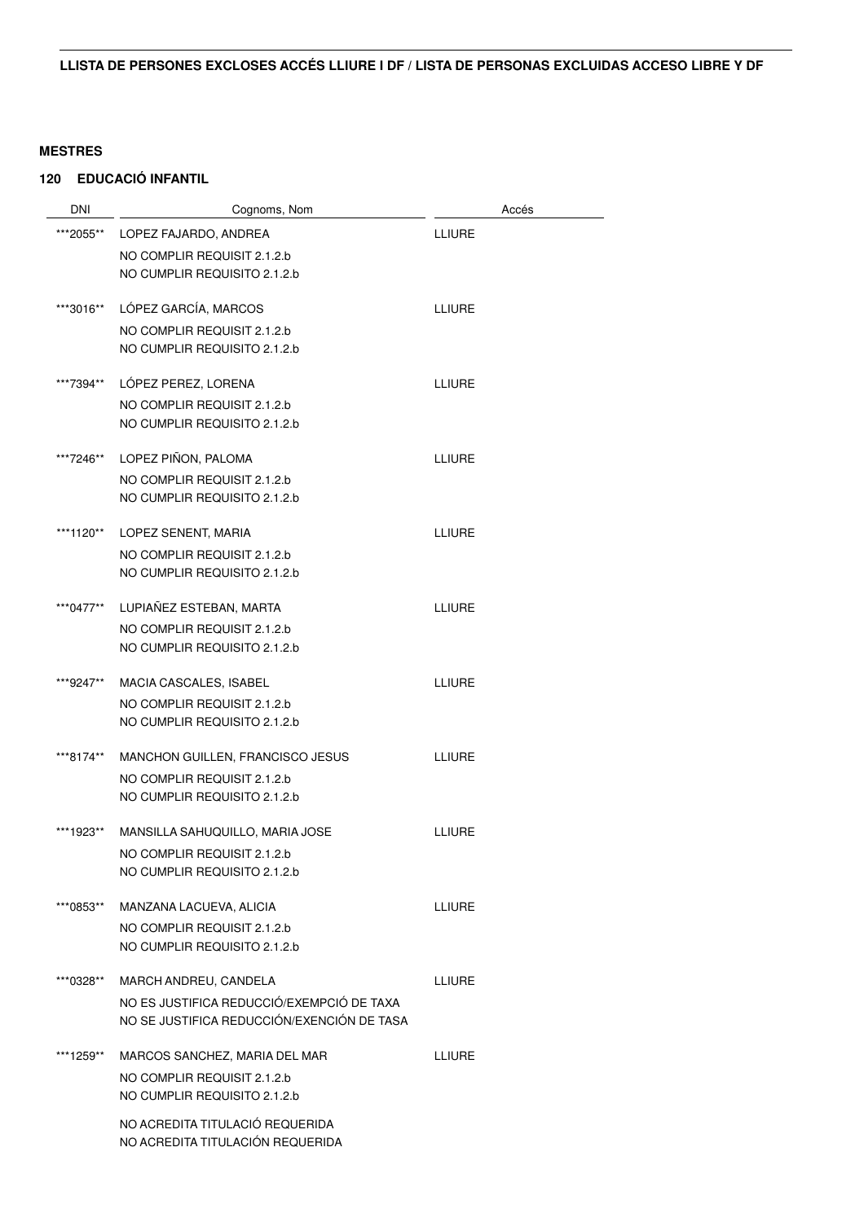| <b>DNI</b> | Cognoms, Nom                               | Accés         |
|------------|--------------------------------------------|---------------|
| ***2055**  | LOPEZ FAJARDO, ANDREA                      | <b>LLIURE</b> |
|            | NO COMPLIR REQUISIT 2.1.2.b                |               |
|            | NO CUMPLIR REQUISITO 2.1.2.b               |               |
| ***3016**  | LÓPEZ GARCÍA, MARCOS                       | LLIURE        |
|            | NO COMPLIR REQUISIT 2.1.2.b                |               |
|            | NO CUMPLIR REQUISITO 2.1.2.b               |               |
| ***7394**  | LOPEZ PEREZ, LORENA                        | <b>LLIURE</b> |
|            | NO COMPLIR REQUISIT 2.1.2.b                |               |
|            | NO CUMPLIR REQUISITO 2.1.2.b               |               |
| ***7246**  | LOPEZ PIÑON, PALOMA                        | <b>LLIURE</b> |
|            | NO COMPLIR REQUISIT 2.1.2.b                |               |
|            | NO CUMPLIR REQUISITO 2.1.2.b               |               |
| ***1120**  | LOPEZ SENENT, MARIA                        | LLIURE        |
|            | NO COMPLIR REQUISIT 2.1.2.b                |               |
|            | NO CUMPLIR REQUISITO 2.1.2.b               |               |
| ***0477**  | LUPIAÑEZ ESTEBAN, MARTA                    | <b>LLIURE</b> |
|            | NO COMPLIR REQUISIT 2.1.2.b                |               |
|            | NO CUMPLIR REQUISITO 2.1.2.b               |               |
| ***9247**  | MACIA CASCALES, ISABEL                     | LLIURE        |
|            | NO COMPLIR REQUISIT 2.1.2.b                |               |
|            | NO CUMPLIR REQUISITO 2.1.2.b               |               |
| ***8174**  | MANCHON GUILLEN, FRANCISCO JESUS           | <b>LLIURE</b> |
|            | NO COMPLIR REQUISIT 2.1.2.b                |               |
|            | NO CUMPLIR REQUISITO 2.1.2.b               |               |
| ***1923**  | MANSILLA SAHUQUILLO, MARIA JOSE            | <b>LLIURE</b> |
|            | NO COMPLIR REQUISIT 2.1.2.b                |               |
|            | NO CUMPLIR REQUISITO 2.1.2.b               |               |
| ***0853**  | MANZANA LACUEVA, ALICIA                    | <b>LLIURE</b> |
|            | NO COMPLIR REQUISIT 2.1.2.b                |               |
|            | NO CUMPLIR REQUISITO 2.1.2.b               |               |
| ***0328**  | MARCH ANDREU, CANDELA                      | <b>LLIURE</b> |
|            | NO ES JUSTIFICA REDUCCIÓ/EXEMPCIÓ DE TAXA  |               |
|            | NO SE JUSTIFICA REDUCCIÓN/EXENCIÓN DE TASA |               |
| ***1259**  | MARCOS SANCHEZ, MARIA DEL MAR              | <b>LLIURE</b> |
|            | NO COMPLIR REQUISIT 2.1.2.b                |               |
|            | NO CUMPLIR REQUISITO 2.1.2.b               |               |
|            | NO ACREDITA TITULACIÓ REQUERIDA            |               |
|            | NO ACREDITA TITULACIÓN REQUERIDA           |               |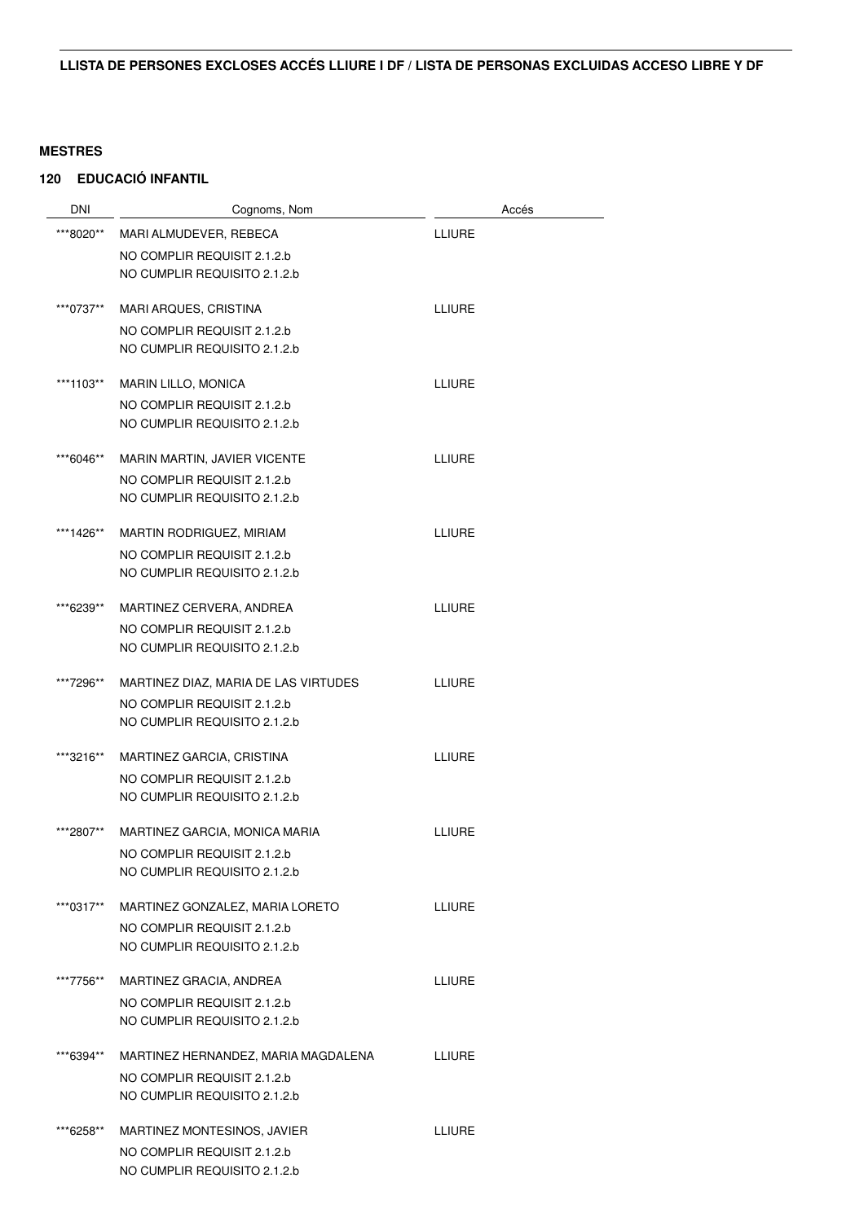| <b>DNI</b> | Cognoms, Nom                         | Accés         |
|------------|--------------------------------------|---------------|
| ***8020**  | MARI ALMUDEVER, REBECA               | <b>LLIURE</b> |
|            | NO COMPLIR REQUISIT 2.1.2.b          |               |
|            | NO CUMPLIR REQUISITO 2.1.2.b         |               |
| ***0737**  | MARI ARQUES, CRISTINA                | <b>LLIURE</b> |
|            | NO COMPLIR REQUISIT 2.1.2.b          |               |
|            | NO CUMPLIR REQUISITO 2.1.2.b         |               |
|            |                                      |               |
| ***1103**  | <b>MARIN LILLO, MONICA</b>           | <b>LLIURE</b> |
|            | NO COMPLIR REQUISIT 2.1.2.b          |               |
|            | NO CUMPLIR REQUISITO 2.1.2.b         |               |
| ***6046**  | MARIN MARTIN, JAVIER VICENTE         | <b>LLIURE</b> |
|            | NO COMPLIR REQUISIT 2.1.2.b          |               |
|            | NO CUMPLIR REQUISITO 2.1.2.b         |               |
| ***1426**  | MARTIN RODRIGUEZ, MIRIAM             | <b>LLIURE</b> |
|            | NO COMPLIR REQUISIT 2.1.2.b          |               |
|            | NO CUMPLIR REQUISITO 2.1.2.b         |               |
| ***6239**  | MARTINEZ CERVERA, ANDREA             | <b>LLIURE</b> |
|            | NO COMPLIR REQUISIT 2.1.2.b          |               |
|            | NO CUMPLIR REQUISITO 2.1.2.b         |               |
| ***7296**  | MARTINEZ DIAZ, MARIA DE LAS VIRTUDES | <b>LLIURE</b> |
|            | NO COMPLIR REQUISIT 2.1.2.b          |               |
|            | NO CUMPLIR REQUISITO 2.1.2.b         |               |
| ***3216**  | MARTINEZ GARCIA, CRISTINA            | <b>LLIURE</b> |
|            | NO COMPLIR REQUISIT 2.1.2.b          |               |
|            | NO CUMPLIR REQUISITO 2.1.2.b         |               |
| ***2807**  | MARTINEZ GARCIA, MONICA MARIA        | <b>LLIURE</b> |
|            | NO COMPLIR REQUISIT 2.1.2.b          |               |
|            | NO CUMPLIR REQUISITO 2.1.2.b         |               |
| ***0317**  | MARTINEZ GONZALEZ, MARIA LORETO      | <b>LLIURE</b> |
|            | NO COMPLIR REQUISIT 2.1.2.b          |               |
|            | NO CUMPLIR REQUISITO 2.1.2.b         |               |
| ***7756**  | MARTINEZ GRACIA, ANDREA              | <b>LLIURE</b> |
|            | NO COMPLIR REQUISIT 2.1.2.b          |               |
|            | NO CUMPLIR REQUISITO 2.1.2.b         |               |
| ***6394**  | MARTINEZ HERNANDEZ, MARIA MAGDALENA  | LLIURE        |
|            | NO COMPLIR REQUISIT 2.1.2.b          |               |
|            | NO CUMPLIR REQUISITO 2.1.2.b         |               |
| ***6258**  | MARTINEZ MONTESINOS, JAVIER          | <b>LLIURE</b> |
|            | NO COMPLIR REQUISIT 2.1.2.b          |               |
|            | NO CUMPLIR REQUISITO 2.1.2.b         |               |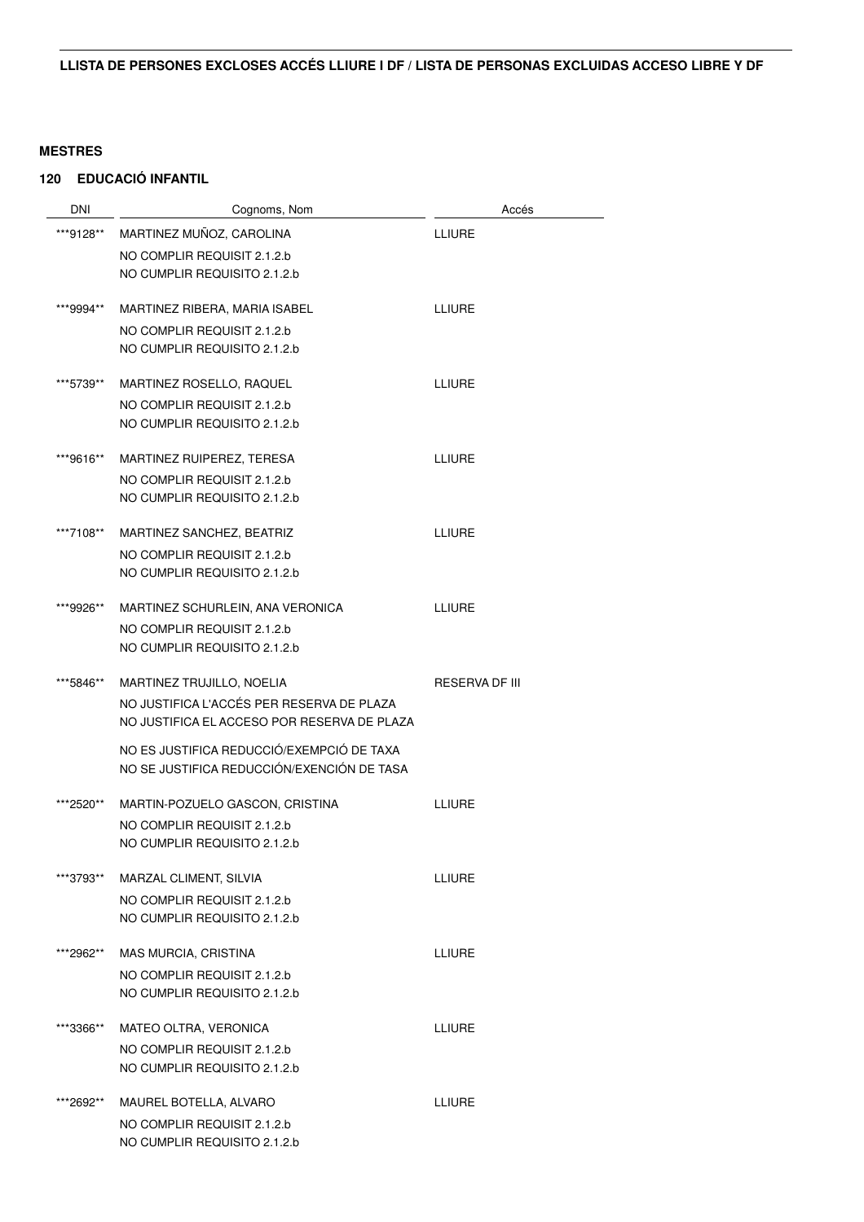| DNI       | Cognoms, Nom                                | Accés                 |
|-----------|---------------------------------------------|-----------------------|
| ***9128** | MARTINEZ MUÑOZ, CAROLINA                    | <b>LLIURE</b>         |
|           | NO COMPLIR REQUISIT 2.1.2.b                 |                       |
|           | NO CUMPLIR REQUISITO 2.1.2.b                |                       |
| ***9994** | MARTINEZ RIBERA, MARIA ISABEL               | <b>LLIURE</b>         |
|           | NO COMPLIR REQUISIT 2.1.2.b                 |                       |
|           | NO CUMPLIR REQUISITO 2.1.2.b                |                       |
| ***5739** | MARTINEZ ROSELLO, RAQUEL                    | <b>LLIURE</b>         |
|           | NO COMPLIR REQUISIT 2.1.2.b                 |                       |
|           | NO CUMPLIR REQUISITO 2.1.2.b                |                       |
| ***9616** | MARTINEZ RUIPEREZ, TERESA                   | <b>LLIURE</b>         |
|           | NO COMPLIR REQUISIT 2.1.2.b                 |                       |
|           | NO CUMPLIR REQUISITO 2.1.2.b                |                       |
| ***7108** | MARTINEZ SANCHEZ, BEATRIZ                   | <b>LLIURE</b>         |
|           | NO COMPLIR REQUISIT 2.1.2.b                 |                       |
|           | NO CUMPLIR REQUISITO 2.1.2.b                |                       |
| ***9926** | MARTINEZ SCHURLEIN, ANA VERONICA            | <b>LLIURE</b>         |
|           | NO COMPLIR REQUISIT 2.1.2.b                 |                       |
|           | NO CUMPLIR REQUISITO 2.1.2.b                |                       |
| ***5846** | MARTINEZ TRUJILLO, NOELIA                   | <b>RESERVA DF III</b> |
|           | NO JUSTIFICA L'ACCÉS PER RESERVA DE PLAZA   |                       |
|           | NO JUSTIFICA EL ACCESO POR RESERVA DE PLAZA |                       |
|           | NO ES JUSTIFICA REDUCCIÓ/EXEMPCIÓ DE TAXA   |                       |
|           | NO SE JUSTIFICA REDUCCIÓN/EXENCIÓN DE TASA  |                       |
| ***2520** | MARTIN-POZUELO GASCON, CRISTINA             | LLIURE                |
|           | NO COMPLIR REQUISIT 2.1.2.b                 |                       |
|           | NO CUMPLIR REQUISITO 2.1.2.b                |                       |
| ***3793** | MARZAL CLIMENT, SILVIA                      | LLIURE                |
|           | NO COMPLIR REQUISIT 2.1.2.b                 |                       |
|           | NO CUMPLIR REQUISITO 2.1.2.b                |                       |
| ***2962** | MAS MURCIA, CRISTINA                        | <b>LLIURE</b>         |
|           | NO COMPLIR REQUISIT 2.1.2.b                 |                       |
|           | NO CUMPLIR REQUISITO 2.1.2.b                |                       |
| ***3366** | MATEO OLTRA, VERONICA                       | <b>LLIURE</b>         |
|           | NO COMPLIR REQUISIT 2.1.2.b                 |                       |
|           | NO CUMPLIR REQUISITO 2.1.2.b                |                       |
| ***2692** | MAUREL BOTELLA, ALVARO                      | <b>LLIURE</b>         |
|           | NO COMPLIR REQUISIT 2.1.2.b                 |                       |
|           | NO CUMPLIR REQUISITO 2.1.2.b                |                       |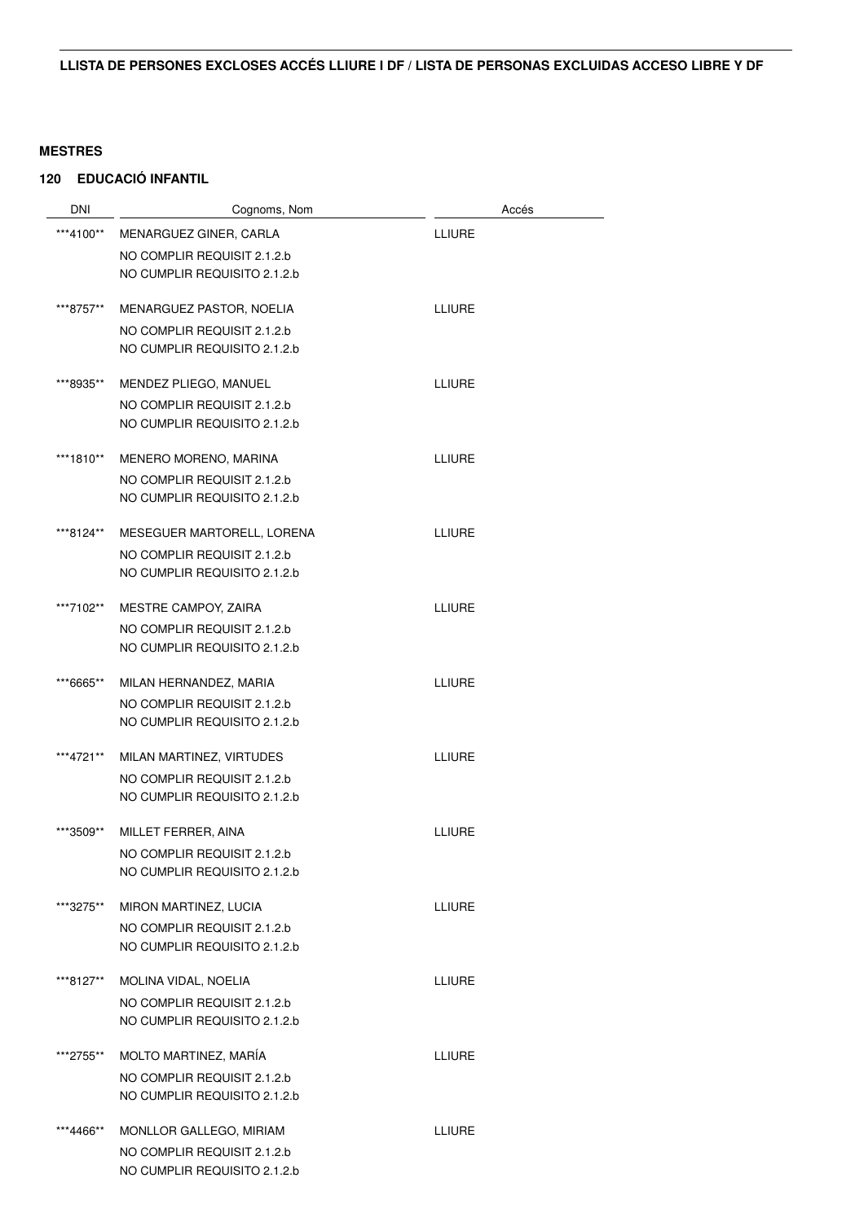| <b>DNI</b> | Cognoms, Nom                 |               | Accés |
|------------|------------------------------|---------------|-------|
| ***4100**  | MENARGUEZ GINER, CARLA       | LLIURE        |       |
|            | NO COMPLIR REQUISIT 2.1.2.b  |               |       |
|            | NO CUMPLIR REQUISITO 2.1.2.b |               |       |
| ***8757**  | MENARGUEZ PASTOR, NOELIA     | <b>LLIURE</b> |       |
|            | NO COMPLIR REQUISIT 2.1.2.b  |               |       |
|            | NO CUMPLIR REQUISITO 2.1.2.b |               |       |
| ***8935**  | MENDEZ PLIEGO, MANUEL        | LLIURE        |       |
|            | NO COMPLIR REQUISIT 2.1.2.b  |               |       |
|            | NO CUMPLIR REQUISITO 2.1.2.b |               |       |
| ***1810**  | MENERO MORENO, MARINA        | LLIURE        |       |
|            | NO COMPLIR REQUISIT 2.1.2.b  |               |       |
|            | NO CUMPLIR REQUISITO 2.1.2.b |               |       |
| ***8124**  | MESEGUER MARTORELL, LORENA   | LLIURE        |       |
|            | NO COMPLIR REQUISIT 2.1.2.b  |               |       |
|            | NO CUMPLIR REQUISITO 2.1.2.b |               |       |
| ***7102**  | MESTRE CAMPOY, ZAIRA         | LLIURE        |       |
|            | NO COMPLIR REQUISIT 2.1.2.b  |               |       |
|            | NO CUMPLIR REQUISITO 2.1.2.b |               |       |
| ***6665**  | MILAN HERNANDEZ, MARIA       | LLIURE        |       |
|            | NO COMPLIR REQUISIT 2.1.2.b  |               |       |
|            | NO CUMPLIR REQUISITO 2.1.2.b |               |       |
| ***4721**  | MILAN MARTINEZ, VIRTUDES     | <b>LLIURE</b> |       |
|            | NO COMPLIR REQUISIT 2.1.2.b  |               |       |
|            | NO CUMPLIR REQUISITO 2.1.2.b |               |       |
| ***3509**  | MILLET FERRER, AINA          | LLIURE        |       |
|            | NO COMPLIR REQUISIT 2.1.2.b  |               |       |
|            | NO CUMPLIR REQUISITO 2.1.2.b |               |       |
| ***3275**  | MIRON MARTINEZ, LUCIA        | <b>LLIURE</b> |       |
|            | NO COMPLIR REQUISIT 2.1.2.b  |               |       |
|            | NO CUMPLIR REQUISITO 2.1.2.b |               |       |
| ***8127**  | MOLINA VIDAL, NOELIA         | LLIURE        |       |
|            | NO COMPLIR REQUISIT 2.1.2.b  |               |       |
|            | NO CUMPLIR REQUISITO 2.1.2.b |               |       |
| ***2755**  | MOLTO MARTINEZ, MARÍA        | <b>LLIURE</b> |       |
|            | NO COMPLIR REQUISIT 2.1.2.b  |               |       |
|            | NO CUMPLIR REQUISITO 2.1.2.b |               |       |
| ***4466**  | MONLLOR GALLEGO, MIRIAM      | LLIURE        |       |
|            | NO COMPLIR REQUISIT 2.1.2.b  |               |       |
|            | NO CUMPLIR REQUISITO 2.1.2.b |               |       |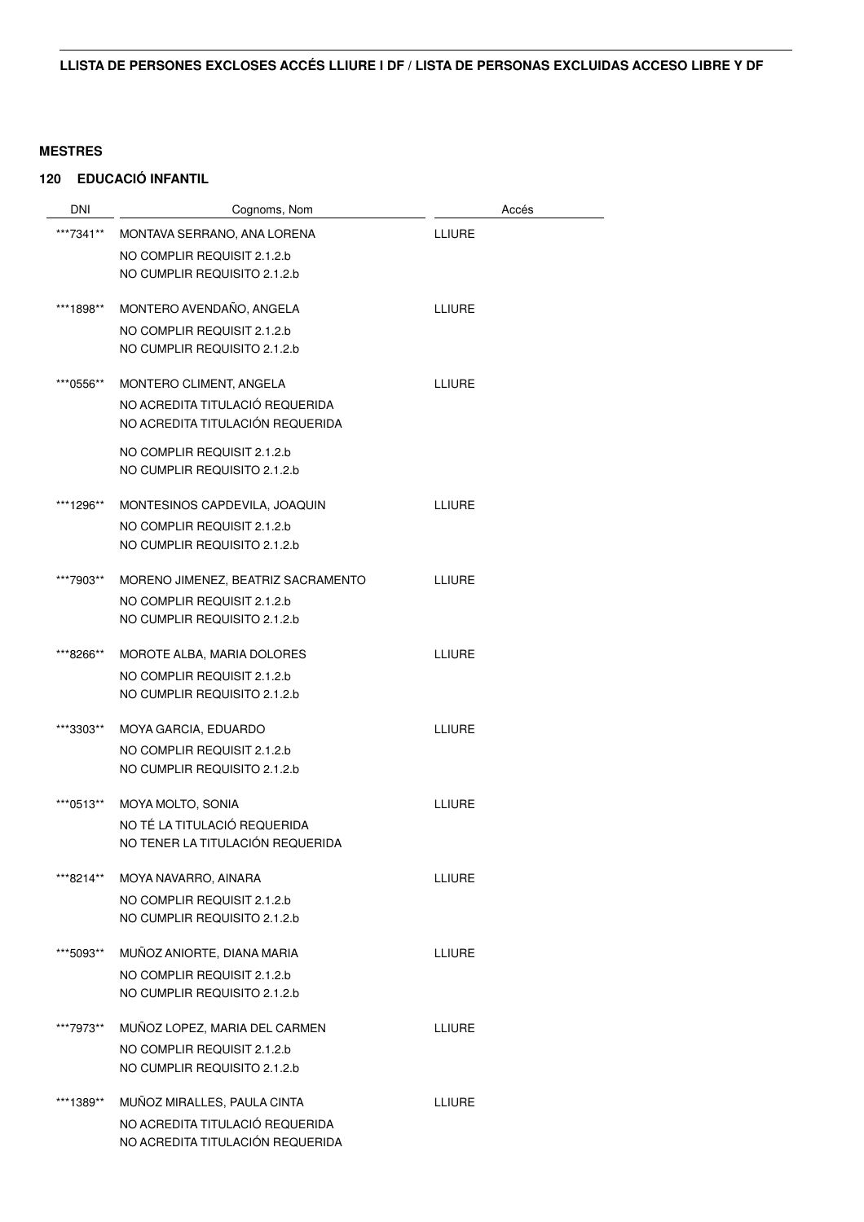| DNI       | Cognoms, Nom                       | Accés         |
|-----------|------------------------------------|---------------|
| ***7341** | MONTAVA SERRANO, ANA LORENA        | <b>LLIURE</b> |
|           | NO COMPLIR REQUISIT 2.1.2.b        |               |
|           | NO CUMPLIR REQUISITO 2.1.2.b       |               |
| ***1898** | MONTERO AVENDAÑO, ANGELA           | <b>LLIURE</b> |
|           | NO COMPLIR REQUISIT 2.1.2.b        |               |
|           | NO CUMPLIR REQUISITO 2.1.2.b       |               |
| ***0556** | MONTERO CLIMENT, ANGELA            | LLIURE        |
|           | NO ACREDITA TITULACIÓ REQUERIDA    |               |
|           | NO ACREDITA TITULACIÓN REQUERIDA   |               |
|           | NO COMPLIR REQUISIT 2.1.2.b        |               |
|           | NO CUMPLIR REQUISITO 2.1.2.b       |               |
| ***1296** | MONTESINOS CAPDEVILA, JOAQUIN      | LLIURE        |
|           | NO COMPLIR REQUISIT 2.1.2.b        |               |
|           | NO CUMPLIR REQUISITO 2.1.2.b       |               |
| ***7903** | MORENO JIMENEZ, BEATRIZ SACRAMENTO | LLIURE        |
|           | NO COMPLIR REQUISIT 2.1.2.b        |               |
|           | NO CUMPLIR REQUISITO 2.1.2.b       |               |
| ***8266** | MOROTE ALBA, MARIA DOLORES         | <b>LLIURE</b> |
|           | NO COMPLIR REQUISIT 2.1.2.b        |               |
|           | NO CUMPLIR REQUISITO 2.1.2.b       |               |
| ***3303** | MOYA GARCIA, EDUARDO               | <b>LLIURE</b> |
|           | NO COMPLIR REQUISIT 2.1.2.b        |               |
|           | NO CUMPLIR REQUISITO 2.1.2.b       |               |
| ***0513** | MOYA MOLTO, SONIA                  | <b>LLIURE</b> |
|           | NO TÉ LA TITULACIÓ REQUERIDA       |               |
|           | NO TENER LA TITULACIÓN REQUERIDA   |               |
| ***8214** | MOYA NAVARRO, AINARA               | <b>LLIURE</b> |
|           | NO COMPLIR REQUISIT 2.1.2.b        |               |
|           | NO CUMPLIR REQUISITO 2.1.2.b       |               |
| ***5093** | MUÑOZ ANIORTE, DIANA MARIA         | <b>LLIURE</b> |
|           | NO COMPLIR REQUISIT 2.1.2.b        |               |
|           | NO CUMPLIR REQUISITO 2.1.2.b       |               |
| ***7973** | MUÑOZ LOPEZ, MARIA DEL CARMEN      | LLIURE        |
|           | NO COMPLIR REQUISIT 2.1.2.b        |               |
|           | NO CUMPLIR REQUISITO 2.1.2.b       |               |
| ***1389** | MUÑOZ MIRALLES, PAULA CINTA        | <b>LLIURE</b> |
|           | NO ACREDITA TITULACIÓ REQUERIDA    |               |
|           | NO ACREDITA TITULACIÓN REQUERIDA   |               |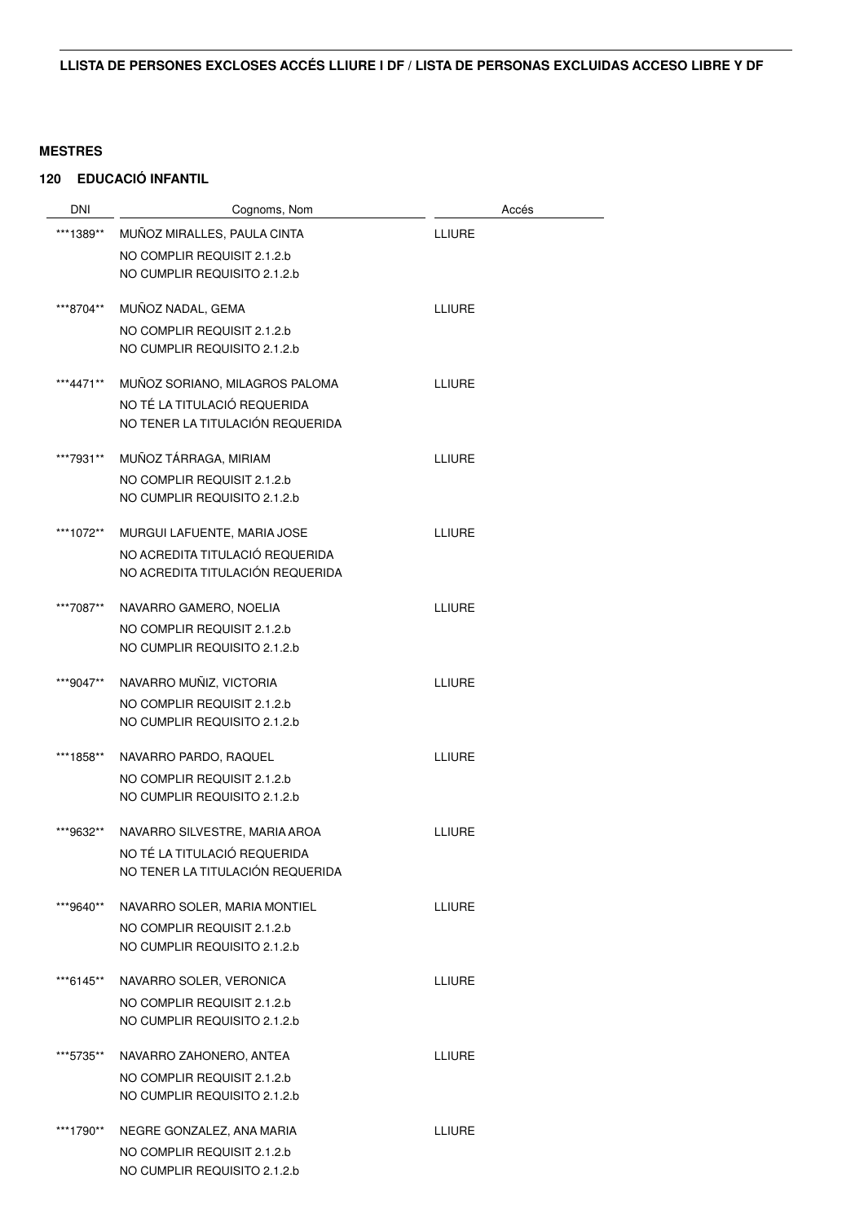| <b>DNI</b> | Cognoms, Nom                                                | Accés         |
|------------|-------------------------------------------------------------|---------------|
| ***1389**  | MUÑOZ MIRALLES, PAULA CINTA                                 | <b>LLIURE</b> |
|            | NO COMPLIR REQUISIT 2.1.2.b                                 |               |
|            | NO CUMPLIR REQUISITO 2.1.2.b                                |               |
| ***8704**  | MUÑOZ NADAL, GEMA                                           | <b>LLIURE</b> |
|            | NO COMPLIR REQUISIT 2.1.2.b<br>NO CUMPLIR REQUISITO 2.1.2.b |               |
|            |                                                             |               |
| ***4471**  | MUÑOZ SORIANO, MILAGROS PALOMA                              | LLIURE        |
|            | NO TÉ LA TITULACIÓ REQUERIDA                                |               |
|            | NO TENER LA TITULACIÓN REQUERIDA                            |               |
| ***7931**  | MUÑOZ TÁRRAGA, MIRIAM                                       | <b>LLIURE</b> |
|            | NO COMPLIR REQUISIT 2.1.2.b                                 |               |
|            | NO CUMPLIR REQUISITO 2.1.2.b                                |               |
| ***1072**  | MURGUI LAFUENTE, MARIA JOSE                                 | <b>LLIURE</b> |
|            | NO ACREDITA TITULACIÓ REQUERIDA                             |               |
|            | NO ACREDITA TITULACIÓN REQUERIDA                            |               |
| ***7087**  | NAVARRO GAMERO, NOELIA                                      | <b>LLIURE</b> |
|            | NO COMPLIR REQUISIT 2.1.2.b                                 |               |
|            | NO CUMPLIR REQUISITO 2.1.2.b                                |               |
| ***9047**  | NAVARRO MUÑIZ, VICTORIA                                     | <b>LLIURE</b> |
|            | NO COMPLIR REQUISIT 2.1.2.b                                 |               |
|            | NO CUMPLIR REQUISITO 2.1.2.b                                |               |
| ***1858**  | NAVARRO PARDO, RAQUEL                                       | LLIURE        |
|            | NO COMPLIR REQUISIT 2.1.2.b                                 |               |
|            | NO CUMPLIR REQUISITO 2.1.2.b                                |               |
| ***9632**  | NAVARRO SILVESTRE, MARIA AROA                               | <b>LLIURE</b> |
|            | NO TÉ LA TITULACIÓ REQUERIDA                                |               |
|            | NO TENER LA TITULACIÓN REQUERIDA                            |               |
| ***9640**  | NAVARRO SOLER, MARIA MONTIEL                                | LLIURE        |
|            | NO COMPLIR REQUISIT 2.1.2.b                                 |               |
|            | NO CUMPLIR REQUISITO 2.1.2.b                                |               |
| ***6145**  | NAVARRO SOLER, VERONICA                                     | LLIURE        |
|            | NO COMPLIR REQUISIT 2.1.2.b                                 |               |
|            | NO CUMPLIR REQUISITO 2.1.2.b                                |               |
| ***5735**  | NAVARRO ZAHONERO, ANTEA                                     | LLIURE        |
|            | NO COMPLIR REQUISIT 2.1.2.b                                 |               |
|            | NO CUMPLIR REQUISITO 2.1.2.b                                |               |
| ***1790**  | NEGRE GONZALEZ, ANA MARIA                                   | <b>LLIURE</b> |
|            | NO COMPLIR REQUISIT 2.1.2.b                                 |               |
|            | NO CUMPLIR REQUISITO 2.1.2.b                                |               |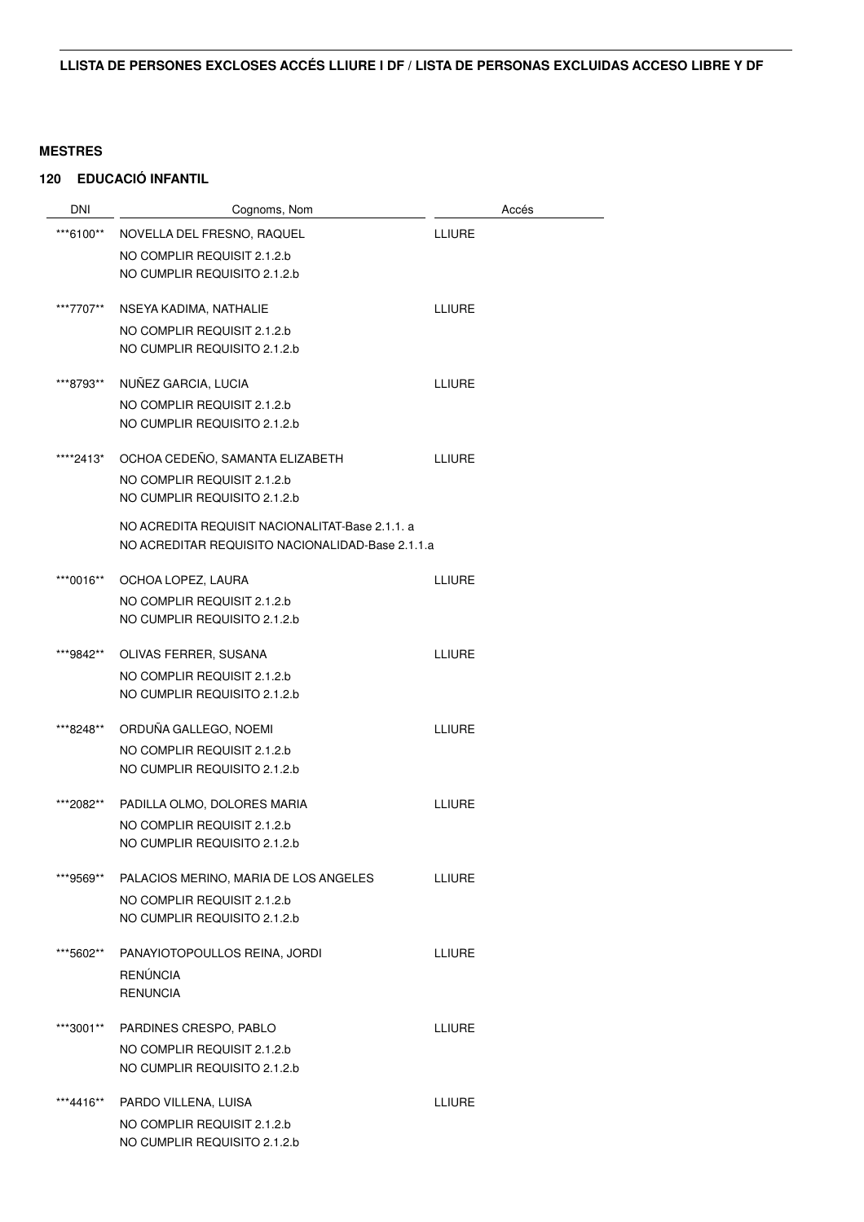| <b>DNI</b> | Cognoms, Nom                                     | Accés         |
|------------|--------------------------------------------------|---------------|
| ***6100**  | NOVELLA DEL FRESNO, RAQUEL                       | LLIURE        |
|            | NO COMPLIR REQUISIT 2.1.2.b                      |               |
|            | NO CUMPLIR REQUISITO 2.1.2.b                     |               |
| ***7707**  | NSEYA KADIMA, NATHALIE                           | <b>LLIURE</b> |
|            | NO COMPLIR REQUISIT 2.1.2.b                      |               |
|            | NO CUMPLIR REQUISITO 2.1.2.b                     |               |
| ***8793**  | NUÑEZ GARCIA, LUCIA                              | <b>LLIURE</b> |
|            | NO COMPLIR REQUISIT 2.1.2.b                      |               |
|            | NO CUMPLIR REQUISITO 2.1.2.b                     |               |
| ****2413*  | OCHOA CEDEÑO, SAMANTA ELIZABETH                  | <b>LLIURE</b> |
|            | NO COMPLIR REQUISIT 2.1.2.b                      |               |
|            | NO CUMPLIR REQUISITO 2.1.2.b                     |               |
|            | NO ACREDITA REQUISIT NACIONALITAT-Base 2.1.1. a  |               |
|            | NO ACREDITAR REQUISITO NACIONALIDAD-Base 2.1.1.a |               |
| ***0016**  | OCHOA LOPEZ, LAURA                               | <b>LLIURE</b> |
|            | NO COMPLIR REQUISIT 2.1.2.b                      |               |
|            | NO CUMPLIR REQUISITO 2.1.2.b                     |               |
| ***9842**  | OLIVAS FERRER, SUSANA                            | <b>LLIURE</b> |
|            | NO COMPLIR REQUISIT 2.1.2.b                      |               |
|            | NO CUMPLIR REQUISITO 2.1.2.b                     |               |
| ***8248**  | ORDUÑA GALLEGO, NOEMI                            | <b>LLIURE</b> |
|            | NO COMPLIR REQUISIT 2.1.2.b                      |               |
|            | NO CUMPLIR REQUISITO 2.1.2.b                     |               |
| ***2082**  | PADILLA OLMO, DOLORES MARIA                      | <b>LLIURE</b> |
|            | NO COMPLIR REQUISIT 2.1.2.b                      |               |
|            | NO CUMPLIR REQUISITO 2.1.2.b                     |               |
| ***9569**  | PALACIOS MERINO, MARIA DE LOS ANGELES            | <b>LLIURE</b> |
|            | NO COMPLIR REQUISIT 2.1.2.b                      |               |
|            | NO CUMPLIR REQUISITO 2.1.2.b                     |               |
| ***5602**  | PANAYIOTOPOULLOS REINA, JORDI                    | <b>LLIURE</b> |
|            | <b>RENÚNCIA</b>                                  |               |
|            | <b>RENUNCIA</b>                                  |               |
| ***3001**  | PARDINES CRESPO, PABLO                           | <b>LLIURE</b> |
|            | NO COMPLIR REQUISIT 2.1.2.b                      |               |
|            | NO CUMPLIR REQUISITO 2.1.2.b                     |               |
| ***4416**  | PARDO VILLENA, LUISA                             | <b>LLIURE</b> |
|            | NO COMPLIR REQUISIT 2.1.2.b                      |               |
|            | NO CUMPLIR REQUISITO 2.1.2.b                     |               |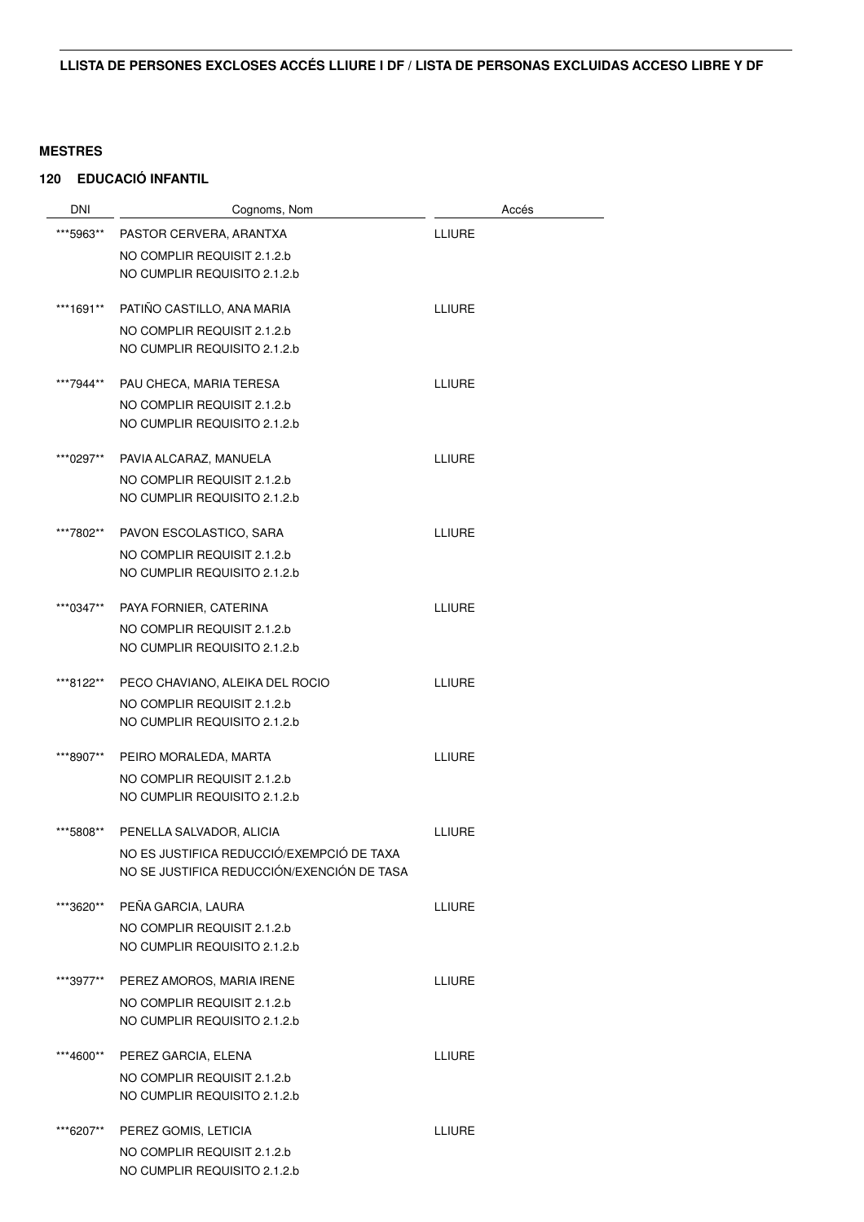| <b>DNI</b> | Cognoms, Nom                                                   | Accés         |
|------------|----------------------------------------------------------------|---------------|
| ***5963**  | PASTOR CERVERA, ARANTXA                                        | <b>LLIURE</b> |
|            | NO COMPLIR REQUISIT 2.1.2.b                                    |               |
|            | NO CUMPLIR REQUISITO 2.1.2.b                                   |               |
|            |                                                                |               |
| ***1691**  | PATIÑO CASTILLO, ANA MARIA                                     | <b>LLIURE</b> |
|            | NO COMPLIR REQUISIT 2.1.2.b                                    |               |
|            | NO CUMPLIR REQUISITO 2.1.2.b                                   |               |
| ***7944**  | PAU CHECA, MARIA TERESA                                        | <b>LLIURE</b> |
|            | NO COMPLIR REQUISIT 2.1.2.b                                    |               |
|            | NO CUMPLIR REQUISITO 2.1.2.b                                   |               |
| ***0297**  | PAVIA ALCARAZ, MANUELA                                         | <b>LLIURE</b> |
|            | NO COMPLIR REQUISIT 2.1.2.b                                    |               |
|            | NO CUMPLIR REQUISITO 2.1.2.b                                   |               |
|            |                                                                |               |
| ***7802**  | PAVON ESCOLASTICO, SARA                                        | <b>LLIURE</b> |
|            | NO COMPLIR REQUISIT 2.1.2.b                                    |               |
|            | NO CUMPLIR REQUISITO 2.1.2.b                                   |               |
| ***0347**  | PAYA FORNIER, CATERINA                                         | <b>LLIURE</b> |
|            | NO COMPLIR REQUISIT 2.1.2.b                                    |               |
|            | NO CUMPLIR REQUISITO 2.1.2.b                                   |               |
|            |                                                                |               |
| ***8122**  | PECO CHAVIANO, ALEIKA DEL ROCIO<br>NO COMPLIR REQUISIT 2.1.2.b | <b>LLIURE</b> |
|            | NO CUMPLIR REQUISITO 2.1.2.b                                   |               |
|            |                                                                |               |
| ***8907**  | PEIRO MORALEDA, MARTA                                          | <b>LLIURE</b> |
|            | NO COMPLIR REQUISIT 2.1.2.b                                    |               |
|            | NO CUMPLIR REQUISITO 2.1.2.b                                   |               |
| ***5808**  | PENELLA SALVADOR, ALICIA                                       | <b>LLIURE</b> |
|            | NO ES JUSTIFICA REDUCCIÓ/EXEMPCIÓ DE TAXA                      |               |
|            | NO SE JUSTIFICA REDUCCIÓN/EXENCIÓN DE TASA                     |               |
| ***3620**  | PEÑA GARCIA, LAURA                                             | <b>LLIURE</b> |
|            | NO COMPLIR REQUISIT 2.1.2.b                                    |               |
|            | NO CUMPLIR REQUISITO 2.1.2.b                                   |               |
|            |                                                                |               |
| ***3977**  | PEREZ AMOROS, MARIA IRENE                                      | <b>LLIURE</b> |
|            | NO COMPLIR REQUISIT 2.1.2.b                                    |               |
|            | NO CUMPLIR REQUISITO 2.1.2.b                                   |               |
| ***4600**  | PEREZ GARCIA, ELENA                                            | <b>LLIURE</b> |
|            | NO COMPLIR REQUISIT 2.1.2.b                                    |               |
|            | NO CUMPLIR REQUISITO 2.1.2.b                                   |               |
| ***6207**  | PEREZ GOMIS, LETICIA                                           | <b>LLIURE</b> |
|            | NO COMPLIR REQUISIT 2.1.2.b                                    |               |
|            | NO CUMPLIR REQUISITO 2.1.2.b                                   |               |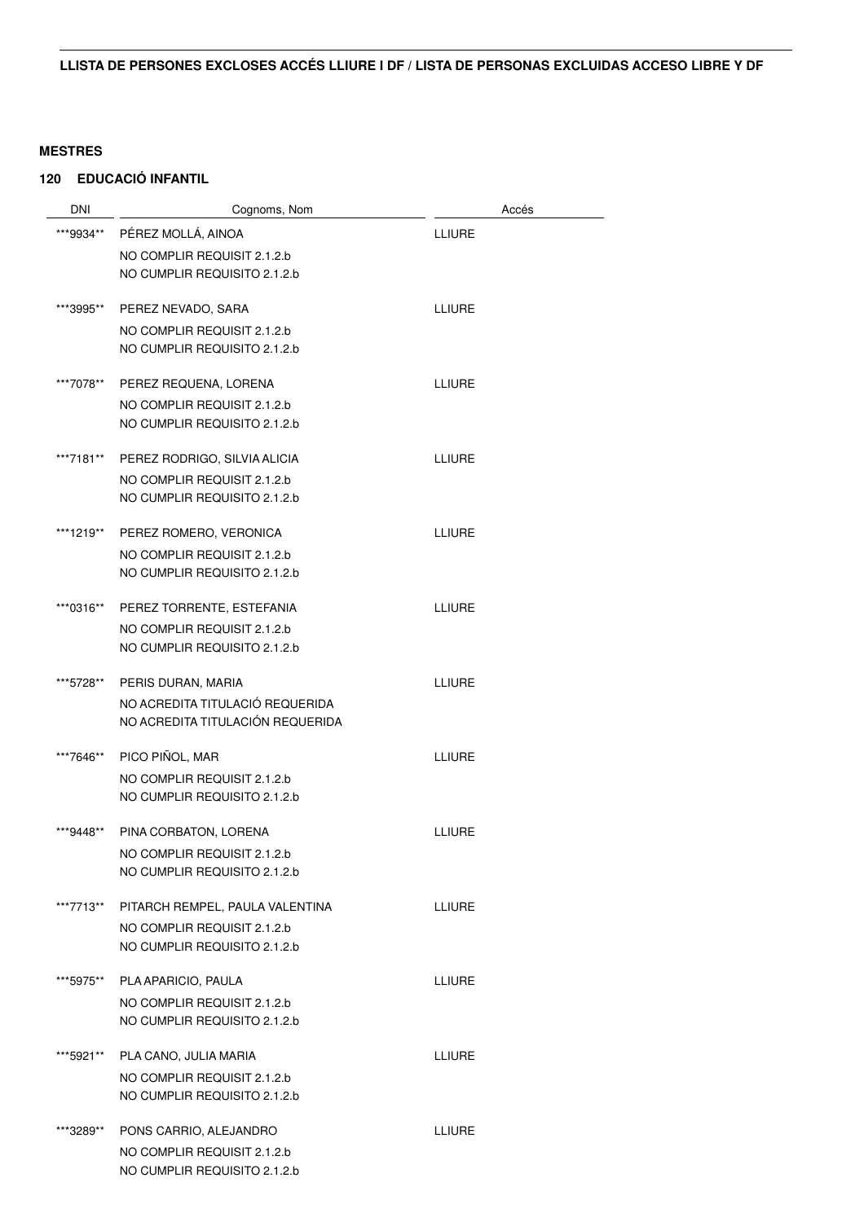| <b>DNI</b> | Cognoms, Nom                     | Accés         |  |
|------------|----------------------------------|---------------|--|
| ***9934**  | PÉREZ MOLLÁ, AINOA               | <b>LLIURE</b> |  |
|            | NO COMPLIR REQUISIT 2.1.2.b      |               |  |
|            | NO CUMPLIR REQUISITO 2.1.2.b     |               |  |
| ***3995**  | PEREZ NEVADO, SARA               | <b>LLIURE</b> |  |
|            | NO COMPLIR REQUISIT 2.1.2.b      |               |  |
|            | NO CUMPLIR REQUISITO 2.1.2.b     |               |  |
| ***7078**  | PEREZ REQUENA, LORENA            | <b>LLIURE</b> |  |
|            | NO COMPLIR REQUISIT 2.1.2.b      |               |  |
|            | NO CUMPLIR REQUISITO 2.1.2.b     |               |  |
| ***7181**  | PEREZ RODRIGO, SILVIA ALICIA     | <b>LLIURE</b> |  |
|            | NO COMPLIR REQUISIT 2.1.2.b      |               |  |
|            | NO CUMPLIR REQUISITO 2.1.2.b     |               |  |
| ***1219**  | PEREZ ROMERO, VERONICA           | <b>LLIURE</b> |  |
|            | NO COMPLIR REQUISIT 2.1.2.b      |               |  |
|            | NO CUMPLIR REQUISITO 2.1.2.b     |               |  |
| ***0316**  | PEREZ TORRENTE, ESTEFANIA        | <b>LLIURE</b> |  |
|            | NO COMPLIR REQUISIT 2.1.2.b      |               |  |
|            | NO CUMPLIR REQUISITO 2.1.2.b     |               |  |
| ***5728**  | PERIS DURAN, MARIA               | <b>LLIURE</b> |  |
|            | NO ACREDITA TITULACIÓ REQUERIDA  |               |  |
|            | NO ACREDITA TITULACIÓN REQUERIDA |               |  |
| ***7646**  | PICO PIÑOL, MAR                  | <b>LLIURE</b> |  |
|            | NO COMPLIR REQUISIT 2.1.2.b      |               |  |
|            | NO CUMPLIR REQUISITO 2.1.2.b     |               |  |
| ***9448**  | PINA CORBATON, LORENA            | <b>LLIURE</b> |  |
|            | NO COMPLIR REQUISIT 2.1.2.b      |               |  |
|            | NO CUMPLIR REQUISITO 2.1.2.b     |               |  |
| ***7713**  | PITARCH REMPEL, PAULA VALENTINA  | <b>LLIURE</b> |  |
|            | NO COMPLIR REQUISIT 2.1.2.b      |               |  |
|            | NO CUMPLIR REQUISITO 2.1.2.b     |               |  |
| ***5975**  | PLA APARICIO, PAULA              | <b>LLIURE</b> |  |
|            | NO COMPLIR REQUISIT 2.1.2.b      |               |  |
|            | NO CUMPLIR REQUISITO 2.1.2.b     |               |  |
| ***5921**  | PLA CANO, JULIA MARIA            | LLIURE        |  |
|            | NO COMPLIR REQUISIT 2.1.2.b      |               |  |
|            | NO CUMPLIR REQUISITO 2.1.2.b     |               |  |
| ***3289**  | PONS CARRIO, ALEJANDRO           | LLIURE        |  |
|            | NO COMPLIR REQUISIT 2.1.2.b      |               |  |
|            | NO CUMPLIR REQUISITO 2.1.2.b     |               |  |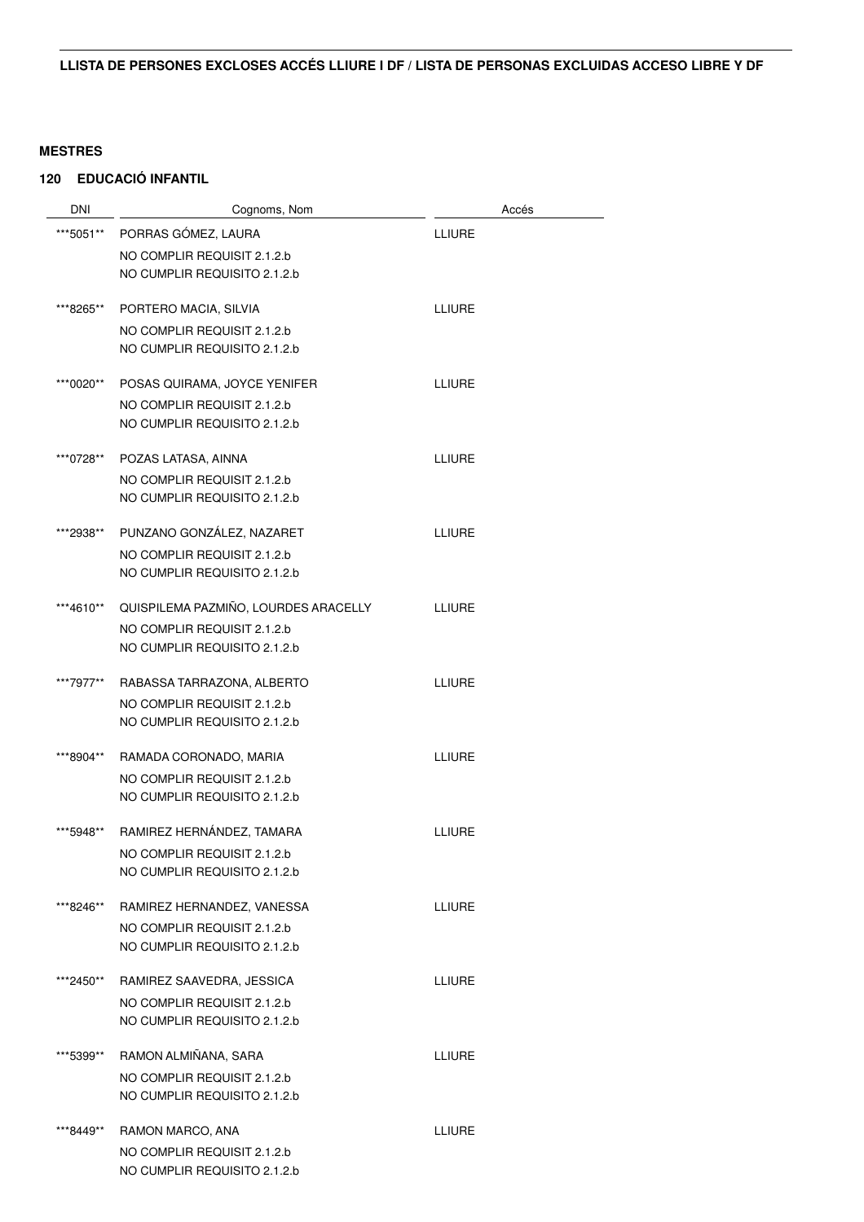| DNI       | Cognoms, Nom                                                                                                    | Accés         |
|-----------|-----------------------------------------------------------------------------------------------------------------|---------------|
| ***5051** | PORRAS GÓMEZ, LAURA                                                                                             | <b>LLIURE</b> |
|           | NO COMPLIR REQUISIT 2.1.2.b                                                                                     |               |
|           | NO CUMPLIR REQUISITO 2.1.2.b                                                                                    |               |
|           |                                                                                                                 |               |
| ***8265** | PORTERO MACIA, SILVIA                                                                                           | <b>LLIURE</b> |
|           | NO COMPLIR REQUISIT 2.1.2.b                                                                                     |               |
|           | NO CUMPLIR REQUISITO 2.1.2.b                                                                                    |               |
| ***0020** | POSAS QUIRAMA, JOYCE YENIFER                                                                                    | <b>LLIURE</b> |
|           | NO COMPLIR REQUISIT 2.1.2.b                                                                                     |               |
|           | NO CUMPLIR REQUISITO 2.1.2.b                                                                                    |               |
|           |                                                                                                                 |               |
| ***0728** | POZAS LATASA, AINNA                                                                                             | <b>LLIURE</b> |
|           | NO COMPLIR REQUISIT 2.1.2.b                                                                                     |               |
|           | NO CUMPLIR REQUISITO 2.1.2.b                                                                                    |               |
| ***2938** | PUNZANO GONZÁLEZ, NAZARET                                                                                       | <b>LLIURE</b> |
|           | NO COMPLIR REQUISIT 2.1.2.b                                                                                     |               |
|           | NO CUMPLIR REQUISITO 2.1.2.b                                                                                    |               |
|           |                                                                                                                 |               |
| ***4610** | QUISPILEMA PAZMIÑO, LOURDES ARACELLY                                                                            | <b>LLIURE</b> |
|           | NO COMPLIR REQUISIT 2.1.2.b                                                                                     |               |
|           | NO CUMPLIR REQUISITO 2.1.2.b                                                                                    |               |
| ***7977** | RABASSA TARRAZONA, ALBERTO                                                                                      | <b>LLIURE</b> |
|           | NO COMPLIR REQUISIT 2.1.2.b                                                                                     |               |
|           | NO CUMPLIR REQUISITO 2.1.2.b                                                                                    |               |
|           |                                                                                                                 |               |
| ***8904** | RAMADA CORONADO, MARIA                                                                                          | <b>LLIURE</b> |
|           | NO COMPLIR REQUISIT 2.1.2.b                                                                                     |               |
|           | NO CUMPLIR REQUISITO 2.1.2.b                                                                                    |               |
| ***5948** | RAMIREZ HERNÁNDEZ, TAMARA                                                                                       | <b>LLIURE</b> |
|           | NO COMPLIR REQUISIT 2.1.2.b                                                                                     |               |
|           | NO CUMPLIR REQUISITO 2.1.2.b                                                                                    |               |
| ***8246** | RAMIREZ HERNANDEZ, VANESSA                                                                                      | <b>LLIURE</b> |
|           | NO COMPLIR REQUISIT 2.1.2.b                                                                                     |               |
|           | NO CUMPLIR REQUISITO 2.1.2.b                                                                                    |               |
|           |                                                                                                                 |               |
| ***2450** | RAMIREZ SAAVEDRA, JESSICA                                                                                       | <b>LLIURE</b> |
|           | NO COMPLIR REQUISIT 2.1.2.b                                                                                     |               |
|           |                                                                                                                 |               |
| ***5399** | RAMON ALMIÑANA, SARA                                                                                            | <b>LLIURE</b> |
|           | NO COMPLIR REQUISIT 2.1.2.b                                                                                     |               |
|           | NO CUMPLIR REQUISITO 2.1.2.b                                                                                    |               |
|           |                                                                                                                 |               |
|           |                                                                                                                 |               |
|           |                                                                                                                 |               |
| ***8449** | NO CUMPLIR REQUISITO 2.1.2.b<br>RAMON MARCO, ANA<br>NO COMPLIR REQUISIT 2.1.2.b<br>NO CUMPLIR REQUISITO 2.1.2.b | <b>LLIURE</b> |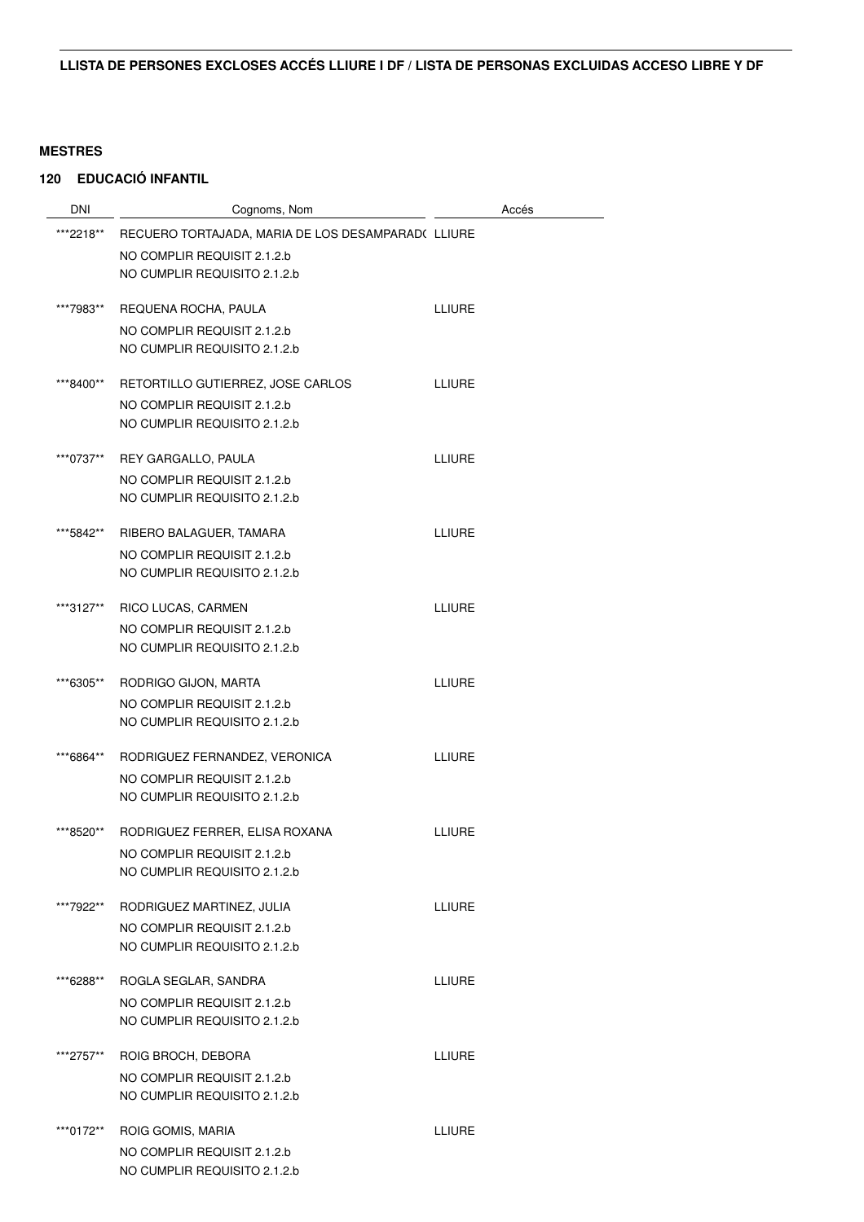| <b>DNI</b> | Cognoms, Nom                                                | Accés         |
|------------|-------------------------------------------------------------|---------------|
| ***2218**  | RECUERO TORTAJADA, MARIA DE LOS DESAMPARAD(LLIURE           |               |
|            | NO COMPLIR REQUISIT 2.1.2.b                                 |               |
|            | NO CUMPLIR REQUISITO 2.1.2.b                                |               |
| ***7983**  | REQUENA ROCHA, PAULA                                        | <b>LLIURE</b> |
|            | NO COMPLIR REQUISIT 2.1.2.b                                 |               |
|            | NO CUMPLIR REQUISITO 2.1.2.b                                |               |
| ***8400**  | RETORTILLO GUTIERREZ, JOSE CARLOS                           | <b>LLIURE</b> |
|            | NO COMPLIR REQUISIT 2.1.2.b<br>NO CUMPLIR REQUISITO 2.1.2.b |               |
|            |                                                             |               |
| ***0737**  | REY GARGALLO, PAULA                                         | <b>LLIURE</b> |
|            | NO COMPLIR REQUISIT 2.1.2.b                                 |               |
|            | NO CUMPLIR REQUISITO 2.1.2.b                                |               |
| ***5842**  | RIBERO BALAGUER, TAMARA                                     | <b>LLIURE</b> |
|            | NO COMPLIR REQUISIT 2.1.2.b                                 |               |
|            | NO CUMPLIR REQUISITO 2.1.2.b                                |               |
| ***3127**  | RICO LUCAS, CARMEN                                          | <b>LLIURE</b> |
|            | NO COMPLIR REQUISIT 2.1.2.b                                 |               |
|            | NO CUMPLIR REQUISITO 2.1.2.b                                |               |
| ***6305**  | RODRIGO GIJON, MARTA                                        | <b>LLIURE</b> |
|            | NO COMPLIR REQUISIT 2.1.2.b                                 |               |
|            | NO CUMPLIR REQUISITO 2.1.2.b                                |               |
| ***6864**  | RODRIGUEZ FERNANDEZ, VERONICA                               | <b>LLIURE</b> |
|            | NO COMPLIR REQUISIT 2.1.2.b                                 |               |
|            | NO CUMPLIR REQUISITO 2.1.2.b                                |               |
| ***8520**  | RODRIGUEZ FERRER, ELISA ROXANA                              | LLIURE        |
|            | NO COMPLIR REQUISIT 2.1.2.b                                 |               |
|            | NO CUMPLIR REQUISITO 2.1.2.b                                |               |
| ***7922**  | RODRIGUEZ MARTINEZ, JULIA                                   | <b>LLIURE</b> |
|            | NO COMPLIR REQUISIT 2.1.2.b                                 |               |
|            | NO CUMPLIR REQUISITO 2.1.2.b                                |               |
| ***6288**  | ROGLA SEGLAR, SANDRA                                        | <b>LLIURE</b> |
|            | NO COMPLIR REQUISIT 2.1.2.b                                 |               |
|            | NO CUMPLIR REQUISITO 2.1.2.b                                |               |
| ***2757**  | ROIG BROCH, DEBORA                                          | <b>LLIURE</b> |
|            | NO COMPLIR REQUISIT 2.1.2.b                                 |               |
|            | NO CUMPLIR REQUISITO 2.1.2.b                                |               |
| ***0172**  | ROIG GOMIS, MARIA                                           | <b>LLIURE</b> |
|            | NO COMPLIR REQUISIT 2.1.2.b                                 |               |
|            | NO CUMPLIR REQUISITO 2.1.2.b                                |               |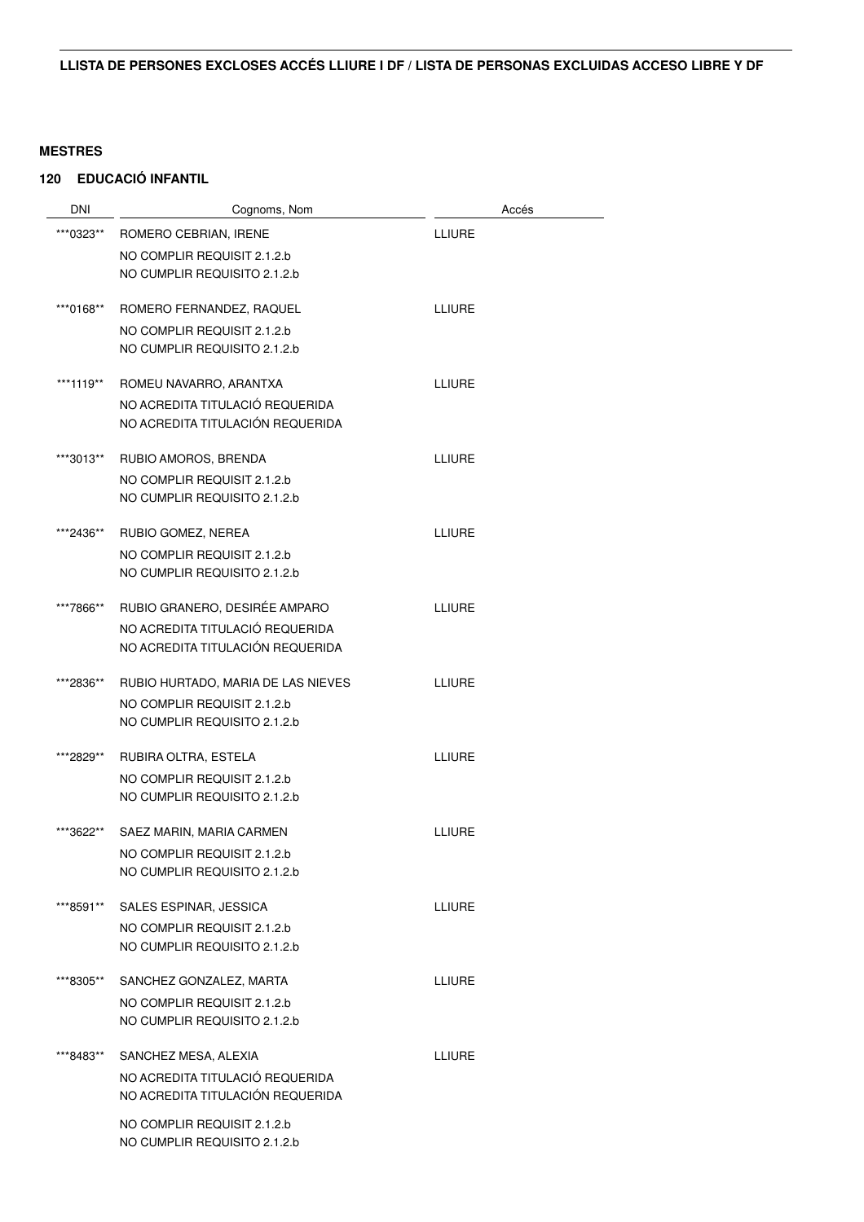| <b>DNI</b> | Cognoms, Nom                                                        | Accés         |
|------------|---------------------------------------------------------------------|---------------|
| ***0323**  | ROMERO CEBRIAN, IRENE                                               | <b>LLIURE</b> |
|            | NO COMPLIR REQUISIT 2.1.2.b                                         |               |
|            | NO CUMPLIR REQUISITO 2.1.2.b                                        |               |
| ***0168**  | ROMERO FERNANDEZ, RAQUEL                                            | <b>LLIURE</b> |
|            | NO COMPLIR REQUISIT 2.1.2.b                                         |               |
|            | NO CUMPLIR REQUISITO 2.1.2.b                                        |               |
| ***1119**  | ROMEU NAVARRO, ARANTXA                                              | <b>LLIURE</b> |
|            | NO ACREDITA TITULACIÓ REQUERIDA<br>NO ACREDITA TITULACIÓN REQUERIDA |               |
|            |                                                                     |               |
| ***3013**  | RUBIO AMOROS, BRENDA                                                | <b>LLIURE</b> |
|            | NO COMPLIR REQUISIT 2.1.2.b                                         |               |
|            | NO CUMPLIR REQUISITO 2.1.2.b                                        |               |
| ***2436**  | RUBIO GOMEZ, NEREA                                                  | <b>LLIURE</b> |
|            | NO COMPLIR REQUISIT 2.1.2.b                                         |               |
|            | NO CUMPLIR REQUISITO 2.1.2.b                                        |               |
| ***7866**  | RUBIO GRANERO, DESIRÉE AMPARO                                       | <b>LLIURE</b> |
|            | NO ACREDITA TITULACIÓ REQUERIDA                                     |               |
|            | NO ACREDITA TITULACIÓN REQUERIDA                                    |               |
| ***2836**  | RUBIO HURTADO, MARIA DE LAS NIEVES                                  | <b>LLIURE</b> |
|            | NO COMPLIR REQUISIT 2.1.2.b                                         |               |
|            | NO CUMPLIR REQUISITO 2.1.2.b                                        |               |
| ***2829**  | RUBIRA OLTRA, ESTELA                                                | <b>LLIURE</b> |
|            | NO COMPLIR REQUISIT 2.1.2.b                                         |               |
|            | NO CUMPLIR REQUISITO 2.1.2.b                                        |               |
| ***3622**  | SAEZ MARIN, MARIA CARMEN                                            | <b>LLIURE</b> |
|            | NO COMPLIR REQUISIT 2.1.2.b                                         |               |
|            | NO CUMPLIR REQUISITO 2.1.2.b                                        |               |
| ***8591**  | SALES ESPINAR, JESSICA                                              | <b>LLIURE</b> |
|            | NO COMPLIR REQUISIT 2.1.2.b                                         |               |
|            | NO CUMPLIR REQUISITO 2.1.2.b                                        |               |
| ***8305**  | SANCHEZ GONZALEZ, MARTA                                             | <b>LLIURE</b> |
|            | NO COMPLIR REQUISIT 2.1.2.b                                         |               |
|            | NO CUMPLIR REQUISITO 2.1.2.b                                        |               |
| ***8483**  | SANCHEZ MESA, ALEXIA                                                | <b>LLIURE</b> |
|            | NO ACREDITA TITULACIÓ REQUERIDA                                     |               |
|            | NO ACREDITA TITULACIÓN REQUERIDA                                    |               |
|            | NO COMPLIR REQUISIT 2.1.2.b<br>NO CUMPLIR REQUISITO 2.1.2.b         |               |
|            |                                                                     |               |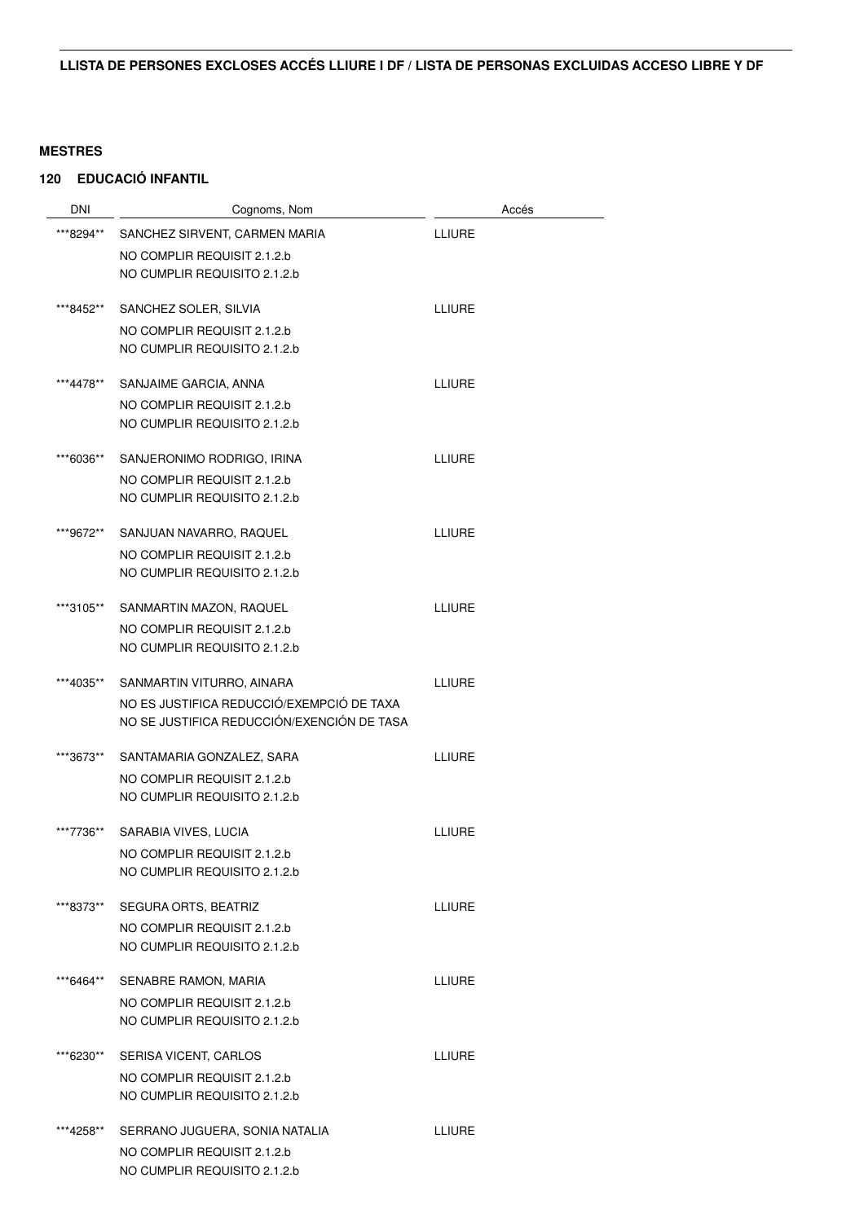| <b>DNI</b> | Cognoms, Nom                               | Accés         |
|------------|--------------------------------------------|---------------|
| ***8294**  | SANCHEZ SIRVENT, CARMEN MARIA              | <b>LLIURE</b> |
|            | NO COMPLIR REQUISIT 2.1.2.b                |               |
|            | NO CUMPLIR REQUISITO 2.1.2.b               |               |
| ***8452**  | SANCHEZ SOLER, SILVIA                      | <b>LLIURE</b> |
|            | NO COMPLIR REQUISIT 2.1.2.b                |               |
|            | NO CUMPLIR REQUISITO 2.1.2.b               |               |
| ***4478**  | SANJAIME GARCIA, ANNA                      | <b>LLIURE</b> |
|            | NO COMPLIR REQUISIT 2.1.2.b                |               |
|            | NO CUMPLIR REQUISITO 2.1.2.b               |               |
| ***6036**  | SANJERONIMO RODRIGO, IRINA                 | <b>LLIURE</b> |
|            | NO COMPLIR REQUISIT 2.1.2.b                |               |
|            | NO CUMPLIR REQUISITO 2.1.2.b               |               |
| ***9672**  | SANJUAN NAVARRO, RAQUEL                    | <b>LLIURE</b> |
|            | NO COMPLIR REQUISIT 2.1.2.b                |               |
|            | NO CUMPLIR REQUISITO 2.1.2.b               |               |
| ***3105**  | SANMARTIN MAZON, RAQUEL                    | <b>LLIURE</b> |
|            | NO COMPLIR REQUISIT 2.1.2.b                |               |
|            | NO CUMPLIR REQUISITO 2.1.2.b               |               |
| ***4035**  | SANMARTIN VITURRO, AINARA                  | <b>LLIURE</b> |
|            | NO ES JUSTIFICA REDUCCIÓ/EXEMPCIÓ DE TAXA  |               |
|            | NO SE JUSTIFICA REDUCCIÓN/EXENCIÓN DE TASA |               |
| ***3673**  | SANTAMARIA GONZALEZ, SARA                  | <b>LLIURE</b> |
|            | NO COMPLIR REQUISIT 2.1.2.b                |               |
|            | NO CUMPLIR REQUISITO 2.1.2.b               |               |
| ***7736**  | SARABIA VIVES, LUCIA                       | <b>LLIURE</b> |
|            | NO COMPLIR REQUISIT 2.1.2.b                |               |
|            | NO CUMPLIR REQUISITO 2.1.2.b               |               |
| ***8373**  | SEGURA ORTS, BEATRIZ                       | <b>LLIURE</b> |
|            | NO COMPLIR REQUISIT 2.1.2.b                |               |
|            | NO CUMPLIR REQUISITO 2.1.2.b               |               |
| ***6464**  | SENABRE RAMON, MARIA                       | <b>LLIURE</b> |
|            | NO COMPLIR REQUISIT 2.1.2.b                |               |
|            | NO CUMPLIR REQUISITO 2.1.2.b               |               |
| ***6230**  | SERISA VICENT, CARLOS                      | <b>LLIURE</b> |
|            | NO COMPLIR REQUISIT 2.1.2.b                |               |
|            | NO CUMPLIR REQUISITO 2.1.2.b               |               |
| ***4258**  | SERRANO JUGUERA, SONIA NATALIA             | <b>LLIURE</b> |
|            | NO COMPLIR REQUISIT 2.1.2.b                |               |
|            | NO CUMPLIR REQUISITO 2.1.2.b               |               |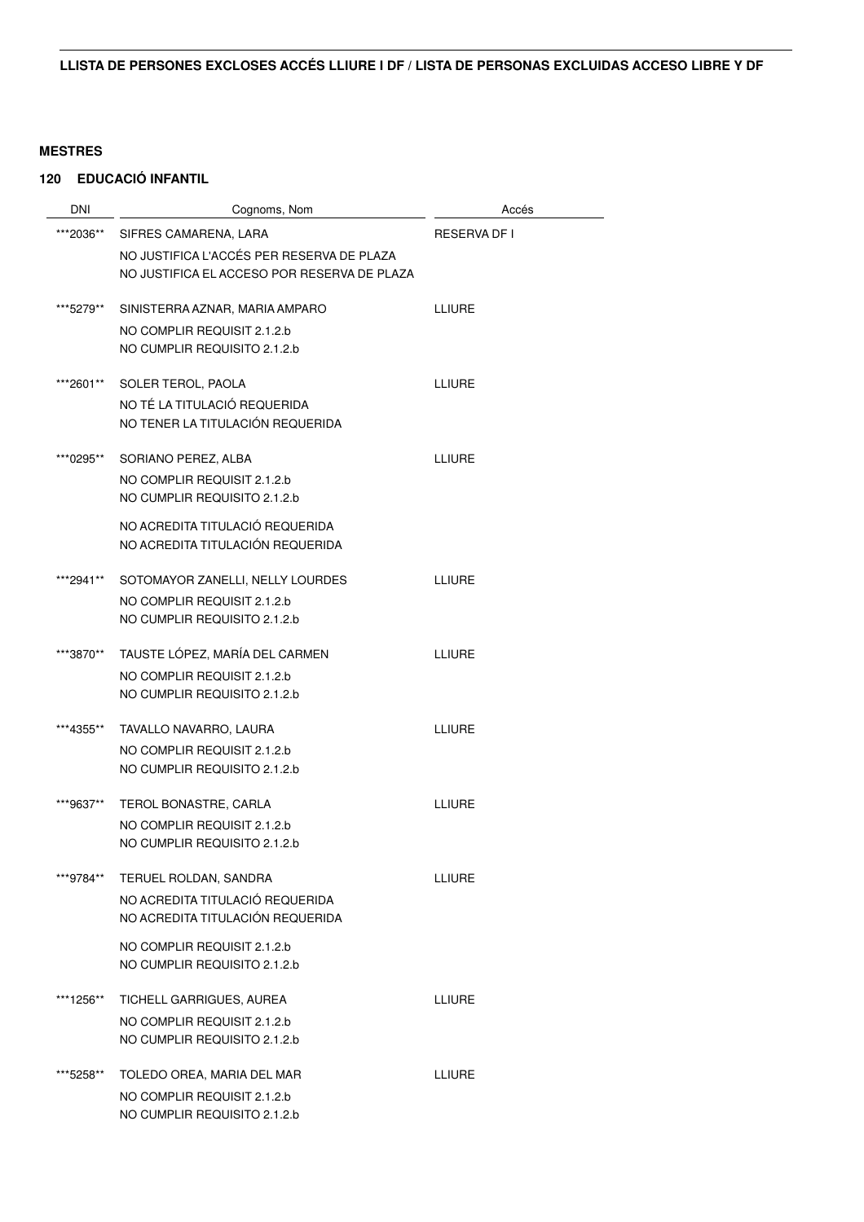| DNI       | Cognoms, Nom                                                                             | Accés               |
|-----------|------------------------------------------------------------------------------------------|---------------------|
| ***2036** | SIFRES CAMARENA, LARA                                                                    | <b>RESERVA DF I</b> |
|           | NO JUSTIFICA L'ACCÉS PER RESERVA DE PLAZA<br>NO JUSTIFICA EL ACCESO POR RESERVA DE PLAZA |                     |
| ***5279** | SINISTERRA AZNAR, MARIA AMPARO                                                           | <b>LLIURE</b>       |
|           | NO COMPLIR REQUISIT 2.1.2.b<br>NO CUMPLIR REQUISITO 2.1.2.b                              |                     |
| ***2601** | SOLER TEROL, PAOLA                                                                       | <b>LLIURE</b>       |
|           | NO TÉ LA TITULACIÓ REQUERIDA<br>NO TENER LA TITULACIÓN REQUERIDA                         |                     |
| ***0295** | SORIANO PEREZ, ALBA                                                                      | <b>LLIURE</b>       |
|           | NO COMPLIR REQUISIT 2.1.2.b<br>NO CUMPLIR REQUISITO 2.1.2.b                              |                     |
|           | NO ACREDITA TITULACIÓ REQUERIDA<br>NO ACREDITA TITULACIÓN REQUERIDA                      |                     |
| ***2941** | SOTOMAYOR ZANELLI, NELLY LOURDES                                                         | <b>LLIURE</b>       |
|           | NO COMPLIR REQUISIT 2.1.2.b<br>NO CUMPLIR REQUISITO 2.1.2.b                              |                     |
| ***3870** | TAUSTE LÓPEZ, MARÍA DEL CARMEN                                                           | LLIURE              |
|           | NO COMPLIR REQUISIT 2.1.2.b                                                              |                     |
|           | NO CUMPLIR REQUISITO 2.1.2.b                                                             |                     |
| ***4355** | TAVALLO NAVARRO, LAURA                                                                   | <b>LLIURE</b>       |
|           | NO COMPLIR REQUISIT 2.1.2.b<br>NO CUMPLIR REQUISITO 2.1.2.b                              |                     |
| ***9637** | TEROL BONASTRE, CARLA                                                                    | <b>LLIURE</b>       |
|           | NO COMPLIR REQUISIT 2.1.2.b<br>NO CUMPLIR REQUISITO 2.1.2.b                              |                     |
| ***9784** | TERUEL ROLDAN, SANDRA                                                                    | LLIURE              |
|           | NO ACREDITA TITULACIÓ REQUERIDA<br>NO ACREDITA TITULACIÓN REQUERIDA                      |                     |
|           | NO COMPLIR REQUISIT 2.1.2.b                                                              |                     |
|           | NO CUMPLIR REQUISITO 2.1.2.b                                                             |                     |
| ***1256** | TICHELL GARRIGUES, AUREA                                                                 | <b>LLIURE</b>       |
|           | NO COMPLIR REQUISIT 2.1.2.b<br>NO CUMPLIR REQUISITO 2.1.2.b                              |                     |
|           |                                                                                          |                     |
| ***5258** | TOLEDO OREA, MARIA DEL MAR                                                               | LLIURE              |
|           | NO COMPLIR REQUISIT 2.1.2.b<br>NO CUMPLIR REQUISITO 2.1.2.b                              |                     |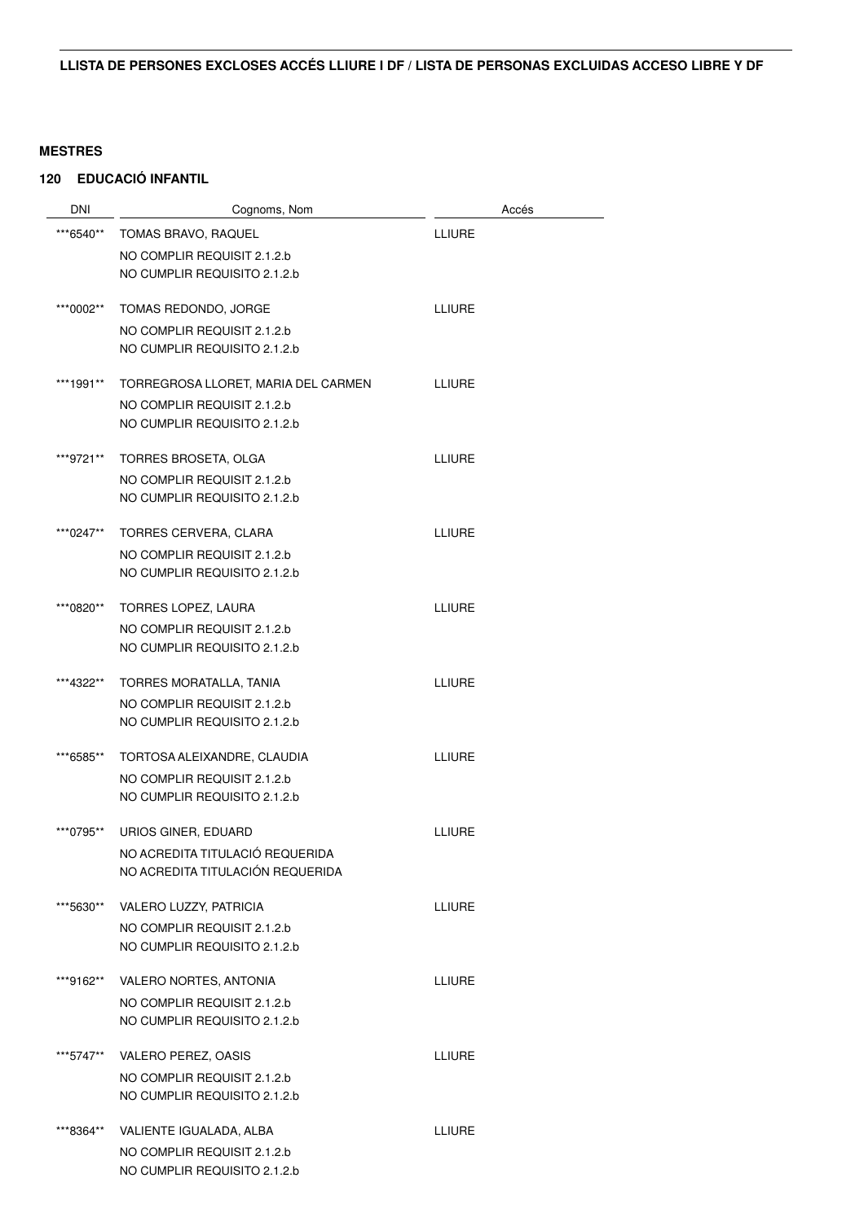| <b>DNI</b> | Cognoms, Nom                        | Accés         |
|------------|-------------------------------------|---------------|
| ***6540**  | TOMAS BRAVO, RAQUEL                 | <b>LLIURE</b> |
|            | NO COMPLIR REQUISIT 2.1.2.b         |               |
|            | NO CUMPLIR REQUISITO 2.1.2.b        |               |
|            |                                     |               |
| ***0002**  | TOMAS REDONDO, JORGE                | <b>LLIURE</b> |
|            | NO COMPLIR REQUISIT 2.1.2.b         |               |
|            | NO CUMPLIR REQUISITO 2.1.2.b        |               |
| ***1991**  | TORREGROSA LLORET, MARIA DEL CARMEN | LLIURE        |
|            | NO COMPLIR REQUISIT 2.1.2.b         |               |
|            | NO CUMPLIR REQUISITO 2.1.2.b        |               |
| ***9721**  | TORRES BROSETA, OLGA                | <b>LLIURE</b> |
|            | NO COMPLIR REQUISIT 2.1.2.b         |               |
|            | NO CUMPLIR REQUISITO 2.1.2.b        |               |
|            |                                     |               |
| ***0247**  | TORRES CERVERA, CLARA               | <b>LLIURE</b> |
|            | NO COMPLIR REQUISIT 2.1.2.b         |               |
|            | NO CUMPLIR REQUISITO 2.1.2.b        |               |
| ***0820**  | <b>TORRES LOPEZ, LAURA</b>          | <b>LLIURE</b> |
|            | NO COMPLIR REQUISIT 2.1.2.b         |               |
|            | NO CUMPLIR REQUISITO 2.1.2.b        |               |
| ***4322**  | TORRES MORATALLA, TANIA             | <b>LLIURE</b> |
|            | NO COMPLIR REQUISIT 2.1.2.b         |               |
|            | NO CUMPLIR REQUISITO 2.1.2.b        |               |
|            |                                     |               |
| ***6585**  | TORTOSA ALEIXANDRE, CLAUDIA         | <b>LLIURE</b> |
|            | NO COMPLIR REQUISIT 2.1.2.b         |               |
|            | NO CUMPLIR REQUISITO 2.1.2.b        |               |
| ***0795**  | URIOS GINER, EDUARD                 | <b>LLIURE</b> |
|            | NO ACREDITA TITULACIÓ REQUERIDA     |               |
|            | NO ACREDITA TITULACIÓN REQUERIDA    |               |
| ***5630**  | VALERO LUZZY, PATRICIA              | <b>LLIURE</b> |
|            | NO COMPLIR REQUISIT 2.1.2.b         |               |
|            | NO CUMPLIR REQUISITO 2.1.2.b        |               |
| ***9162**  | VALERO NORTES, ANTONIA              | <b>LLIURE</b> |
|            | NO COMPLIR REQUISIT 2.1.2.b         |               |
|            | NO CUMPLIR REQUISITO 2.1.2.b        |               |
|            |                                     |               |
| ***5747**  | VALERO PEREZ, OASIS                 | <b>LLIURE</b> |
|            | NO COMPLIR REQUISIT 2.1.2.b         |               |
|            | NO CUMPLIR REQUISITO 2.1.2.b        |               |
| ***8364**  | VALIENTE IGUALADA, ALBA             | <b>LLIURE</b> |
|            | NO COMPLIR REQUISIT 2.1.2.b         |               |
|            | NO CUMPLIR REQUISITO 2.1.2.b        |               |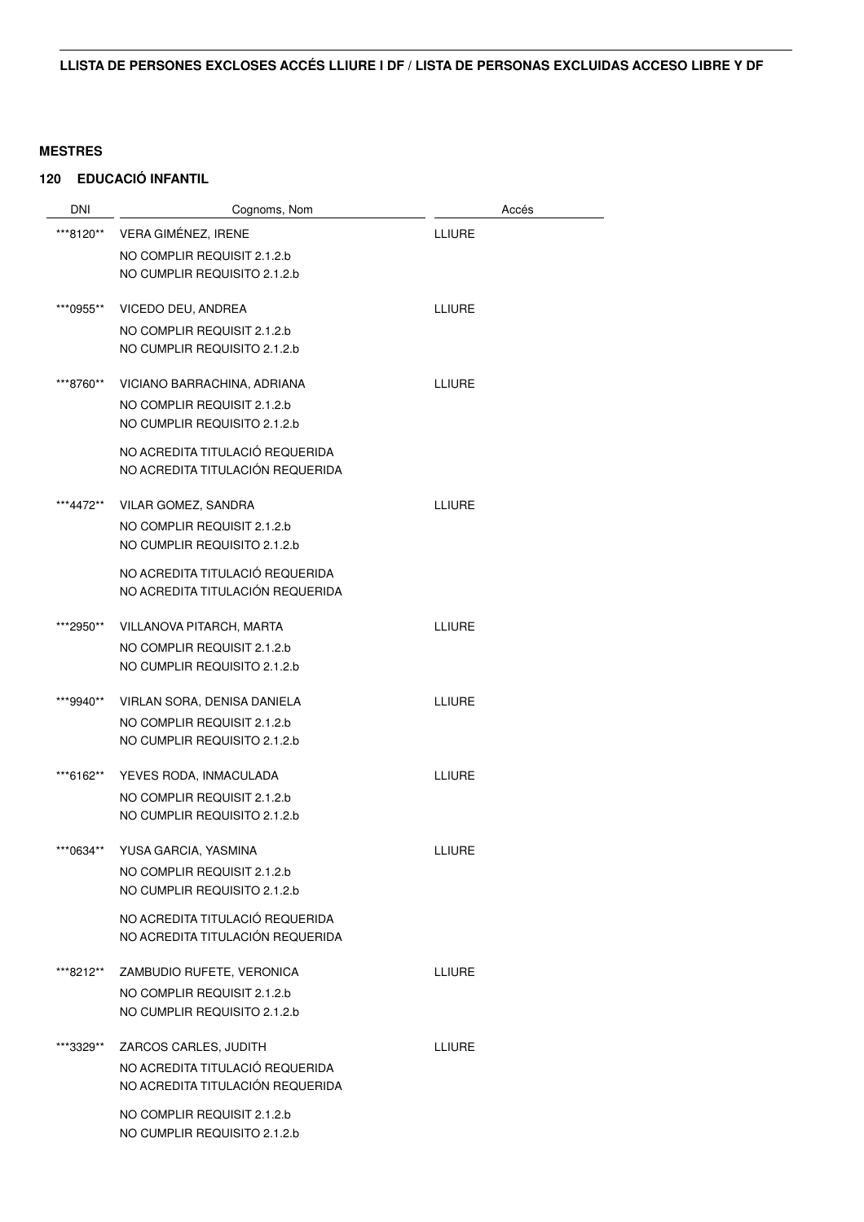| <b>DNI</b> | Cognoms, Nom                                                | Accés         |
|------------|-------------------------------------------------------------|---------------|
| ***8120**  | VERA GIMÉNEZ, IRENE                                         | <b>LLIURE</b> |
|            | NO COMPLIR REQUISIT 2.1.2.b                                 |               |
|            | NO CUMPLIR REQUISITO 2.1.2.b                                |               |
| ***0955**  | VICEDO DEU, ANDREA                                          | <b>LLIURE</b> |
|            | NO COMPLIR REQUISIT 2.1.2.b                                 |               |
|            | NO CUMPLIR REQUISITO 2.1.2.b                                |               |
| ***8760**  | VICIANO BARRACHINA, ADRIANA                                 | <b>LLIURE</b> |
|            | NO COMPLIR REQUISIT 2.1.2.b<br>NO CUMPLIR REQUISITO 2.1.2.b |               |
|            | NO ACREDITA TITULACIÓ REQUERIDA                             |               |
|            | NO ACREDITA TITULACIÓN REQUERIDA                            |               |
| ***4472**  | VILAR GOMEZ, SANDRA                                         | <b>LLIURE</b> |
|            | NO COMPLIR REQUISIT 2.1.2.b                                 |               |
|            | NO CUMPLIR REQUISITO 2.1.2.b                                |               |
|            | NO ACREDITA TITULACIÓ REQUERIDA                             |               |
|            | NO ACREDITA TITULACIÓN REQUERIDA                            |               |
| ***2950**  | VILLANOVA PITARCH, MARTA                                    | <b>LLIURE</b> |
|            | NO COMPLIR REQUISIT 2.1.2.b                                 |               |
|            | NO CUMPLIR REQUISITO 2.1.2.b                                |               |
| ***9940**  | VIRLAN SORA, DENISA DANIELA                                 | <b>LLIURE</b> |
|            | NO COMPLIR REQUISIT 2.1.2.b                                 |               |
|            | NO CUMPLIR REQUISITO 2.1.2.b                                |               |
| ***6162**  | YEVES RODA, INMACULADA                                      | <b>LLIURE</b> |
|            | NO COMPLIR REQUISIT 2.1.2.b                                 |               |
|            | NO CUMPLIR REQUISITO 2.1.2.b                                |               |
| ***0634**  | YUSA GARCIA, YASMINA                                        | LLIURE        |
|            | NO COMPLIR REQUISIT 2.1.2.b                                 |               |
|            | NO CUMPLIR REQUISITO 2.1.2.b                                |               |
|            | NO ACREDITA TITULACIÓ REQUERIDA                             |               |
|            | NO ACREDITA TITULACIÓN REQUERIDA                            |               |
| ***8212**  | ZAMBUDIO RUFETE, VERONICA                                   | LLIURE        |
|            | NO COMPLIR REQUISIT 2.1.2.b                                 |               |
|            | NO CUMPLIR REQUISITO 2.1.2.b                                |               |
| ***3329**  | ZARCOS CARLES, JUDITH                                       | <b>LLIURE</b> |
|            | NO ACREDITA TITULACIÓ REQUERIDA                             |               |
|            | NO ACREDITA TITULACIÓN REQUERIDA                            |               |
|            | NO COMPLIR REQUISIT 2.1.2.b                                 |               |
|            | NO CUMPLIR REQUISITO 2.1.2.b                                |               |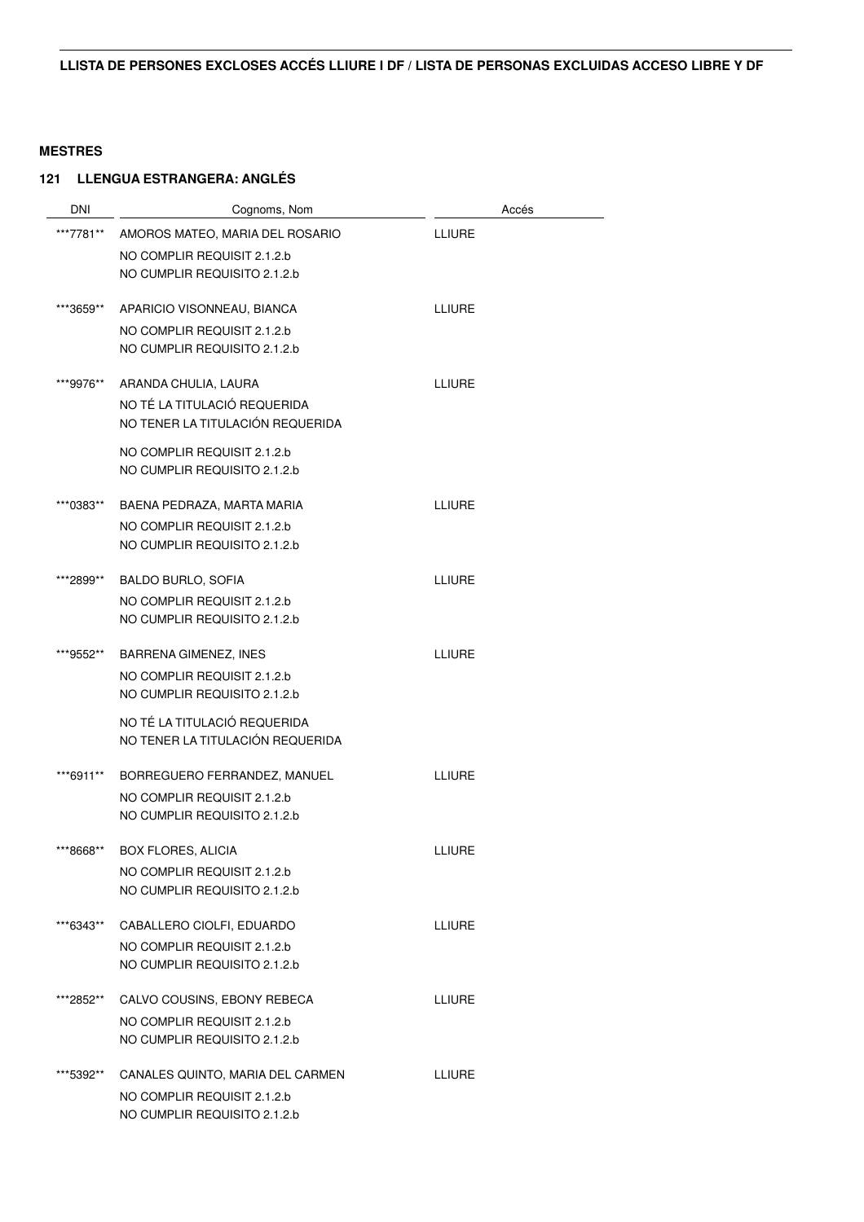| DNI       | Cognoms, Nom                     | Accés         |
|-----------|----------------------------------|---------------|
| ***7781** | AMOROS MATEO, MARIA DEL ROSARIO  | <b>LLIURE</b> |
|           | NO COMPLIR REQUISIT 2.1.2.b      |               |
|           | NO CUMPLIR REQUISITO 2.1.2.b     |               |
| ***3659** | APARICIO VISONNEAU, BIANCA       | <b>LLIURE</b> |
|           | NO COMPLIR REQUISIT 2.1.2.b      |               |
|           | NO CUMPLIR REQUISITO 2.1.2.b     |               |
| ***9976** | ARANDA CHULIA, LAURA             | <b>LLIURE</b> |
|           | NO TÉ LA TITULACIÓ REQUERIDA     |               |
|           | NO TENER LA TITULACIÓN REQUERIDA |               |
|           | NO COMPLIR REQUISIT 2.1.2.b      |               |
|           | NO CUMPLIR REQUISITO 2.1.2.b     |               |
| ***0383** | BAENA PEDRAZA, MARTA MARIA       | <b>LLIURE</b> |
|           | NO COMPLIR REQUISIT 2.1.2.b      |               |
|           | NO CUMPLIR REQUISITO 2.1.2.b     |               |
| ***2899** | <b>BALDO BURLO, SOFIA</b>        | <b>LLIURE</b> |
|           | NO COMPLIR REQUISIT 2.1.2.b      |               |
|           | NO CUMPLIR REQUISITO 2.1.2.b     |               |
| ***9552** | <b>BARRENA GIMENEZ, INES</b>     | <b>LLIURE</b> |
|           | NO COMPLIR REQUISIT 2.1.2.b      |               |
|           | NO CUMPLIR REQUISITO 2.1.2.b     |               |
|           | NO TÉ LA TITULACIÓ REQUERIDA     |               |
|           | NO TENER LA TITULACIÓN REQUERIDA |               |
| ***6911** | BORREGUERO FERRANDEZ, MANUEL     | <b>LLIURE</b> |
|           | NO COMPLIR REQUISIT 2.1.2.b      |               |
|           | NO CUMPLIR REQUISITO 2.1.2.b     |               |
| ***8668** | <b>BOX FLORES, ALICIA</b>        | <b>LLIURE</b> |
|           | NO COMPLIR REQUISIT 2.1.2.b      |               |
|           | NO CUMPLIR REQUISITO 2.1.2.b     |               |
| ***6343** | CABALLERO CIOLFI, EDUARDO        | <b>LLIURE</b> |
|           | NO COMPLIR REQUISIT 2.1.2.b      |               |
|           | NO CUMPLIR REQUISITO 2.1.2.b     |               |
| ***2852** | CALVO COUSINS, EBONY REBECA      | LLIURE        |
|           | NO COMPLIR REQUISIT 2.1.2.b      |               |
|           | NO CUMPLIR REQUISITO 2.1.2.b     |               |
| ***5392** | CANALES QUINTO, MARIA DEL CARMEN | LLIURE        |
|           | NO COMPLIR REQUISIT 2.1.2.b      |               |
|           | NO CUMPLIR REQUISITO 2.1.2.b     |               |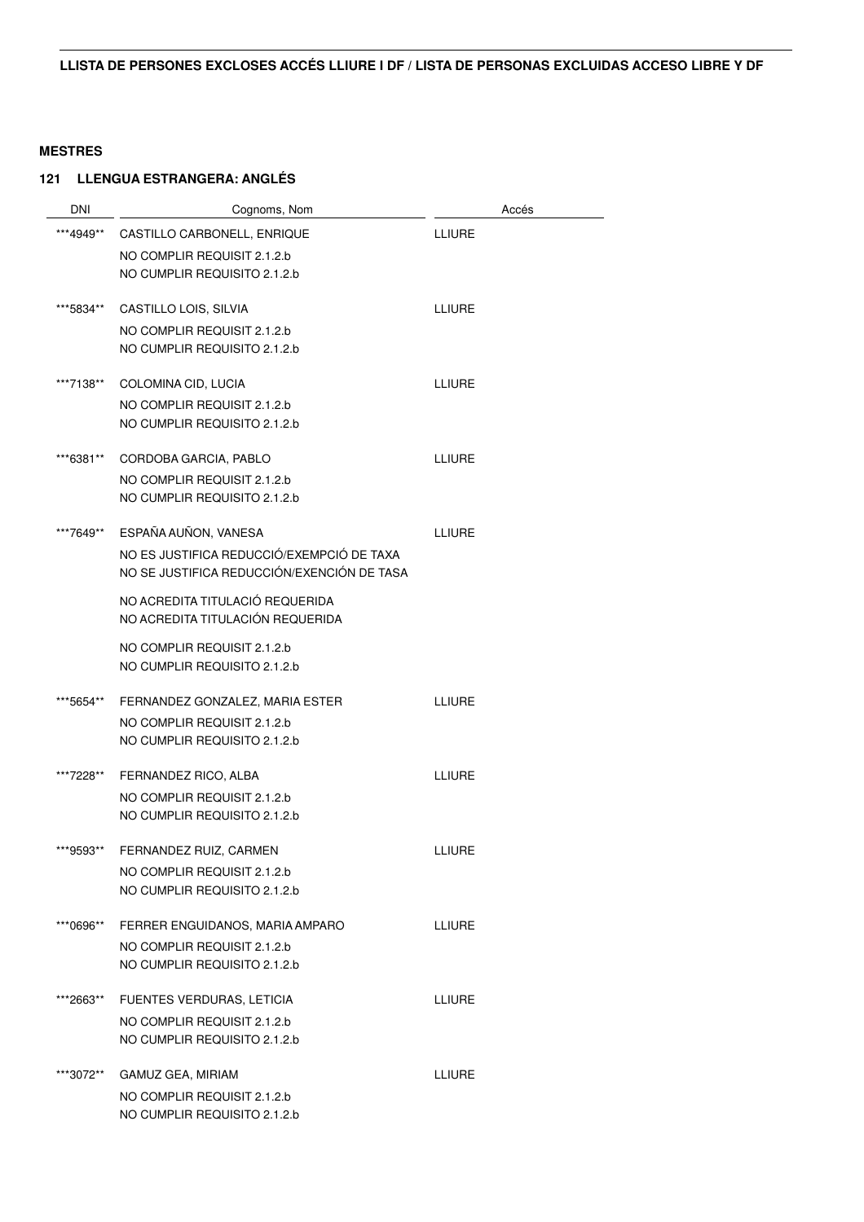| DNI       | Cognoms, Nom                               | Accés         |
|-----------|--------------------------------------------|---------------|
| ***4949** | CASTILLO CARBONELL, ENRIQUE                | <b>LLIURE</b> |
|           | NO COMPLIR REQUISIT 2.1.2.b                |               |
|           | NO CUMPLIR REQUISITO 2.1.2.b               |               |
| ***5834** | CASTILLO LOIS, SILVIA                      | <b>LLIURE</b> |
|           | NO COMPLIR REQUISIT 2.1.2.b                |               |
|           | NO CUMPLIR REQUISITO 2.1.2.b               |               |
| ***7138** | COLOMINA CID, LUCIA                        | <b>LLIURE</b> |
|           | NO COMPLIR REQUISIT 2.1.2.b                |               |
|           | NO CUMPLIR REQUISITO 2.1.2.b               |               |
| ***6381** | CORDOBA GARCIA, PABLO                      | <b>LLIURE</b> |
|           | NO COMPLIR REQUISIT 2.1.2.b                |               |
|           | NO CUMPLIR REQUISITO 2.1.2.b               |               |
| ***7649** | ESPAÑA AUÑON, VANESA                       | <b>LLIURE</b> |
|           | NO ES JUSTIFICA REDUCCIÓ/EXEMPCIÓ DE TAXA  |               |
|           | NO SE JUSTIFICA REDUCCIÓN/EXENCIÓN DE TASA |               |
|           | NO ACREDITA TITULACIÓ REQUERIDA            |               |
|           | NO ACREDITA TITULACIÓN REQUERIDA           |               |
|           | NO COMPLIR REQUISIT 2.1.2.b                |               |
|           | NO CUMPLIR REQUISITO 2.1.2.b               |               |
| ***5654** | FERNANDEZ GONZALEZ, MARIA ESTER            | <b>LLIURE</b> |
|           | NO COMPLIR REQUISIT 2.1.2.b                |               |
|           | NO CUMPLIR REQUISITO 2.1.2.b               |               |
| ***7228** | FERNANDEZ RICO, ALBA                       | <b>LLIURE</b> |
|           | NO COMPLIR REQUISIT 2.1.2.b                |               |
|           | NO CUMPLIR REQUISITO 2.1.2.b               |               |
| ***9593** | FERNANDEZ RUIZ, CARMEN                     | LLIURE        |
|           | NO COMPLIR REQUISIT 2.1.2.b                |               |
|           | NO CUMPLIR REQUISITO 2.1.2.b               |               |
| ***0696** | FERRER ENGUIDANOS, MARIA AMPARO            | <b>LLIURE</b> |
|           | NO COMPLIR REQUISIT 2.1.2.b                |               |
|           | NO CUMPLIR REQUISITO 2.1.2.b               |               |
| ***2663** | FUENTES VERDURAS, LETICIA                  | LLIURE        |
|           | NO COMPLIR REQUISIT 2.1.2.b                |               |
|           | NO CUMPLIR REQUISITO 2.1.2.b               |               |
| ***3072** | GAMUZ GEA, MIRIAM                          | LLIURE        |
|           | NO COMPLIR REQUISIT 2.1.2.b                |               |
|           | NO CUMPLIR REQUISITO 2.1.2.b               |               |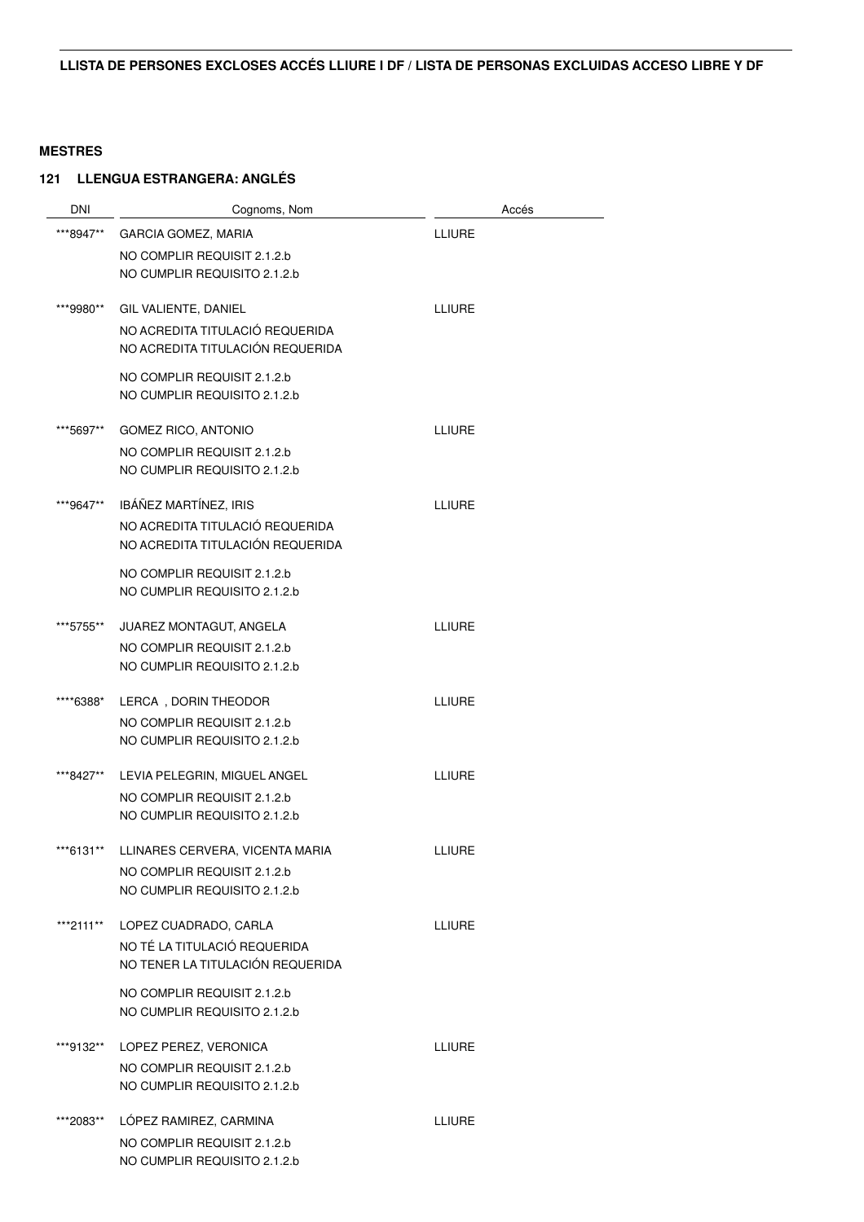| <b>DNI</b> | Cognoms, Nom                                            | Accés         |
|------------|---------------------------------------------------------|---------------|
| ***8947**  | GARCIA GOMEZ, MARIA                                     | <b>LLIURE</b> |
|            | NO COMPLIR REQUISIT 2.1.2.b                             |               |
|            | NO CUMPLIR REQUISITO 2.1.2.b                            |               |
|            |                                                         | <b>LLIURE</b> |
| ***9980**  | GIL VALIENTE, DANIEL<br>NO ACREDITA TITULACIÓ REQUERIDA |               |
|            | NO ACREDITA TITULACIÓN REQUERIDA                        |               |
|            | NO COMPLIR REQUISIT 2.1.2.b                             |               |
|            | NO CUMPLIR REQUISITO 2.1.2.b                            |               |
| ***5697**  | <b>GOMEZ RICO, ANTONIO</b>                              | <b>LLIURE</b> |
|            | NO COMPLIR REQUISIT 2.1.2.b                             |               |
|            | NO CUMPLIR REQUISITO 2.1.2.b                            |               |
| ***9647**  | IBÁÑEZ MARTÍNEZ, IRIS                                   | <b>LLIURE</b> |
|            | NO ACREDITA TITULACIÓ REQUERIDA                         |               |
|            | NO ACREDITA TITULACIÓN REQUERIDA                        |               |
|            | NO COMPLIR REQUISIT 2.1.2.b                             |               |
|            | NO CUMPLIR REQUISITO 2.1.2.b                            |               |
| ***5755**  | JUAREZ MONTAGUT, ANGELA                                 | <b>LLIURE</b> |
|            | NO COMPLIR REQUISIT 2.1.2.b                             |               |
|            | NO CUMPLIR REQUISITO 2.1.2.b                            |               |
| ****6388*  | LERCA, DORIN THEODOR                                    | <b>LLIURE</b> |
|            | NO COMPLIR REQUISIT 2.1.2.b                             |               |
|            | NO CUMPLIR REQUISITO 2.1.2.b                            |               |
| ***8427**  | LEVIA PELEGRIN, MIGUEL ANGEL                            | <b>LLIURE</b> |
|            | NO COMPLIR REQUISIT 2.1.2.b                             |               |
|            | NO CUMPLIR REQUISITO 2.1.2.b                            |               |
| ***6131**  | LLINARES CERVERA, VICENTA MARIA                         | LLIURE        |
|            | NO COMPLIR REQUISIT 2.1.2.b                             |               |
|            | NO CUMPLIR REQUISITO 2.1.2.b                            |               |
|            | ***2111** LOPEZ CUADRADO, CARLA                         | <b>LLIURE</b> |
|            | NO TÉ LA TITULACIÓ REQUERIDA                            |               |
|            | NO TENER LA TITULACIÓN REQUERIDA                        |               |
|            | NO COMPLIR REQUISIT 2.1.2.b                             |               |
|            | NO CUMPLIR REQUISITO 2.1.2.b                            |               |
| ***9132**  | LOPEZ PEREZ, VERONICA                                   | <b>LLIURE</b> |
|            | NO COMPLIR REQUISIT 2.1.2.b                             |               |
|            | NO CUMPLIR REQUISITO 2.1.2.b                            |               |
| ***2083**  | LÓPEZ RAMIREZ, CARMINA                                  | LLIURE        |
|            | NO COMPLIR REQUISIT 2.1.2.b                             |               |
|            | NO CUMPLIR REQUISITO 2.1.2.b                            |               |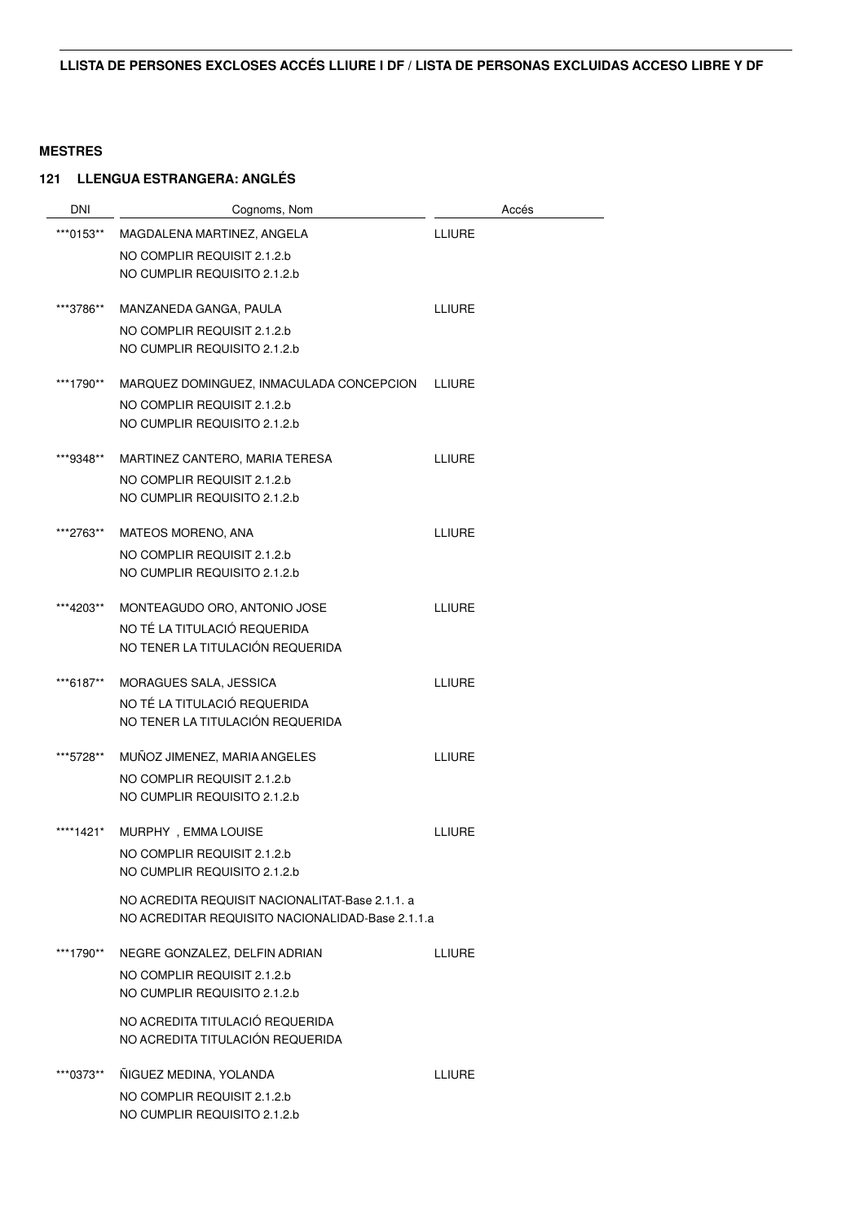| <b>DNI</b> | Cognoms, Nom                                     | Accés         |
|------------|--------------------------------------------------|---------------|
| ***0153**  | MAGDALENA MARTINEZ, ANGELA                       | <b>LLIURE</b> |
|            | NO COMPLIR REQUISIT 2.1.2.b                      |               |
|            | NO CUMPLIR REQUISITO 2.1.2.b                     |               |
| ***3786**  | MANZANEDA GANGA, PAULA                           | <b>LLIURE</b> |
|            | NO COMPLIR REQUISIT 2.1.2.b                      |               |
|            | NO CUMPLIR REQUISITO 2.1.2.b                     |               |
| ***1790**  | MARQUEZ DOMINGUEZ, INMACULADA CONCEPCION         | LLIURE        |
|            | NO COMPLIR REQUISIT 2.1.2.b                      |               |
|            | NO CUMPLIR REQUISITO 2.1.2.b                     |               |
| ***9348**  | MARTINEZ CANTERO, MARIA TERESA                   | <b>LLIURE</b> |
|            | NO COMPLIR REQUISIT 2.1.2.b                      |               |
|            | NO CUMPLIR REQUISITO 2.1.2.b                     |               |
| ***2763**  | MATEOS MORENO, ANA                               | <b>LLIURE</b> |
|            | NO COMPLIR REQUISIT 2.1.2.b                      |               |
|            | NO CUMPLIR REQUISITO 2.1.2.b                     |               |
| ***4203**  | MONTEAGUDO ORO, ANTONIO JOSE                     | LLIURE        |
|            | NO TÉ LA TITULACIÓ REQUERIDA                     |               |
|            | NO TENER LA TITULACIÓN REQUERIDA                 |               |
| ***6187**  | MORAGUES SALA, JESSICA                           | <b>LLIURE</b> |
|            | NO TÉ LA TITULACIÓ REQUERIDA                     |               |
|            | NO TENER LA TITULACIÓN REQUERIDA                 |               |
| ***5728**  | MUÑOZ JIMENEZ, MARIA ANGELES                     | <b>LLIURE</b> |
|            | NO COMPLIR REQUISIT 2.1.2.b                      |               |
|            | NO CUMPLIR REQUISITO 2.1.2.b                     |               |
| ****1421*  | MURPHY, EMMA LOUISE                              | <b>LLIURE</b> |
|            | NO COMPLIR REQUISIT 2.1.2.b                      |               |
|            | NO CUMPLIR REQUISITO 2.1.2.b                     |               |
|            | NO ACREDITA REQUISIT NACIONALITAT-Base 2.1.1. a  |               |
|            | NO ACREDITAR REQUISITO NACIONALIDAD-Base 2.1.1.a |               |
| ***1790**  | NEGRE GONZALEZ, DELFIN ADRIAN                    | <b>LLIURE</b> |
|            | NO COMPLIR REQUISIT 2.1.2.b                      |               |
|            | NO CUMPLIR REQUISITO 2.1.2.b                     |               |
|            | NO ACREDITA TITULACIÓ REQUERIDA                  |               |
|            | NO ACREDITA TITULACIÓN REQUERIDA                 |               |
| ***0373**  | ÑIGUEZ MEDINA, YOLANDA                           | <b>LLIURE</b> |
|            | NO COMPLIR REQUISIT 2.1.2.b                      |               |
|            | NO CUMPLIR REQUISITO 2.1.2.b                     |               |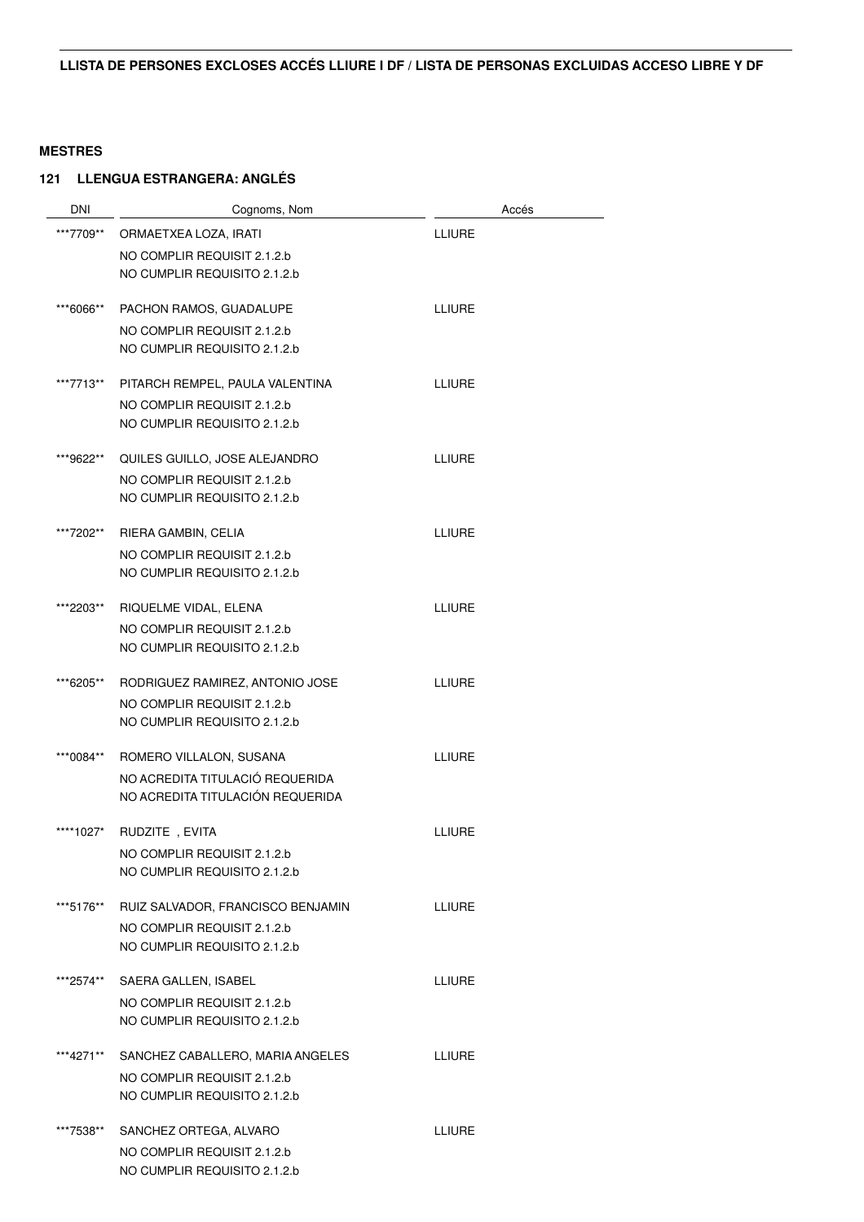| <b>DNI</b> | Cognoms, Nom                      | Accés         |
|------------|-----------------------------------|---------------|
| ***7709**  | ORMAETXEA LOZA, IRATI             | <b>LLIURE</b> |
|            | NO COMPLIR REQUISIT 2.1.2.b       |               |
|            | NO CUMPLIR REQUISITO 2.1.2.b      |               |
| ***6066**  | PACHON RAMOS, GUADALUPE           | <b>LLIURE</b> |
|            | NO COMPLIR REQUISIT 2.1.2.b       |               |
|            | NO CUMPLIR REQUISITO 2.1.2.b      |               |
| ***7713**  | PITARCH REMPEL, PAULA VALENTINA   | <b>LLIURE</b> |
|            | NO COMPLIR REQUISIT 2.1.2.b       |               |
|            | NO CUMPLIR REQUISITO 2.1.2.b      |               |
| ***9622**  | QUILES GUILLO, JOSE ALEJANDRO     | <b>LLIURE</b> |
|            | NO COMPLIR REQUISIT 2.1.2.b       |               |
|            | NO CUMPLIR REQUISITO 2.1.2.b      |               |
| ***7202**  | RIERA GAMBIN, CELIA               | <b>LLIURE</b> |
|            | NO COMPLIR REQUISIT 2.1.2.b       |               |
|            | NO CUMPLIR REQUISITO 2.1.2.b      |               |
| ***2203**  | RIQUELME VIDAL, ELENA             | <b>LLIURE</b> |
|            | NO COMPLIR REQUISIT 2.1.2.b       |               |
|            | NO CUMPLIR REQUISITO 2.1.2.b      |               |
| ***6205**  | RODRIGUEZ RAMIREZ, ANTONIO JOSE   | <b>LLIURE</b> |
|            | NO COMPLIR REQUISIT 2.1.2.b       |               |
|            | NO CUMPLIR REQUISITO 2.1.2.b      |               |
| ***0084**  | ROMERO VILLALON, SUSANA           | <b>LLIURE</b> |
|            | NO ACREDITA TITULACIÓ REQUERIDA   |               |
|            | NO ACREDITA TITULACIÓN REQUERIDA  |               |
| ****1027*  | RUDZITE, EVITA                    | <b>LLIURE</b> |
|            | NO COMPLIR REQUISIT 2.1.2.b       |               |
|            | NO CUMPLIR REQUISITO 2.1.2.b      |               |
| ***5176**  | RUIZ SALVADOR, FRANCISCO BENJAMIN | <b>LLIURE</b> |
|            | NO COMPLIR REQUISIT 2.1.2.b       |               |
|            | NO CUMPLIR REQUISITO 2.1.2.b      |               |
| ***2574**  | SAERA GALLEN, ISABEL              | <b>LLIURE</b> |
|            | NO COMPLIR REQUISIT 2.1.2.b       |               |
|            | NO CUMPLIR REQUISITO 2.1.2.b      |               |
| ***4271**  | SANCHEZ CABALLERO, MARIA ANGELES  | <b>LLIURE</b> |
|            | NO COMPLIR REQUISIT 2.1.2.b       |               |
|            | NO CUMPLIR REQUISITO 2.1.2.b      |               |
| ***7538**  | SANCHEZ ORTEGA, ALVARO            | <b>LLIURE</b> |
|            | NO COMPLIR REQUISIT 2.1.2.b       |               |
|            | NO CUMPLIR REQUISITO 2.1.2.b      |               |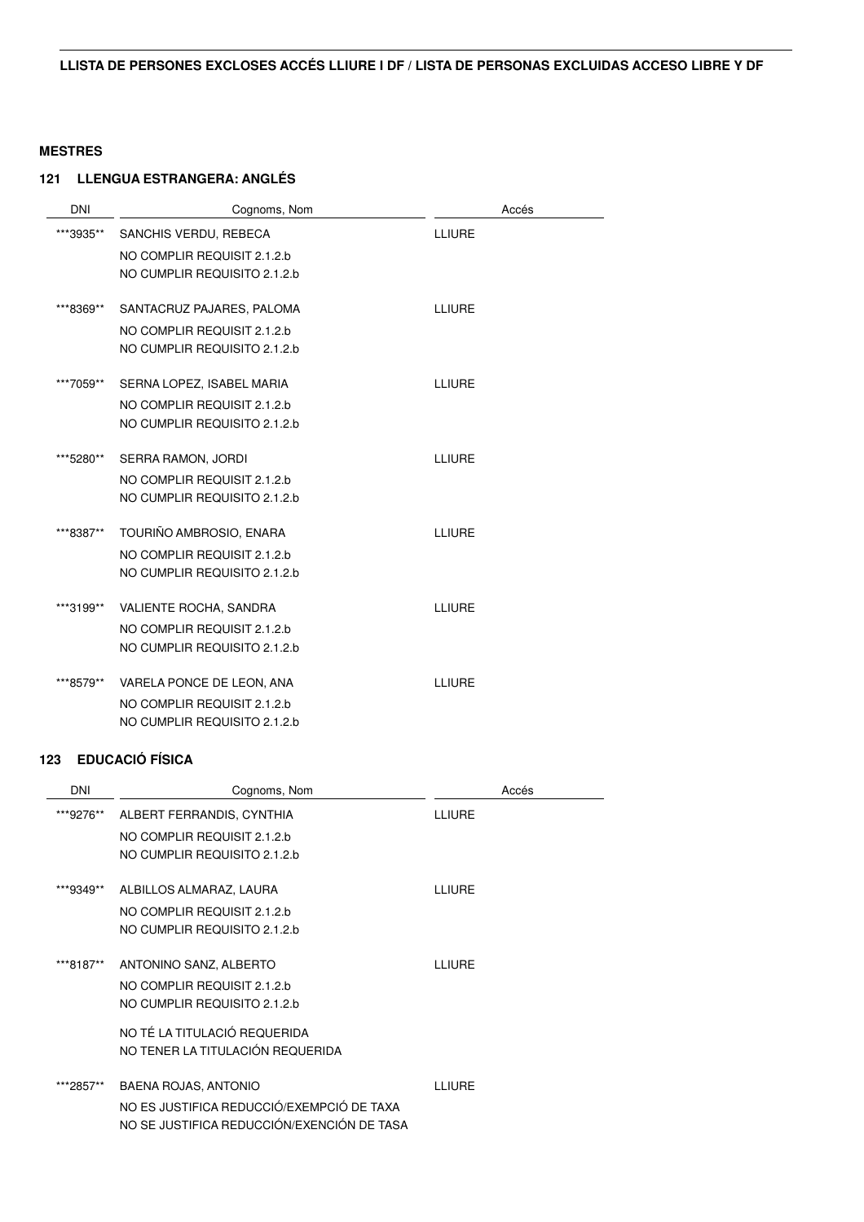#### **121 LLENGUA ESTRANGERA: ANGLÉS**

| <b>DNI</b> | Cognoms, Nom                 | Accés         |
|------------|------------------------------|---------------|
| ***3935**  | SANCHIS VERDU, REBECA        | <b>LLIURE</b> |
|            | NO COMPLIR REQUISIT 2.1.2.b  |               |
|            | NO CUMPLIR REQUISITO 2.1.2.b |               |
|            |                              |               |
| ***8369**  | SANTACRUZ PAJARES, PALOMA    | <b>LLIURE</b> |
|            | NO COMPLIR REQUISIT 2.1.2.b  |               |
|            | NO CUMPLIR REQUISITO 2.1.2.b |               |
| ***7059**  | SERNA LOPEZ, ISABEL MARIA    | <b>LLIURE</b> |
|            | NO COMPLIR REQUISIT 2.1.2.b  |               |
|            | NO CUMPLIR REQUISITO 2.1.2.b |               |
|            |                              |               |
| ***5280**  | SERRA RAMON, JORDI           | <b>LLIURE</b> |
|            | NO COMPLIR REQUISIT 2.1.2.b  |               |
|            | NO CUMPLIR REQUISITO 2.1.2.b |               |
| ***8387**  | TOURIÑO AMBROSIO, ENARA      | <b>LLIURE</b> |
|            |                              |               |
|            | NO COMPLIR REQUISIT 2.1.2.b  |               |
|            | NO CUMPLIR REQUISITO 2.1.2.b |               |
| ***3199**  | VALIENTE ROCHA, SANDRA       | <b>LLIURE</b> |
|            | NO COMPLIR REQUISIT 2.1.2.b  |               |
|            | NO CUMPLIR REQUISITO 2.1.2.b |               |
|            |                              |               |
| ***8579**  | VARELA PONCE DE LEON, ANA    | <b>LLIURE</b> |
|            | NO COMPLIR REQUISIT 2.1.2.b  |               |
|            | NO CUMPLIR REQUISITO 2.1.2.b |               |

#### **123 EDUCACIÓ FÍSICA**

| <b>DNI</b> | Cognoms, Nom                               | Accés         |
|------------|--------------------------------------------|---------------|
| ***9276**  | ALBERT FERRANDIS, CYNTHIA                  | LLIURE        |
|            | NO COMPLIR REQUISIT 2.1.2.b                |               |
|            | NO CUMPLIR REQUISITO 2.1.2.b               |               |
| ***9349**  | ALBILLOS ALMARAZ, LAURA                    | LLIURE        |
|            | NO COMPLIR REQUISIT 2.1.2.b                |               |
|            | NO CUMPLIR REQUISITO 2.1.2.b               |               |
| ***8187**  | ANTONINO SANZ, ALBERTO                     | LLIURE        |
|            | NO COMPLIR REQUISIT 2.1.2.b                |               |
|            | NO CUMPLIR REQUISITO 2.1.2.b               |               |
|            | NO TÉ LA TITULACIÓ REQUERIDA               |               |
|            | NO TENER LA TITULACIÓN REQUERIDA           |               |
| ***2857**  | BAENA ROJAS, ANTONIO                       | <b>LLIURE</b> |
|            | NO ES JUSTIFICA REDUCCIÓ/EXEMPCIÓ DE TAXA  |               |
|            | NO SE JUSTIFICA REDUCCIÓN/EXENCIÓN DE TASA |               |
|            |                                            |               |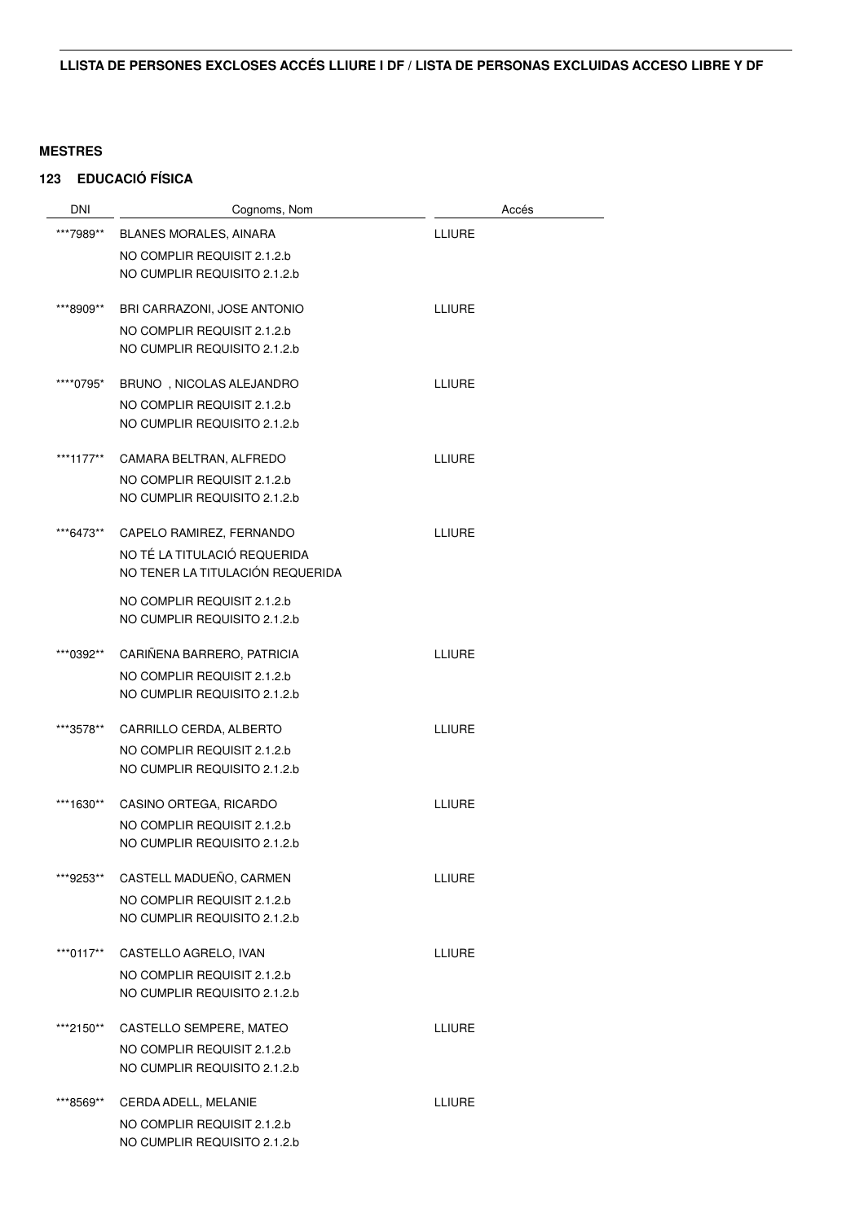## **123 EDUCACIÓ FÍSICA**

| DNI       | Cognoms, Nom                     |               | Accés |
|-----------|----------------------------------|---------------|-------|
| ***7989** | BLANES MORALES, AINARA           | LLIURE        |       |
|           | NO COMPLIR REQUISIT 2.1.2.b      |               |       |
|           | NO CUMPLIR REQUISITO 2.1.2.b     |               |       |
| ***8909** | BRI CARRAZONI, JOSE ANTONIO      | <b>LLIURE</b> |       |
|           | NO COMPLIR REQUISIT 2.1.2.b      |               |       |
|           | NO CUMPLIR REQUISITO 2.1.2.b     |               |       |
| ****0795* | BRUNO, NICOLAS ALEJANDRO         | LLIURE        |       |
|           | NO COMPLIR REQUISIT 2.1.2.b      |               |       |
|           | NO CUMPLIR REQUISITO 2.1.2.b     |               |       |
| ***1177** | CAMARA BELTRAN, ALFREDO          | LLIURE        |       |
|           | NO COMPLIR REQUISIT 2.1.2.b      |               |       |
|           | NO CUMPLIR REQUISITO 2.1.2.b     |               |       |
| ***6473** | CAPELO RAMIREZ, FERNANDO         | <b>LLIURE</b> |       |
|           | NO TÉ LA TITULACIÓ REQUERIDA     |               |       |
|           | NO TENER LA TITULACIÓN REQUERIDA |               |       |
|           | NO COMPLIR REQUISIT 2.1.2.b      |               |       |
|           | NO CUMPLIR REQUISITO 2.1.2.b     |               |       |
| ***0392** | CARIÑENA BARRERO, PATRICIA       | <b>LLIURE</b> |       |
|           | NO COMPLIR REQUISIT 2.1.2.b      |               |       |
|           | NO CUMPLIR REQUISITO 2.1.2.b     |               |       |
| ***3578** | CARRILLO CERDA, ALBERTO          | LLIURE        |       |
|           | NO COMPLIR REQUISIT 2.1.2.b      |               |       |
|           | NO CUMPLIR REQUISITO 2.1.2.b     |               |       |
| ***1630** | CASINO ORTEGA, RICARDO           | LLIURE        |       |
|           | NO COMPLIR REQUISIT 2.1.2.b      |               |       |
|           | NO CUMPLIR REQUISITO 2.1.2.b     |               |       |
| ***9253** | CASTELL MADUEÑO, CARMEN          | <b>LLIURE</b> |       |
|           | NO COMPLIR REQUISIT 2.1.2.b      |               |       |
|           | NO CUMPLIR REQUISITO 2.1.2.b     |               |       |
| ***0117** | CASTELLO AGRELO, IVAN            | <b>LLIURE</b> |       |
|           | NO COMPLIR REQUISIT 2.1.2.b      |               |       |
|           | NO CUMPLIR REQUISITO 2.1.2.b     |               |       |
| ***2150** | CASTELLO SEMPERE, MATEO          | <b>LLIURE</b> |       |
|           | NO COMPLIR REQUISIT 2.1.2.b      |               |       |
|           | NO CUMPLIR REQUISITO 2.1.2.b     |               |       |
| ***8569** | CERDA ADELL, MELANIE             | <b>LLIURE</b> |       |
|           | NO COMPLIR REQUISIT 2.1.2.b      |               |       |
|           | NO CUMPLIR REQUISITO 2.1.2.b     |               |       |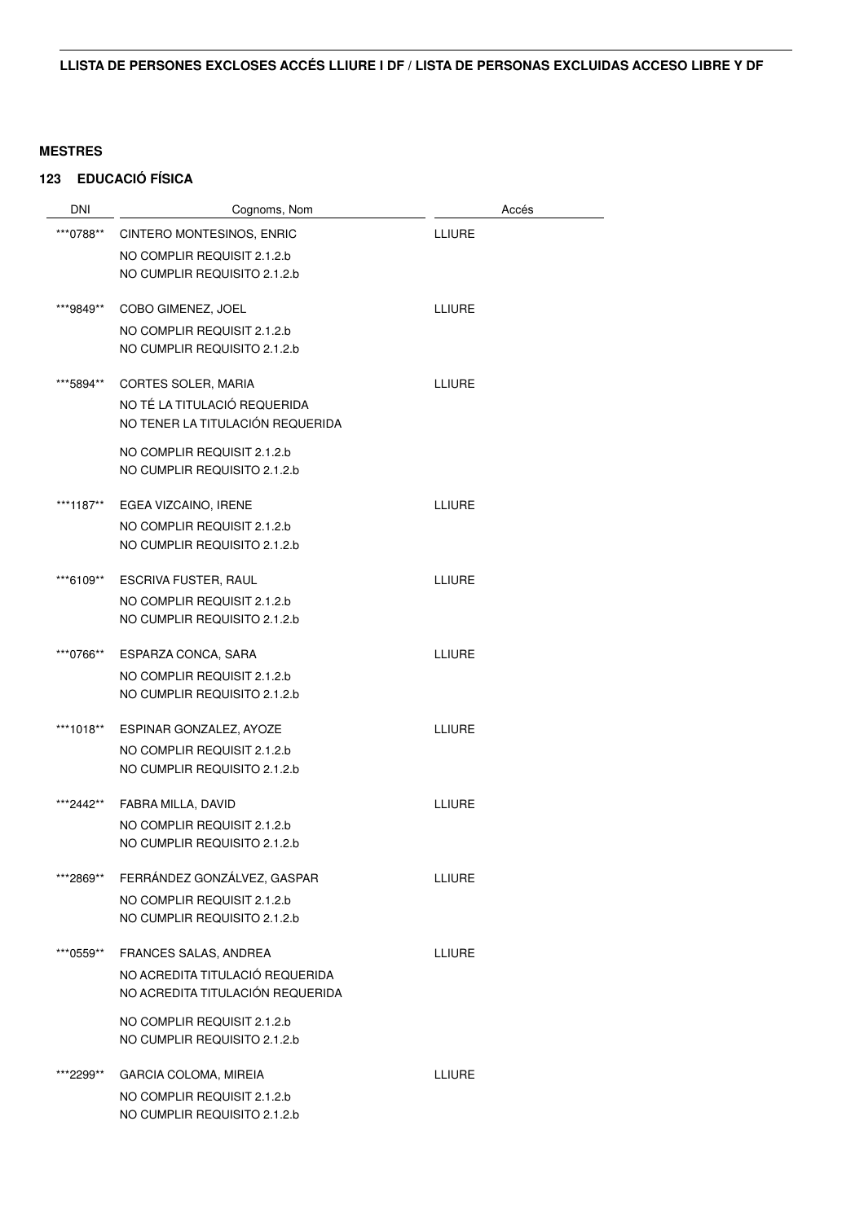# **123 EDUCACIÓ FÍSICA**

| <b>DNI</b> | Cognoms, Nom                                                | Accés         |
|------------|-------------------------------------------------------------|---------------|
| ***0788**  | CINTERO MONTESINOS, ENRIC                                   | <b>LLIURE</b> |
|            | NO COMPLIR REQUISIT 2.1.2.b                                 |               |
|            | NO CUMPLIR REQUISITO 2.1.2.b                                |               |
|            | COBO GIMENEZ, JOEL                                          | <b>LLIURE</b> |
| ***9849**  |                                                             |               |
|            | NO COMPLIR REQUISIT 2.1.2.b<br>NO CUMPLIR REQUISITO 2.1.2.b |               |
|            |                                                             |               |
| ***5894**  | CORTES SOLER, MARIA                                         | <b>LLIURE</b> |
|            | NO TÉ LA TITULACIÓ REQUERIDA                                |               |
|            | NO TENER LA TITULACIÓN REQUERIDA                            |               |
|            | NO COMPLIR REQUISIT 2.1.2.b                                 |               |
|            | NO CUMPLIR REQUISITO 2.1.2.b                                |               |
| ***1187**  | EGEA VIZCAINO, IRENE                                        | <b>LLIURE</b> |
|            | NO COMPLIR REQUISIT 2.1.2.b                                 |               |
|            | NO CUMPLIR REQUISITO 2.1.2.b                                |               |
|            |                                                             |               |
| ***6109**  | <b>ESCRIVA FUSTER, RAUL</b>                                 | <b>LLIURE</b> |
|            | NO COMPLIR REQUISIT 2.1.2.b                                 |               |
|            | NO CUMPLIR REQUISITO 2.1.2.b                                |               |
| ***0766**  | ESPARZA CONCA, SARA                                         | <b>LLIURE</b> |
|            | NO COMPLIR REQUISIT 2.1.2.b                                 |               |
|            | NO CUMPLIR REQUISITO 2.1.2.b                                |               |
| ***1018**  | ESPINAR GONZALEZ, AYOZE                                     | <b>LLIURE</b> |
|            | NO COMPLIR REQUISIT 2.1.2.b                                 |               |
|            | NO CUMPLIR REQUISITO 2.1.2.b                                |               |
| ***2442**  | FABRA MILLA, DAVID                                          | <b>LLIURE</b> |
|            | NO COMPLIR REQUISIT 2.1.2.b                                 |               |
|            | NO CUMPLIR REQUISITO 2.1.2.b                                |               |
|            |                                                             |               |
| ***2869**  | FERRÁNDEZ GONZÁLVEZ, GASPAR                                 | <b>LLIURE</b> |
|            | NO COMPLIR REQUISIT 2.1.2.b                                 |               |
|            | NO CUMPLIR REQUISITO 2.1.2.b                                |               |
| ***0559**  | FRANCES SALAS, ANDREA                                       | <b>LLIURE</b> |
|            | NO ACREDITA TITULACIÓ REQUERIDA                             |               |
|            | NO ACREDITA TITULACIÓN REQUERIDA                            |               |
|            | NO COMPLIR REQUISIT 2.1.2.b                                 |               |
|            | NO CUMPLIR REQUISITO 2.1.2.b                                |               |
| ***2299**  | <b>GARCIA COLOMA, MIREIA</b>                                | <b>LLIURE</b> |
|            | NO COMPLIR REQUISIT 2.1.2.b                                 |               |
|            | NO CUMPLIR REQUISITO 2.1.2.b                                |               |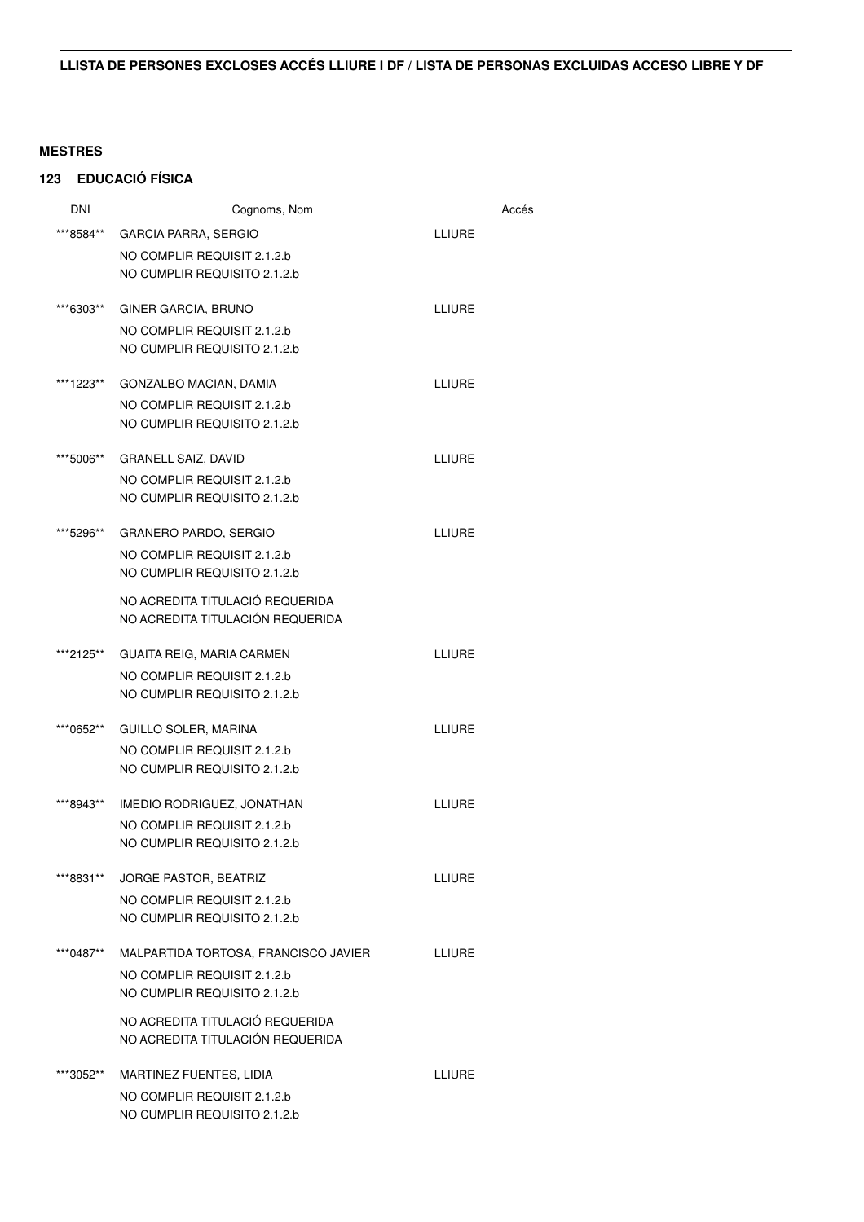# **123 EDUCACIÓ FÍSICA**

| <b>DNI</b> | Cognoms, Nom                         | Accés         |
|------------|--------------------------------------|---------------|
| ***8584**  | <b>GARCIA PARRA, SERGIO</b>          | <b>LLIURE</b> |
|            | NO COMPLIR REQUISIT 2.1.2.b          |               |
|            | NO CUMPLIR REQUISITO 2.1.2.b         |               |
| ***6303**  | <b>GINER GARCIA, BRUNO</b>           | <b>LLIURE</b> |
|            | NO COMPLIR REQUISIT 2.1.2.b          |               |
|            | NO CUMPLIR REQUISITO 2.1.2.b         |               |
| ***1223**  | GONZALBO MACIAN, DAMIA               | <b>LLIURE</b> |
|            | NO COMPLIR REQUISIT 2.1.2.b          |               |
|            | NO CUMPLIR REQUISITO 2.1.2.b         |               |
| ***5006**  | <b>GRANELL SAIZ, DAVID</b>           | <b>LLIURE</b> |
|            | NO COMPLIR REQUISIT 2.1.2.b          |               |
|            | NO CUMPLIR REQUISITO 2.1.2.b         |               |
| ***5296**  | <b>GRANERO PARDO, SERGIO</b>         | <b>LLIURE</b> |
|            | NO COMPLIR REQUISIT 2.1.2.b          |               |
|            | NO CUMPLIR REQUISITO 2.1.2.b         |               |
|            | NO ACREDITA TITULACIÓ REQUERIDA      |               |
|            | NO ACREDITA TITULACIÓN REQUERIDA     |               |
| ***2125**  | <b>GUAITA REIG, MARIA CARMEN</b>     | <b>LLIURE</b> |
|            | NO COMPLIR REQUISIT 2.1.2.b          |               |
|            | NO CUMPLIR REQUISITO 2.1.2.b         |               |
| ***0652**  | <b>GUILLO SOLER, MARINA</b>          | <b>LLIURE</b> |
|            | NO COMPLIR REQUISIT 2.1.2.b          |               |
|            | NO CUMPLIR REQUISITO 2.1.2.b         |               |
| ***8943**  | IMEDIO RODRIGUEZ, JONATHAN           | <b>LLIURE</b> |
|            | NO COMPLIR REQUISIT 2.1.2.b          |               |
|            | NO CUMPLIR REQUISITO 2.1.2.b         |               |
| ***8831**  | JORGE PASTOR, BEATRIZ                | <b>ITIURE</b> |
|            | NO COMPLIR REQUISIT 2.1.2.b          |               |
|            | NO CUMPLIR REQUISITO 2.1.2.b         |               |
| ***0487**  | MALPARTIDA TORTOSA, FRANCISCO JAVIER | <b>LLIURE</b> |
|            | NO COMPLIR REQUISIT 2.1.2.b          |               |
|            | NO CUMPLIR REQUISITO 2.1.2.b         |               |
|            | NO ACREDITA TITULACIÓ REQUERIDA      |               |
|            | NO ACREDITA TITULACIÓN REQUERIDA     |               |
| ***3052**  | MARTINEZ FUENTES, LIDIA              | <b>LLIURE</b> |
|            | NO COMPLIR REQUISIT 2.1.2.b          |               |
|            | NO CUMPLIR REQUISITO 2.1.2.b         |               |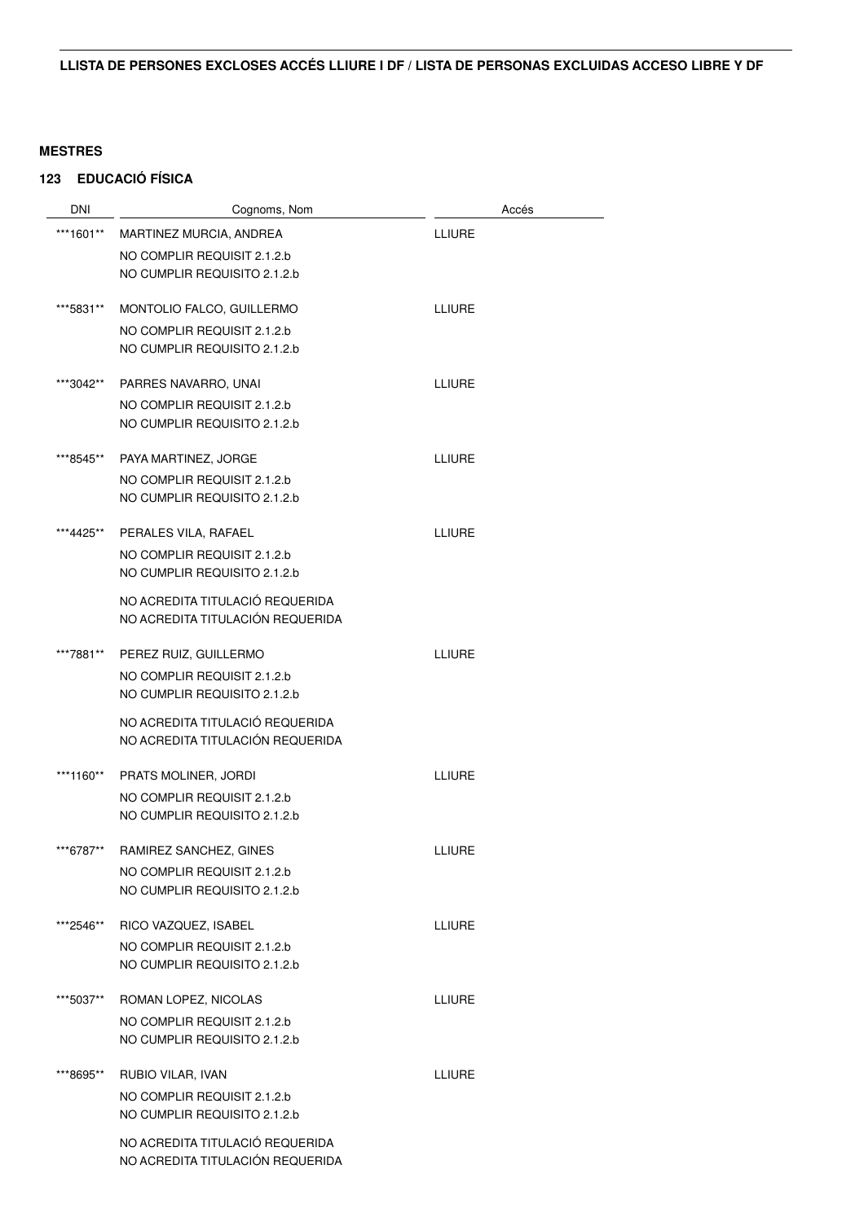## **123 EDUCACIÓ FÍSICA**

| <b>DNI</b> | Cognoms, Nom                                                        |               | Accés |
|------------|---------------------------------------------------------------------|---------------|-------|
| ***1601**  | MARTINEZ MURCIA, ANDREA                                             | <b>LLIURE</b> |       |
|            | NO COMPLIR REQUISIT 2.1.2.b                                         |               |       |
|            | NO CUMPLIR REQUISITO 2.1.2.b                                        |               |       |
| ***5831**  | MONTOLIO FALCO, GUILLERMO                                           | <b>LLIURE</b> |       |
|            | NO COMPLIR REQUISIT 2.1.2.b                                         |               |       |
|            | NO CUMPLIR REQUISITO 2.1.2.b                                        |               |       |
| ***3042**  | PARRES NAVARRO, UNAI                                                | LLIURE        |       |
|            | NO COMPLIR REQUISIT 2.1.2.b                                         |               |       |
|            | NO CUMPLIR REQUISITO 2.1.2.b                                        |               |       |
| ***8545**  | PAYA MARTINEZ, JORGE                                                | <b>LLIURE</b> |       |
|            | NO COMPLIR REQUISIT 2.1.2.b                                         |               |       |
|            | NO CUMPLIR REQUISITO 2.1.2.b                                        |               |       |
| ***4425**  | PERALES VILA, RAFAEL                                                | <b>LLIURE</b> |       |
|            | NO COMPLIR REQUISIT 2.1.2.b                                         |               |       |
|            | NO CUMPLIR REQUISITO 2.1.2.b                                        |               |       |
|            | NO ACREDITA TITULACIÓ REQUERIDA                                     |               |       |
|            | NO ACREDITA TITULACIÓN REQUERIDA                                    |               |       |
| ***7881**  | PEREZ RUIZ, GUILLERMO                                               | <b>LLIURE</b> |       |
|            | NO COMPLIR REQUISIT 2.1.2.b                                         |               |       |
|            | NO CUMPLIR REQUISITO 2.1.2.b                                        |               |       |
|            | NO ACREDITA TITULACIÓ REQUERIDA<br>NO ACREDITA TITULACIÓN REQUERIDA |               |       |
|            |                                                                     |               |       |
| ***1160**  | PRATS MOLINER, JORDI                                                | <b>LLIURE</b> |       |
|            | NO COMPLIR REQUISIT 2.1.2.b                                         |               |       |
|            | NO CUMPLIR REQUISITO 2.1.2.b                                        |               |       |
| ***6787**  | RAMIREZ SANCHEZ, GINES                                              | <b>LLIURE</b> |       |
|            | NO COMPLIR REQUISIT 2.1.2.b                                         |               |       |
|            | NO CUMPLIR REQUISITO 2.1.2.b                                        |               |       |
| ***2546**  | RICO VAZQUEZ, ISABEL                                                | <b>LLIURE</b> |       |
|            | NO COMPLIR REQUISIT 2.1.2.b                                         |               |       |
|            | NO CUMPLIR REQUISITO 2.1.2.b                                        |               |       |
| ***5037**  | ROMAN LOPEZ, NICOLAS                                                | LLIURE        |       |
|            | NO COMPLIR REQUISIT 2.1.2.b                                         |               |       |
|            | NO CUMPLIR REQUISITO 2.1.2.b                                        |               |       |
| ***8695**  | RUBIO VILAR, IVAN                                                   | LLIURE        |       |
|            | NO COMPLIR REQUISIT 2.1.2.b                                         |               |       |
|            | NO CUMPLIR REQUISITO 2.1.2.b                                        |               |       |
|            | NO ACREDITA TITULACIÓ REQUERIDA                                     |               |       |
|            | NO ACREDITA TITULACIÓN REQUERIDA                                    |               |       |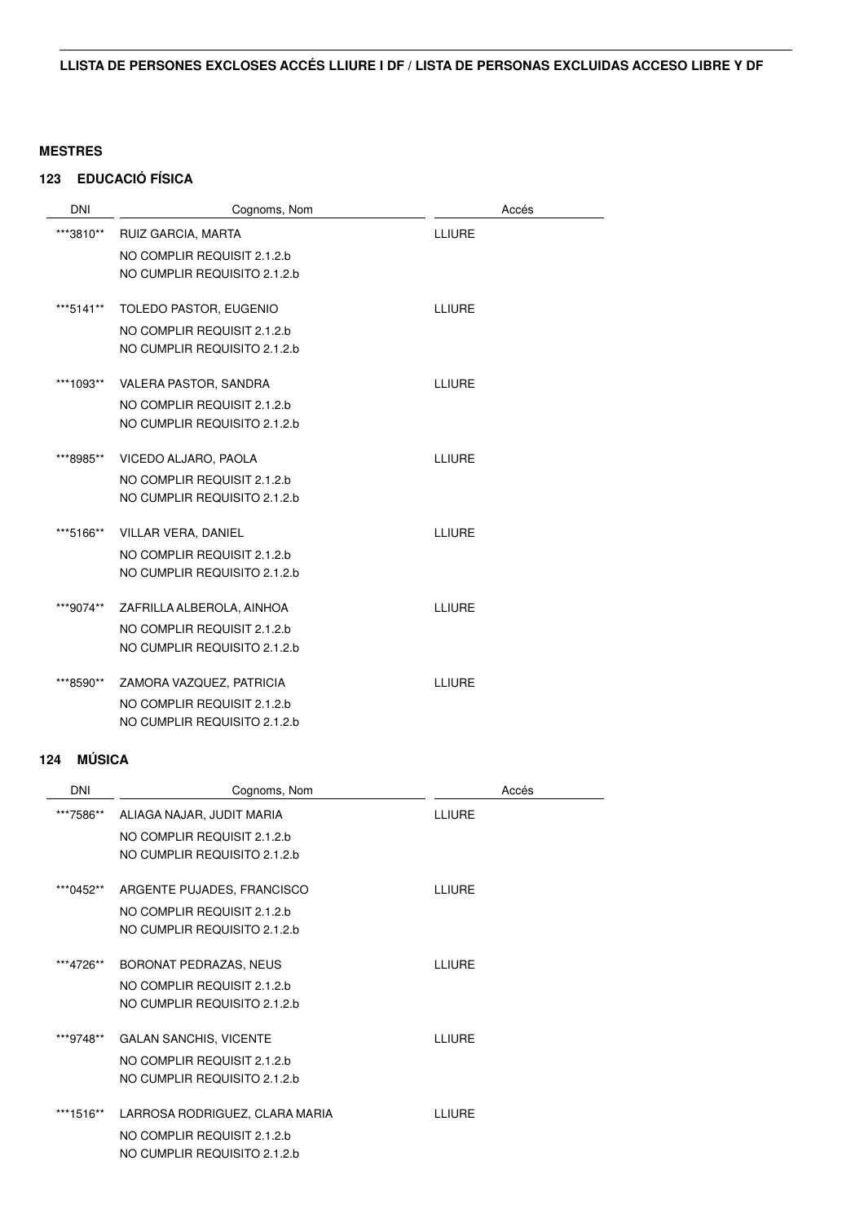# **123 EDUCACIÓ FÍSICA**

| <b>DNI</b> | Cognoms, Nom                 | Accés         |
|------------|------------------------------|---------------|
| ***3810**  | RUIZ GARCIA, MARTA           | LLIURE        |
|            | NO COMPLIR REQUISIT 2.1.2.b  |               |
|            | NO CUMPLIR REQUISITO 2.1.2.b |               |
|            |                              |               |
| ***5141**  | TOLEDO PASTOR, EUGENIO       | LLIURE        |
|            | NO COMPLIR REQUISIT 2.1.2.b  |               |
|            | NO CUMPLIR REQUISITO 2.1.2.b |               |
| ***1093**  | VALERA PASTOR, SANDRA        | LLIURE        |
|            | NO COMPLIR REQUISIT 2.1.2.b  |               |
|            | NO CUMPLIR REQUISITO 2.1.2.b |               |
|            |                              |               |
| ***8985**  | VICEDO ALJARO, PAOLA         | <b>LLIURE</b> |
|            | NO COMPLIR REQUISIT 2.1.2.b  |               |
|            | NO CUMPLIR REQUISITO 2.1.2.b |               |
| ***5166**  | VILLAR VERA, DANIEL          | LLIURE        |
|            | NO COMPLIR REQUISIT 2.1.2.b  |               |
|            | NO CUMPLIR REQUISITO 2.1.2.b |               |
|            |                              |               |
| ***9074**  | ZAFRILLA ALBEROLA, AINHOA    | LLIURE        |
|            | NO COMPLIR REQUISIT 2.1.2.b  |               |
|            | NO CUMPLIR REQUISITO 2.1.2.b |               |
| ***8590**  | ZAMORA VAZQUEZ, PATRICIA     | LLIURE        |
|            | NO COMPLIR REQUISIT 2.1.2.b  |               |
|            | NO CUMPLIR REQUISITO 2.1.2.b |               |
|            |                              |               |

# **124 MÚSICA**

| <b>DNI</b> | Cognoms, Nom                   | Accés         |
|------------|--------------------------------|---------------|
| ***7586**  | ALIAGA NAJAR, JUDIT MARIA      | <b>LLIURE</b> |
|            | NO COMPLIR REQUISIT 2.1.2.b    |               |
|            | NO CUMPLIR REQUISITO 2.1.2.b   |               |
| ***0452**  | ARGENTE PUJADES, FRANCISCO     | <b>TEIURE</b> |
|            | NO COMPLIR REQUISIT 2.1.2.b    |               |
|            | NO CUMPLIR REQUISITO 2.1.2.b   |               |
| ***4726**  | BORONAT PEDRAZAS, NEUS         | <b>LLIURE</b> |
|            | NO COMPLIR REQUISIT 2.1.2.b    |               |
|            | NO CUMPLIR REQUISITO 2.1.2.b   |               |
|            |                                |               |
| ***9748**  | <b>GALAN SANCHIS, VICENTE</b>  | <b>LLIURE</b> |
|            | NO COMPLIR REQUISIT 2.1.2.b    |               |
|            | NO CUMPLIR REQUISITO 2.1.2.b   |               |
| ***1516**  | LARROSA RODRIGUEZ, CLARA MARIA | <b>ITIURE</b> |
|            | NO COMPLIR REQUISIT 2.1.2.b    |               |
|            | NO CUMPLIR REQUISITO 2.1.2.b   |               |
|            |                                |               |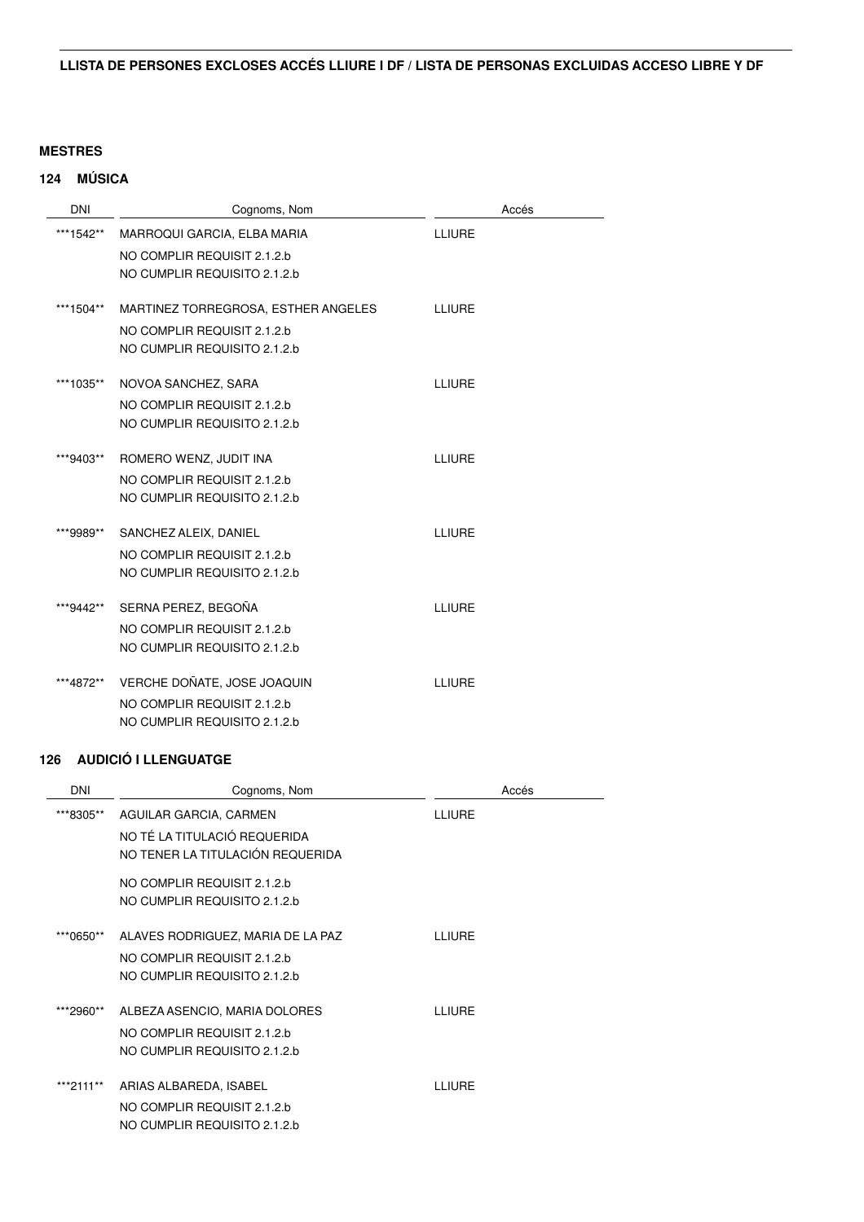# **124 MÚSICA**

| <b>DNI</b> | Cognoms, Nom                        | Accés         |
|------------|-------------------------------------|---------------|
| ***1542**  | MARROQUI GARCIA, ELBA MARIA         | LLIURE        |
|            | NO COMPLIR REQUISIT 2.1.2.b         |               |
|            | NO CUMPLIR REQUISITO 2.1.2.b        |               |
| ***1504**  | MARTINEZ TORREGROSA, ESTHER ANGELES | LLIURE        |
|            | NO COMPLIR REQUISIT 2.1.2.b         |               |
|            | NO CUMPLIR REQUISITO 2.1.2.b        |               |
| ***1035**  | NOVOA SANCHEZ, SARA                 | <b>LLIURE</b> |
|            | NO COMPLIR REQUISIT 2.1.2.b         |               |
|            | NO CUMPLIR REQUISITO 2.1.2.b        |               |
| ***9403**  | ROMERO WENZ, JUDIT INA              | <b>LLIURE</b> |
|            | NO COMPLIR REQUISIT 2.1.2.b         |               |
|            | NO CUMPLIR REQUISITO 2.1.2.b        |               |
| ***9989**  | SANCHEZ ALEIX, DANIEL               | LLIURE        |
|            | NO COMPLIR REQUISIT 2.1.2.b         |               |
|            | NO CUMPLIR REQUISITO 2.1.2.b        |               |
| ***9442**  | SERNA PEREZ, BEGOÑA                 | LLIURE        |
|            | NO COMPLIR REQUISIT 2.1.2.b         |               |
|            | NO CUMPLIR REQUISITO 2.1.2.b        |               |
| ***4872**  | VERCHE DOÑATE, JOSE JOAQUIN         | LLIURE        |
|            | NO COMPLIR REQUISIT 2.1.2.b         |               |
|            | NO CUMPLIR REQUISITO 2.1.2.b        |               |

### **126 AUDICIÓ I LLENGUATGE**

| <b>DNI</b> | Cognoms, Nom                                                                                     | Accés         |
|------------|--------------------------------------------------------------------------------------------------|---------------|
| ***8305**  | AGUILAR GARCIA, CARMEN<br>NO TÉ LA TITULACIÓ REQUERIDA<br>NO TENER LA TITULACIÓN REQUERIDA       | <b>LLIURE</b> |
|            | NO COMPLIR REQUISIT 2.1.2.b<br>NO CUMPLIR REQUISITO 2.1.2.b                                      |               |
| ***0650**  | ALAVES RODRIGUEZ, MARIA DE LA PAZ<br>NO COMPLIR REQUISIT 2.1.2.b<br>NO CUMPLIR REQUISITO 2.1.2.b | <b>ITIURE</b> |
| ***2960**  | ALBEZA ASENCIO, MARIA DOLORES<br>NO COMPLIR REQUISIT 2.1.2.b<br>NO CUMPLIR REQUISITO 2.1.2.b     | LLIURE        |
| ***2111**  | ARIAS ALBAREDA, ISABEL<br>NO COMPLIR REQUISIT 2.1.2.b<br>NO CUMPLIR REQUISITO 2.1.2.b            | <b>TEIURE</b> |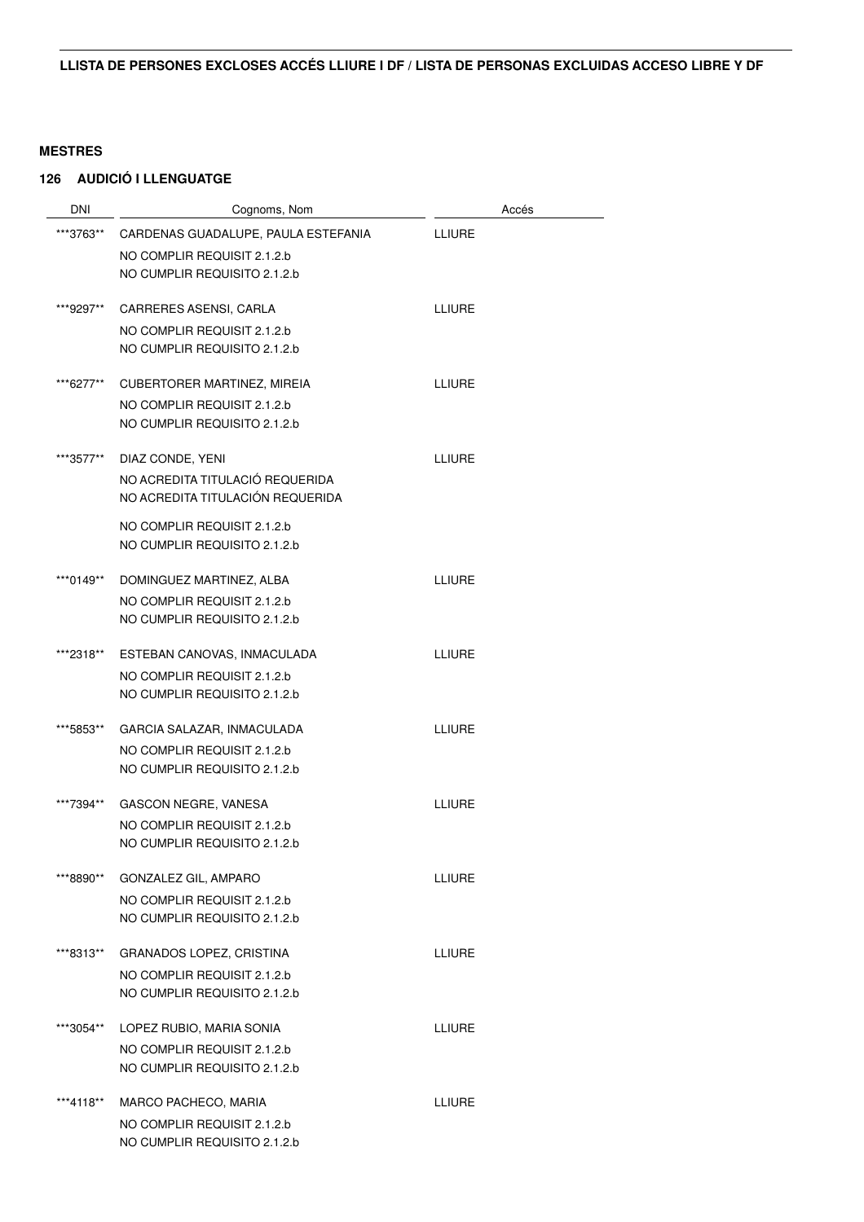### **126 AUDICIÓ I LLENGUATGE**

| DNI       | Cognoms, Nom                        |               | Accés |
|-----------|-------------------------------------|---------------|-------|
| ***3763** | CARDENAS GUADALUPE, PAULA ESTEFANIA | <b>LLIURE</b> |       |
|           | NO COMPLIR REQUISIT 2.1.2.b         |               |       |
|           | NO CUMPLIR REQUISITO 2.1.2.b        |               |       |
| ***9297** | CARRERES ASENSI, CARLA              | <b>LLIURE</b> |       |
|           | NO COMPLIR REQUISIT 2.1.2.b         |               |       |
|           | NO CUMPLIR REQUISITO 2.1.2.b        |               |       |
| ***6277** | <b>CUBERTORER MARTINEZ, MIREIA</b>  | LLIURE        |       |
|           | NO COMPLIR REQUISIT 2.1.2.b         |               |       |
|           | NO CUMPLIR REQUISITO 2.1.2.b        |               |       |
| ***3577** | DIAZ CONDE, YENI                    | <b>LLIURE</b> |       |
|           | NO ACREDITA TITULACIÓ REQUERIDA     |               |       |
|           | NO ACREDITA TITULACIÓN REQUERIDA    |               |       |
|           | NO COMPLIR REQUISIT 2.1.2.b         |               |       |
|           | NO CUMPLIR REQUISITO 2.1.2.b        |               |       |
| ***0149** | DOMINGUEZ MARTINEZ, ALBA            | <b>LLIURE</b> |       |
|           | NO COMPLIR REQUISIT 2.1.2.b         |               |       |
|           | NO CUMPLIR REQUISITO 2.1.2.b        |               |       |
| ***2318** | ESTEBAN CANOVAS, INMACULADA         | <b>LLIURE</b> |       |
|           | NO COMPLIR REQUISIT 2.1.2.b         |               |       |
|           | NO CUMPLIR REQUISITO 2.1.2.b        |               |       |
| ***5853** | GARCIA SALAZAR, INMACULADA          | <b>LLIURE</b> |       |
|           | NO COMPLIR REQUISIT 2.1.2.b         |               |       |
|           | NO CUMPLIR REQUISITO 2.1.2.b        |               |       |
| ***7394** | GASCON NEGRE, VANESA                | <b>LLIURE</b> |       |
|           | NO COMPLIR REQUISIT 2.1.2.b         |               |       |
|           | NO CUMPLIR REQUISITO 2.1.2.b        |               |       |
| ***8890** | GONZALEZ GIL, AMPARO                | <b>LLIURE</b> |       |
|           | NO COMPLIR REQUISIT 2.1.2.b         |               |       |
|           | NO CUMPLIR REQUISITO 2.1.2.b        |               |       |
| ***8313** | <b>GRANADOS LOPEZ, CRISTINA</b>     | <b>LLIURE</b> |       |
|           | NO COMPLIR REQUISIT 2.1.2.b         |               |       |
|           | NO CUMPLIR REQUISITO 2.1.2.b        |               |       |
| ***3054** | LOPEZ RUBIO, MARIA SONIA            | <b>LLIURE</b> |       |
|           | NO COMPLIR REQUISIT 2.1.2.b         |               |       |
|           | NO CUMPLIR REQUISITO 2.1.2.b        |               |       |
| ***4118** | MARCO PACHECO, MARIA                | <b>LLIURE</b> |       |
|           | NO COMPLIR REQUISIT 2.1.2.b         |               |       |
|           | NO CUMPLIR REQUISITO 2.1.2.b        |               |       |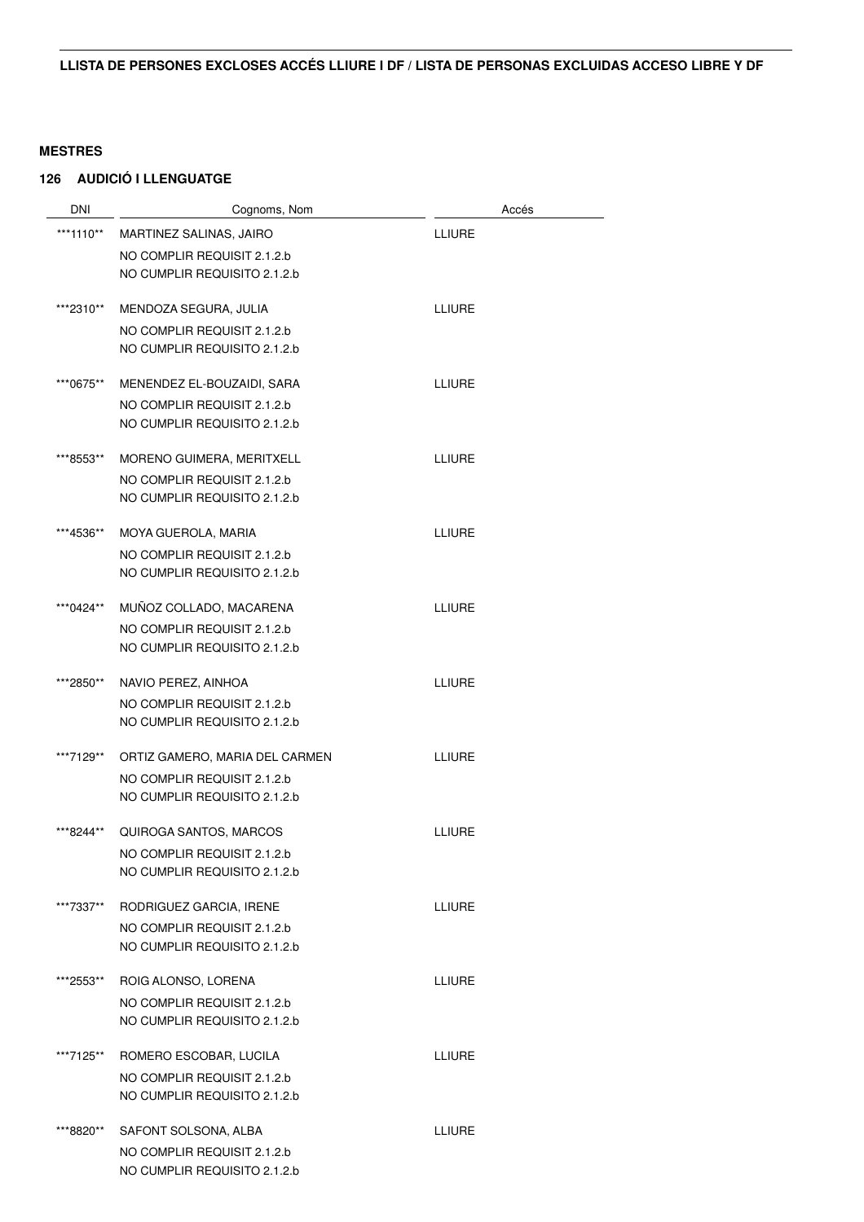### **126 AUDICIÓ I LLENGUATGE**

| <b>DNI</b> | Cognoms, Nom                                                | Accés         |
|------------|-------------------------------------------------------------|---------------|
| ***1110**  | MARTINEZ SALINAS, JAIRO                                     | <b>LLIURE</b> |
|            | NO COMPLIR REQUISIT 2.1.2.b                                 |               |
|            | NO CUMPLIR REQUISITO 2.1.2.b                                |               |
| ***2310**  | MENDOZA SEGURA, JULIA                                       | <b>LLIURE</b> |
|            | NO COMPLIR REQUISIT 2.1.2.b                                 |               |
|            | NO CUMPLIR REQUISITO 2.1.2.b                                |               |
| ***0675**  | MENENDEZ EL-BOUZAIDI, SARA                                  | LLIURE        |
|            | NO COMPLIR REQUISIT 2.1.2.b<br>NO CUMPLIR REQUISITO 2.1.2.b |               |
|            |                                                             |               |
| ***8553**  | MORENO GUIMERA, MERITXELL                                   | <b>LLIURE</b> |
|            | NO COMPLIR REQUISIT 2.1.2.b                                 |               |
|            | NO CUMPLIR REQUISITO 2.1.2.b                                |               |
| ***4536**  | MOYA GUEROLA, MARIA                                         | <b>LLIURE</b> |
|            | NO COMPLIR REQUISIT 2.1.2.b                                 |               |
|            | NO CUMPLIR REQUISITO 2.1.2.b                                |               |
| ***0424**  | MUÑOZ COLLADO, MACARENA                                     | <b>LLIURE</b> |
|            | NO COMPLIR REQUISIT 2.1.2.b                                 |               |
|            | NO CUMPLIR REQUISITO 2.1.2.b                                |               |
| ***2850**  | NAVIO PEREZ, AINHOA                                         | <b>LLIURE</b> |
|            | NO COMPLIR REQUISIT 2.1.2.b                                 |               |
|            | NO CUMPLIR REQUISITO 2.1.2.b                                |               |
| ***7129**  | ORTIZ GAMERO, MARIA DEL CARMEN                              | <b>LLIURE</b> |
|            | NO COMPLIR REQUISIT 2.1.2.b                                 |               |
|            | NO CUMPLIR REQUISITO 2.1.2.b                                |               |
| ***8244**  | QUIROGA SANTOS, MARCOS                                      | <b>LLIURE</b> |
|            | NO COMPLIR REQUISIT 2.1.2.b                                 |               |
|            | NO CUMPLIR REQUISITO 2.1.2.b                                |               |
| ***7337**  | RODRIGUEZ GARCIA, IRENE                                     | <b>LLIURE</b> |
|            | NO COMPLIR REQUISIT 2.1.2.b                                 |               |
|            | NO CUMPLIR REQUISITO 2.1.2.b                                |               |
| ***2553**  | ROIG ALONSO, LORENA                                         | <b>LLIURE</b> |
|            | NO COMPLIR REQUISIT 2.1.2.b                                 |               |
|            | NO CUMPLIR REQUISITO 2.1.2.b                                |               |
| ***7125**  | ROMERO ESCOBAR, LUCILA                                      | LLIURE        |
|            | NO COMPLIR REQUISIT 2.1.2.b                                 |               |
|            | NO CUMPLIR REQUISITO 2.1.2.b                                |               |
| ***8820**  | SAFONT SOLSONA, ALBA                                        | LLIURE        |
|            | NO COMPLIR REQUISIT 2.1.2.b                                 |               |
|            | NO CUMPLIR REQUISITO 2.1.2.b                                |               |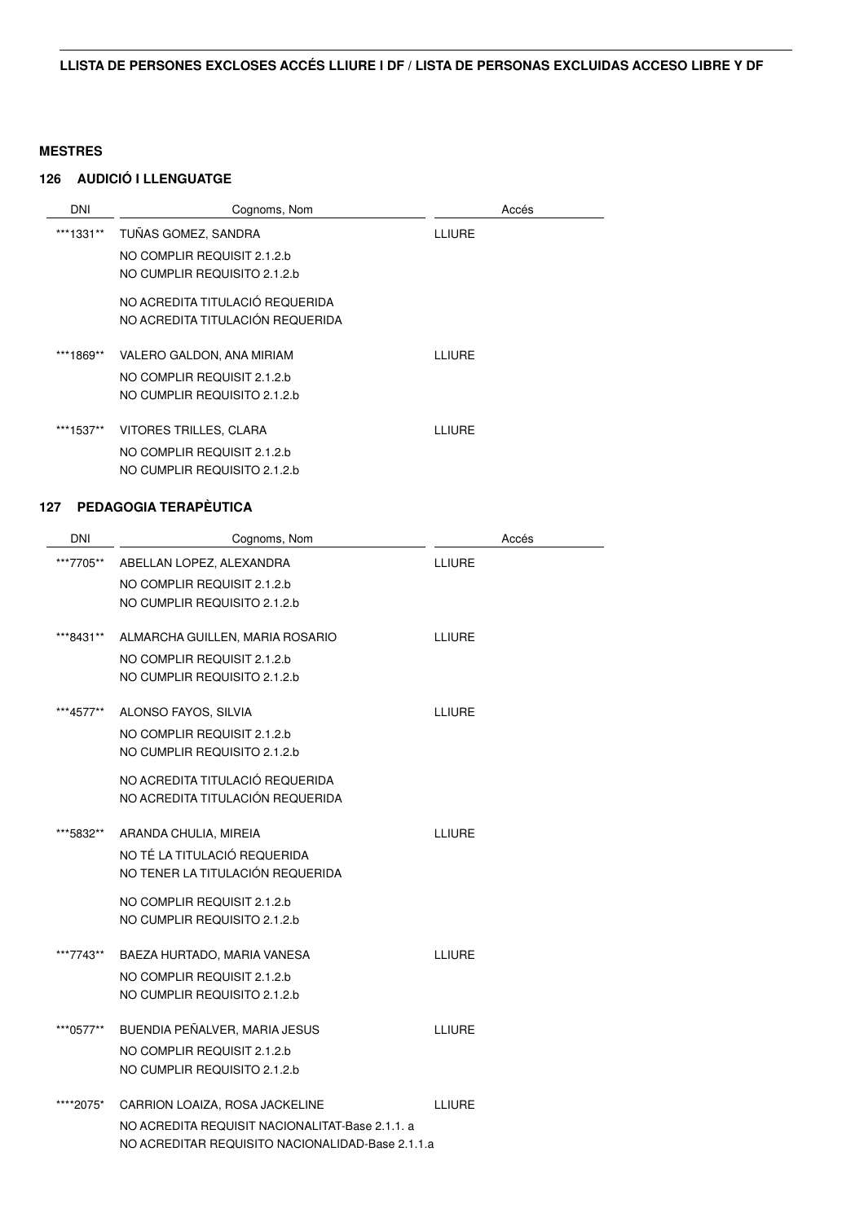### **126 AUDICIÓ I LLENGUATGE**

| DNI       | Cognoms, Nom                     | Accés  |
|-----------|----------------------------------|--------|
| ***1331** | TUÑAS GOMEZ. SANDRA              | LLIURE |
|           | NO COMPLIR REQUISIT 2.1.2.b      |        |
|           | NO CUMPLIR REQUISITO 2.1.2.b     |        |
|           | NO ACREDITA TITULACIÓ REQUERIDA  |        |
|           | NO ACREDITA TITULACIÓN REQUERIDA |        |
|           |                                  |        |
| ***1869** | VALERO GALDON, ANA MIRIAM        | LLIURE |
|           | NO COMPLIR REQUISIT 2.1.2.b      |        |
|           | NO CUMPLIR REQUISITO 2.1.2.b     |        |
| ***1537** | VITORES TRILLES, CLARA           | LLIURE |
|           |                                  |        |
|           | NO COMPLIR REQUISIT 2.1.2.b      |        |
|           | NO CUMPLIR REQUISITO 2.1.2.b     |        |

| <b>DNI</b> | Cognoms, Nom                                     | Accés         |
|------------|--------------------------------------------------|---------------|
| ***7705**  | ABELLAN LOPEZ, ALEXANDRA                         | <b>LLIURE</b> |
|            | NO COMPLIR REQUISIT 2.1.2.b                      |               |
|            | NO CUMPLIR REQUISITO 2.1.2.b                     |               |
| ***8431**  | ALMARCHA GUILLEN, MARIA ROSARIO                  | <b>LLIURE</b> |
|            | NO COMPLIR REQUISIT 2.1.2.b                      |               |
|            | NO CUMPLIR REQUISITO 2.1.2.b                     |               |
| ***4577**  | ALONSO FAYOS, SILVIA                             | <b>LLIURE</b> |
|            | NO COMPLIR REQUISIT 2.1.2.b                      |               |
|            | NO CUMPLIR REQUISITO 2.1.2.b                     |               |
|            | NO ACREDITA TITULACIÓ REQUERIDA                  |               |
|            | NO ACREDITA TITULACIÓN REQUERIDA                 |               |
| ***5832**  | ARANDA CHULIA, MIREIA                            | <b>LLIURE</b> |
|            | NO TÉ LA TITULACIÓ REQUERIDA                     |               |
|            | NO TENER LA TITULACIÓN REQUERIDA                 |               |
|            | NO COMPLIR REQUISIT 2.1.2.b                      |               |
|            | NO CUMPLIR REQUISITO 2.1.2.b                     |               |
| ***7743**  | BAEZA HURTADO, MARIA VANESA                      | <b>LLIURE</b> |
|            | NO COMPLIR REQUISIT 2.1.2.b                      |               |
|            | NO CUMPLIR REQUISITO 2.1.2.b                     |               |
| ***0577**  | BUENDIA PEÑALVER, MARIA JESUS                    | <b>LLIURE</b> |
|            | NO COMPLIR REQUISIT 2.1.2.b                      |               |
|            | NO CUMPLIR REQUISITO 2.1.2.b                     |               |
| ****2075*  | CARRION LOAIZA, ROSA JACKELINE                   | <b>LLIURE</b> |
|            | NO ACREDITA REQUISIT NACIONALITAT-Base 2.1.1. a  |               |
|            | NO ACREDITAR REQUISITO NACIONALIDAD-Base 2.1.1.a |               |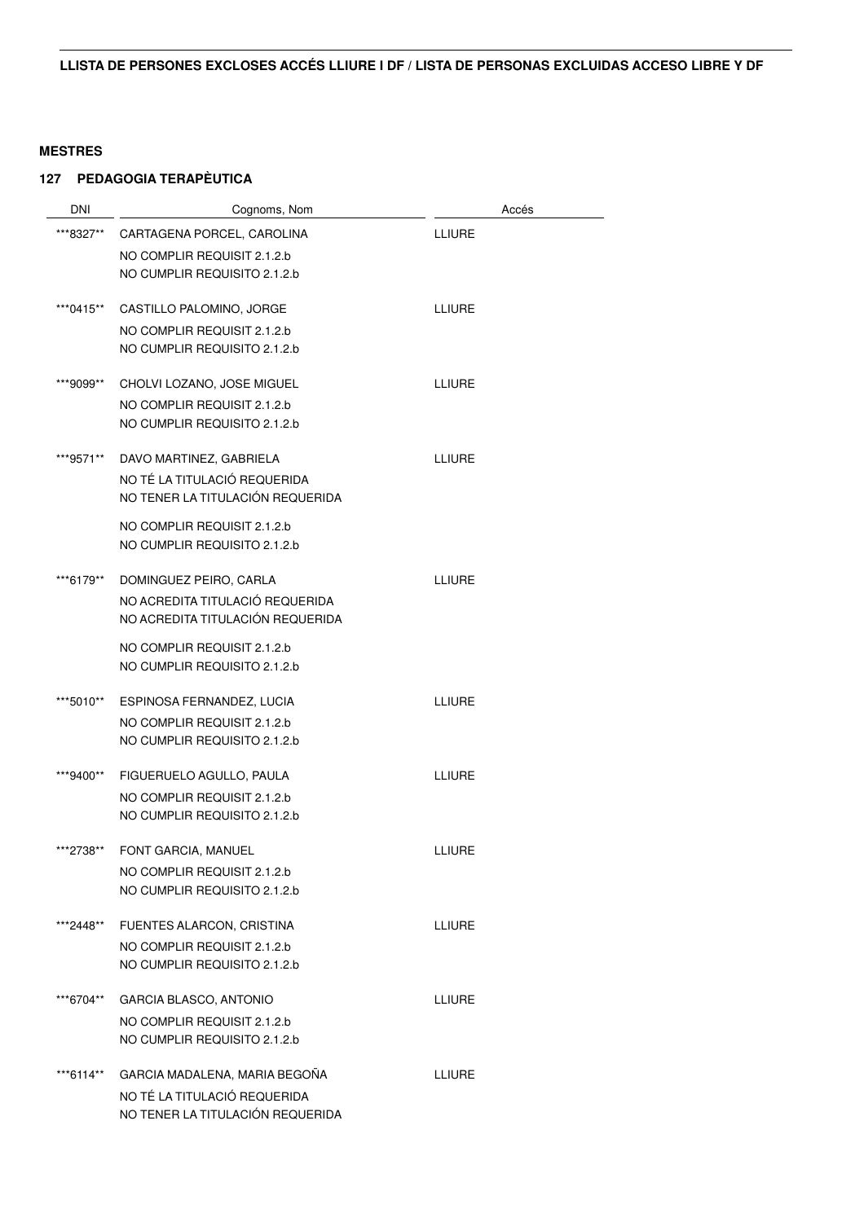| <b>DNI</b> | Cognoms, Nom                     | Accés         |
|------------|----------------------------------|---------------|
| ***8327**  | CARTAGENA PORCEL, CAROLINA       | <b>LLIURE</b> |
|            | NO COMPLIR REQUISIT 2.1.2.b      |               |
|            | NO CUMPLIR REQUISITO 2.1.2.b     |               |
| ***0415**  | CASTILLO PALOMINO, JORGE         | <b>LLIURE</b> |
|            | NO COMPLIR REQUISIT 2.1.2.b      |               |
|            | NO CUMPLIR REQUISITO 2.1.2.b     |               |
| ***9099**  | CHOLVI LOZANO, JOSE MIGUEL       | <b>LLIURE</b> |
|            | NO COMPLIR REQUISIT 2.1.2.b      |               |
|            | NO CUMPLIR REQUISITO 2.1.2.b     |               |
| ***9571**  | DAVO MARTINEZ, GABRIELA          | <b>LLIURE</b> |
|            | NO TÉ LA TITULACIÓ REQUERIDA     |               |
|            | NO TENER LA TITULACIÓN REQUERIDA |               |
|            | NO COMPLIR REQUISIT 2.1.2.b      |               |
|            | NO CUMPLIR REQUISITO 2.1.2.b     |               |
| ***6179**  | DOMINGUEZ PEIRO, CARLA           | <b>LLIURE</b> |
|            | NO ACREDITA TITULACIÓ REQUERIDA  |               |
|            | NO ACREDITA TITULACIÓN REQUERIDA |               |
|            | NO COMPLIR REQUISIT 2.1.2.b      |               |
|            | NO CUMPLIR REQUISITO 2.1.2.b     |               |
| ***5010**  | ESPINOSA FERNANDEZ, LUCIA        | <b>LLIURE</b> |
|            | NO COMPLIR REQUISIT 2.1.2.b      |               |
|            | NO CUMPLIR REQUISITO 2.1.2.b     |               |
| ***9400**  | FIGUERUELO AGULLO, PAULA         | <b>LLIURE</b> |
|            | NO COMPLIR REQUISIT 2.1.2.b      |               |
|            | NO CUMPLIR REQUISITO 2.1.2.b     |               |
| ***2738**  | FONT GARCIA, MANUEL              | LLIURE        |
|            | NO COMPLIR REQUISIT 2.1.2.b      |               |
|            | NO CUMPLIR REQUISITO 2.1.2.b     |               |
| ***2448**  | FUENTES ALARCON, CRISTINA        | LLIURE        |
|            | NO COMPLIR REQUISIT 2.1.2.b      |               |
|            | NO CUMPLIR REQUISITO 2.1.2.b     |               |
| ***6704**  | GARCIA BLASCO, ANTONIO           | LLIURE        |
|            | NO COMPLIR REQUISIT 2.1.2.b      |               |
|            | NO CUMPLIR REQUISITO 2.1.2.b     |               |
| ***6114**  | GARCIA MADALENA, MARIA BEGOÑA    | LLIURE        |
|            | NO TÉ LA TITULACIÓ REQUERIDA     |               |
|            | NO TENER LA TITULACIÓN REQUERIDA |               |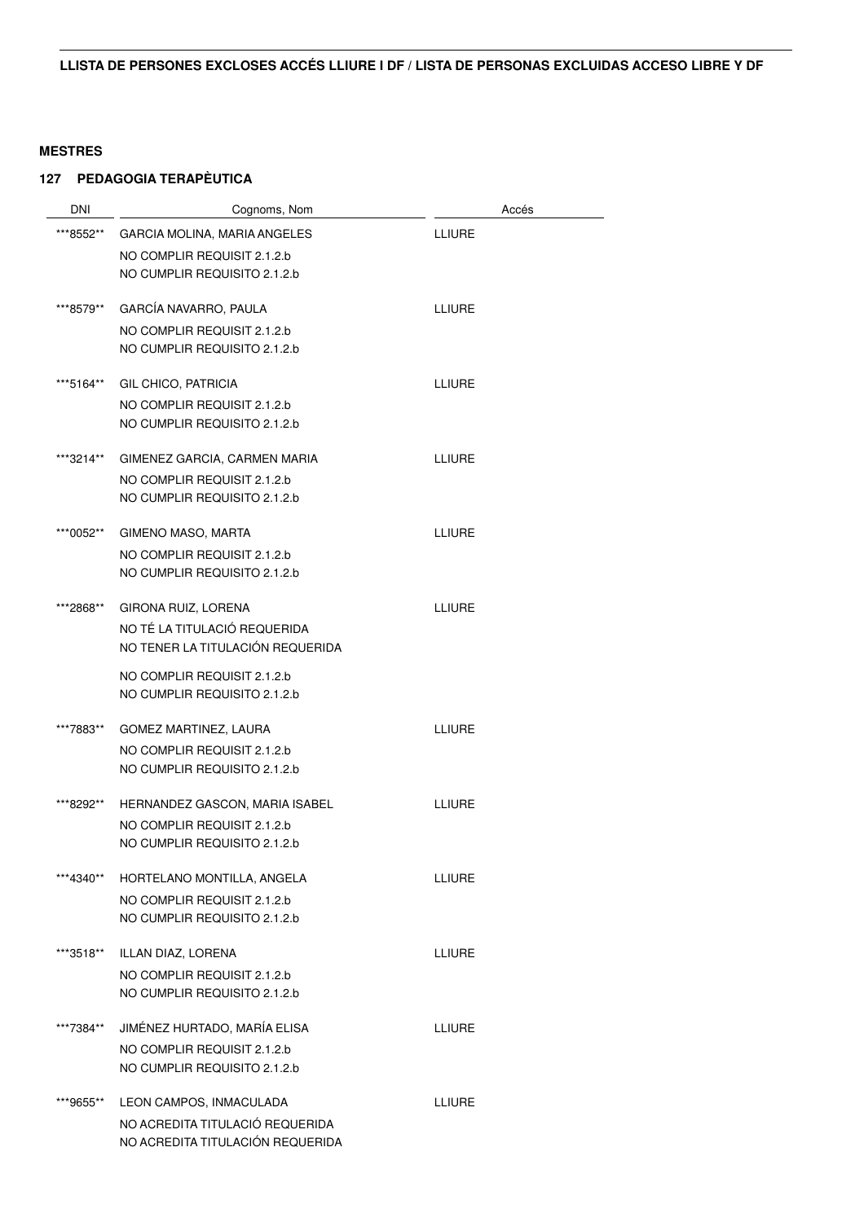| <b>DNI</b> | Cognoms, Nom                     | Accés         |
|------------|----------------------------------|---------------|
| ***8552**  | GARCIA MOLINA, MARIA ANGELES     | <b>LLIURE</b> |
|            | NO COMPLIR REQUISIT 2.1.2.b      |               |
|            | NO CUMPLIR REQUISITO 2.1.2.b     |               |
| ***8579**  | GARCÍA NAVARRO, PAULA            | <b>LLIURE</b> |
|            | NO COMPLIR REQUISIT 2.1.2.b      |               |
|            | NO CUMPLIR REQUISITO 2.1.2.b     |               |
| ***5164**  | GIL CHICO, PATRICIA              | <b>LLIURE</b> |
|            | NO COMPLIR REQUISIT 2.1.2.b      |               |
|            | NO CUMPLIR REQUISITO 2.1.2.b     |               |
| ***3214**  | GIMENEZ GARCIA, CARMEN MARIA     | <b>LLIURE</b> |
|            | NO COMPLIR REQUISIT 2.1.2.b      |               |
|            | NO CUMPLIR REQUISITO 2.1.2.b     |               |
| ***0052**  | <b>GIMENO MASO, MARTA</b>        | <b>LLIURE</b> |
|            | NO COMPLIR REQUISIT 2.1.2.b      |               |
|            | NO CUMPLIR REQUISITO 2.1.2.b     |               |
| ***2868**  | GIRONA RUIZ, LORENA              | <b>LLIURE</b> |
|            | NO TÉ LA TITULACIÓ REQUERIDA     |               |
|            | NO TENER LA TITULACIÓN REQUERIDA |               |
|            | NO COMPLIR REQUISIT 2.1.2.b      |               |
|            | NO CUMPLIR REQUISITO 2.1.2.b     |               |
| ***7883**  | GOMEZ MARTINEZ, LAURA            | <b>LLIURE</b> |
|            | NO COMPLIR REQUISIT 2.1.2.b      |               |
|            | NO CUMPLIR REQUISITO 2.1.2.b     |               |
| ***8292**  | HERNANDEZ GASCON, MARIA ISABEL   | LLIURE        |
|            | NO COMPLIR REQUISIT 2.1.2.b      |               |
|            | NO CUMPLIR REQUISITO 2.1.2.b     |               |
| ***4340**  | HORTELANO MONTILLA, ANGELA       | <b>LLIURE</b> |
|            | NO COMPLIR REQUISIT 2.1.2.b      |               |
|            | NO CUMPLIR REQUISITO 2.1.2.b     |               |
| ***3518**  | ILLAN DIAZ, LORENA               | <b>ITIURE</b> |
|            | NO COMPLIR REQUISIT 2.1.2.b      |               |
|            | NO CUMPLIR REQUISITO 2.1.2.b     |               |
| ***7384**  | JIMÉNEZ HURTADO, MARÍA ELISA     | <b>LLIURE</b> |
|            | NO COMPLIR REQUISIT 2.1.2.b      |               |
|            | NO CUMPLIR REQUISITO 2.1.2.b     |               |
| ***9655**  | LEON CAMPOS, INMACULADA          | <b>LLIURE</b> |
|            | NO ACREDITA TITULACIÓ REQUERIDA  |               |
|            | NO ACREDITA TITULACIÓN REQUERIDA |               |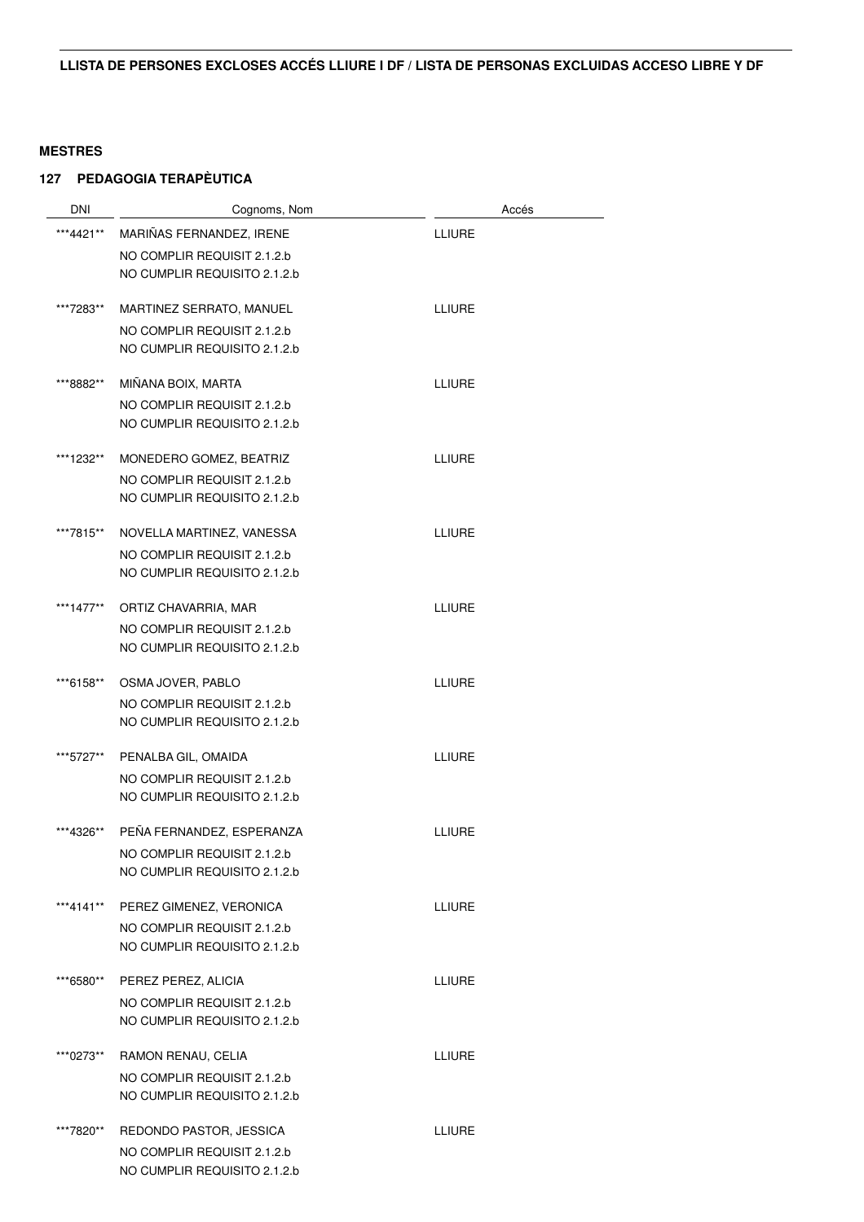| <b>DNI</b> | Cognoms, Nom                                                | Accés         |
|------------|-------------------------------------------------------------|---------------|
| ***4421**  | MARIÑAS FERNANDEZ, IRENE                                    | <b>LLIURE</b> |
|            | NO COMPLIR REQUISIT 2.1.2.b                                 |               |
|            | NO CUMPLIR REQUISITO 2.1.2.b                                |               |
| ***7283**  | MARTINEZ SERRATO, MANUEL                                    | <b>LLIURE</b> |
|            | NO COMPLIR REQUISIT 2.1.2.b                                 |               |
|            | NO CUMPLIR REQUISITO 2.1.2.b                                |               |
| ***8882**  | MIÑANA BOIX, MARTA                                          | LLIURE        |
|            | NO COMPLIR REQUISIT 2.1.2.b<br>NO CUMPLIR REQUISITO 2.1.2.b |               |
|            |                                                             |               |
| ***1232**  | MONEDERO GOMEZ, BEATRIZ                                     | <b>LLIURE</b> |
|            | NO COMPLIR REQUISIT 2.1.2.b                                 |               |
|            | NO CUMPLIR REQUISITO 2.1.2.b                                |               |
| ***7815**  | NOVELLA MARTINEZ, VANESSA                                   | <b>LLIURE</b> |
|            | NO COMPLIR REQUISIT 2.1.2.b                                 |               |
|            | NO CUMPLIR REQUISITO 2.1.2.b                                |               |
| ***1477**  | ORTIZ CHAVARRIA, MAR                                        | <b>LLIURE</b> |
|            | NO COMPLIR REQUISIT 2.1.2.b                                 |               |
|            | NO CUMPLIR REQUISITO 2.1.2.b                                |               |
| ***6158**  | OSMA JOVER, PABLO                                           | <b>LLIURE</b> |
|            | NO COMPLIR REQUISIT 2.1.2.b                                 |               |
|            | NO CUMPLIR REQUISITO 2.1.2.b                                |               |
| ***5727**  | PENALBA GIL, OMAIDA                                         | <b>LLIURE</b> |
|            | NO COMPLIR REQUISIT 2.1.2.b                                 |               |
|            | NO CUMPLIR REQUISITO 2.1.2.b                                |               |
| ***4326**  | PEÑA FERNANDEZ, ESPERANZA                                   | <b>LLIURE</b> |
|            | NO COMPLIR REQUISIT 2.1.2.b                                 |               |
|            | NO CUMPLIR REQUISITO 2.1.2.b                                |               |
| ***4141**  | PEREZ GIMENEZ, VERONICA                                     | LLIURE        |
|            | NO COMPLIR REQUISIT 2.1.2.b                                 |               |
|            | NO CUMPLIR REQUISITO 2.1.2.b                                |               |
| ***6580**  | PEREZ PEREZ, ALICIA                                         | <b>LLIURE</b> |
|            | NO COMPLIR REQUISIT 2.1.2.b                                 |               |
|            | NO CUMPLIR REQUISITO 2.1.2.b                                |               |
| ***0273**  | RAMON RENAU, CELIA                                          | <b>LLIURE</b> |
|            | NO COMPLIR REQUISIT 2.1.2.b                                 |               |
|            | NO CUMPLIR REQUISITO 2.1.2.b                                |               |
| ***7820**  | REDONDO PASTOR, JESSICA                                     | <b>LLIURE</b> |
|            | NO COMPLIR REQUISIT 2.1.2.b                                 |               |
|            | NO CUMPLIR REQUISITO 2.1.2.b                                |               |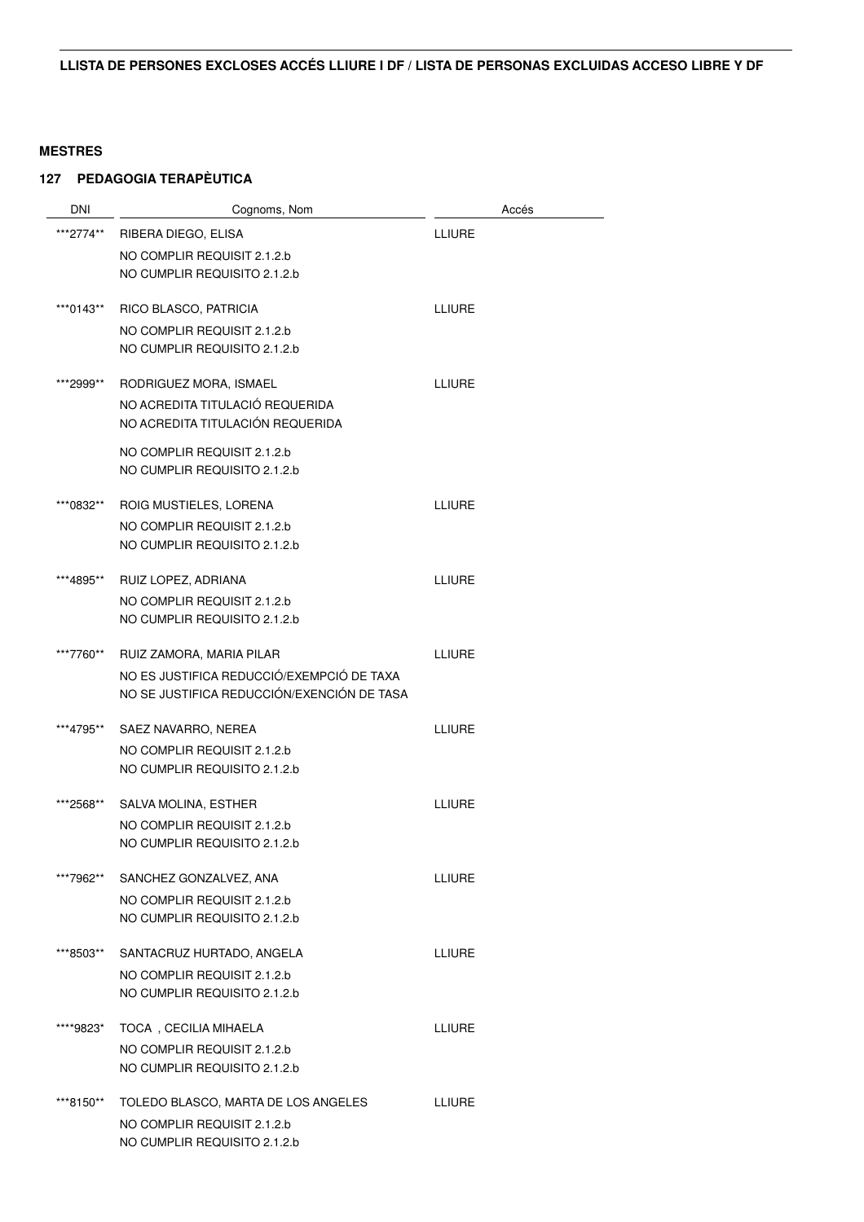| <b>DNI</b> | Cognoms, Nom                                                | Accés         |
|------------|-------------------------------------------------------------|---------------|
| ***2774**  | RIBERA DIEGO, ELISA                                         | <b>LLIURE</b> |
|            | NO COMPLIR REQUISIT 2.1.2.b                                 |               |
|            | NO CUMPLIR REQUISITO 2.1.2.b                                |               |
|            |                                                             |               |
| ***0143**  | RICO BLASCO, PATRICIA                                       | LLIURE        |
|            | NO COMPLIR REQUISIT 2.1.2.b                                 |               |
|            | NO CUMPLIR REQUISITO 2.1.2.b                                |               |
| ***2999**  | RODRIGUEZ MORA, ISMAEL                                      | <b>LLIURE</b> |
|            | NO ACREDITA TITULACIÓ REQUERIDA                             |               |
|            | NO ACREDITA TITULACIÓN REQUERIDA                            |               |
|            | NO COMPLIR REQUISIT 2.1.2.b                                 |               |
|            | NO CUMPLIR REQUISITO 2.1.2.b                                |               |
| ***0832**  | ROIG MUSTIELES, LORENA                                      | LLIURE        |
|            | NO COMPLIR REQUISIT 2.1.2.b                                 |               |
|            | NO CUMPLIR REQUISITO 2.1.2.b                                |               |
|            |                                                             |               |
| ***4895**  | RUIZ LOPEZ, ADRIANA                                         | LLIURE        |
|            | NO COMPLIR REQUISIT 2.1.2.b                                 |               |
|            | NO CUMPLIR REQUISITO 2.1.2.b                                |               |
| ***7760**  | RUIZ ZAMORA, MARIA PILAR                                    | LLIURE        |
|            | NO ES JUSTIFICA REDUCCIÓ/EXEMPCIÓ DE TAXA                   |               |
|            | NO SE JUSTIFICA REDUCCIÓN/EXENCIÓN DE TASA                  |               |
| ***4795**  | SAEZ NAVARRO, NEREA                                         | LLIURE        |
|            | NO COMPLIR REQUISIT 2.1.2.b                                 |               |
|            | NO CUMPLIR REQUISITO 2.1.2.b                                |               |
|            |                                                             |               |
| ***2568**  | SALVA MOLINA, ESTHER                                        | LLIURE        |
|            | NO COMPLIR REQUISIT 2.1.2.b<br>NO CUMPLIR REQUISITO 2.1.2.b |               |
|            |                                                             |               |
| ***7962**  | SANCHEZ GONZALVEZ, ANA                                      | <b>LLIURE</b> |
|            | NO COMPLIR REQUISIT 2.1.2.b                                 |               |
|            | NO CUMPLIR REQUISITO 2.1.2.b                                |               |
| ***8503**  | SANTACRUZ HURTADO, ANGELA                                   | LLIURE        |
|            | NO COMPLIR REQUISIT 2.1.2.b                                 |               |
|            | NO CUMPLIR REQUISITO 2.1.2.b                                |               |
|            |                                                             |               |
| ****9823*  | <b>TOCA</b> , CECILIA MIHAELA                               | <b>LLIURE</b> |
|            | NO COMPLIR REQUISIT 2.1.2.b<br>NO CUMPLIR REQUISITO 2.1.2.b |               |
|            |                                                             |               |
| ***8150**  | TOLEDO BLASCO, MARTA DE LOS ANGELES                         | <b>LLIURE</b> |
|            | NO COMPLIR REQUISIT 2.1.2.b                                 |               |
|            | NO CUMPLIR REQUISITO 2.1.2.b                                |               |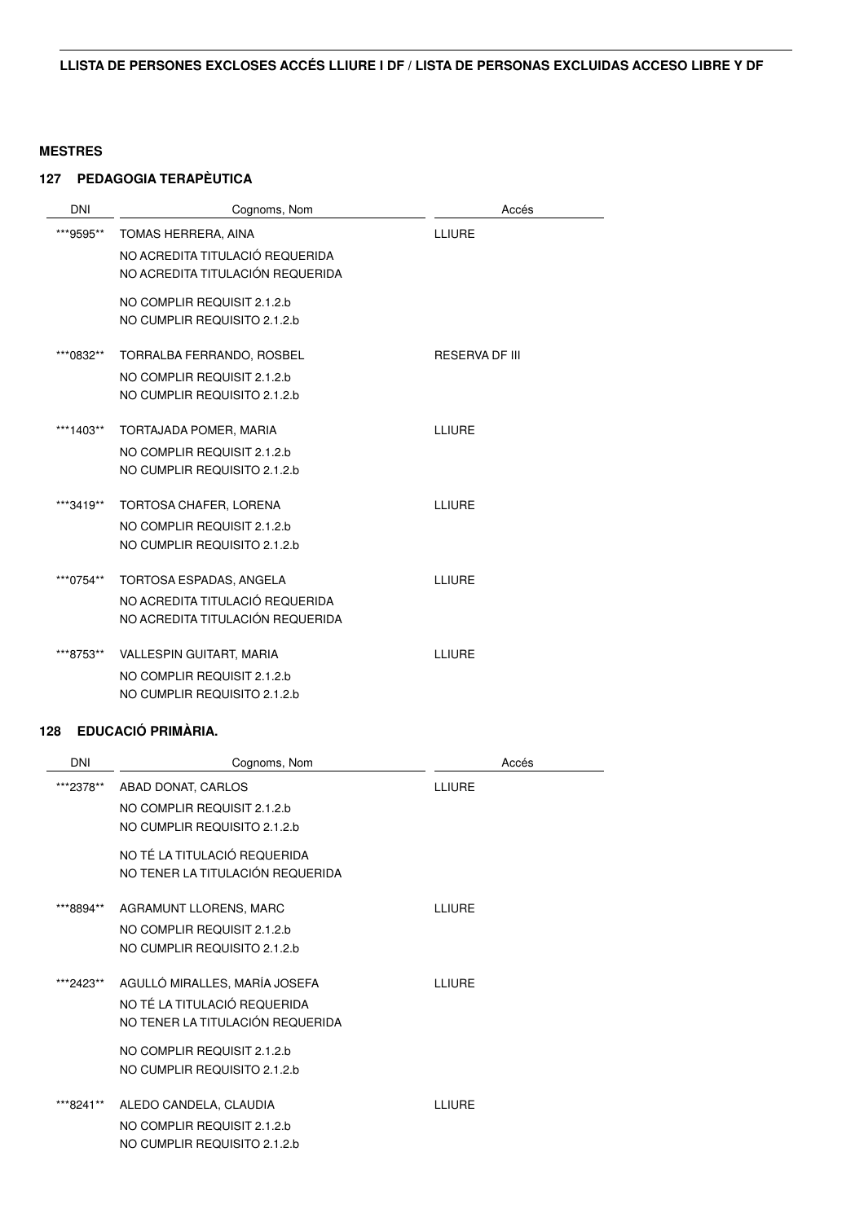# **127 PEDAGOGIA TERAPÈUTICA**

| <b>DNI</b> | Cognoms, Nom                     | Accés                 |
|------------|----------------------------------|-----------------------|
| ***9595**  | TOMAS HERRERA, AINA              | LLIURE                |
|            | NO ACREDITA TITULACIÓ REQUERIDA  |                       |
|            | NO ACREDITA TITULACIÓN REQUERIDA |                       |
|            | NO COMPLIR REQUISIT 2.1.2.b      |                       |
|            | NO CUMPLIR REQUISITO 2.1.2.b     |                       |
| ***0832**  | TORRALBA FERRANDO, ROSBEL        | <b>RESERVA DF III</b> |
|            | NO COMPLIR REQUISIT 2.1.2.b      |                       |
|            | NO CUMPLIR REQUISITO 2.1.2.b     |                       |
| ***1403**  | TORTAJADA POMER, MARIA           | LLIURE                |
|            | NO COMPLIR REQUISIT 2.1.2.b      |                       |
|            | NO CUMPLIR REQUISITO 2.1.2.b     |                       |
|            |                                  |                       |
| ***3419**  | TORTOSA CHAFER, LORENA           | LLIURE                |
|            | NO COMPLIR REQUISIT 2.1.2.b      |                       |
|            | NO CUMPLIR REQUISITO 2.1.2.b     |                       |
| ***0754**  | TORTOSA ESPADAS, ANGELA          | LLIURE                |
|            | NO ACREDITA TITULACIÓ REQUERIDA  |                       |
|            | NO ACREDITA TITULACIÓN REQUERIDA |                       |
| ***8753**  | <b>VALLESPIN GUITART, MARIA</b>  | LLIURE                |
|            | NO COMPLIR REQUISIT 2.1.2.b      |                       |
|            | NO CUMPLIR REQUISITO 2.1.2.b     |                       |
|            |                                  |                       |

| <b>DNI</b> | Cognoms, Nom                     | Accés  |
|------------|----------------------------------|--------|
| ***2378**  | ABAD DONAT, CARLOS               | LLIURE |
|            | NO COMPLIR REQUISIT 2.1.2.b      |        |
|            | NO CUMPLIR REQUISITO 2.1.2.b     |        |
|            | NO TÉ LA TITULACIÓ REQUERIDA     |        |
|            | NO TENER LA TITULACIÓN REQUERIDA |        |
| ***8894**  | AGRAMUNT LLORENS, MARC           | LLIURE |
|            | NO COMPLIR REQUISIT 2.1.2.b      |        |
|            | NO CUMPLIR REQUISITO 2.1.2.b     |        |
|            |                                  |        |
| ***2423**  | AGULLÓ MIRALLES, MARÍA JOSEFA    | LLIURE |
|            | NO TÉ LA TITULACIÓ REQUERIDA     |        |
|            | NO TENER LA TITULACIÓN REQUERIDA |        |
|            | NO COMPLIR REQUISIT 2.1.2.b      |        |
|            | NO CUMPLIR REQUISITO 2.1.2.b     |        |
| ***8241**  | ALEDO CANDELA, CLAUDIA           | LLIURE |
|            | NO COMPLIR REQUISIT 2.1.2.b      |        |
|            | NO CUMPLIR REQUISITO 2.1.2.b     |        |
|            |                                  |        |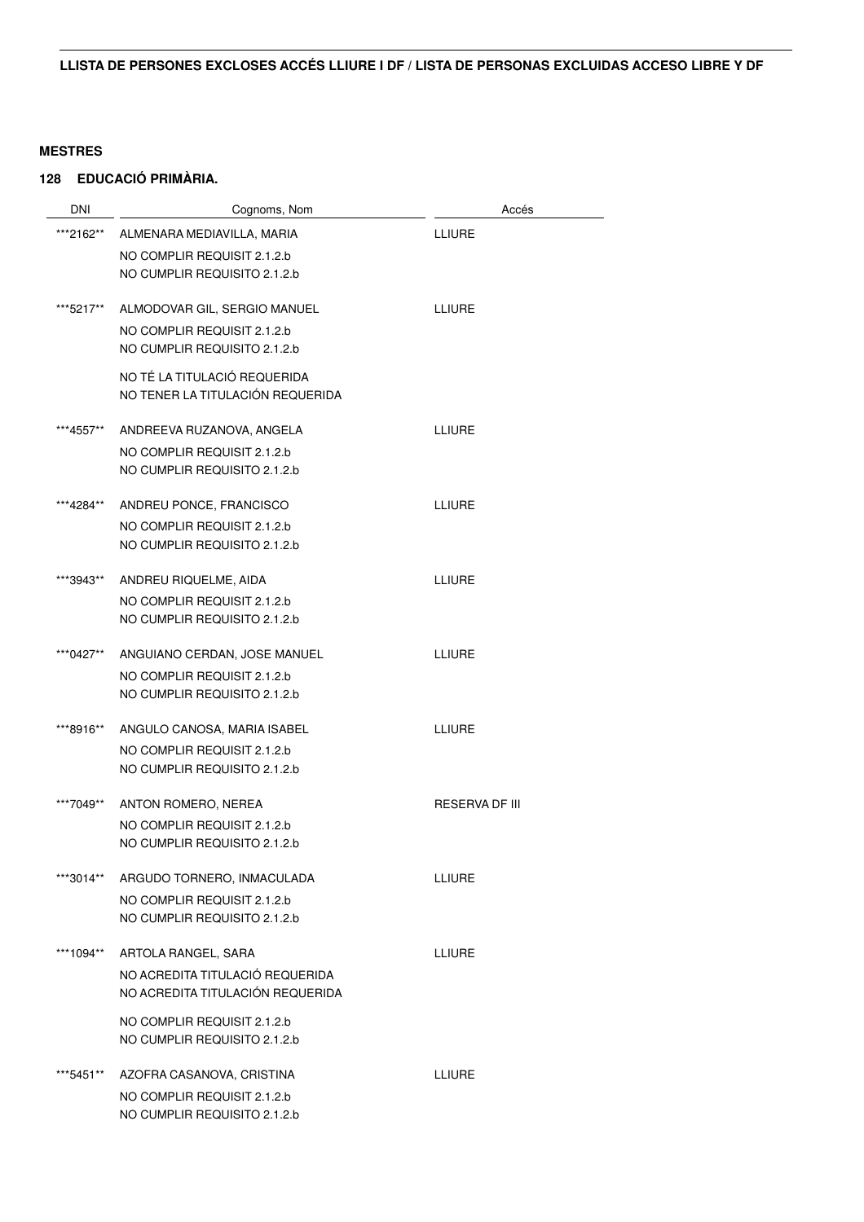| <b>DNI</b> | Cognoms, Nom                     | Accés                 |
|------------|----------------------------------|-----------------------|
| ***2162**  | ALMENARA MEDIAVILLA, MARIA       | <b>LLIURE</b>         |
|            | NO COMPLIR REQUISIT 2.1.2.b      |                       |
|            | NO CUMPLIR REQUISITO 2.1.2.b     |                       |
|            |                                  |                       |
| ***5217**  | ALMODOVAR GIL, SERGIO MANUEL     | <b>LLIURE</b>         |
|            | NO COMPLIR REQUISIT 2.1.2.b      |                       |
|            | NO CUMPLIR REQUISITO 2.1.2.b     |                       |
|            | NO TÉ LA TITULACIÓ REQUERIDA     |                       |
|            | NO TENER LA TITULACIÓN REQUERIDA |                       |
|            |                                  |                       |
| ***4557**  | ANDREEVA RUZANOVA, ANGELA        | <b>LLIURE</b>         |
|            | NO COMPLIR REQUISIT 2.1.2.b      |                       |
|            | NO CUMPLIR REQUISITO 2.1.2.b     |                       |
|            |                                  |                       |
| ***4284**  | ANDREU PONCE, FRANCISCO          | <b>LLIURE</b>         |
|            | NO COMPLIR REQUISIT 2.1.2.b      |                       |
|            | NO CUMPLIR REQUISITO 2.1.2.b     |                       |
| ***3943**  | ANDREU RIQUELME, AIDA            | <b>LLIURE</b>         |
|            | NO COMPLIR REQUISIT 2.1.2.b      |                       |
|            | NO CUMPLIR REQUISITO 2.1.2.b     |                       |
|            |                                  |                       |
| ***0427**  | ANGUIANO CERDAN, JOSE MANUEL     | <b>LLIURE</b>         |
|            | NO COMPLIR REQUISIT 2.1.2.b      |                       |
|            | NO CUMPLIR REQUISITO 2.1.2.b     |                       |
| ***8916**  | ANGULO CANOSA, MARIA ISABEL      | <b>LLIURE</b>         |
|            | NO COMPLIR REQUISIT 2.1.2.b      |                       |
|            | NO CUMPLIR REQUISITO 2.1.2.b     |                       |
|            |                                  |                       |
| ***7049**  | ANTON ROMERO, NEREA              | <b>RESERVA DF III</b> |
|            | NO COMPLIR REQUISIT 2.1.2.b      |                       |
|            | NO CUMPLIR REQUISITO 2.1.2.b     |                       |
| ***3014**  | ARGUDO TORNERO, INMACULADA       | <b>LLIURE</b>         |
|            | NO COMPLIR REQUISIT 2.1.2.b      |                       |
|            | NO CUMPLIR REQUISITO 2.1.2.b     |                       |
|            |                                  |                       |
| ***1094**  | ARTOLA RANGEL, SARA              | <b>LLIURE</b>         |
|            | NO ACREDITA TITULACIÓ REQUERIDA  |                       |
|            | NO ACREDITA TITULACIÓN REQUERIDA |                       |
|            | NO COMPLIR REQUISIT 2.1.2.b      |                       |
|            | NO CUMPLIR REQUISITO 2.1.2.b     |                       |
|            |                                  |                       |
| ***5451**  | AZOFRA CASANOVA, CRISTINA        | <b>LLIURE</b>         |
|            | NO COMPLIR REQUISIT 2.1.2.b      |                       |
|            | NO CUMPLIR REQUISITO 2.1.2.b     |                       |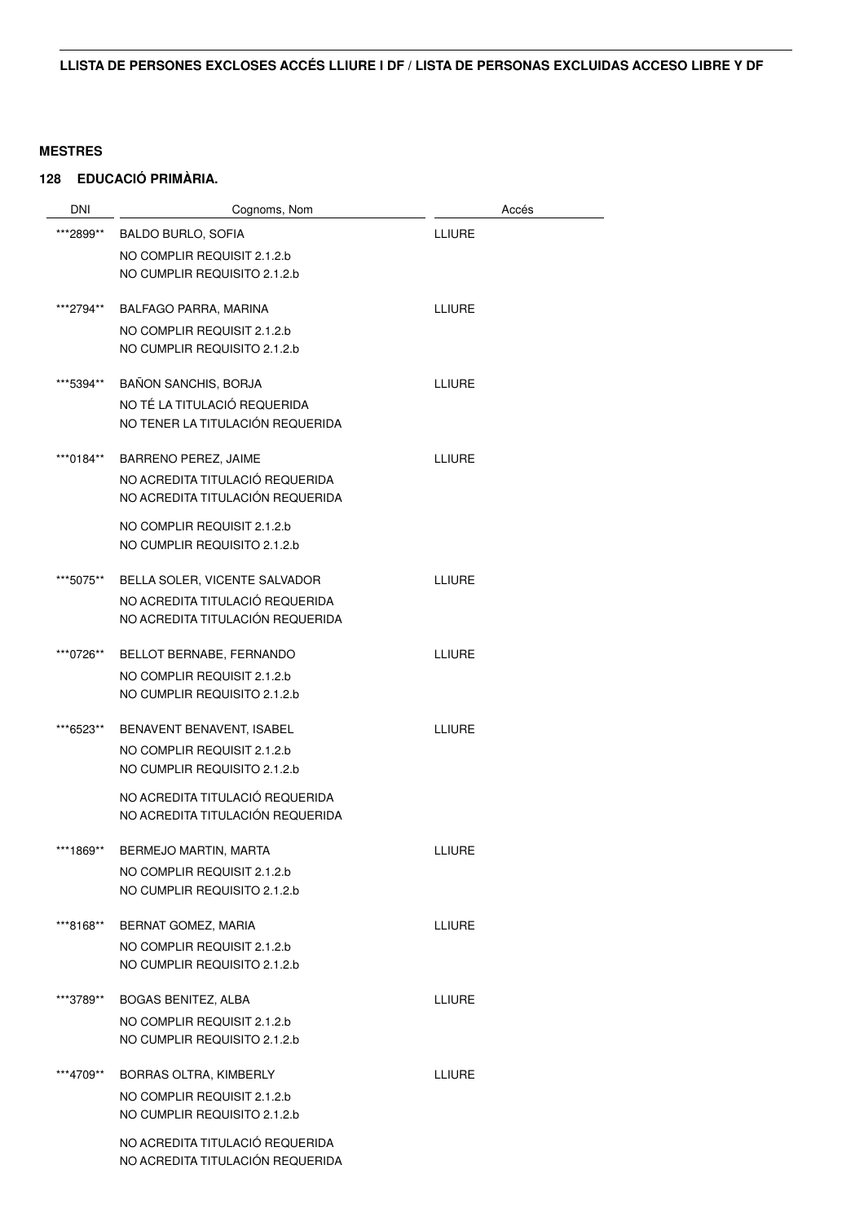| <b>DNI</b> | Cognoms, Nom                                                        |               | Accés |
|------------|---------------------------------------------------------------------|---------------|-------|
| ***2899**  | <b>BALDO BURLO, SOFIA</b>                                           | <b>LLIURE</b> |       |
|            | NO COMPLIR REQUISIT 2.1.2.b                                         |               |       |
|            | NO CUMPLIR REQUISITO 2.1.2.b                                        |               |       |
|            |                                                                     |               |       |
| ***2794**  | BALFAGO PARRA, MARINA                                               | <b>LLIURE</b> |       |
|            | NO COMPLIR REQUISIT 2.1.2.b                                         |               |       |
|            | NO CUMPLIR REQUISITO 2.1.2.b                                        |               |       |
| ***5394**  | <b>BAÑON SANCHIS, BORJA</b>                                         | LLIURE        |       |
|            | NO TÉ LA TITULACIÓ REQUERIDA                                        |               |       |
|            | NO TENER LA TITULACIÓN REQUERIDA                                    |               |       |
| ***0184**  | <b>BARRENO PEREZ, JAIME</b>                                         | <b>LLIURE</b> |       |
|            | NO ACREDITA TITULACIÓ REQUERIDA                                     |               |       |
|            | NO ACREDITA TITULACIÓN REQUERIDA                                    |               |       |
|            | NO COMPLIR REQUISIT 2.1.2.b                                         |               |       |
|            | NO CUMPLIR REQUISITO 2.1.2.b                                        |               |       |
|            |                                                                     |               |       |
| ***5075**  | BELLA SOLER, VICENTE SALVADOR                                       | <b>LLIURE</b> |       |
|            | NO ACREDITA TITULACIÓ REQUERIDA<br>NO ACREDITA TITULACIÓN REQUERIDA |               |       |
|            |                                                                     |               |       |
| ***0726**  | BELLOT BERNABE, FERNANDO                                            | <b>LLIURE</b> |       |
|            | NO COMPLIR REQUISIT 2.1.2.b                                         |               |       |
|            | NO CUMPLIR REQUISITO 2.1.2.b                                        |               |       |
| ***6523**  | BENAVENT BENAVENT, ISABEL                                           | <b>LLIURE</b> |       |
|            | NO COMPLIR REQUISIT 2.1.2.b                                         |               |       |
|            | NO CUMPLIR REQUISITO 2.1.2.b                                        |               |       |
|            | NO ACREDITA TITULACIÓ REQUERIDA                                     |               |       |
|            | NO ACREDITA TITULACIÓN REQUERIDA                                    |               |       |
| ***1869**  | BERMEJO MARTIN, MARTA                                               | LLIURE        |       |
|            | NO COMPLIR REQUISIT 2.1.2.b                                         |               |       |
|            | NO CUMPLIR REQUISITO 2.1.2.b                                        |               |       |
| ***8168**  | BERNAT GOMEZ, MARIA                                                 | LLIURE        |       |
|            | NO COMPLIR REQUISIT 2.1.2.b                                         |               |       |
|            | NO CUMPLIR REQUISITO 2.1.2.b                                        |               |       |
|            |                                                                     |               |       |
| ***3789**  | <b>BOGAS BENITEZ, ALBA</b>                                          | LLIURE        |       |
|            | NO COMPLIR REQUISIT 2.1.2.b<br>NO CUMPLIR REQUISITO 2.1.2.b         |               |       |
|            |                                                                     |               |       |
| ***4709**  | BORRAS OLTRA, KIMBERLY                                              | <b>LLIURE</b> |       |
|            | NO COMPLIR REQUISIT 2.1.2.b                                         |               |       |
|            | NO CUMPLIR REQUISITO 2.1.2.b                                        |               |       |
|            | NO ACREDITA TITULACIÓ REQUERIDA                                     |               |       |
|            | NO ACREDITA TITULACIÓN REQUERIDA                                    |               |       |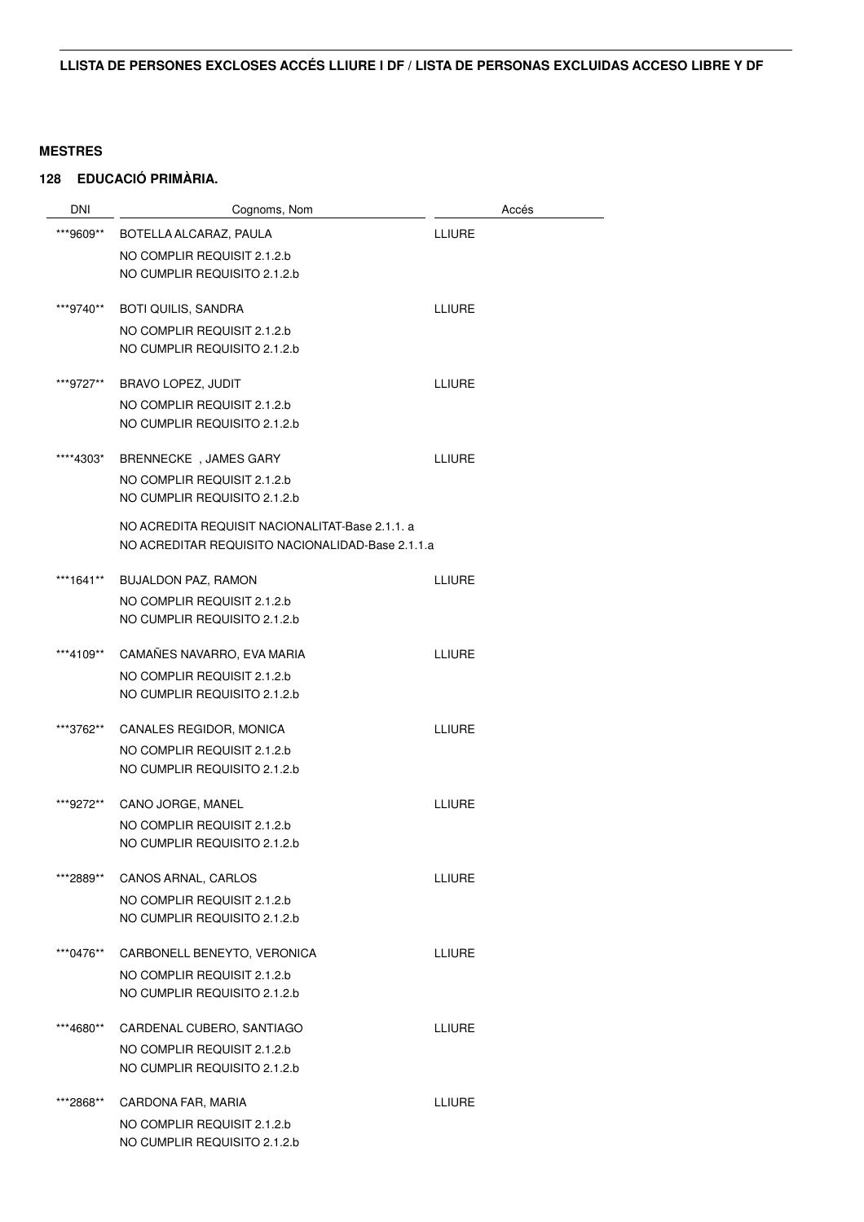| <b>DNI</b> | Cognoms, Nom                                     | Accés         |
|------------|--------------------------------------------------|---------------|
| ***9609**  | BOTELLA ALCARAZ, PAULA                           | <b>LLIURE</b> |
|            | NO COMPLIR REQUISIT 2.1.2.b                      |               |
|            | NO CUMPLIR REQUISITO 2.1.2.b                     |               |
| ***9740**  | <b>BOTI QUILIS, SANDRA</b>                       | <b>LLIURE</b> |
|            | NO COMPLIR REQUISIT 2.1.2.b                      |               |
|            | NO CUMPLIR REQUISITO 2.1.2.b                     |               |
| ***9727**  | BRAVO LOPEZ, JUDIT                               | <b>LLIURE</b> |
|            | NO COMPLIR REQUISIT 2.1.2.b                      |               |
|            | NO CUMPLIR REQUISITO 2.1.2.b                     |               |
| ****4303*  | BRENNECKE, JAMES GARY                            | <b>LLIURE</b> |
|            | NO COMPLIR REQUISIT 2.1.2.b                      |               |
|            | NO CUMPLIR REQUISITO 2.1.2.b                     |               |
|            | NO ACREDITA REQUISIT NACIONALITAT-Base 2.1.1. a  |               |
|            | NO ACREDITAR REQUISITO NACIONALIDAD-Base 2.1.1.a |               |
| ***1641**  | <b>BUJALDON PAZ, RAMON</b>                       | <b>LLIURE</b> |
|            | NO COMPLIR REQUISIT 2.1.2.b                      |               |
|            | NO CUMPLIR REQUISITO 2.1.2.b                     |               |
| ***4109**  | CAMAÑES NAVARRO, EVA MARIA                       | <b>LLIURE</b> |
|            | NO COMPLIR REQUISIT 2.1.2.b                      |               |
|            | NO CUMPLIR REQUISITO 2.1.2.b                     |               |
| ***3762**  | CANALES REGIDOR, MONICA                          | <b>LLIURE</b> |
|            | NO COMPLIR REQUISIT 2.1.2.b                      |               |
|            | NO CUMPLIR REQUISITO 2.1.2.b                     |               |
| ***9272**  | CANO JORGE, MANEL                                | <b>LLIURE</b> |
|            | NO COMPLIR REQUISIT 2.1.2.b                      |               |
|            | NO CUMPLIR REQUISITO 2.1.2.b                     |               |
| ***2889**  | CANOS ARNAL, CARLOS                              | <b>LLIURE</b> |
|            | NO COMPLIR REQUISIT 2.1.2.b                      |               |
|            | NO CUMPLIR REQUISITO 2.1.2.b                     |               |
| ***0476**  | CARBONELL BENEYTO, VERONICA                      | <b>LLIURE</b> |
|            | NO COMPLIR REQUISIT 2.1.2.b                      |               |
|            | NO CUMPLIR REQUISITO 2.1.2.b                     |               |
| ***4680**  | CARDENAL CUBERO, SANTIAGO                        | <b>LLIURE</b> |
|            | NO COMPLIR REQUISIT 2.1.2.b                      |               |
|            | NO CUMPLIR REQUISITO 2.1.2.b                     |               |
| ***2868**  | CARDONA FAR, MARIA                               | <b>LLIURE</b> |
|            | NO COMPLIR REQUISIT 2.1.2.b                      |               |
|            | NO CUMPLIR REQUISITO 2.1.2.b                     |               |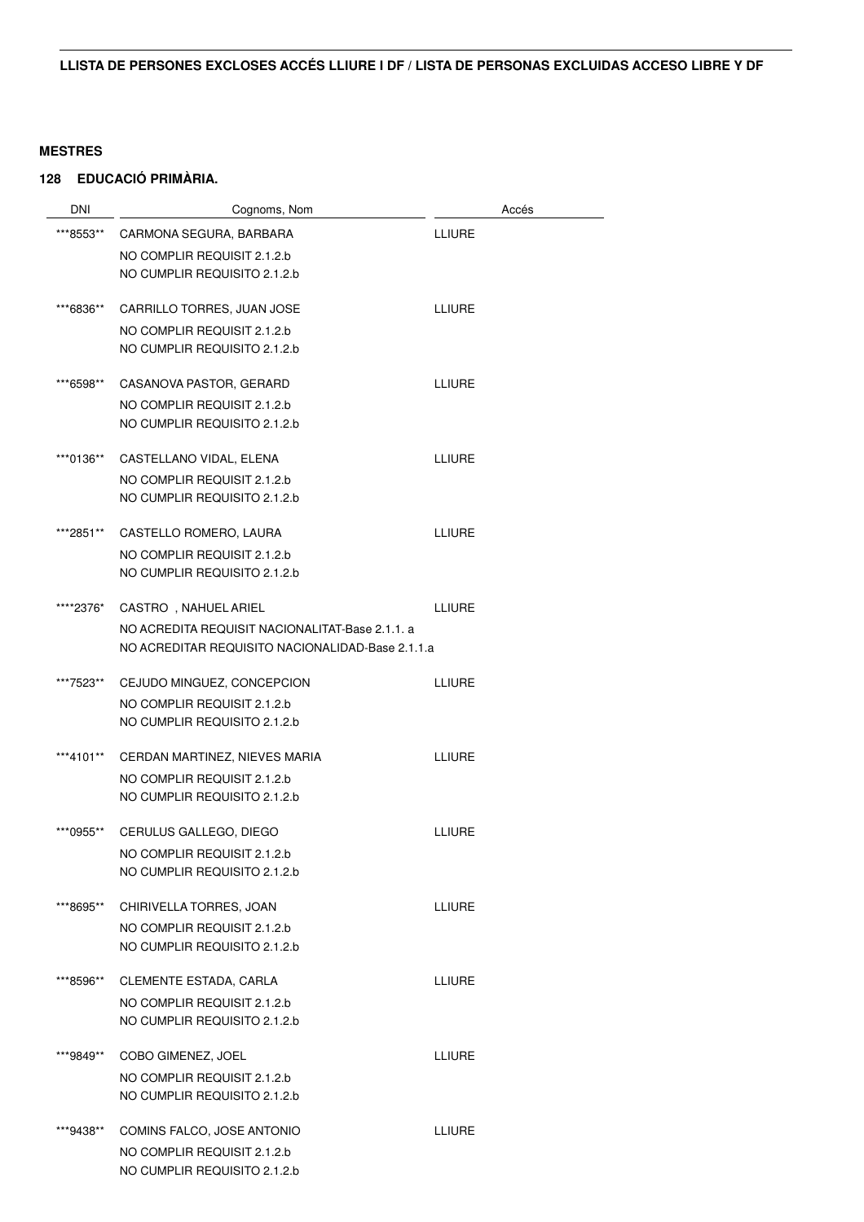| <b>DNI</b> | Cognoms, Nom                                     | Accés         |
|------------|--------------------------------------------------|---------------|
| ***8553**  | CARMONA SEGURA, BARBARA                          | <b>LLIURE</b> |
|            | NO COMPLIR REQUISIT 2.1.2.b                      |               |
|            | NO CUMPLIR REQUISITO 2.1.2.b                     |               |
| ***6836**  | CARRILLO TORRES, JUAN JOSE                       | <b>LLIURE</b> |
|            | NO COMPLIR REQUISIT 2.1.2.b                      |               |
|            | NO CUMPLIR REQUISITO 2.1.2.b                     |               |
| ***6598**  | CASANOVA PASTOR, GERARD                          | <b>LLIURE</b> |
|            | NO COMPLIR REQUISIT 2.1.2.b                      |               |
|            | NO CUMPLIR REQUISITO 2.1.2.b                     |               |
| ***0136**  | CASTELLANO VIDAL, ELENA                          | <b>LLIURE</b> |
|            | NO COMPLIR REQUISIT 2.1.2.b                      |               |
|            | NO CUMPLIR REQUISITO 2.1.2.b                     |               |
| ***2851**  | CASTELLO ROMERO, LAURA                           | <b>LLIURE</b> |
|            | NO COMPLIR REQUISIT 2.1.2.b                      |               |
|            | NO CUMPLIR REQUISITO 2.1.2.b                     |               |
| *****2376* | CASTRO, NAHUEL ARIEL                             | <b>LLIURE</b> |
|            | NO ACREDITA REQUISIT NACIONALITAT-Base 2.1.1. a  |               |
|            | NO ACREDITAR REQUISITO NACIONALIDAD-Base 2.1.1.a |               |
| ***7523**  | CEJUDO MINGUEZ, CONCEPCION                       | <b>LLIURE</b> |
|            | NO COMPLIR REQUISIT 2.1.2.b                      |               |
|            | NO CUMPLIR REQUISITO 2.1.2.b                     |               |
| ***4101**  | CERDAN MARTINEZ, NIEVES MARIA                    | <b>LLIURE</b> |
|            | NO COMPLIR REQUISIT 2.1.2.b                      |               |
|            | NO CUMPLIR REQUISITO 2.1.2.b                     |               |
| ***0955**  | CERULUS GALLEGO, DIEGO                           | <b>LLIURE</b> |
|            | NO COMPLIR REQUISIT 2.1.2.b                      |               |
|            | NO CUMPLIR REQUISITO 2.1.2.b                     |               |
| ***8695**  | CHIRIVELLA TORRES, JOAN                          | <b>LLIURE</b> |
|            | NO COMPLIR REQUISIT 2.1.2.b                      |               |
|            | NO CUMPLIR REQUISITO 2.1.2.b                     |               |
| ***8596**  | CLEMENTE ESTADA, CARLA                           | <b>LLIURE</b> |
|            | NO COMPLIR REQUISIT 2.1.2.b                      |               |
|            | NO CUMPLIR REQUISITO 2.1.2.b                     |               |
| ***9849**  | COBO GIMENEZ, JOEL                               | <b>LLIURE</b> |
|            | NO COMPLIR REQUISIT 2.1.2.b                      |               |
|            | NO CUMPLIR REQUISITO 2.1.2.b                     |               |
| ***9438**  | COMINS FALCO, JOSE ANTONIO                       | <b>LLIURE</b> |
|            | NO COMPLIR REQUISIT 2.1.2.b                      |               |
|            | NO CUMPLIR REQUISITO 2.1.2.b                     |               |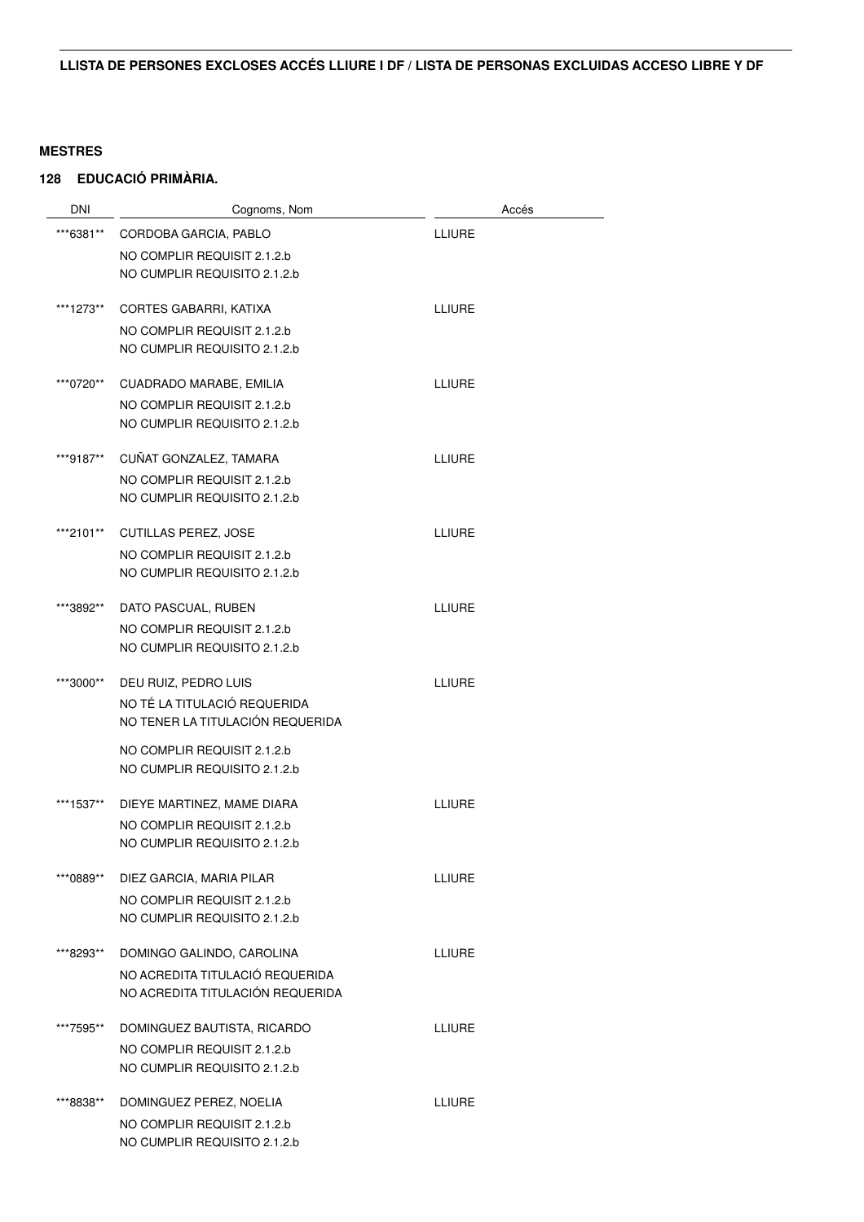| <b>DNI</b> | Cognoms, Nom                                                | Accés         |
|------------|-------------------------------------------------------------|---------------|
| ***6381**  | CORDOBA GARCIA, PABLO                                       | <b>LLIURE</b> |
|            | NO COMPLIR REQUISIT 2.1.2.b                                 |               |
|            | NO CUMPLIR REQUISITO 2.1.2.b                                |               |
| ***1273**  | CORTES GABARRI, KATIXA                                      | <b>LLIURE</b> |
|            | NO COMPLIR REQUISIT 2.1.2.b                                 |               |
|            | NO CUMPLIR REQUISITO 2.1.2.b                                |               |
| ***0720**  | CUADRADO MARABE, EMILIA                                     |               |
|            | NO COMPLIR REQUISIT 2.1.2.b                                 | <b>LLIURE</b> |
|            | NO CUMPLIR REQUISITO 2.1.2.b                                |               |
|            |                                                             |               |
| ***9187**  | CUÑAT GONZALEZ, TAMARA                                      | <b>LLIURE</b> |
|            | NO COMPLIR REQUISIT 2.1.2.b<br>NO CUMPLIR REQUISITO 2.1.2.b |               |
|            |                                                             |               |
| ***2101**  | <b>CUTILLAS PEREZ, JOSE</b>                                 | <b>LLIURE</b> |
|            | NO COMPLIR REQUISIT 2.1.2.b                                 |               |
|            | NO CUMPLIR REQUISITO 2.1.2.b                                |               |
| ***3892**  | DATO PASCUAL, RUBEN                                         | <b>LLIURE</b> |
|            | NO COMPLIR REQUISIT 2.1.2.b                                 |               |
|            | NO CUMPLIR REQUISITO 2.1.2.b                                |               |
| ***3000**  | DEU RUIZ, PEDRO LUIS                                        | <b>LLIURE</b> |
|            | NO TÉ LA TITULACIÓ REQUERIDA                                |               |
|            | NO TENER LA TITULACIÓN REQUERIDA                            |               |
|            | NO COMPLIR REQUISIT 2.1.2.b                                 |               |
|            | NO CUMPLIR REQUISITO 2.1.2.b                                |               |
| ***1537**  | DIEYE MARTINEZ, MAME DIARA                                  | <b>LLIURE</b> |
|            | NO COMPLIR REQUISIT 2.1.2.b                                 |               |
|            | NO CUMPLIR REQUISITO 2.1.2.b                                |               |
| ***0889**  | DIEZ GARCIA, MARIA PILAR                                    | <b>LLIURE</b> |
|            | NO COMPLIR REQUISIT 2.1.2.b                                 |               |
|            | NO CUMPLIR REQUISITO 2.1.2.b                                |               |
| ***8293**  | DOMINGO GALINDO, CAROLINA                                   | <b>LLIURE</b> |
|            | NO ACREDITA TITULACIÓ REQUERIDA                             |               |
|            | NO ACREDITA TITULACIÓN REQUERIDA                            |               |
| ***7595**  | DOMINGUEZ BAUTISTA, RICARDO                                 | <b>LLIURE</b> |
|            | NO COMPLIR REQUISIT 2.1.2.b                                 |               |
|            | NO CUMPLIR REQUISITO 2.1.2.b                                |               |
| **8838**   | DOMINGUEZ PEREZ, NOELIA                                     | <b>LLIURE</b> |
|            | NO COMPLIR REQUISIT 2.1.2.b                                 |               |
|            | NO CUMPLIR REQUISITO 2.1.2.b                                |               |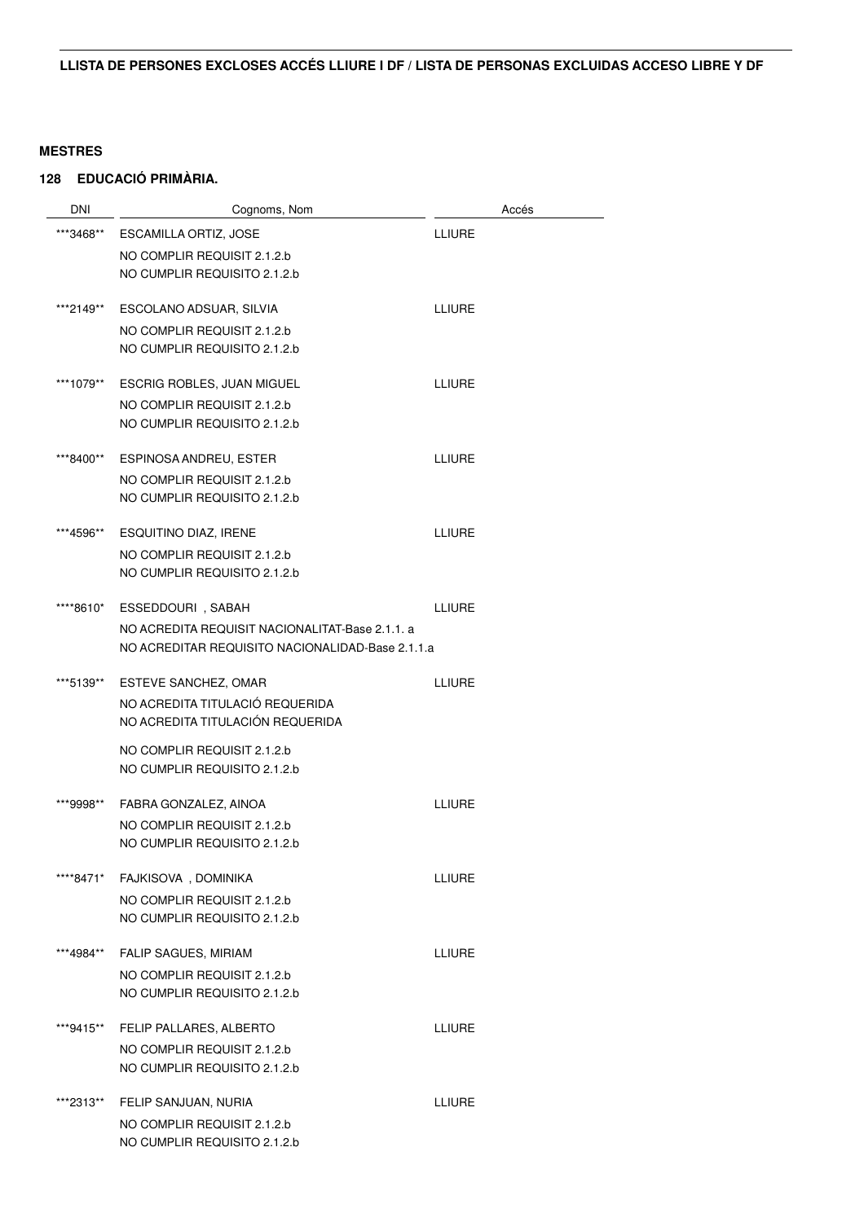| <b>DNI</b> | Cognoms, Nom                                     | Accés         |
|------------|--------------------------------------------------|---------------|
| ***3468**  | ESCAMILLA ORTIZ, JOSE                            | LLIURE        |
|            | NO COMPLIR REQUISIT 2.1.2.b                      |               |
|            | NO CUMPLIR REQUISITO 2.1.2.b                     |               |
| ***2149**  | ESCOLANO ADSUAR, SILVIA                          | <b>LLIURE</b> |
|            | NO COMPLIR REQUISIT 2.1.2.b                      |               |
|            | NO CUMPLIR REQUISITO 2.1.2.b                     |               |
| ***1079**  | <b>ESCRIG ROBLES, JUAN MIGUEL</b>                | LLIURE        |
|            | NO COMPLIR REQUISIT 2.1.2.b                      |               |
|            | NO CUMPLIR REQUISITO 2.1.2.b                     |               |
| ***8400**  | <b>ESPINOSA ANDREU, ESTER</b>                    | <b>LLIURE</b> |
|            | NO COMPLIR REQUISIT 2.1.2.b                      |               |
|            | NO CUMPLIR REQUISITO 2.1.2.b                     |               |
| ***4596**  | ESQUITINO DIAZ, IRENE                            | <b>LLIURE</b> |
|            | NO COMPLIR REQUISIT 2.1.2.b                      |               |
|            | NO CUMPLIR REQUISITO 2.1.2.b                     |               |
| ****8610*  | ESSEDDOURI, SABAH                                | <b>LLIURE</b> |
|            | NO ACREDITA REQUISIT NACIONALITAT-Base 2.1.1. a  |               |
|            | NO ACREDITAR REQUISITO NACIONALIDAD-Base 2.1.1.a |               |
| ***5139**  | ESTEVE SANCHEZ, OMAR                             | <b>LLIURE</b> |
|            | NO ACREDITA TITULACIÓ REQUERIDA                  |               |
|            | NO ACREDITA TITULACIÓN REQUERIDA                 |               |
|            | NO COMPLIR REQUISIT 2.1.2.b                      |               |
|            | NO CUMPLIR REQUISITO 2.1.2.b                     |               |
| ***9998**  | FABRA GONZALEZ, AINOA                            | <b>LLIURE</b> |
|            | NO COMPLIR REQUISIT 2.1.2.b                      |               |
|            | NO CUMPLIR REQUISITO 2.1.2.b                     |               |
| ****8471*  | FAJKISOVA, DOMINIKA                              | LLIURE        |
|            | NO COMPLIR REQUISIT 2.1.2.b                      |               |
|            | NO CUMPLIR REQUISITO 2.1.2.b                     |               |
| ***4984**  | <b>FALIP SAGUES, MIRIAM</b>                      | <b>LLIURE</b> |
|            | NO COMPLIR REQUISIT 2.1.2.b                      |               |
|            | NO CUMPLIR REQUISITO 2.1.2.b                     |               |
| ***9415**  | FELIP PALLARES, ALBERTO                          | LLIURE        |
|            | NO COMPLIR REQUISIT 2.1.2.b                      |               |
|            | NO CUMPLIR REQUISITO 2.1.2.b                     |               |
| ***2313**  | FELIP SANJUAN, NURIA                             | <b>LLIURE</b> |
|            | NO COMPLIR REQUISIT 2.1.2.b                      |               |
|            | NO CUMPLIR REQUISITO 2.1.2.b                     |               |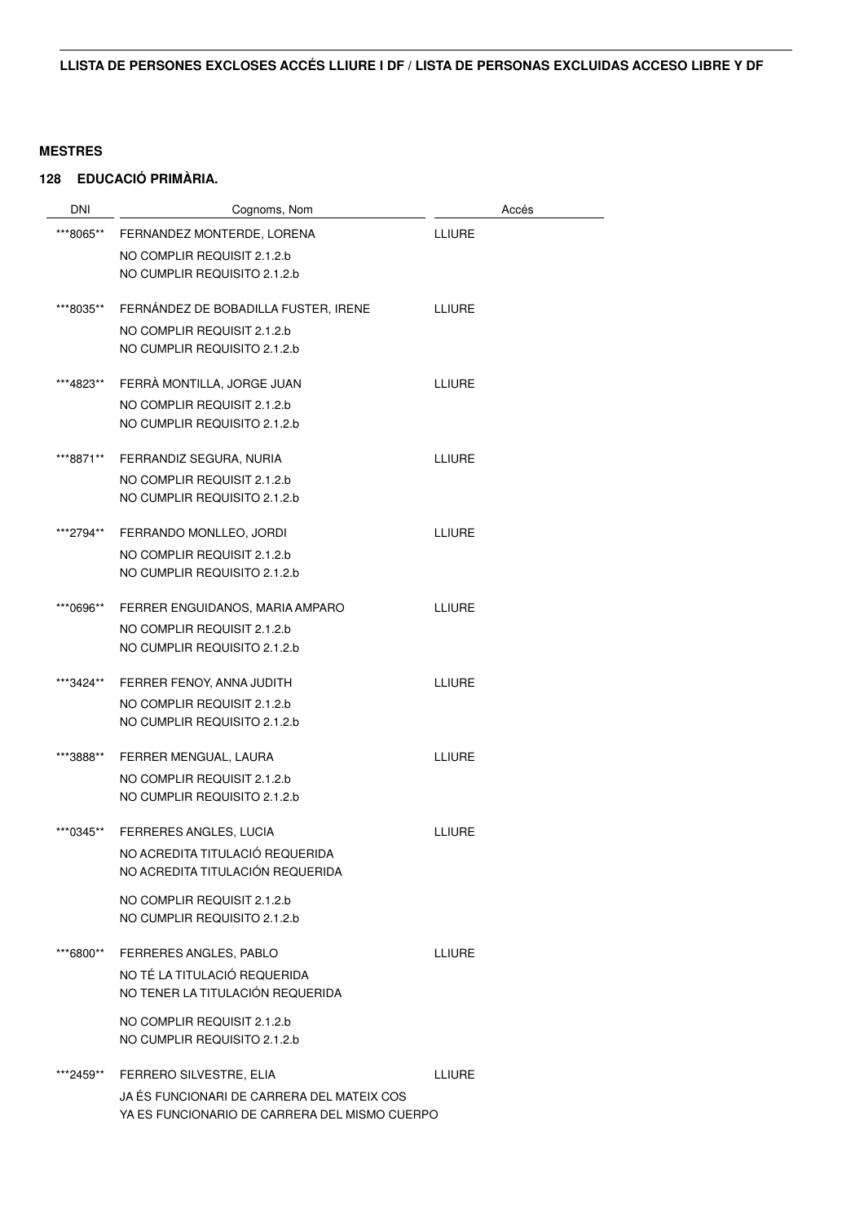| DNI       | Cognoms, Nom                                  |               | Accés |
|-----------|-----------------------------------------------|---------------|-------|
| ***8065** | FERNANDEZ MONTERDE, LORENA                    | <b>LLIURE</b> |       |
|           | NO COMPLIR REQUISIT 2.1.2.b                   |               |       |
|           | NO CUMPLIR REQUISITO 2.1.2.b                  |               |       |
| ***8035** | FERNÁNDEZ DE BOBADILLA FUSTER, IRENE          | <b>LLIURE</b> |       |
|           | NO COMPLIR REQUISIT 2.1.2.b                   |               |       |
|           | NO CUMPLIR REQUISITO 2.1.2.b                  |               |       |
| ***4823** | FERRÀ MONTILLA, JORGE JUAN                    | LLIURE        |       |
|           | NO COMPLIR REQUISIT 2.1.2.b                   |               |       |
|           | NO CUMPLIR REQUISITO 2.1.2.b                  |               |       |
| ***8871** | FERRANDIZ SEGURA, NURIA                       | LLIURE        |       |
|           | NO COMPLIR REQUISIT 2.1.2.b                   |               |       |
|           | NO CUMPLIR REQUISITO 2.1.2.b                  |               |       |
| ***2794** | FERRANDO MONLLEO, JORDI                       | <b>LLIURE</b> |       |
|           | NO COMPLIR REQUISIT 2.1.2.b                   |               |       |
|           | NO CUMPLIR REQUISITO 2.1.2.b                  |               |       |
| ***0696** | FERRER ENGUIDANOS, MARIA AMPARO               | <b>LLIURE</b> |       |
|           | NO COMPLIR REQUISIT 2.1.2.b                   |               |       |
|           | NO CUMPLIR REQUISITO 2.1.2.b                  |               |       |
| ***3424** | FERRER FENOY, ANNA JUDITH                     | <b>LLIURE</b> |       |
|           | NO COMPLIR REQUISIT 2.1.2.b                   |               |       |
|           | NO CUMPLIR REQUISITO 2.1.2.b                  |               |       |
| ***3888** | FERRER MENGUAL, LAURA                         | <b>LLIURE</b> |       |
|           | NO COMPLIR REQUISIT 2.1.2.b                   |               |       |
|           | NO CUMPLIR REQUISITO 2.1.2.b                  |               |       |
| ***0345** | FERRERES ANGLES, LUCIA                        | LLIURE        |       |
|           | NO ACREDITA TITULACIÓ REQUERIDA               |               |       |
|           | NO ACREDITA TITULACIÓN REQUERIDA              |               |       |
|           | NO COMPLIR REQUISIT 2.1.2.b                   |               |       |
|           | NO CUMPLIR REQUISITO 2.1.2.b                  |               |       |
| ***6800** | FERRERES ANGLES, PABLO                        | <b>LLIURE</b> |       |
|           | NO TÉ LA TITULACIÓ REQUERIDA                  |               |       |
|           | NO TENER LA TITULACIÓN REQUERIDA              |               |       |
|           | NO COMPLIR REQUISIT 2.1.2.b                   |               |       |
|           | NO CUMPLIR REQUISITO 2.1.2.b                  |               |       |
| ***2459** | FERRERO SILVESTRE, ELIA                       | <b>LLIURE</b> |       |
|           | JA ÉS FUNCIONARI DE CARRERA DEL MATEIX COS    |               |       |
|           | YA ES FUNCIONARIO DE CARRERA DEL MISMO CUERPO |               |       |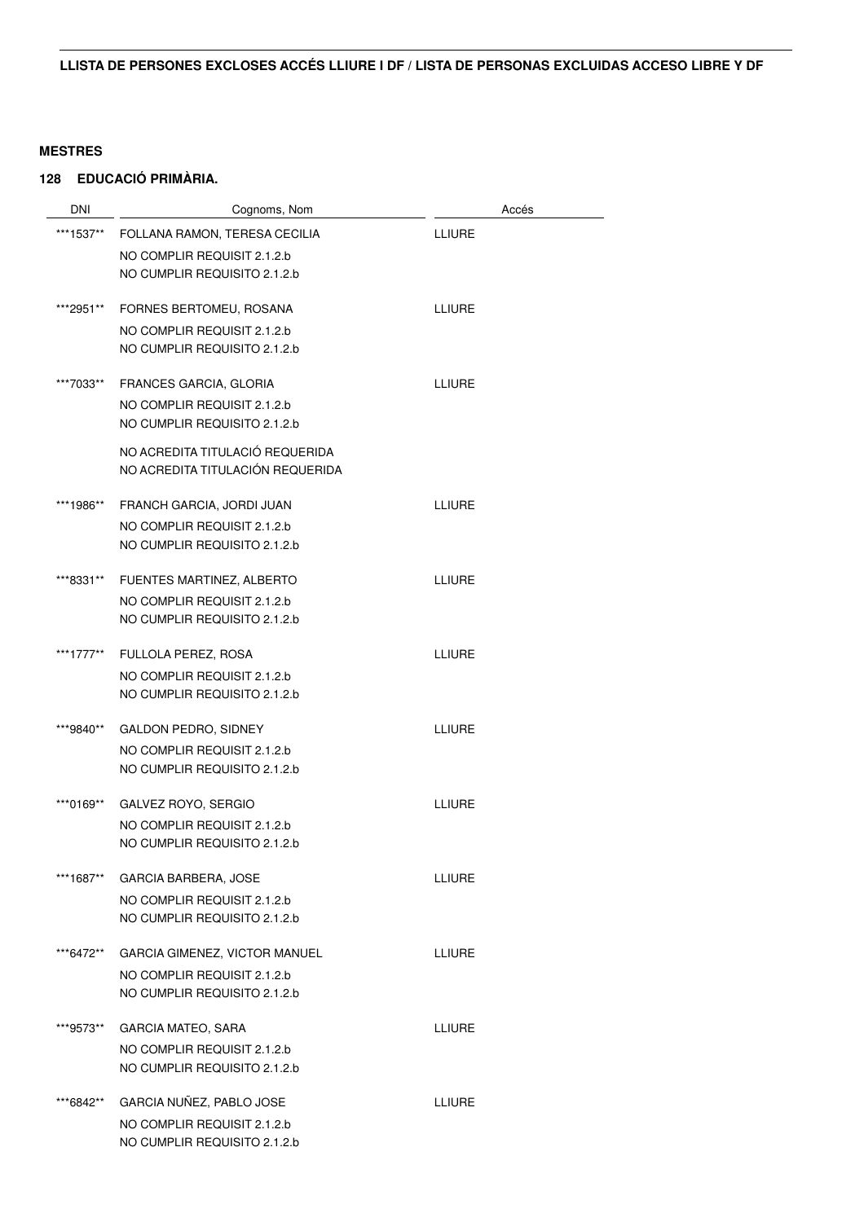| DNI       | Cognoms, Nom                     | Accés         |
|-----------|----------------------------------|---------------|
| ***1537** | FOLLANA RAMON, TERESA CECILIA    | LLIURE        |
|           | NO COMPLIR REQUISIT 2.1.2.b      |               |
|           | NO CUMPLIR REQUISITO 2.1.2.b     |               |
| ***2951** | FORNES BERTOMEU, ROSANA          | <b>LLIURE</b> |
|           | NO COMPLIR REQUISIT 2.1.2.b      |               |
|           | NO CUMPLIR REQUISITO 2.1.2.b     |               |
| ***7033** | <b>FRANCES GARCIA, GLORIA</b>    | <b>LLIURE</b> |
|           | NO COMPLIR REQUISIT 2.1.2.b      |               |
|           | NO CUMPLIR REQUISITO 2.1.2.b     |               |
|           | NO ACREDITA TITULACIÓ REQUERIDA  |               |
|           | NO ACREDITA TITULACIÓN REQUERIDA |               |
| ***1986** | FRANCH GARCIA, JORDI JUAN        | <b>LLIURE</b> |
|           | NO COMPLIR REQUISIT 2.1.2.b      |               |
|           | NO CUMPLIR REQUISITO 2.1.2.b     |               |
| ***8331** | FUENTES MARTINEZ, ALBERTO        | <b>LLIURE</b> |
|           | NO COMPLIR REQUISIT 2.1.2.b      |               |
|           | NO CUMPLIR REQUISITO 2.1.2.b     |               |
| ***1777** | FULLOLA PEREZ, ROSA              | <b>LLIURE</b> |
|           | NO COMPLIR REQUISIT 2.1.2.b      |               |
|           | NO CUMPLIR REQUISITO 2.1.2.b     |               |
| ***9840** | <b>GALDON PEDRO, SIDNEY</b>      | <b>LLIURE</b> |
|           | NO COMPLIR REQUISIT 2.1.2.b      |               |
|           | NO CUMPLIR REQUISITO 2.1.2.b     |               |
| ***0169** | GALVEZ ROYO, SERGIO              | <b>LLIURE</b> |
|           | NO COMPLIR REQUISIT 2.1.2.b      |               |
|           | NO CUMPLIR REQUISITO 2.1.2.b     |               |
| ***1687** | GARCIA BARBERA, JOSE             | LLIURE        |
|           | NO COMPLIR REQUISIT 2.1.2.b      |               |
|           | NO CUMPLIR REQUISITO 2.1.2.b     |               |
| ***6472** | GARCIA GIMENEZ, VICTOR MANUEL    | <b>LLIURE</b> |
|           | NO COMPLIR REQUISIT 2.1.2.b      |               |
|           | NO CUMPLIR REQUISITO 2.1.2.b     |               |
| ***9573** | GARCIA MATEO, SARA               | <b>LLIURE</b> |
|           | NO COMPLIR REQUISIT 2.1.2.b      |               |
|           | NO CUMPLIR REQUISITO 2.1.2.b     |               |
| ***6842** | GARCIA NUÑEZ, PABLO JOSE         | LLIURE        |
|           | NO COMPLIR REQUISIT 2.1.2.b      |               |
|           | NO CUMPLIR REQUISITO 2.1.2.b     |               |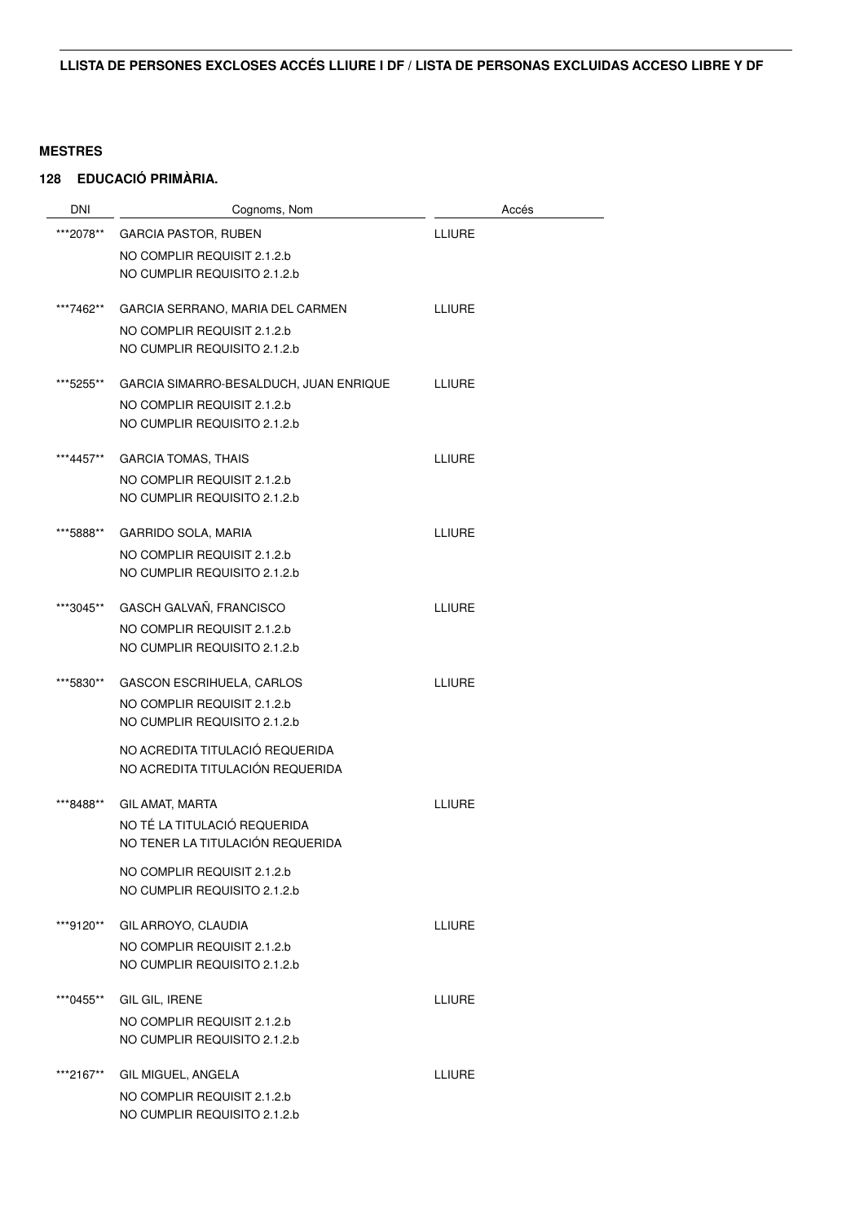| <b>DNI</b> | Cognoms, Nom                           | Accés         |
|------------|----------------------------------------|---------------|
| ***2078**  | <b>GARCIA PASTOR, RUBEN</b>            | LLIURE        |
|            | NO COMPLIR REQUISIT 2.1.2.b            |               |
|            | NO CUMPLIR REQUISITO 2.1.2.b           |               |
| ***7462**  | GARCIA SERRANO, MARIA DEL CARMEN       | <b>LLIURE</b> |
|            | NO COMPLIR REQUISIT 2.1.2.b            |               |
|            | NO CUMPLIR REQUISITO 2.1.2.b           |               |
| ***5255**  | GARCIA SIMARRO-BESALDUCH, JUAN ENRIQUE | <b>LLIURE</b> |
|            | NO COMPLIR REQUISIT 2.1.2.b            |               |
|            | NO CUMPLIR REQUISITO 2.1.2.b           |               |
| ***4457**  | <b>GARCIA TOMAS, THAIS</b>             | <b>LLIURE</b> |
|            | NO COMPLIR REQUISIT 2.1.2.b            |               |
|            | NO CUMPLIR REQUISITO 2.1.2.b           |               |
| ***5888**  | GARRIDO SOLA, MARIA                    | <b>LLIURE</b> |
|            | NO COMPLIR REQUISIT 2.1.2.b            |               |
|            | NO CUMPLIR REQUISITO 2.1.2.b           |               |
| ***3045**  | GASCH GALVAÑ, FRANCISCO                | <b>LLIURE</b> |
|            | NO COMPLIR REQUISIT 2.1.2.b            |               |
|            | NO CUMPLIR REQUISITO 2.1.2.b           |               |
| ***5830**  | <b>GASCON ESCRIHUELA, CARLOS</b>       | <b>LLIURE</b> |
|            | NO COMPLIR REQUISIT 2.1.2.b            |               |
|            | NO CUMPLIR REQUISITO 2.1.2.b           |               |
|            | NO ACREDITA TITULACIÓ REQUERIDA        |               |
|            | NO ACREDITA TITULACIÓN REQUERIDA       |               |
| ***8488**  | GIL AMAT, MARTA                        | LLIURE        |
|            | NO TÉ LA TITULACIÓ REQUERIDA           |               |
|            | NO TENER LA TITULACIÓN REQUERIDA       |               |
|            | NO COMPLIR REQUISIT 2.1.2.b            |               |
|            | NO CUMPLIR REQUISITO 2.1.2.b           |               |
| ***9120**  | GIL ARROYO, CLAUDIA                    | <b>LLIURE</b> |
|            | NO COMPLIR REQUISIT 2.1.2.b            |               |
|            | NO CUMPLIR REQUISITO 2.1.2.b           |               |
| ***0455**  | GIL GIL, IRENE                         | <b>LLIURE</b> |
|            | NO COMPLIR REQUISIT 2.1.2.b            |               |
|            | NO CUMPLIR REQUISITO 2.1.2.b           |               |
| ***2167**  | GIL MIGUEL, ANGELA                     | <b>LLIURE</b> |
|            | NO COMPLIR REQUISIT 2.1.2.b            |               |
|            | NO CUMPLIR REQUISITO 2.1.2.b           |               |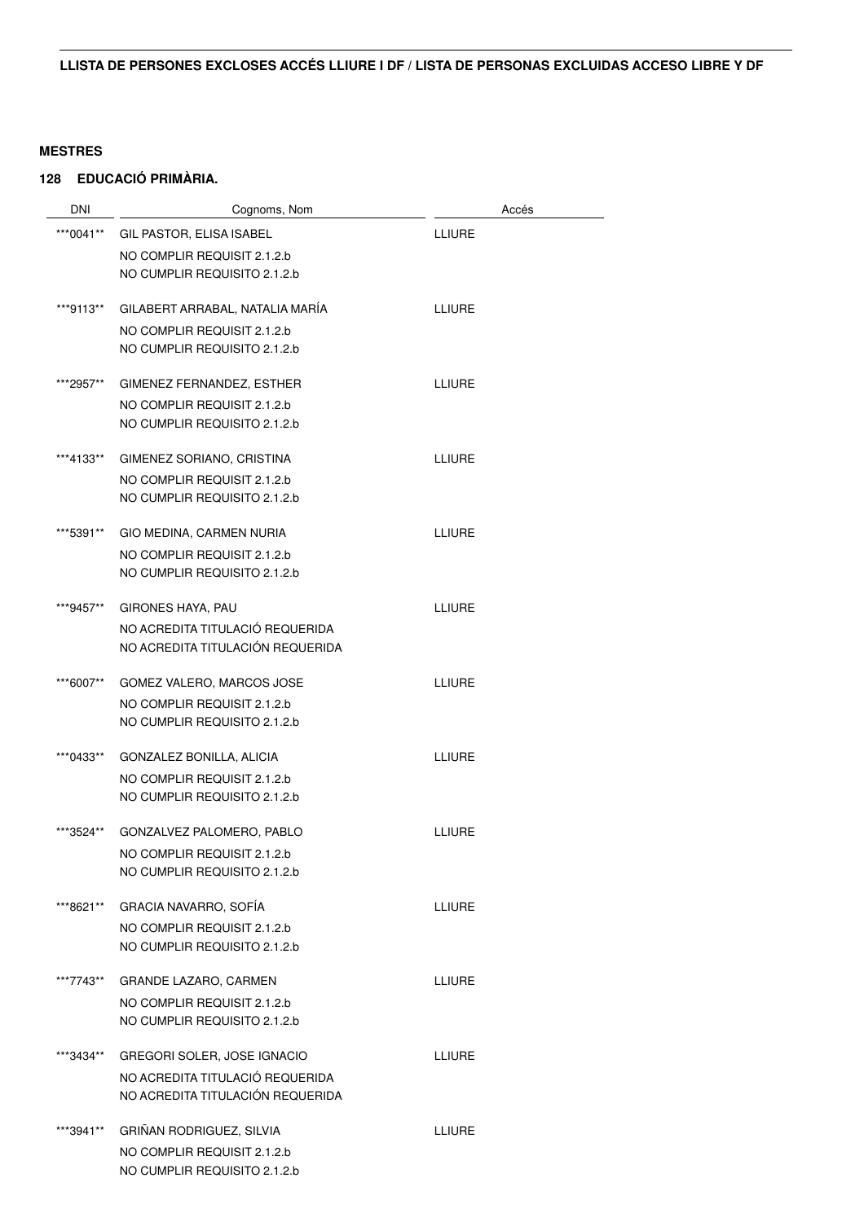| <b>DNI</b> | Cognoms, Nom                     | Accés         |
|------------|----------------------------------|---------------|
| ***0041**  | GIL PASTOR, ELISA ISABEL         | <b>LLIURE</b> |
|            | NO COMPLIR REQUISIT 2.1.2.b      |               |
|            | NO CUMPLIR REQUISITO 2.1.2.b     |               |
| ***9113**  | GILABERT ARRABAL. NATALIA MARÍA  | <b>LLIURE</b> |
|            | NO COMPLIR REQUISIT 2.1.2.b      |               |
|            | NO CUMPLIR REQUISITO 2.1.2.b     |               |
| ***2957**  | GIMENEZ FERNANDEZ, ESTHER        | <b>LLIURE</b> |
|            | NO COMPLIR REQUISIT 2.1.2.b      |               |
|            | NO CUMPLIR REQUISITO 2.1.2.b     |               |
| ***4133**  | GIMENEZ SORIANO, CRISTINA        | <b>LLIURE</b> |
|            | NO COMPLIR REQUISIT 2.1.2.b      |               |
|            | NO CUMPLIR REQUISITO 2.1.2.b     |               |
| ***5391**  | GIO MEDINA, CARMEN NURIA         | <b>LLIURE</b> |
|            | NO COMPLIR REQUISIT 2.1.2.b      |               |
|            | NO CUMPLIR REQUISITO 2.1.2.b     |               |
| ***9457**  | GIRONES HAYA, PAU                | <b>LLIURE</b> |
|            | NO ACREDITA TITULACIÓ REQUERIDA  |               |
|            | NO ACREDITA TITULACIÓN REQUERIDA |               |
| ***6007**  | GOMEZ VALERO, MARCOS JOSE        | <b>LLIURE</b> |
|            | NO COMPLIR REQUISIT 2.1.2.b      |               |
|            | NO CUMPLIR REQUISITO 2.1.2.b     |               |
| ***0433**  | GONZALEZ BONILLA, ALICIA         | <b>LLIURE</b> |
|            | NO COMPLIR REQUISIT 2.1.2.b      |               |
|            | NO CUMPLIR REQUISITO 2.1.2.b     |               |
| ***3524**  | GONZALVEZ PALOMERO, PABLO        | <b>LLIURE</b> |
|            | NO COMPLIR REQUISIT 2.1.2.b      |               |
|            | NO CUMPLIR REQUISITO 2.1.2.b     |               |
| ***8621**  | <b>GRACIA NAVARRO, SOFÍA</b>     | <b>LLIURE</b> |
|            | NO COMPLIR REQUISIT 2.1.2.b      |               |
|            | NO CUMPLIR REQUISITO 2.1.2.b     |               |
| ***7743**  | <b>GRANDE LAZARO, CARMEN</b>     | <b>LLIURE</b> |
|            | NO COMPLIR REQUISIT 2.1.2.b      |               |
|            | NO CUMPLIR REQUISITO 2.1.2.b     |               |
| ***3434**  | GREGORI SOLER, JOSE IGNACIO      | <b>LLIURE</b> |
|            | NO ACREDITA TITULACIÓ REQUERIDA  |               |
|            | NO ACREDITA TITULACIÓN REQUERIDA |               |
| ***3941**  | GRIÑAN RODRIGUEZ, SILVIA         | <b>LLIURE</b> |
|            | NO COMPLIR REQUISIT 2.1.2.b      |               |
|            | NO CUMPLIR REQUISITO 2.1.2.b     |               |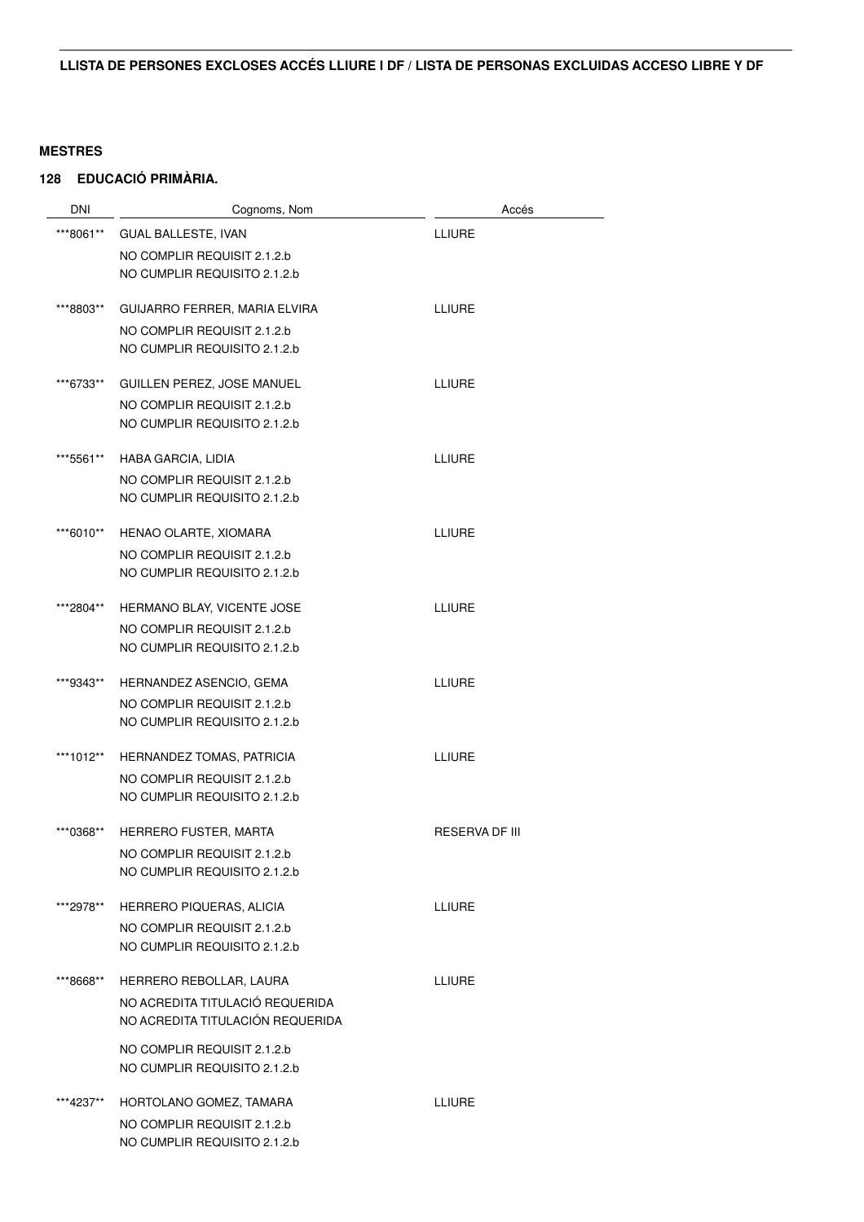| <b>DNI</b> | Cognoms, Nom                     | Accés                 |
|------------|----------------------------------|-----------------------|
| ***8061**  | <b>GUAL BALLESTE, IVAN</b>       | <b>LLIURE</b>         |
|            | NO COMPLIR REQUISIT 2.1.2.b      |                       |
|            | NO CUMPLIR REQUISITO 2.1.2.b     |                       |
|            |                                  |                       |
| ***8803**  | GUIJARRO FERRER, MARIA ELVIRA    | <b>LLIURE</b>         |
|            | NO COMPLIR REQUISIT 2.1.2.b      |                       |
|            | NO CUMPLIR REQUISITO 2.1.2.b     |                       |
| ***6733**  | GUILLEN PEREZ, JOSE MANUEL       | <b>LLIURE</b>         |
|            | NO COMPLIR REQUISIT 2.1.2.b      |                       |
|            | NO CUMPLIR REQUISITO 2.1.2.b     |                       |
| ***5561**  | HABA GARCIA, LIDIA               | <b>LLIURE</b>         |
|            | NO COMPLIR REQUISIT 2.1.2.b      |                       |
|            | NO CUMPLIR REQUISITO 2.1.2.b     |                       |
|            |                                  |                       |
| ***6010**  | HENAO OLARTE, XIOMARA            | <b>LLIURE</b>         |
|            | NO COMPLIR REQUISIT 2.1.2.b      |                       |
|            | NO CUMPLIR REQUISITO 2.1.2.b     |                       |
| ***2804**  | HERMANO BLAY, VICENTE JOSE       | <b>LLIURE</b>         |
|            | NO COMPLIR REQUISIT 2.1.2.b      |                       |
|            | NO CUMPLIR REQUISITO 2.1.2.b     |                       |
| ***9343**  | HERNANDEZ ASENCIO, GEMA          | LLIURE                |
|            | NO COMPLIR REQUISIT 2.1.2.b      |                       |
|            | NO CUMPLIR REQUISITO 2.1.2.b     |                       |
| ***1012**  | HERNANDEZ TOMAS, PATRICIA        | <b>LLIURE</b>         |
|            | NO COMPLIR REQUISIT 2.1.2.b      |                       |
|            | NO CUMPLIR REQUISITO 2.1.2.b     |                       |
|            |                                  |                       |
| ***0368**  | HERRERO FUSTER, MARTA            | <b>RESERVA DF III</b> |
|            | NO COMPLIR REQUISIT 2.1.2.b      |                       |
|            | NO CUMPLIR REQUISITO 2.1.2.b     |                       |
| ***2978**  | HERRERO PIQUERAS, ALICIA         | <b>LLIURE</b>         |
|            | NO COMPLIR REQUISIT 2.1.2.b      |                       |
|            | NO CUMPLIR REQUISITO 2.1.2.b     |                       |
| ***8668**  | HERRERO REBOLLAR, LAURA          | <b>LLIURE</b>         |
|            | NO ACREDITA TITULACIÓ REQUERIDA  |                       |
|            | NO ACREDITA TITULACIÓN REQUERIDA |                       |
|            | NO COMPLIR REQUISIT 2.1.2.b      |                       |
|            | NO CUMPLIR REQUISITO 2.1.2.b     |                       |
| ***4237**  | HORTOLANO GOMEZ, TAMARA          | <b>LLIURE</b>         |
|            | NO COMPLIR REQUISIT 2.1.2.b      |                       |
|            | NO CUMPLIR REQUISITO 2.1.2.b     |                       |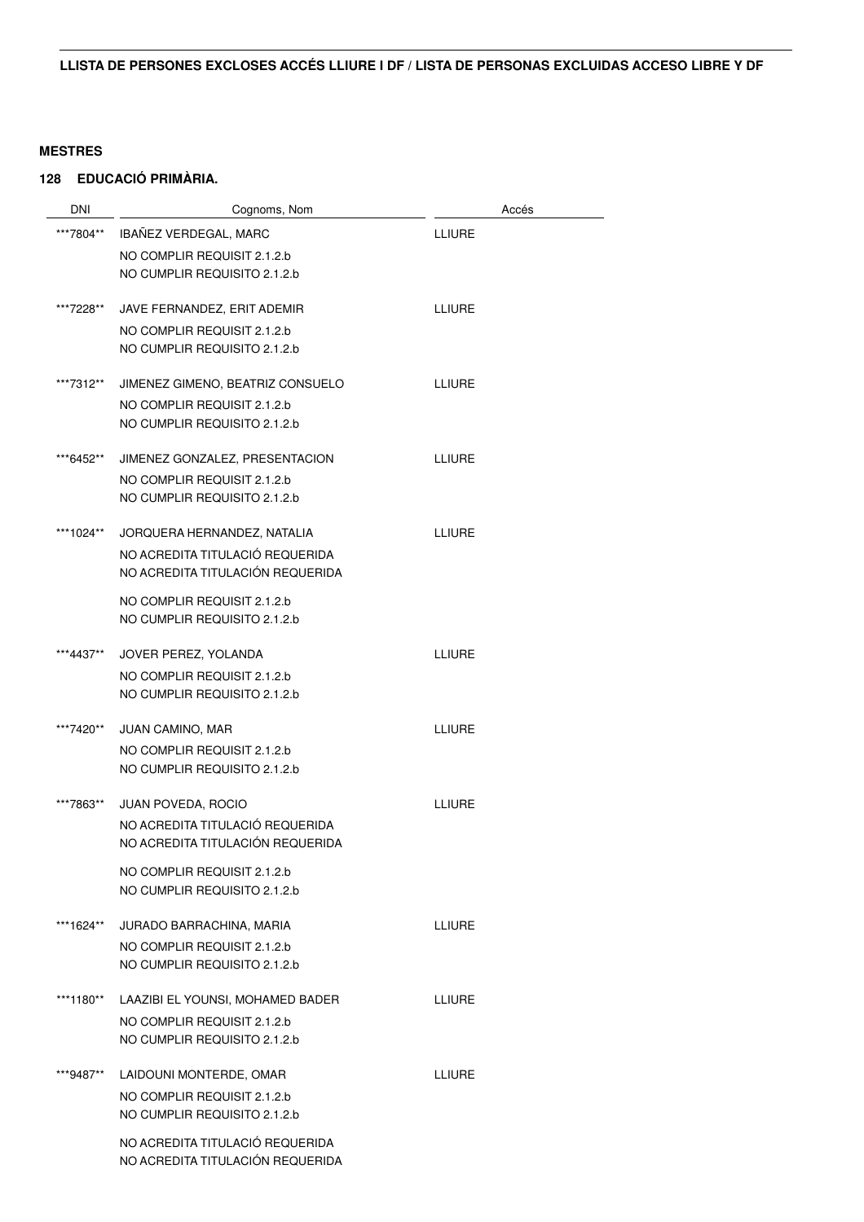| DNI       | Cognoms, Nom                                                        | Accés         |  |
|-----------|---------------------------------------------------------------------|---------------|--|
| ***7804** | IBAÑEZ VERDEGAL, MARC                                               | <b>LLIURE</b> |  |
|           | NO COMPLIR REQUISIT 2.1.2.b                                         |               |  |
|           | NO CUMPLIR REQUISITO 2.1.2.b                                        |               |  |
| ***7228** | JAVE FERNANDEZ, ERIT ADEMIR                                         | <b>LLIURE</b> |  |
|           | NO COMPLIR REQUISIT 2.1.2.b                                         |               |  |
|           | NO CUMPLIR REQUISITO 2.1.2.b                                        |               |  |
| ***7312** | JIMENEZ GIMENO, BEATRIZ CONSUELO                                    | <b>LLIURE</b> |  |
|           | NO COMPLIR REQUISIT 2.1.2.b                                         |               |  |
|           | NO CUMPLIR REQUISITO 2.1.2.b                                        |               |  |
| ***6452** | JIMENEZ GONZALEZ, PRESENTACION                                      | <b>LLIURE</b> |  |
|           | NO COMPLIR REQUISIT 2.1.2.b                                         |               |  |
|           | NO CUMPLIR REQUISITO 2.1.2.b                                        |               |  |
| ***1024** | JORQUERA HERNANDEZ, NATALIA                                         | <b>LLIURE</b> |  |
|           | NO ACREDITA TITULACIÓ REQUERIDA                                     |               |  |
|           | NO ACREDITA TITULACIÓN REQUERIDA                                    |               |  |
|           | NO COMPLIR REQUISIT 2.1.2.b                                         |               |  |
|           | NO CUMPLIR REQUISITO 2.1.2.b                                        |               |  |
| ***4437** | JOVER PEREZ, YOLANDA                                                | LLIURE        |  |
|           | NO COMPLIR REQUISIT 2.1.2.b                                         |               |  |
|           | NO CUMPLIR REQUISITO 2.1.2.b                                        |               |  |
| ***7420** | <b>JUAN CAMINO, MAR</b>                                             | <b>LLIURE</b> |  |
|           | NO COMPLIR REQUISIT 2.1.2.b                                         |               |  |
|           | NO CUMPLIR REQUISITO 2.1.2.b                                        |               |  |
| ***7863** | JUAN POVEDA, ROCIO                                                  | LLIURE        |  |
|           | NO ACREDITA TITULACIÓ REQUERIDA                                     |               |  |
|           | NO ACREDITA TITULACIÓN REQUERIDA                                    |               |  |
|           | NO COMPLIR REQUISIT 2.1.2.b<br>NO CUMPLIR REQUISITO 2.1.2.b         |               |  |
|           |                                                                     |               |  |
| ***1624** | JURADO BARRACHINA, MARIA                                            | <b>LLIURE</b> |  |
|           | NO COMPLIR REQUISIT 2.1.2.b                                         |               |  |
|           | NO CUMPLIR REQUISITO 2.1.2.b                                        |               |  |
| ***1180** | LAAZIBI EL YOUNSI, MOHAMED BADER                                    | <b>LLIURE</b> |  |
|           | NO COMPLIR REQUISIT 2.1.2.b<br>NO CUMPLIR REQUISITO 2.1.2.b         |               |  |
|           |                                                                     |               |  |
| ***9487** | LAIDOUNI MONTERDE, OMAR                                             | <b>LLIURE</b> |  |
|           | NO COMPLIR REQUISIT 2.1.2.b                                         |               |  |
|           | NO CUMPLIR REQUISITO 2.1.2.b                                        |               |  |
|           | NO ACREDITA TITULACIÓ REQUERIDA<br>NO ACREDITA TITULACIÓN REQUERIDA |               |  |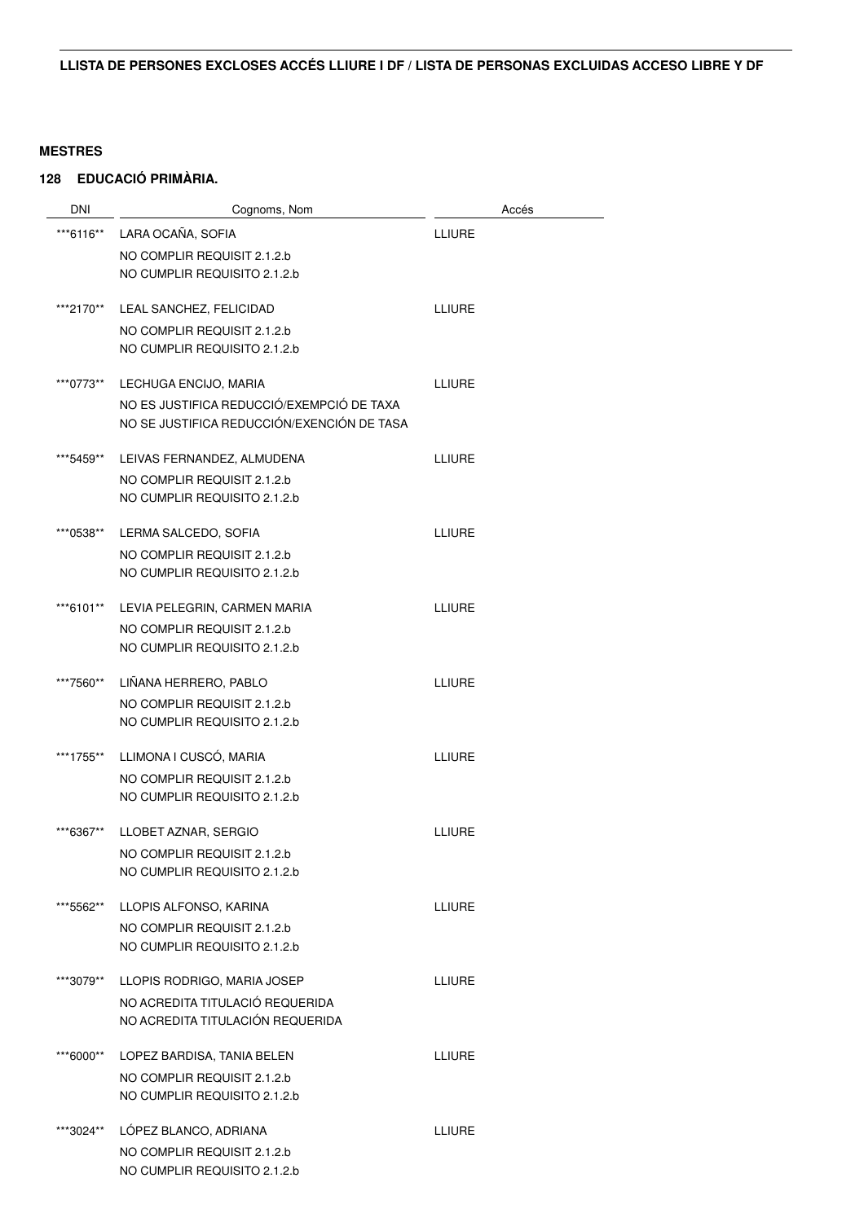| <b>DNI</b> | Cognoms, Nom                                                | Accés         |
|------------|-------------------------------------------------------------|---------------|
| ***6116**  | LARA OCAÑA, SOFIA                                           | <b>LLIURE</b> |
|            | NO COMPLIR REQUISIT 2.1.2.b                                 |               |
|            | NO CUMPLIR REQUISITO 2.1.2.b                                |               |
|            |                                                             |               |
| ***2170**  | LEAL SANCHEZ, FELICIDAD                                     | <b>LLIURE</b> |
|            | NO COMPLIR REQUISIT 2.1.2.b<br>NO CUMPLIR REQUISITO 2.1.2.b |               |
|            |                                                             |               |
| ***0773**  | LECHUGA ENCIJO, MARIA                                       | <b>LLIURE</b> |
|            | NO ES JUSTIFICA REDUCCIÓ/EXEMPCIÓ DE TAXA                   |               |
|            | NO SE JUSTIFICA REDUCCIÓN/EXENCIÓN DE TASA                  |               |
| ***5459**  | LEIVAS FERNANDEZ, ALMUDENA                                  | <b>LLIURE</b> |
|            | NO COMPLIR REQUISIT 2.1.2.b                                 |               |
|            | NO CUMPLIR REQUISITO 2.1.2.b                                |               |
| ***0538**  | LERMA SALCEDO, SOFIA                                        | <b>LLIURE</b> |
|            | NO COMPLIR REQUISIT 2.1.2.b                                 |               |
|            | NO CUMPLIR REQUISITO 2.1.2.b                                |               |
| ***6101**  | LEVIA PELEGRIN, CARMEN MARIA                                | <b>LLIURE</b> |
|            | NO COMPLIR REQUISIT 2.1.2.b                                 |               |
|            | NO CUMPLIR REQUISITO 2.1.2.b                                |               |
|            |                                                             |               |
| ***7560**  | LIÑANA HERRERO, PABLO                                       | <b>LLIURE</b> |
|            | NO COMPLIR REQUISIT 2.1.2.b<br>NO CUMPLIR REQUISITO 2.1.2.b |               |
|            |                                                             |               |
| ***1755**  | LLIMONA I CUSCÓ, MARIA                                      | <b>LLIURE</b> |
|            | NO COMPLIR REQUISIT 2.1.2.b                                 |               |
|            | NO CUMPLIR REQUISITO 2.1.2.b                                |               |
| ***6367**  | LLOBET AZNAR, SERGIO                                        | <b>LLIURE</b> |
|            | NO COMPLIR REQUISIT 2.1.2.b                                 |               |
|            | NO CUMPLIR REQUISITO 2.1.2.b                                |               |
| ***5562**  | LLOPIS ALFONSO, KARINA                                      | <b>LLIURE</b> |
|            | NO COMPLIR REQUISIT 2.1.2.b                                 |               |
|            | NO CUMPLIR REQUISITO 2.1.2.b                                |               |
| ***3079**  | LLOPIS RODRIGO, MARIA JOSEP                                 | <b>LLIURE</b> |
|            | NO ACREDITA TITULACIÓ REQUERIDA                             |               |
|            | NO ACREDITA TITULACIÓN REQUERIDA                            |               |
|            |                                                             |               |
| ***6000**  | LOPEZ BARDISA, TANIA BELEN                                  | <b>LLIURE</b> |
|            | NO COMPLIR REQUISIT 2.1.2.b<br>NO CUMPLIR REQUISITO 2.1.2.b |               |
|            |                                                             |               |
| ***3024**  | LÓPEZ BLANCO, ADRIANA                                       | <b>LLIURE</b> |
|            | NO COMPLIR REQUISIT 2.1.2.b                                 |               |
|            | NO CUMPLIR REQUISITO 2.1.2.b                                |               |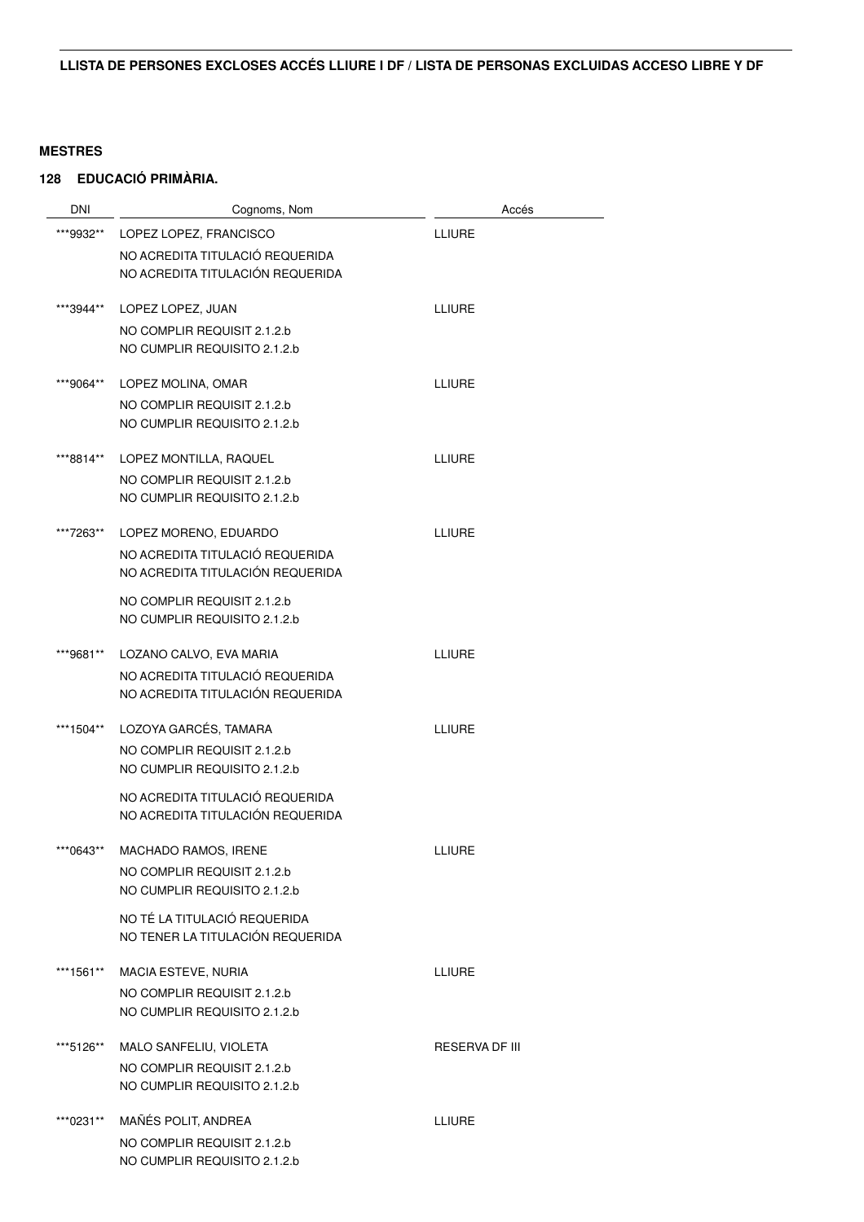| <b>DNI</b> | Cognoms, Nom                                                | Accés                 |
|------------|-------------------------------------------------------------|-----------------------|
| ***9932**  | LOPEZ LOPEZ, FRANCISCO                                      | <b>LLIURE</b>         |
|            | NO ACREDITA TITULACIÓ REQUERIDA                             |                       |
|            | NO ACREDITA TITULACIÓN REQUERIDA                            |                       |
|            |                                                             |                       |
| ***3944**  | LOPEZ LOPEZ, JUAN                                           | <b>LLIURE</b>         |
|            | NO COMPLIR REQUISIT 2.1.2.b<br>NO CUMPLIR REQUISITO 2.1.2.b |                       |
|            |                                                             |                       |
| ***9064**  | LOPEZ MOLINA, OMAR                                          | LLIURE                |
|            | NO COMPLIR REQUISIT 2.1.2.b                                 |                       |
|            | NO CUMPLIR REQUISITO 2.1.2.b                                |                       |
| ***8814**  | LOPEZ MONTILLA, RAQUEL                                      | <b>LLIURE</b>         |
|            | NO COMPLIR REQUISIT 2.1.2.b                                 |                       |
|            | NO CUMPLIR REQUISITO 2.1.2.b                                |                       |
| ***7263**  | LOPEZ MORENO, EDUARDO                                       | <b>LLIURE</b>         |
|            | NO ACREDITA TITULACIÓ REQUERIDA                             |                       |
|            | NO ACREDITA TITULACIÓN REQUERIDA                            |                       |
|            | NO COMPLIR REQUISIT 2.1.2.b                                 |                       |
|            | NO CUMPLIR REQUISITO 2.1.2.b                                |                       |
|            |                                                             |                       |
| ***9681**  | LOZANO CALVO, EVA MARIA                                     | LLIURE                |
|            | NO ACREDITA TITULACIÓ REQUERIDA                             |                       |
|            | NO ACREDITA TITULACIÓN REQUERIDA                            |                       |
| ***1504**  | LOZOYA GARCÉS, TAMARA                                       | <b>LLIURE</b>         |
|            | NO COMPLIR REQUISIT 2.1.2.b                                 |                       |
|            | NO CUMPLIR REQUISITO 2.1.2.b                                |                       |
|            | NO ACREDITA TITULACIÓ REQUERIDA                             |                       |
|            | NO ACREDITA TITULACIÓN REQUERIDA                            |                       |
| ***0643**  | MACHADO RAMOS, IRENE                                        | LLIURE                |
|            | NO COMPLIR REQUISIT 2.1.2.b                                 |                       |
|            | NO CUMPLIR REQUISITO 2.1.2.b                                |                       |
|            | NO TÉ LA TITULACIÓ REQUERIDA                                |                       |
|            | NO TENER LA TITULACIÓN REQUERIDA                            |                       |
| ***1561**  | MACIA ESTEVE, NURIA                                         | LLIURE                |
|            | NO COMPLIR REQUISIT 2.1.2.b                                 |                       |
|            | NO CUMPLIR REQUISITO 2.1.2.b                                |                       |
|            |                                                             |                       |
| ***5126**  | MALO SANFELIU, VIOLETA                                      | <b>RESERVA DF III</b> |
|            | NO COMPLIR REQUISIT 2.1.2.b                                 |                       |
|            | NO CUMPLIR REQUISITO 2.1.2.b                                |                       |
| ***0231**  | MAÑÉS POLIT, ANDREA                                         | <b>LLIURE</b>         |
|            | NO COMPLIR REQUISIT 2.1.2.b                                 |                       |
|            | NO CUMPLIR REQUISITO 2.1.2.b                                |                       |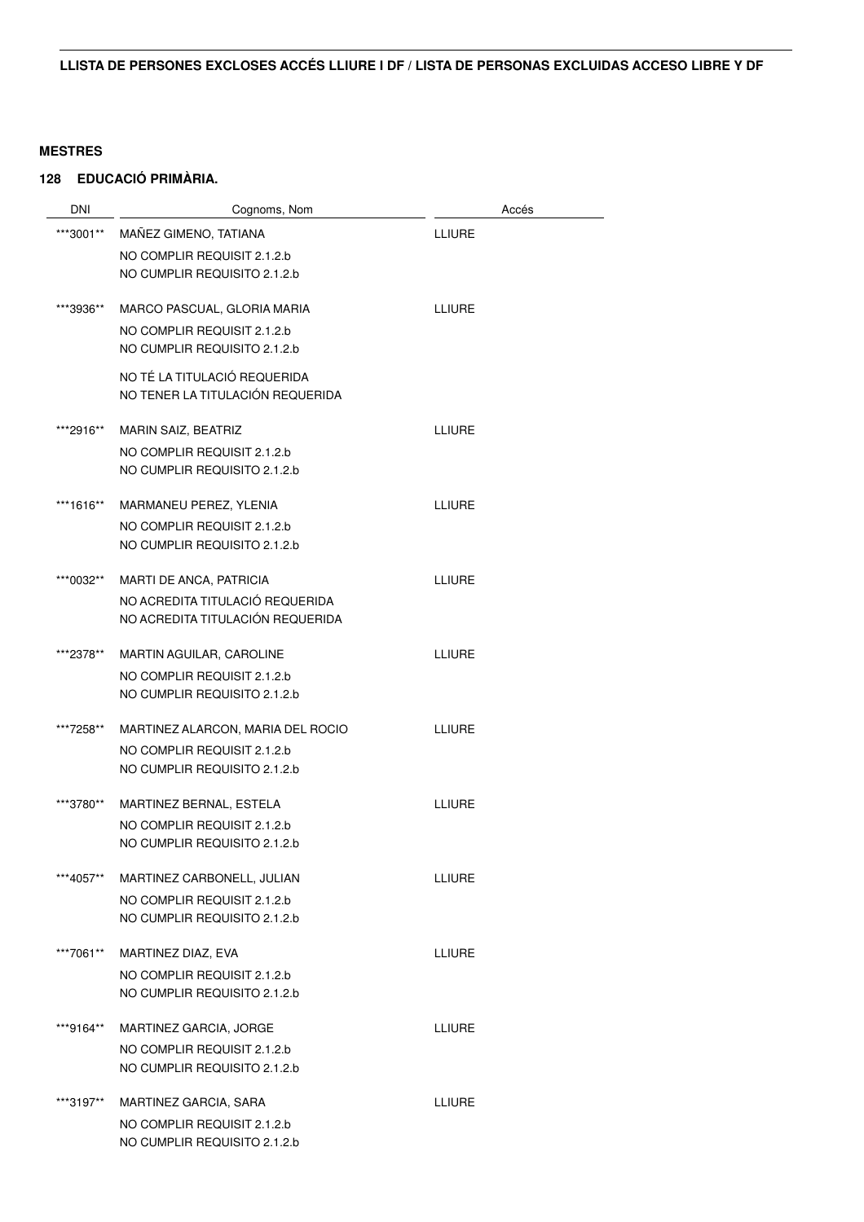| DNI       | Cognoms, Nom                      | Accés         |
|-----------|-----------------------------------|---------------|
| ***3001** | MAÑEZ GIMENO, TATIANA             | <b>LLIURE</b> |
|           | NO COMPLIR REQUISIT 2.1.2.b       |               |
|           | NO CUMPLIR REQUISITO 2.1.2.b      |               |
| ***3936** | MARCO PASCUAL, GLORIA MARIA       | <b>LLIURE</b> |
|           | NO COMPLIR REQUISIT 2.1.2.b       |               |
|           | NO CUMPLIR REQUISITO 2.1.2.b      |               |
|           | NO TÉ LA TITULACIÓ REQUERIDA      |               |
|           | NO TENER LA TITULACIÓN REQUERIDA  |               |
| ***2916** | MARIN SAIZ, BEATRIZ               | <b>LLIURE</b> |
|           | NO COMPLIR REQUISIT 2.1.2.b       |               |
|           | NO CUMPLIR REQUISITO 2.1.2.b      |               |
| ***1616** | MARMANEU PEREZ, YLENIA            | <b>LLIURE</b> |
|           | NO COMPLIR REQUISIT 2.1.2.b       |               |
|           | NO CUMPLIR REQUISITO 2.1.2.b      |               |
| ***0032** | MARTI DE ANCA, PATRICIA           | <b>LLIURE</b> |
|           | NO ACREDITA TITULACIÓ REQUERIDA   |               |
|           | NO ACREDITA TITULACIÓN REQUERIDA  |               |
| ***2378** | MARTIN AGUILAR, CAROLINE          | <b>LLIURE</b> |
|           | NO COMPLIR REQUISIT 2.1.2.b       |               |
|           | NO CUMPLIR REQUISITO 2.1.2.b      |               |
| ***7258** | MARTINEZ ALARCON, MARIA DEL ROCIO | <b>LLIURE</b> |
|           | NO COMPLIR REQUISIT 2.1.2.b       |               |
|           | NO CUMPLIR REQUISITO 2.1.2.b      |               |
| ***3780** | MARTINEZ BERNAL, ESTELA           | <b>LLIURE</b> |
|           | NO COMPLIR REQUISIT 2.1.2.b       |               |
|           | NO CUMPLIR REQUISITO 2.1.2.b      |               |
| ***4057** | MARTINEZ CARBONELL, JULIAN        | <b>LLIURE</b> |
|           | NO COMPLIR REQUISIT 2.1.2.b       |               |
|           | NO CUMPLIR REQUISITO 2.1.2.b      |               |
| ***7061** | MARTINEZ DIAZ, EVA                | <b>LLIURE</b> |
|           | NO COMPLIR REQUISIT 2.1.2.b       |               |
|           | NO CUMPLIR REQUISITO 2.1.2.b      |               |
| ***9164** | MARTINEZ GARCIA, JORGE            | <b>LLIURE</b> |
|           | NO COMPLIR REQUISIT 2.1.2.b       |               |
|           | NO CUMPLIR REQUISITO 2.1.2.b      |               |
| ***3197** | MARTINEZ GARCIA, SARA             | LLIURE        |
|           | NO COMPLIR REQUISIT 2.1.2.b       |               |
|           | NO CUMPLIR REQUISITO 2.1.2.b      |               |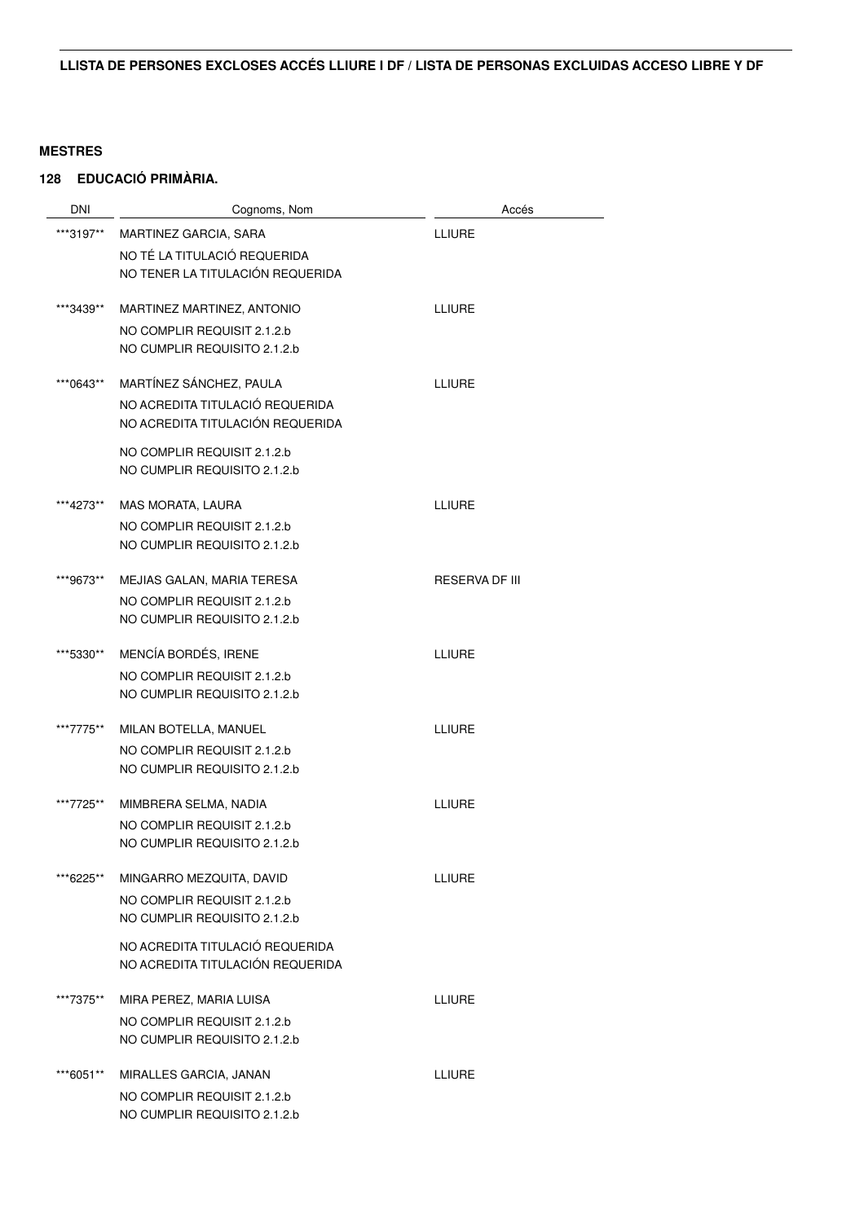| <b>DNI</b> | Cognoms, Nom                     | Accés                 |
|------------|----------------------------------|-----------------------|
| ***3197**  | MARTINEZ GARCIA, SARA            | <b>LLIURE</b>         |
|            | NO TÉ LA TITULACIÓ REQUERIDA     |                       |
|            | NO TENER LA TITULACIÓN REQUERIDA |                       |
|            |                                  |                       |
| ***3439**  | MARTINEZ MARTINEZ, ANTONIO       | <b>LLIURE</b>         |
|            | NO COMPLIR REQUISIT 2.1.2.b      |                       |
|            | NO CUMPLIR REQUISITO 2.1.2.b     |                       |
| ***0643**  | MARTÍNEZ SÁNCHEZ, PAULA          | <b>LLIURE</b>         |
|            | NO ACREDITA TITULACIÓ REQUERIDA  |                       |
|            | NO ACREDITA TITULACIÓN REQUERIDA |                       |
|            | NO COMPLIR REQUISIT 2.1.2.b      |                       |
|            | NO CUMPLIR REQUISITO 2.1.2.b     |                       |
|            |                                  |                       |
| ***4273**  | MAS MORATA, LAURA                | LLIURE                |
|            | NO COMPLIR REQUISIT 2.1.2.b      |                       |
|            | NO CUMPLIR REQUISITO 2.1.2.b     |                       |
| ***9673**  | MEJIAS GALAN, MARIA TERESA       | <b>RESERVA DF III</b> |
|            | NO COMPLIR REQUISIT 2.1.2.b      |                       |
|            | NO CUMPLIR REQUISITO 2.1.2.b     |                       |
|            |                                  |                       |
| ***5330**  | MENCÍA BORDÉS, IRENE             | <b>LLIURE</b>         |
|            | NO COMPLIR REQUISIT 2.1.2.b      |                       |
|            | NO CUMPLIR REQUISITO 2.1.2.b     |                       |
| ***7775**  | MILAN BOTELLA, MANUEL            | <b>LLIURE</b>         |
|            | NO COMPLIR REQUISIT 2.1.2.b      |                       |
|            | NO CUMPLIR REQUISITO 2.1.2.b     |                       |
|            |                                  |                       |
| ***7725**  | MIMBRERA SELMA, NADIA            | <b>LLIURE</b>         |
|            | NO COMPLIR REQUISIT 2.1.2.b      |                       |
|            | NO CUMPLIR REQUISITO 2.1.2.b     |                       |
| **6225**   | MINGARRO MEZQUITA, DAVID         | LLIURE                |
|            | NO COMPLIR REQUISIT 2.1.2.b      |                       |
|            | NO CUMPLIR REQUISITO 2.1.2.b     |                       |
|            | NO ACREDITA TITULACIÓ REQUERIDA  |                       |
|            | NO ACREDITA TITULACIÓN REQUERIDA |                       |
|            |                                  |                       |
| ***7375**  | MIRA PEREZ, MARIA LUISA          | <b>LLIURE</b>         |
|            | NO COMPLIR REQUISIT 2.1.2.b      |                       |
|            | NO CUMPLIR REQUISITO 2.1.2.b     |                       |
| ***6051**  | MIRALLES GARCIA, JANAN           | <b>LLIURE</b>         |
|            | NO COMPLIR REQUISIT 2.1.2.b      |                       |
|            | NO CUMPLIR REQUISITO 2.1.2.b     |                       |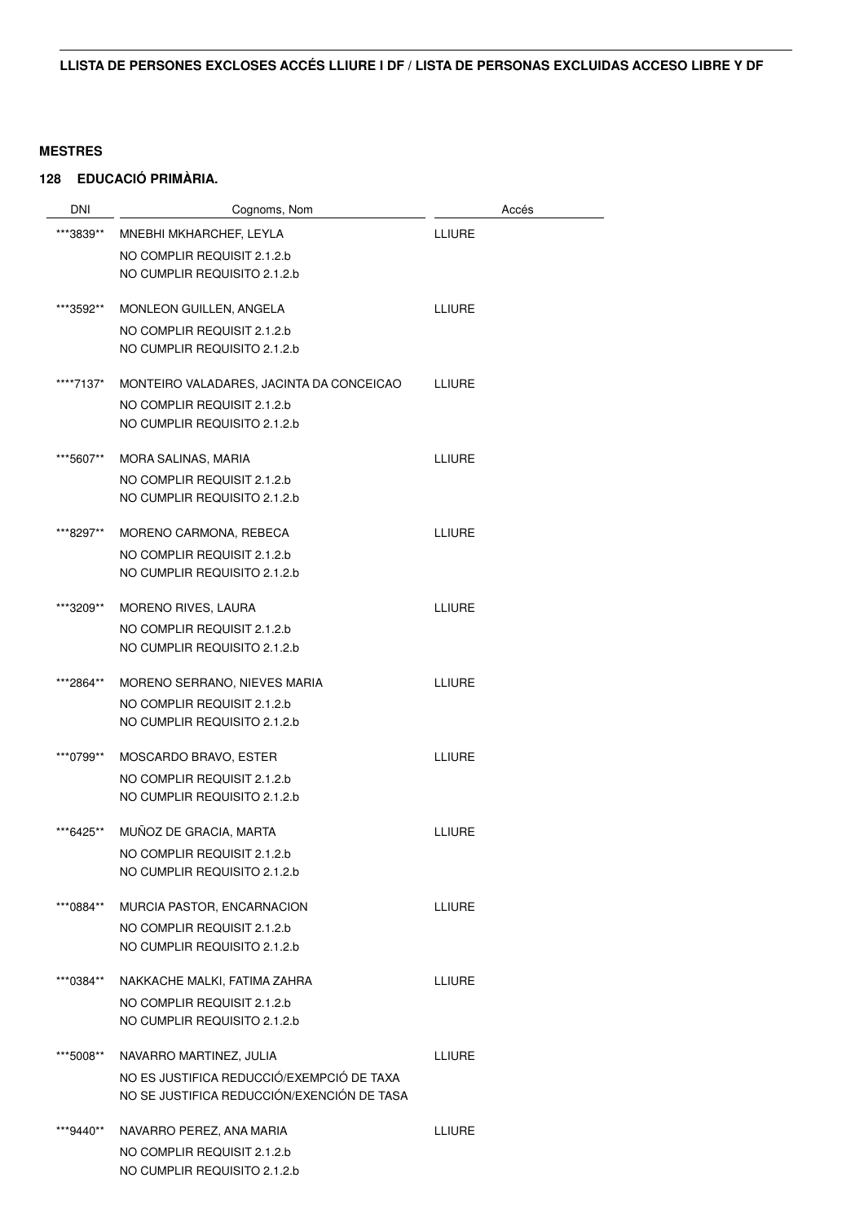| DNI       | Cognoms, Nom                                                | Accés         |
|-----------|-------------------------------------------------------------|---------------|
| ***3839** | MNEBHI MKHARCHEF, LEYLA                                     | <b>LLIURE</b> |
|           | NO COMPLIR REQUISIT 2.1.2.b                                 |               |
|           | NO CUMPLIR REQUISITO 2.1.2.b                                |               |
| ***3592** | MONLEON GUILLEN, ANGELA                                     | LLIURE        |
|           | NO COMPLIR REQUISIT 2.1.2.b                                 |               |
|           | NO CUMPLIR REQUISITO 2.1.2.b                                |               |
| ****7137* | MONTEIRO VALADARES, JACINTA DA CONCEICAO                    | <b>LLIURE</b> |
|           | NO COMPLIR REQUISIT 2.1.2.b<br>NO CUMPLIR REQUISITO 2.1.2.b |               |
|           |                                                             |               |
| ***5607** | MORA SALINAS, MARIA                                         | <b>LLIURE</b> |
|           | NO COMPLIR REQUISIT 2.1.2.b                                 |               |
|           | NO CUMPLIR REQUISITO 2.1.2.b                                |               |
| ***8297** | MORENO CARMONA, REBECA                                      | <b>LLIURE</b> |
|           | NO COMPLIR REQUISIT 2.1.2.b                                 |               |
|           | NO CUMPLIR REQUISITO 2.1.2.b                                |               |
| ***3209** | MORENO RIVES, LAURA                                         | <b>LLIURE</b> |
|           | NO COMPLIR REQUISIT 2.1.2.b                                 |               |
|           | NO CUMPLIR REQUISITO 2.1.2.b                                |               |
| ***2864** | MORENO SERRANO, NIEVES MARIA                                | <b>LLIURE</b> |
|           | NO COMPLIR REQUISIT 2.1.2.b                                 |               |
|           | NO CUMPLIR REQUISITO 2.1.2.b                                |               |
| ***0799** | MOSCARDO BRAVO, ESTER                                       | <b>LLIURE</b> |
|           | NO COMPLIR REQUISIT 2.1.2.b                                 |               |
|           | NO CUMPLIR REQUISITO 2.1.2.b                                |               |
| ***6425** | MUÑOZ DE GRACIA, MARTA                                      | <b>LLIURE</b> |
|           | NO COMPLIR REQUISIT 2.1.2.b                                 |               |
|           | NO CUMPLIR REQUISITO 2.1.2.b                                |               |
| ***0884** | MURCIA PASTOR, ENCARNACION                                  | <b>LLIURE</b> |
|           | NO COMPLIR REQUISIT 2.1.2.b                                 |               |
|           | NO CUMPLIR REQUISITO 2.1.2.b                                |               |
| ***0384** | NAKKACHE MALKI, FATIMA ZAHRA                                | <b>LLIURE</b> |
|           | NO COMPLIR REQUISIT 2.1.2.b                                 |               |
|           | NO CUMPLIR REQUISITO 2.1.2.b                                |               |
| ***5008** | NAVARRO MARTINEZ, JULIA                                     | <b>LLIURE</b> |
|           | NO ES JUSTIFICA REDUCCIÓ/EXEMPCIÓ DE TAXA                   |               |
|           | NO SE JUSTIFICA REDUCCIÓN/EXENCIÓN DE TASA                  |               |
| ***9440** | NAVARRO PEREZ, ANA MARIA                                    | <b>LLIURE</b> |
|           | NO COMPLIR REQUISIT 2.1.2.b                                 |               |
|           | NO CUMPLIR REQUISITO 2.1.2.b                                |               |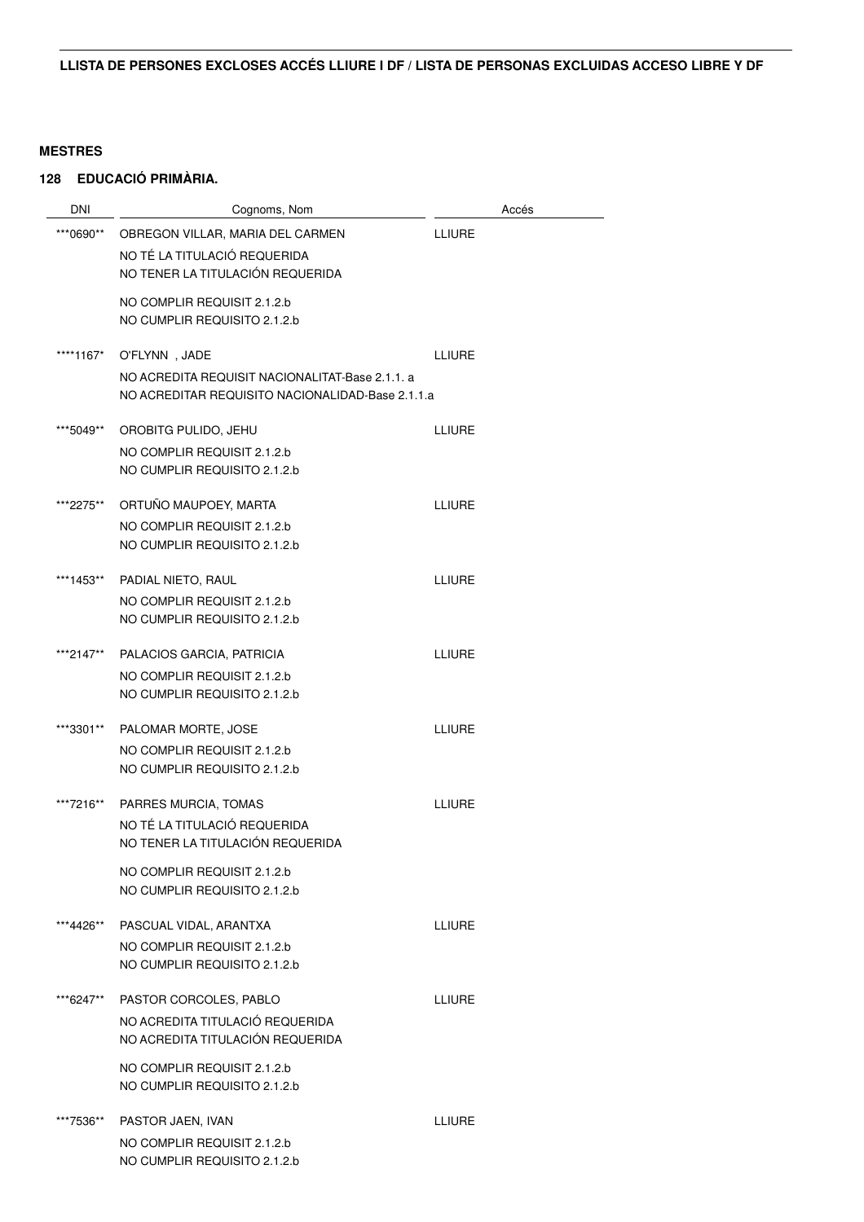| DNI       | Cognoms, Nom                                                     | Accés         |
|-----------|------------------------------------------------------------------|---------------|
| ***0690** | OBREGON VILLAR, MARIA DEL CARMEN                                 | <b>LLIURE</b> |
|           | NO TÉ LA TITULACIÓ REQUERIDA                                     |               |
|           | NO TENER LA TITULACIÓN REQUERIDA                                 |               |
|           | NO COMPLIR REQUISIT 2.1.2.b                                      |               |
|           | NO CUMPLIR REQUISITO 2.1.2.b                                     |               |
|           |                                                                  |               |
| ****1167* | O'FLYNN, JADE<br>NO ACREDITA REQUISIT NACIONALITAT-Base 2.1.1. a | <b>LLIURE</b> |
|           | NO ACREDITAR REQUISITO NACIONALIDAD-Base 2.1.1.a                 |               |
|           |                                                                  |               |
| ***5049** | OROBITG PULIDO, JEHU                                             | <b>LLIURE</b> |
|           | NO COMPLIR REQUISIT 2.1.2.b                                      |               |
|           | NO CUMPLIR REQUISITO 2.1.2.b                                     |               |
| ***2275** | ORTUÑO MAUPOEY, MARTA                                            | <b>LLIURE</b> |
|           | NO COMPLIR REQUISIT 2.1.2.b                                      |               |
|           | NO CUMPLIR REQUISITO 2.1.2.b                                     |               |
|           |                                                                  |               |
| ***1453** | PADIAL NIETO, RAUL<br>NO COMPLIR REQUISIT 2.1.2.b                | <b>LLIURE</b> |
|           | NO CUMPLIR REQUISITO 2.1.2.b                                     |               |
|           |                                                                  |               |
| ***2147** | PALACIOS GARCIA, PATRICIA                                        | <b>LLIURE</b> |
|           | NO COMPLIR REQUISIT 2.1.2.b                                      |               |
|           | NO CUMPLIR REQUISITO 2.1.2.b                                     |               |
| ***3301** | PALOMAR MORTE, JOSE                                              | <b>LLIURE</b> |
|           | NO COMPLIR REQUISIT 2.1.2.b                                      |               |
|           | NO CUMPLIR REQUISITO 2.1.2.b                                     |               |
| ***7216** | PARRES MURCIA, TOMAS                                             | <b>LLIURE</b> |
|           | NO TÉ LA TITULACIÓ REQUERIDA                                     |               |
|           | NO TENER LA TITULACIÓN REQUERIDA                                 |               |
|           | NO COMPLIR REQUISIT 2.1.2.b                                      |               |
|           | NO CUMPLIR REQUISITO 2.1.2.b                                     |               |
|           |                                                                  |               |
| ***4426** | PASCUAL VIDAL, ARANTXA                                           | <b>LLIURE</b> |
|           | NO COMPLIR REQUISIT 2.1.2.b                                      |               |
|           | NO CUMPLIR REQUISITO 2.1.2.b                                     |               |
| ***6247** | PASTOR CORCOLES, PABLO                                           | <b>LLIURE</b> |
|           | NO ACREDITA TITULACIÓ REQUERIDA                                  |               |
|           | NO ACREDITA TITULACIÓN REQUERIDA                                 |               |
|           | NO COMPLIR REQUISIT 2.1.2.b                                      |               |
|           | NO CUMPLIR REQUISITO 2.1.2.b                                     |               |
| ***7536** |                                                                  | <b>LLIURE</b> |
|           | PASTOR JAEN, IVAN<br>NO COMPLIR REQUISIT 2.1.2.b                 |               |
|           | NO CUMPLIR REQUISITO 2.1.2.b                                     |               |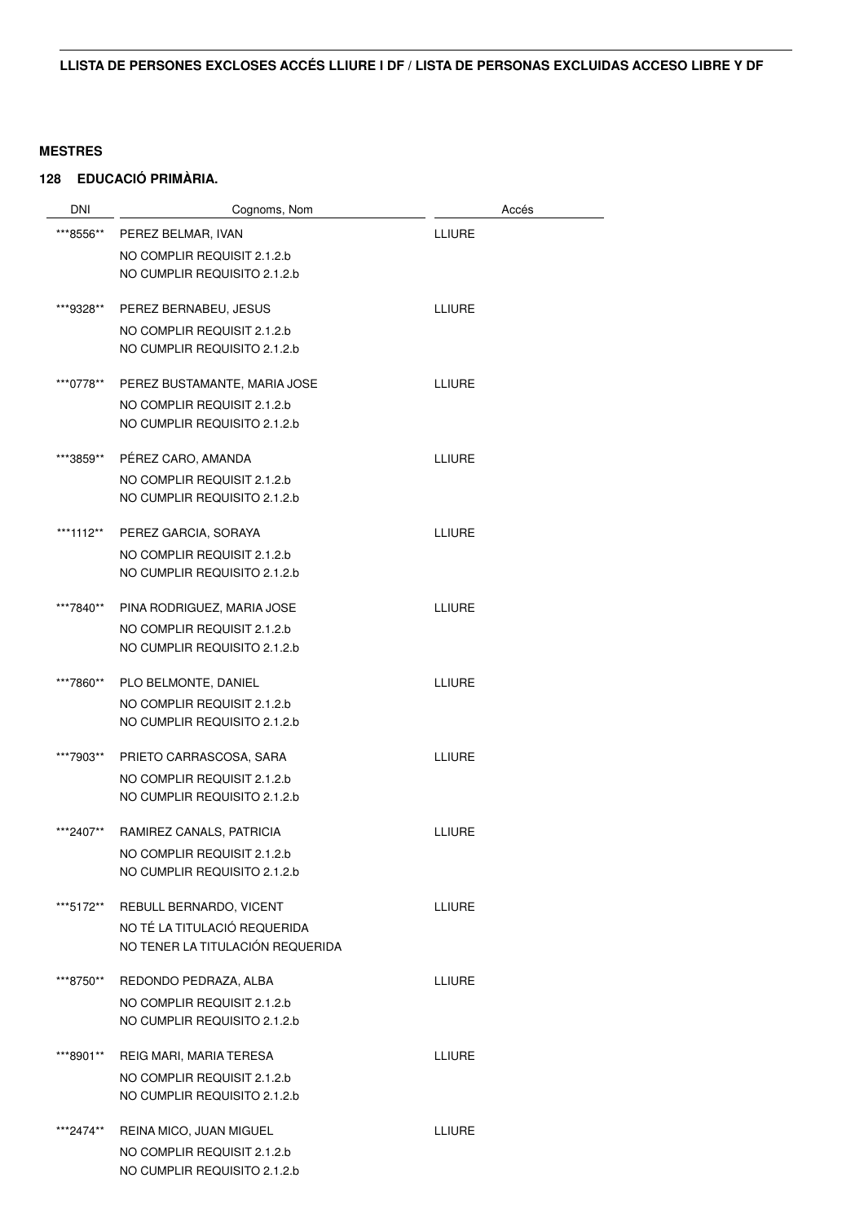| <b>DNI</b> | Cognoms, Nom                                                | Accés         |
|------------|-------------------------------------------------------------|---------------|
| ***8556**  | PEREZ BELMAR, IVAN                                          | <b>LLIURE</b> |
|            | NO COMPLIR REQUISIT 2.1.2.b                                 |               |
|            | NO CUMPLIR REQUISITO 2.1.2.b                                |               |
|            |                                                             |               |
| ***9328**  | PEREZ BERNABEU, JESUS                                       | <b>LLIURE</b> |
|            | NO COMPLIR REQUISIT 2.1.2.b<br>NO CUMPLIR REQUISITO 2.1.2.b |               |
|            |                                                             |               |
| ***0778**  | PEREZ BUSTAMANTE, MARIA JOSE                                | <b>LLIURE</b> |
|            | NO COMPLIR REQUISIT 2.1.2.b                                 |               |
|            | NO CUMPLIR REQUISITO 2.1.2.b                                |               |
| ***3859**  | PÉREZ CARO, AMANDA                                          | LLIURE        |
|            | NO COMPLIR REQUISIT 2.1.2.b                                 |               |
|            | NO CUMPLIR REQUISITO 2.1.2.b                                |               |
|            |                                                             |               |
| ***1112**  | PEREZ GARCIA, SORAYA                                        | <b>LLIURE</b> |
|            | NO COMPLIR REQUISIT 2.1.2.b                                 |               |
|            | NO CUMPLIR REQUISITO 2.1.2.b                                |               |
| ***7840**  | PINA RODRIGUEZ, MARIA JOSE                                  | <b>LLIURE</b> |
|            | NO COMPLIR REQUISIT 2.1.2.b                                 |               |
|            | NO CUMPLIR REQUISITO 2.1.2.b                                |               |
| ***7860**  | PLO BELMONTE, DANIEL                                        | LLIURE        |
|            | NO COMPLIR REQUISIT 2.1.2.b                                 |               |
|            | NO CUMPLIR REQUISITO 2.1.2.b                                |               |
|            |                                                             |               |
| ***7903**  | PRIETO CARRASCOSA, SARA                                     | LLIURE        |
|            | NO COMPLIR REQUISIT 2.1.2.b<br>NO CUMPLIR REQUISITO 2.1.2.b |               |
|            |                                                             |               |
| ***2407**  | RAMIREZ CANALS, PATRICIA                                    | <b>LLIURE</b> |
|            | NO COMPLIR REQUISIT 2.1.2.b                                 |               |
|            | NO CUMPLIR REQUISITO 2.1.2.b                                |               |
| ***5172**  | REBULL BERNARDO, VICENT                                     | LLIURE        |
|            | NO TÉ LA TITULACIÓ REQUERIDA                                |               |
|            | NO TENER LA TITULACIÓN REQUERIDA                            |               |
|            |                                                             |               |
| ***8750**  | REDONDO PEDRAZA, ALBA                                       | <b>LLIURE</b> |
|            | NO COMPLIR REQUISIT 2.1.2.b<br>NO CUMPLIR REQUISITO 2.1.2.b |               |
|            |                                                             |               |
| ***8901**  | REIG MARI, MARIA TERESA                                     | <b>LLIURE</b> |
|            | NO COMPLIR REQUISIT 2.1.2.b                                 |               |
|            | NO CUMPLIR REQUISITO 2.1.2.b                                |               |
| ***2474**  | REINA MICO, JUAN MIGUEL                                     | LLIURE        |
|            | NO COMPLIR REQUISIT 2.1.2.b                                 |               |
|            | NO CUMPLIR REQUISITO 2.1.2.b                                |               |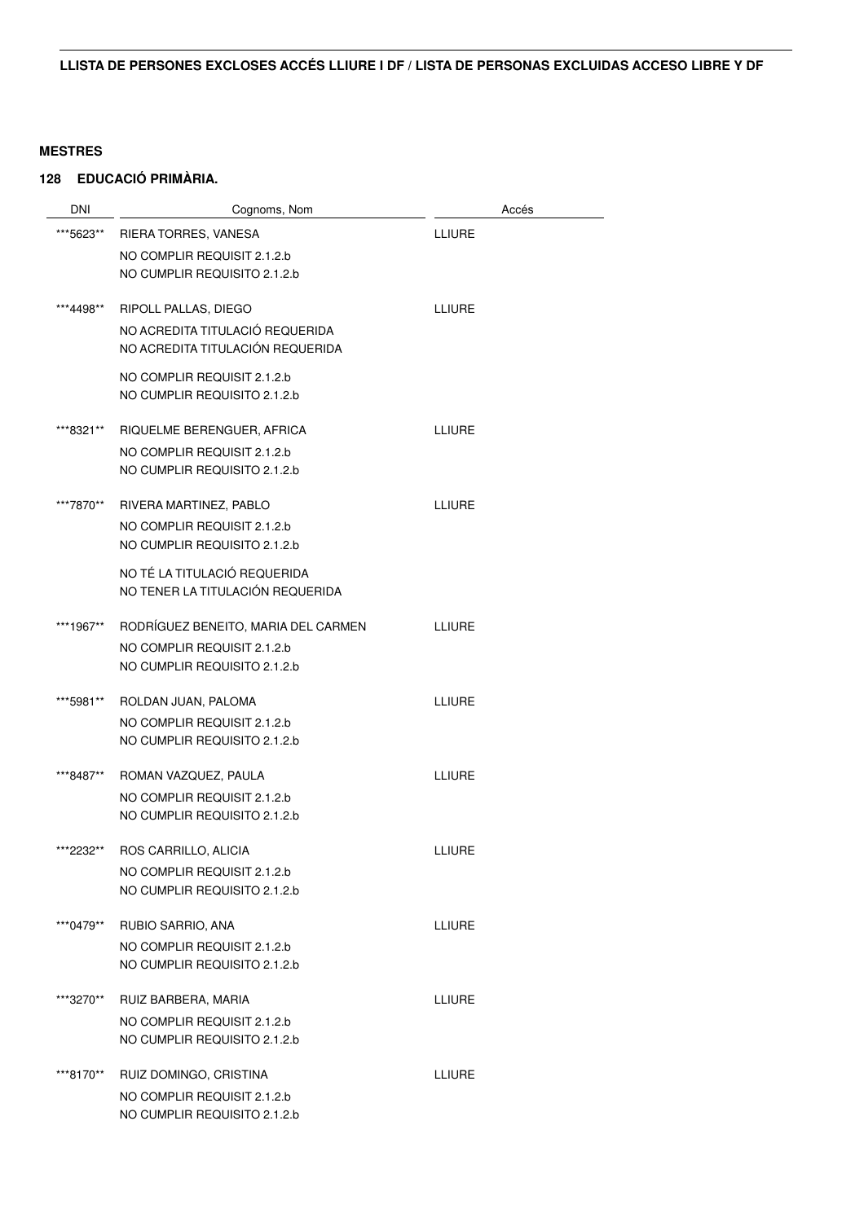| <b>DNI</b> | Cognoms, Nom                                                        | Accés         |
|------------|---------------------------------------------------------------------|---------------|
| ***5623**  | RIERA TORRES, VANESA                                                | <b>LLIURE</b> |
|            | NO COMPLIR REQUISIT 2.1.2.b                                         |               |
|            | NO CUMPLIR REQUISITO 2.1.2.b                                        |               |
|            |                                                                     |               |
| ***4498**  | RIPOLL PALLAS, DIEGO                                                | <b>LLIURE</b> |
|            | NO ACREDITA TITULACIÓ REQUERIDA<br>NO ACREDITA TITULACIÓN REQUERIDA |               |
|            |                                                                     |               |
|            | NO COMPLIR REQUISIT 2.1.2.b<br>NO CUMPLIR REQUISITO 2.1.2.b         |               |
|            |                                                                     |               |
| ***8321**  | RIQUELME BERENGUER, AFRICA                                          | <b>LLIURE</b> |
|            | NO COMPLIR REQUISIT 2.1.2.b                                         |               |
|            | NO CUMPLIR REQUISITO 2.1.2.b                                        |               |
| ***7870**  | RIVERA MARTINEZ, PABLO                                              | <b>LLIURE</b> |
|            | NO COMPLIR REQUISIT 2.1.2.b                                         |               |
|            | NO CUMPLIR REQUISITO 2.1.2.b                                        |               |
|            | NO TÉ LA TITULACIÓ REQUERIDA                                        |               |
|            | NO TENER LA TITULACIÓN REQUERIDA                                    |               |
|            |                                                                     |               |
| ***1967**  | RODRÍGUEZ BENEITO, MARIA DEL CARMEN                                 | <b>LLIURE</b> |
|            | NO COMPLIR REQUISIT 2.1.2.b<br>NO CUMPLIR REQUISITO 2.1.2.b         |               |
|            |                                                                     |               |
| ***5981**  | ROLDAN JUAN, PALOMA                                                 | <b>LLIURE</b> |
|            | NO COMPLIR REQUISIT 2.1.2.b                                         |               |
|            | NO CUMPLIR REQUISITO 2.1.2.b                                        |               |
| ***8487**  | ROMAN VAZQUEZ, PAULA                                                | <b>LLIURE</b> |
|            | NO COMPLIR REQUISIT 2.1.2.b                                         |               |
|            | NO CUMPLIR REQUISITO 2.1.2.b                                        |               |
| ***2232**  | ROS CARRILLO, ALICIA                                                | <b>LLIURE</b> |
|            | NO COMPLIR REQUISIT 2.1.2.b                                         |               |
|            | NO CUMPLIR REQUISITO 2.1.2.b                                        |               |
|            |                                                                     |               |
| ***0479**  | RUBIO SARRIO, ANA                                                   | <b>LLIURE</b> |
|            | NO COMPLIR REQUISIT 2.1.2.b<br>NO CUMPLIR REQUISITO 2.1.2.b         |               |
|            |                                                                     |               |
| ***3270**  | RUIZ BARBERA, MARIA                                                 | <b>LLIURE</b> |
|            | NO COMPLIR REQUISIT 2.1.2.b                                         |               |
|            | NO CUMPLIR REQUISITO 2.1.2.b                                        |               |
| ***8170**  | RUIZ DOMINGO, CRISTINA                                              | LLIURE        |
|            | NO COMPLIR REQUISIT 2.1.2.b                                         |               |
|            | NO CUMPLIR REQUISITO 2.1.2.b                                        |               |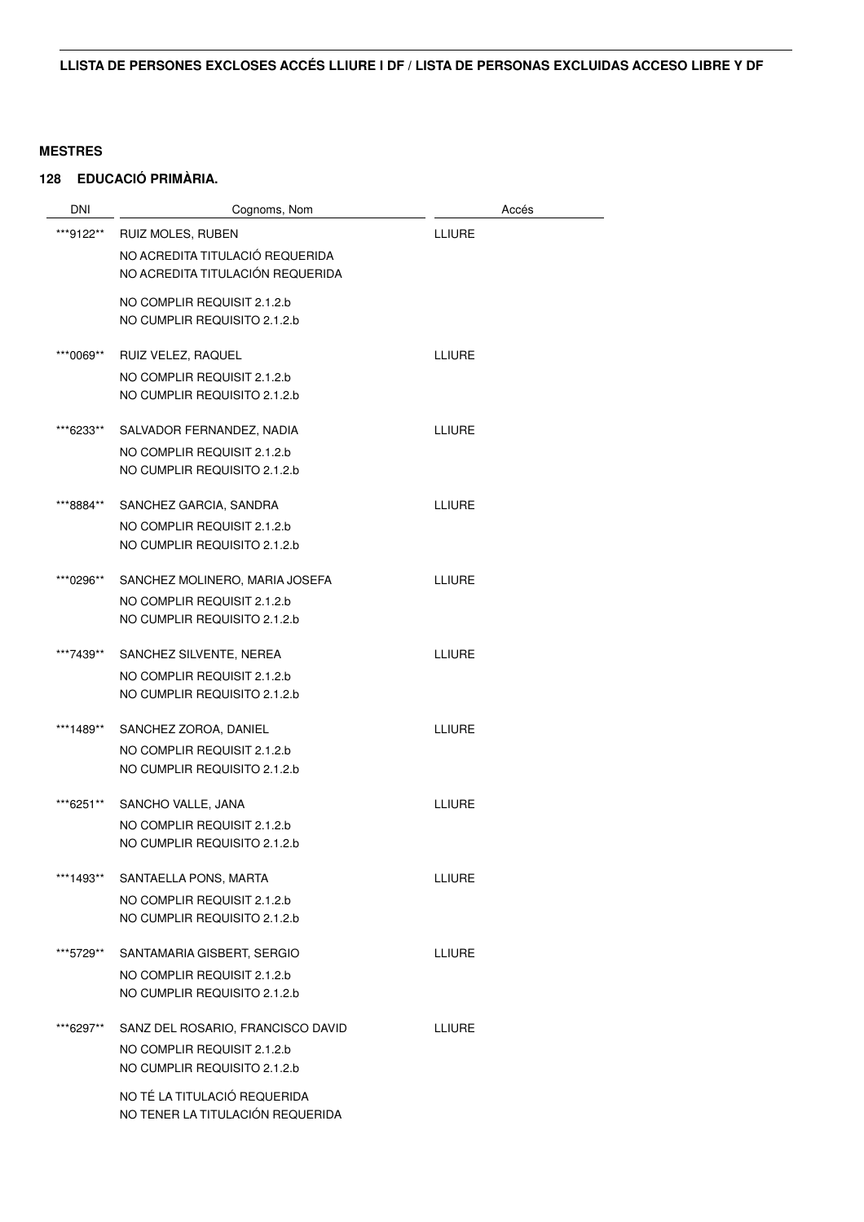| DNI       | Cognoms, Nom                      | Accés         |
|-----------|-----------------------------------|---------------|
| ***9122** | RUIZ MOLES, RUBEN                 | LLIURE        |
|           | NO ACREDITA TITULACIÓ REQUERIDA   |               |
|           | NO ACREDITA TITULACIÓN REQUERIDA  |               |
|           |                                   |               |
|           | NO COMPLIR REQUISIT 2.1.2.b       |               |
|           | NO CUMPLIR REQUISITO 2.1.2.b      |               |
| ***0069** | RUIZ VELEZ, RAQUEL                | <b>LLIURE</b> |
|           | NO COMPLIR REQUISIT 2.1.2.b       |               |
|           | NO CUMPLIR REQUISITO 2.1.2.b      |               |
|           |                                   |               |
| ***6233** | SALVADOR FERNANDEZ, NADIA         | LLIURE        |
|           | NO COMPLIR REQUISIT 2.1.2.b       |               |
|           | NO CUMPLIR REQUISITO 2.1.2.b      |               |
|           |                                   |               |
| ***8884** | SANCHEZ GARCIA, SANDRA            | <b>LLIURE</b> |
|           | NO COMPLIR REQUISIT 2.1.2.b       |               |
|           | NO CUMPLIR REQUISITO 2.1.2.b      |               |
| ***0296** | SANCHEZ MOLINERO, MARIA JOSEFA    | LLIURE        |
|           | NO COMPLIR REQUISIT 2.1.2.b       |               |
|           | NO CUMPLIR REQUISITO 2.1.2.b      |               |
|           |                                   |               |
| ***7439** | SANCHEZ SILVENTE, NEREA           | LLIURE        |
|           | NO COMPLIR REQUISIT 2.1.2.b       |               |
|           | NO CUMPLIR REQUISITO 2.1.2.b      |               |
| ***1489** | SANCHEZ ZOROA, DANIEL             | <b>LLIURE</b> |
|           | NO COMPLIR REQUISIT 2.1.2.b       |               |
|           | NO CUMPLIR REQUISITO 2.1.2.b      |               |
|           |                                   |               |
| ***6251** | SANCHO VALLE, JANA                | LLIURE        |
|           | NO COMPLIR REQUISIT 2.1.2.b       |               |
|           | NO CUMPLIR REQUISITO 2.1.2.b      |               |
| ***1493** | SANTAELLA PONS, MARTA             | LLIURE        |
|           | NO COMPLIR REQUISIT 2.1.2.b       |               |
|           | NO CUMPLIR REQUISITO 2.1.2.b      |               |
|           |                                   |               |
| ***5729** | SANTAMARIA GISBERT, SERGIO        | <b>LLIURE</b> |
|           | NO COMPLIR REQUISIT 2.1.2.b       |               |
|           | NO CUMPLIR REQUISITO 2.1.2.b      |               |
|           |                                   |               |
| ***6297** | SANZ DEL ROSARIO, FRANCISCO DAVID | <b>LLIURE</b> |
|           | NO COMPLIR REQUISIT 2.1.2.b       |               |
|           | NO CUMPLIR REQUISITO 2.1.2.b      |               |
|           | NO TÉ LA TITULACIÓ REQUERIDA      |               |
|           | NO TENER LA TITULACIÓN REQUERIDA  |               |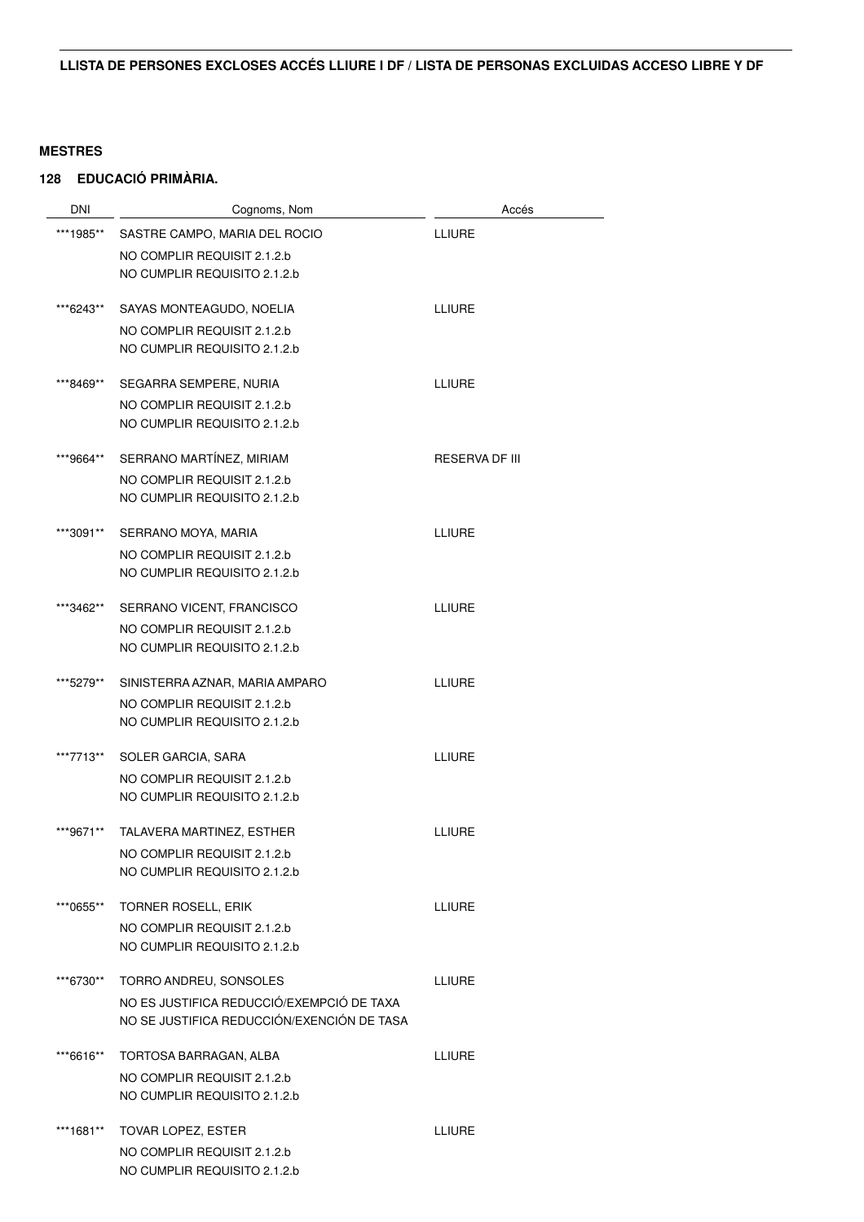| <b>DNI</b> | Cognoms, Nom                                                | Accés                 |
|------------|-------------------------------------------------------------|-----------------------|
| ***1985**  | SASTRE CAMPO, MARIA DEL ROCIO                               | <b>LLIURE</b>         |
|            | NO COMPLIR REQUISIT 2.1.2.b                                 |                       |
|            | NO CUMPLIR REQUISITO 2.1.2.b                                |                       |
| ***6243**  | SAYAS MONTEAGUDO, NOELIA                                    | <b>LLIURE</b>         |
|            | NO COMPLIR REQUISIT 2.1.2.b<br>NO CUMPLIR REQUISITO 2.1.2.b |                       |
| ***8469**  | SEGARRA SEMPERE, NURIA                                      | LLIURE                |
|            | NO COMPLIR REQUISIT 2.1.2.b                                 |                       |
|            | NO CUMPLIR REQUISITO 2.1.2.b                                |                       |
| ***9664**  | SERRANO MARTÍNEZ, MIRIAM                                    | <b>RESERVA DF III</b> |
|            | NO COMPLIR REQUISIT 2.1.2.b                                 |                       |
|            | NO CUMPLIR REQUISITO 2.1.2.b                                |                       |
| ***3091**  | SERRANO MOYA, MARIA                                         | <b>LLIURE</b>         |
|            | NO COMPLIR REQUISIT 2.1.2.b                                 |                       |
|            | NO CUMPLIR REQUISITO 2.1.2.b                                |                       |
| ***3462**  | SERRANO VICENT, FRANCISCO                                   | <b>LLIURE</b>         |
|            | NO COMPLIR REQUISIT 2.1.2.b                                 |                       |
|            | NO CUMPLIR REQUISITO 2.1.2.b                                |                       |
| ***5279**  | SINISTERRA AZNAR, MARIA AMPARO                              | <b>LLIURE</b>         |
|            | NO COMPLIR REQUISIT 2.1.2.b                                 |                       |
|            | NO CUMPLIR REQUISITO 2.1.2.b                                |                       |
| ***7713**  | SOLER GARCIA, SARA                                          | <b>LLIURE</b>         |
|            | NO COMPLIR REQUISIT 2.1.2.b                                 |                       |
|            | NO CUMPLIR REQUISITO 2.1.2.b                                |                       |
| ***9671**  | TALAVERA MARTINEZ, ESTHER                                   | <b>LLIURE</b>         |
|            | NO COMPLIR REQUISIT 2.1.2.b                                 |                       |
|            | NO CUMPLIR REQUISITO 2.1.2.b                                |                       |
| ***0655**  | <b>TORNER ROSELL, ERIK</b>                                  | <b>LLIURE</b>         |
|            | NO COMPLIR REQUISIT 2.1.2.b                                 |                       |
|            | NO CUMPLIR REQUISITO 2.1.2.b                                |                       |
| ***6730**  | TORRO ANDREU, SONSOLES                                      | <b>LLIURE</b>         |
|            | NO ES JUSTIFICA REDUCCIÓ/EXEMPCIÓ DE TAXA                   |                       |
|            | NO SE JUSTIFICA REDUCCIÓN/EXENCIÓN DE TASA                  |                       |
| ***6616**  | TORTOSA BARRAGAN, ALBA                                      | <b>LLIURE</b>         |
|            | NO COMPLIR REQUISIT 2.1.2.b                                 |                       |
|            | NO CUMPLIR REQUISITO 2.1.2.b                                |                       |
| ***1681**  | TOVAR LOPEZ, ESTER                                          | <b>LLIURE</b>         |
|            | NO COMPLIR REQUISIT 2.1.2.b                                 |                       |
|            | NO CUMPLIR REQUISITO 2.1.2.b                                |                       |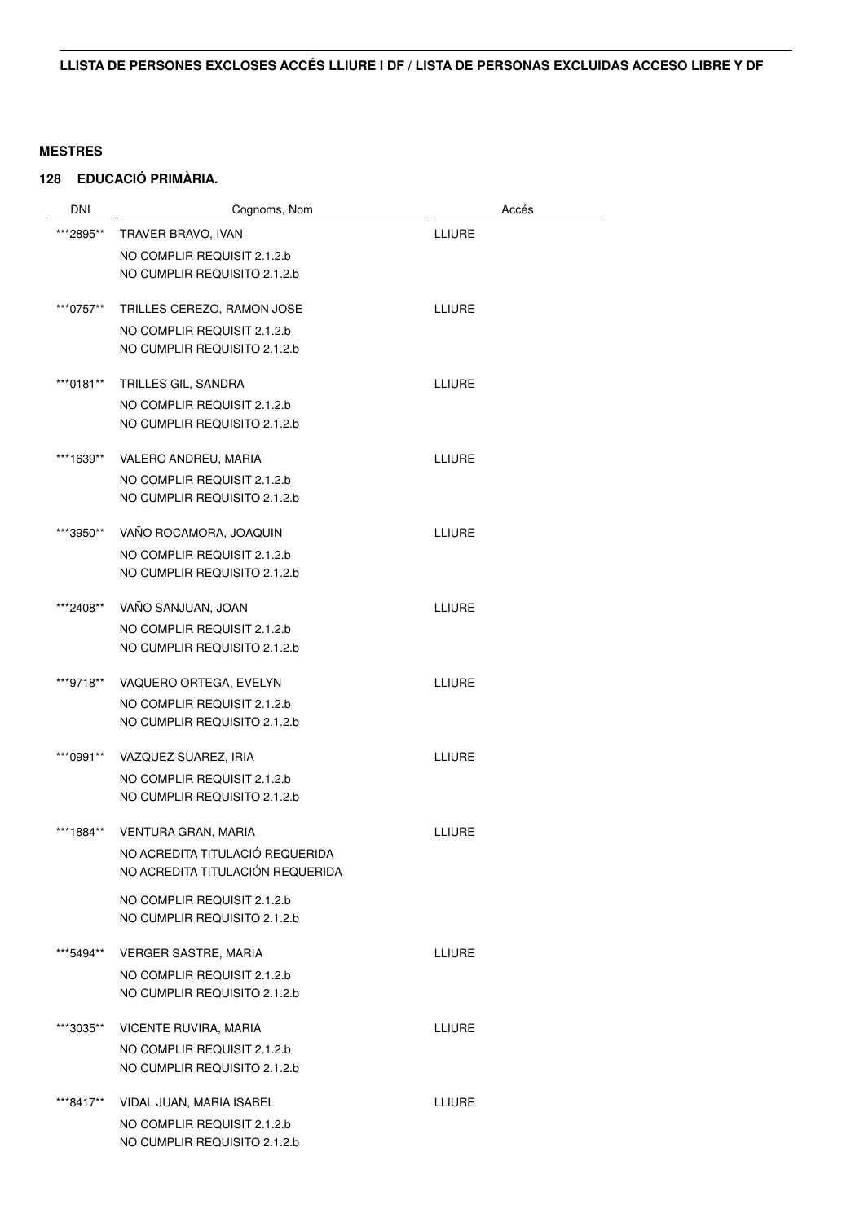| <b>DNI</b> | Cognoms, Nom                                                | Accés         |
|------------|-------------------------------------------------------------|---------------|
| ***2895**  | TRAVER BRAVO, IVAN                                          | <b>LLIURE</b> |
|            | NO COMPLIR REQUISIT 2.1.2.b                                 |               |
|            | NO CUMPLIR REQUISITO 2.1.2.b                                |               |
|            |                                                             |               |
| ***0757**  | TRILLES CEREZO, RAMON JOSE                                  | <b>LLIURE</b> |
|            | NO COMPLIR REQUISIT 2.1.2.b<br>NO CUMPLIR REQUISITO 2.1.2.b |               |
|            |                                                             |               |
| ***0181**  | TRILLES GIL, SANDRA                                         | <b>LLIURE</b> |
|            | NO COMPLIR REQUISIT 2.1.2.b                                 |               |
|            | NO CUMPLIR REQUISITO 2.1.2.b                                |               |
| ***1639**  | VALERO ANDREU, MARIA                                        | <b>LLIURE</b> |
|            | NO COMPLIR REQUISIT 2.1.2.b                                 |               |
|            | NO CUMPLIR REQUISITO 2.1.2.b                                |               |
| ***3950**  | VAÑO ROCAMORA, JOAQUIN                                      | <b>LLIURE</b> |
|            | NO COMPLIR REQUISIT 2.1.2.b                                 |               |
|            | NO CUMPLIR REQUISITO 2.1.2.b                                |               |
|            |                                                             |               |
| ***2408**  | VAÑO SANJUAN, JOAN                                          | <b>LLIURE</b> |
|            | NO COMPLIR REQUISIT 2.1.2.b                                 |               |
|            | NO CUMPLIR REQUISITO 2.1.2.b                                |               |
| ***9718**  | VAQUERO ORTEGA, EVELYN                                      | <b>LLIURE</b> |
|            | NO COMPLIR REQUISIT 2.1.2.b                                 |               |
|            | NO CUMPLIR REQUISITO 2.1.2.b                                |               |
| ***0991**  | VAZQUEZ SUAREZ, IRIA                                        | <b>LLIURE</b> |
|            | NO COMPLIR REQUISIT 2.1.2.b                                 |               |
|            | NO CUMPLIR REQUISITO 2.1.2.b                                |               |
| ***1884**  | VENTURA GRAN, MARIA                                         | <b>LLIURE</b> |
|            | NO ACREDITA TITULACIÓ REQUERIDA                             |               |
|            | NO ACREDITA TITULACIÓN REQUERIDA                            |               |
|            | NO COMPLIR REQUISIT 2.1.2.b                                 |               |
|            | NO CUMPLIR REQUISITO 2.1.2.b                                |               |
| ***5494**  | <b>VERGER SASTRE, MARIA</b>                                 | <b>LLIURE</b> |
|            | NO COMPLIR REQUISIT 2.1.2.b                                 |               |
|            | NO CUMPLIR REQUISITO 2.1.2.b                                |               |
|            |                                                             |               |
| ***3035**  | VICENTE RUVIRA, MARIA                                       | <b>LLIURE</b> |
|            | NO COMPLIR REQUISIT 2.1.2.b                                 |               |
|            | NO CUMPLIR REQUISITO 2.1.2.b                                |               |
| ***8417**  | VIDAL JUAN, MARIA ISABEL                                    | <b>LLIURE</b> |
|            | NO COMPLIR REQUISIT 2.1.2.b                                 |               |
|            | NO CUMPLIR REQUISITO 2.1.2.b                                |               |